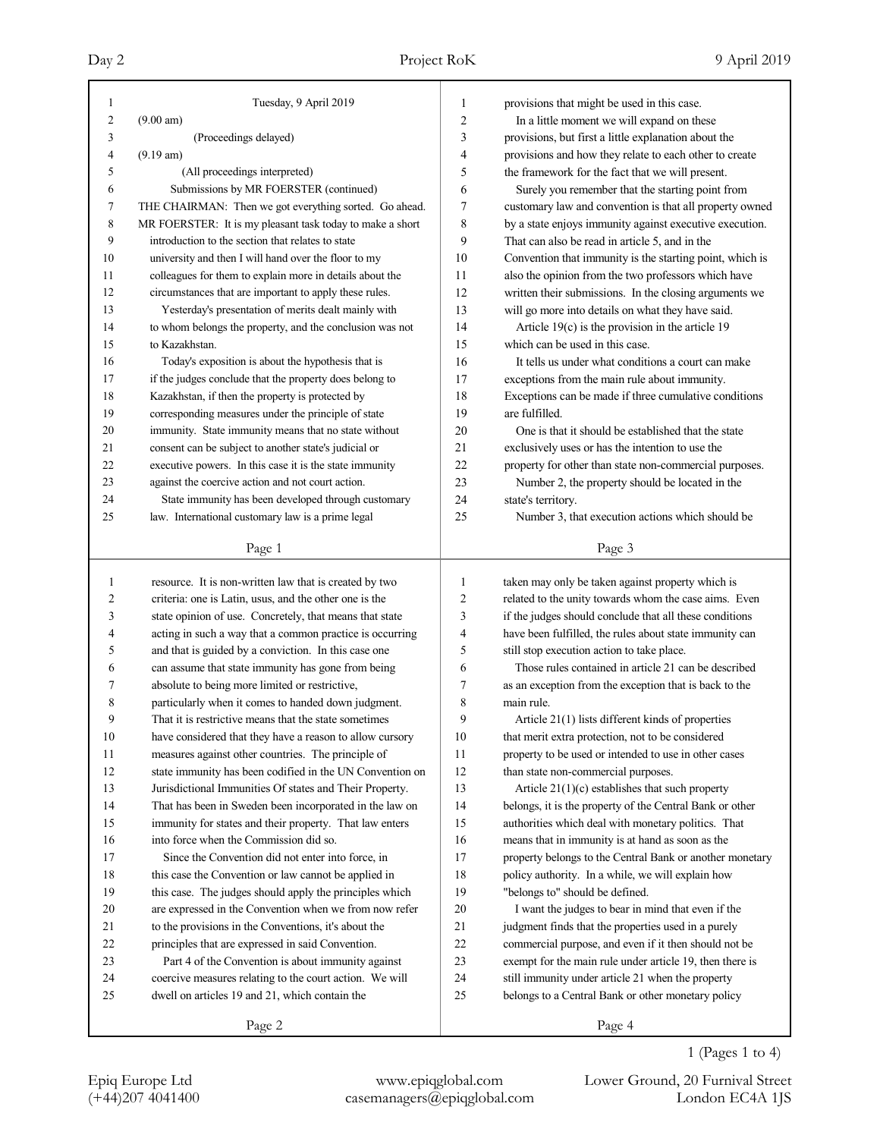|                     | Tuesday, 9 April 2019                                     | 1      | provisions that might be used in this case.              |
|---------------------|-----------------------------------------------------------|--------|----------------------------------------------------------|
| 1<br>$\overline{c}$ | (9.00 am)                                                 | 2      | In a little moment we will expand on these               |
| 3                   |                                                           |        |                                                          |
|                     | (Proceedings delayed)<br>$(9.19 \text{ am})$              | 3      | provisions, but first a little explanation about the     |
| 4                   |                                                           | 4      | provisions and how they relate to each other to create   |
| 5                   | (All proceedings interpreted)                             | 5      | the framework for the fact that we will present.         |
| 6                   | Submissions by MR FOERSTER (continued)                    | 6      | Surely you remember that the starting point from         |
| 7                   | THE CHAIRMAN: Then we got everything sorted. Go ahead.    | 7      | customary law and convention is that all property owned  |
| 8                   | MR FOERSTER: It is my pleasant task today to make a short | 8      | by a state enjoys immunity against executive execution.  |
| 9                   | introduction to the section that relates to state         | 9      | That can also be read in article 5, and in the           |
| 10                  | university and then I will hand over the floor to my      | 10     | Convention that immunity is the starting point, which is |
| 11                  | colleagues for them to explain more in details about the  | 11     | also the opinion from the two professors which have      |
| 12                  | circumstances that are important to apply these rules.    | 12     | written their submissions. In the closing arguments we   |
| 13                  | Yesterday's presentation of merits dealt mainly with      | 13     | will go more into details on what they have said.        |
| 14                  | to whom belongs the property, and the conclusion was not  | 14     | Article 19(c) is the provision in the article 19         |
| 15                  | to Kazakhstan.                                            | 15     | which can be used in this case.                          |
| 16                  | Today's exposition is about the hypothesis that is        | 16     | It tells us under what conditions a court can make       |
| 17                  | if the judges conclude that the property does belong to   | 17     | exceptions from the main rule about immunity.            |
| 18                  | Kazakhstan, if then the property is protected by          | 18     | Exceptions can be made if three cumulative conditions    |
| 19                  | corresponding measures under the principle of state       | 19     | are fulfilled.                                           |
| 20                  | immunity. State immunity means that no state without      | 20     | One is that it should be established that the state      |
| 21                  | consent can be subject to another state's judicial or     | 21     | exclusively uses or has the intention to use the         |
| 22                  | executive powers. In this case it is the state immunity   | 22     | property for other than state non-commercial purposes.   |
| 23                  | against the coercive action and not court action.         | 23     | Number 2, the property should be located in the          |
| 24                  | State immunity has been developed through customary       | 24     | state's territory.                                       |
| 25                  | law. International customary law is a prime legal         | 25     | Number 3, that execution actions which should be         |
|                     |                                                           |        |                                                          |
|                     | Page 1                                                    |        | Page 3                                                   |
|                     |                                                           |        |                                                          |
|                     |                                                           |        |                                                          |
| 1                   | resource. It is non-written law that is created by two    | 1      | taken may only be taken against property which is        |
| 2                   | criteria: one is Latin, usus, and the other one is the    | 2      | related to the unity towards whom the case aims. Even    |
| 3                   | state opinion of use. Concretely, that means that state   | 3      | if the judges should conclude that all these conditions  |
| 4                   | acting in such a way that a common practice is occurring  | 4      | have been fulfilled, the rules about state immunity can  |
| 5                   | and that is guided by a conviction. In this case one      | 5      | still stop execution action to take place.               |
| 6                   | can assume that state immunity has gone from being        | 6      | Those rules contained in article 21 can be described     |
| 7                   | absolute to being more limited or restrictive,            | 7      | as an exception from the exception that is back to the   |
| 8                   | particularly when it comes to handed down judgment.       | 8      | main rule.                                               |
| 9                   | That it is restrictive means that the state sometimes     | 9      | Article 21(1) lists different kinds of properties        |
| 10                  | have considered that they have a reason to allow cursory  | 10     | that merit extra protection, not to be considered        |
| 11                  | measures against other countries. The principle of        | 11     | property to be used or intended to use in other cases    |
| 12                  | state immunity has been codified in the UN Convention on  | 12     | than state non-commercial purposes.                      |
| 13                  | Jurisdictional Immunities Of states and Their Property.   | 13     | Article $21(1)(c)$ establishes that such property        |
| 14                  | That has been in Sweden been incorporated in the law on   | 14     | belongs, it is the property of the Central Bank or other |
| 15                  | immunity for states and their property. That law enters   | 15     | authorities which deal with monetary politics. That      |
| 16                  | into force when the Commission did so.                    | 16     | means that in immunity is at hand as soon as the         |
| 17                  | Since the Convention did not enter into force, in         | 17     | property belongs to the Central Bank or another monetary |
| 18                  | this case the Convention or law cannot be applied in      | 18     | policy authority. In a while, we will explain how        |
| 19                  | this case. The judges should apply the principles which   | 19     | "belongs to" should be defined.                          |
| 20                  | are expressed in the Convention when we from now refer    | $20\,$ | I want the judges to bear in mind that even if the       |
| 21                  | to the provisions in the Conventions, it's about the      | 21     | judgment finds that the properties used in a purely      |
| 22                  | principles that are expressed in said Convention.         | $22\,$ | commercial purpose, and even if it then should not be    |
| 23                  | Part 4 of the Convention is about immunity against        | 23     | exempt for the main rule under article 19, then there is |
| 24                  | coercive measures relating to the court action. We will   | 24     | still immunity under article 21 when the property        |
| 25                  | dwell on articles 19 and 21, which contain the            | 25     | belongs to a Central Bank or other monetary policy       |
|                     | Page 2                                                    |        | Page 4                                                   |

1 (Pages 1 to 4)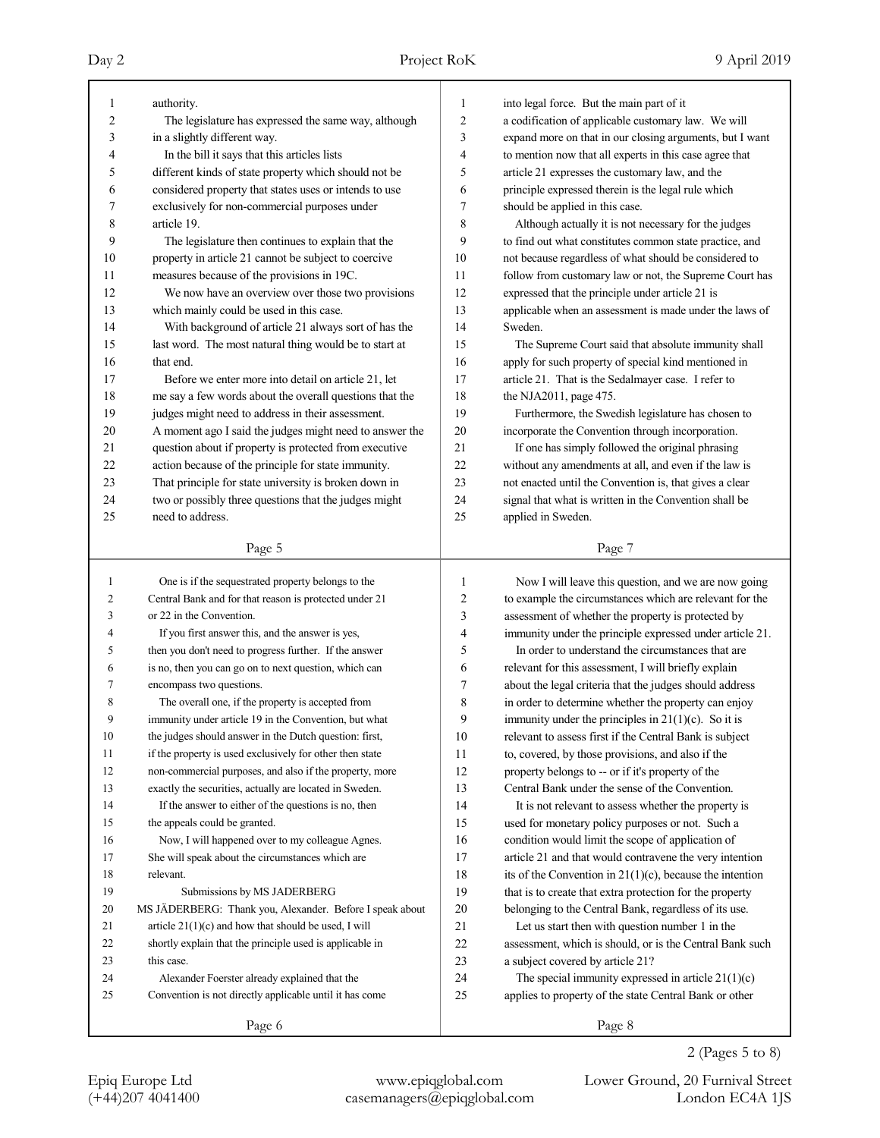| 1              | authority.                                               | 1                       | into legal force. But the main part of it                   |
|----------------|----------------------------------------------------------|-------------------------|-------------------------------------------------------------|
| $\overline{c}$ | The legislature has expressed the same way, although     | $\overline{\mathbf{c}}$ | a codification of applicable customary law. We will         |
| 3              | in a slightly different way.                             | 3                       | expand more on that in our closing arguments, but I want    |
| 4              | In the bill it says that this articles lists             | 4                       | to mention now that all experts in this case agree that     |
| 5              | different kinds of state property which should not be    | 5                       | article 21 expresses the customary law, and the             |
|                | considered property that states uses or intends to use   |                         | principle expressed therein is the legal rule which         |
| 6              |                                                          | 6                       |                                                             |
| 7              | exclusively for non-commercial purposes under            | 7                       | should be applied in this case.                             |
| 8              | article 19.                                              | 8                       | Although actually it is not necessary for the judges        |
| 9              | The legislature then continues to explain that the       | 9                       | to find out what constitutes common state practice, and     |
| 10             | property in article 21 cannot be subject to coercive     | 10                      | not because regardless of what should be considered to      |
| 11             | measures because of the provisions in 19C.               | 11                      | follow from customary law or not, the Supreme Court has     |
| 12             | We now have an overview over those two provisions        | 12                      | expressed that the principle under article 21 is            |
| 13             | which mainly could be used in this case.                 | 13                      | applicable when an assessment is made under the laws of     |
| 14             | With background of article 21 always sort of has the     | 14                      | Sweden.                                                     |
| 15             | last word. The most natural thing would be to start at   | 15                      | The Supreme Court said that absolute immunity shall         |
| 16             | that end.                                                | 16                      | apply for such property of special kind mentioned in        |
| 17             | Before we enter more into detail on article 21, let      | 17                      | article 21. That is the Sedalmayer case. I refer to         |
| 18             | me say a few words about the overall questions that the  | 18                      | the NJA2011, page 475.                                      |
| 19             | judges might need to address in their assessment.        | 19                      | Furthermore, the Swedish legislature has chosen to          |
| 20             | A moment ago I said the judges might need to answer the  | 20                      | incorporate the Convention through incorporation.           |
| 21             | question about if property is protected from executive   | 21                      | If one has simply followed the original phrasing            |
| 22             | action because of the principle for state immunity.      | 22                      | without any amendments at all, and even if the law is       |
| 23             | That principle for state university is broken down in    | 23                      | not enacted until the Convention is, that gives a clear     |
| 24             | two or possibly three questions that the judges might    | 24                      | signal that what is written in the Convention shall be      |
| 25             | need to address.                                         | 25                      | applied in Sweden.                                          |
|                |                                                          |                         |                                                             |
|                | Page 5                                                   |                         | Page 7                                                      |
|                |                                                          |                         |                                                             |
|                |                                                          |                         |                                                             |
| 1              | One is if the sequestrated property belongs to the       | 1                       | Now I will leave this question, and we are now going        |
| $\overline{c}$ | Central Bank and for that reason is protected under 21   | $\overline{c}$          | to example the circumstances which are relevant for the     |
| 3              | or 22 in the Convention.                                 | 3                       | assessment of whether the property is protected by          |
| 4              | If you first answer this, and the answer is yes,         | 4                       | immunity under the principle expressed under article 21.    |
| 5              | then you don't need to progress further. If the answer   | 5                       | In order to understand the circumstances that are           |
| 6              | is no, then you can go on to next question, which can    | 6                       | relevant for this assessment, I will briefly explain        |
| 7              | encompass two questions.                                 | 7                       | about the legal criteria that the judges should address     |
| 8              | The overall one, if the property is accepted from        | 8                       | in order to determine whether the property can enjoy        |
| 9              | immunity under article 19 in the Convention, but what    | 9                       | immunity under the principles in $21(1)(c)$ . So it is      |
| 10             | the judges should answer in the Dutch question: first,   | 10                      | relevant to assess first if the Central Bank is subject     |
| 11             | if the property is used exclusively for other then state | 11                      | to, covered, by those provisions, and also if the           |
| 12             | non-commercial purposes, and also if the property, more  | 12                      | property belongs to -- or if it's property of the           |
| 13             | exactly the securities, actually are located in Sweden.  | 13                      | Central Bank under the sense of the Convention.             |
| 14             | If the answer to either of the questions is no, then     | 14                      | It is not relevant to assess whether the property is        |
| 15             | the appeals could be granted.                            | 15                      | used for monetary policy purposes or not. Such a            |
| 16             | Now, I will happened over to my colleague Agnes.         | 16                      | condition would limit the scope of application of           |
| 17             | She will speak about the circumstances which are         | 17                      | article 21 and that would contravene the very intention     |
| 18             | relevant.                                                | 18                      | its of the Convention in $21(1)(c)$ , because the intention |
| 19             | Submissions by MS JADERBERG                              | 19                      | that is to create that extra protection for the property    |
| $20\,$         | MS JÄDERBERG: Thank you, Alexander. Before I speak about | $20\,$                  | belonging to the Central Bank, regardless of its use.       |
| 21             | article $21(1)(c)$ and how that should be used, I will   | 21                      | Let us start then with question number 1 in the             |
| 22             | shortly explain that the principle used is applicable in | $22\,$                  | assessment, which is should, or is the Central Bank such    |
| 23             | this case.                                               | 23                      | a subject covered by article 21?                            |
| 24             | Alexander Foerster already explained that the            | 24                      | The special immunity expressed in article $21(1)(c)$        |
| 25             | Convention is not directly applicable until it has come  | 25                      | applies to property of the state Central Bank or other      |
|                | Page 6                                                   |                         | Page 8                                                      |

Epiq Europe Ltd www.epiqglobal.com Lower Ground, 20 Furnival Street

2 (Pages 5 to 8)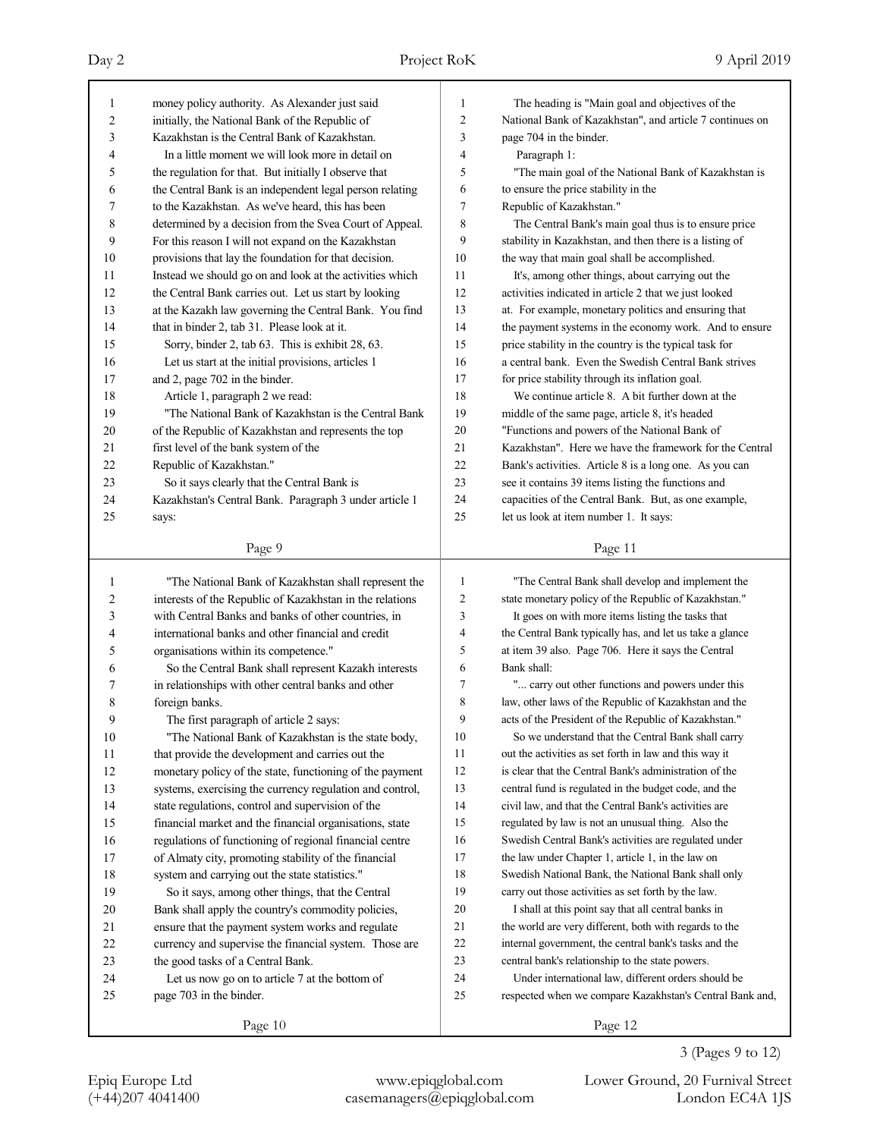| 1              | money policy authority. As Alexander just said           | 1              | The heading is "Main goal and objectives of the          |
|----------------|----------------------------------------------------------|----------------|----------------------------------------------------------|
| $\overline{c}$ | initially, the National Bank of the Republic of          | $\overline{2}$ | National Bank of Kazakhstan", and article 7 continues on |
| 3              | Kazakhstan is the Central Bank of Kazakhstan.            | 3              | page 704 in the binder.                                  |
| 4              | In a little moment we will look more in detail on        | $\overline{4}$ | Paragraph 1:                                             |
| 5              | the regulation for that. But initially I observe that    | 5              | "The main goal of the National Bank of Kazakhstan is     |
| 6              | the Central Bank is an independent legal person relating | 6              | to ensure the price stability in the                     |
| 7              | to the Kazakhstan. As we've heard, this has been         | 7              | Republic of Kazakhstan."                                 |
| 8              | determined by a decision from the Svea Court of Appeal.  | 8              | The Central Bank's main goal thus is to ensure price     |
| 9              | For this reason I will not expand on the Kazakhstan      | 9              | stability in Kazakhstan, and then there is a listing of  |
| 10             | provisions that lay the foundation for that decision.    | 10             | the way that main goal shall be accomplished.            |
| 11             | Instead we should go on and look at the activities which | 11             | It's, among other things, about carrying out the         |
| 12             | the Central Bank carries out. Let us start by looking    | 12             | activities indicated in article 2 that we just looked    |
| 13             | at the Kazakh law governing the Central Bank. You find   | 13             | at. For example, monetary politics and ensuring that     |
| 14             | that in binder 2, tab 31. Please look at it.             | 14             | the payment systems in the economy work. And to ensure   |
| 15             | Sorry, binder 2, tab 63. This is exhibit 28, 63.         | 15             | price stability in the country is the typical task for   |
| 16             | Let us start at the initial provisions, articles 1       | 16             | a central bank. Even the Swedish Central Bank strives    |
| 17             | and 2, page 702 in the binder.                           | 17             | for price stability through its inflation goal.          |
| 18             | Article 1, paragraph 2 we read:                          | 18             | We continue article 8. A bit further down at the         |
| 19             | "The National Bank of Kazakhstan is the Central Bank     | 19             | middle of the same page, article 8, it's headed          |
| 20             | of the Republic of Kazakhstan and represents the top     | 20             | "Functions and powers of the National Bank of            |
| 21             | first level of the bank system of the                    | 21             | Kazakhstan". Here we have the framework for the Central  |
| 22             | Republic of Kazakhstan."                                 | 22             | Bank's activities. Article 8 is a long one. As you can   |
| 23             | So it says clearly that the Central Bank is              | 23             | see it contains 39 items listing the functions and       |
| 24             | Kazakhstan's Central Bank. Paragraph 3 under article 1   | 24             | capacities of the Central Bank. But, as one example,     |
| 25             | says:                                                    | 25             | let us look at item number 1. It says:                   |
|                |                                                          |                |                                                          |
|                | Page 9                                                   |                | Page 11                                                  |
|                |                                                          |                |                                                          |
|                |                                                          |                |                                                          |
| 1              | "The National Bank of Kazakhstan shall represent the     | $\mathbf{1}$   | "The Central Bank shall develop and implement the        |
| $\overline{c}$ | interests of the Republic of Kazakhstan in the relations | 2              | state monetary policy of the Republic of Kazakhstan."    |
| 3              | with Central Banks and banks of other countries, in      | 3              | It goes on with more items listing the tasks that        |
| 4              | international banks and other financial and credit       | 4              | the Central Bank typically has, and let us take a glance |
| 5              | organisations within its competence."                    | 5              | at item 39 also. Page 706. Here it says the Central      |
| 6              | So the Central Bank shall represent Kazakh interests     | 6              | Bank shall:                                              |
| 7              | in relationships with other central banks and other      | 7              | " carry out other functions and powers under this        |
| 8              | foreign banks.                                           | 8              | law, other laws of the Republic of Kazakhstan and the    |
| 9              | The first paragraph of article 2 says:                   | 9              | acts of the President of the Republic of Kazakhstan."    |
| 10             | "The National Bank of Kazakhstan is the state body,      | 10             | So we understand that the Central Bank shall carry       |
| 11             | that provide the development and carries out the         | 11             | out the activities as set forth in law and this way it   |
| 12             | monetary policy of the state, functioning of the payment | 12             | is clear that the Central Bank's administration of the   |
| 13             | systems, exercising the currency regulation and control, | 13             | central fund is regulated in the budget code, and the    |
| 14             | state regulations, control and supervision of the        | 14             | civil law, and that the Central Bank's activities are    |
| 15             | financial market and the financial organisations, state  | 15             | regulated by law is not an unusual thing. Also the       |
| 16             | regulations of functioning of regional financial centre  | 16             | Swedish Central Bank's activities are regulated under    |
| 17             | of Almaty city, promoting stability of the financial     | 17             | the law under Chapter 1, article 1, in the law on        |
| 18             | system and carrying out the state statistics."           | 18             | Swedish National Bank, the National Bank shall only      |
| 19             | So it says, among other things, that the Central         | 19             | carry out those activities as set forth by the law.      |
| 20             | Bank shall apply the country's commodity policies,       | 20             | I shall at this point say that all central banks in      |
| 21             | ensure that the payment system works and regulate        | 21             | the world are very different, both with regards to the   |
| 22             | currency and supervise the financial system. Those are   | 22             | internal government, the central bank's tasks and the    |
| 23             | the good tasks of a Central Bank.                        | 23             | central bank's relationship to the state powers.         |
| 24             | Let us now go on to article 7 at the bottom of           | 24             | Under international law, different orders should be      |
| 25             | page 703 in the binder.                                  | 25             | respected when we compare Kazakhstan's Central Bank and, |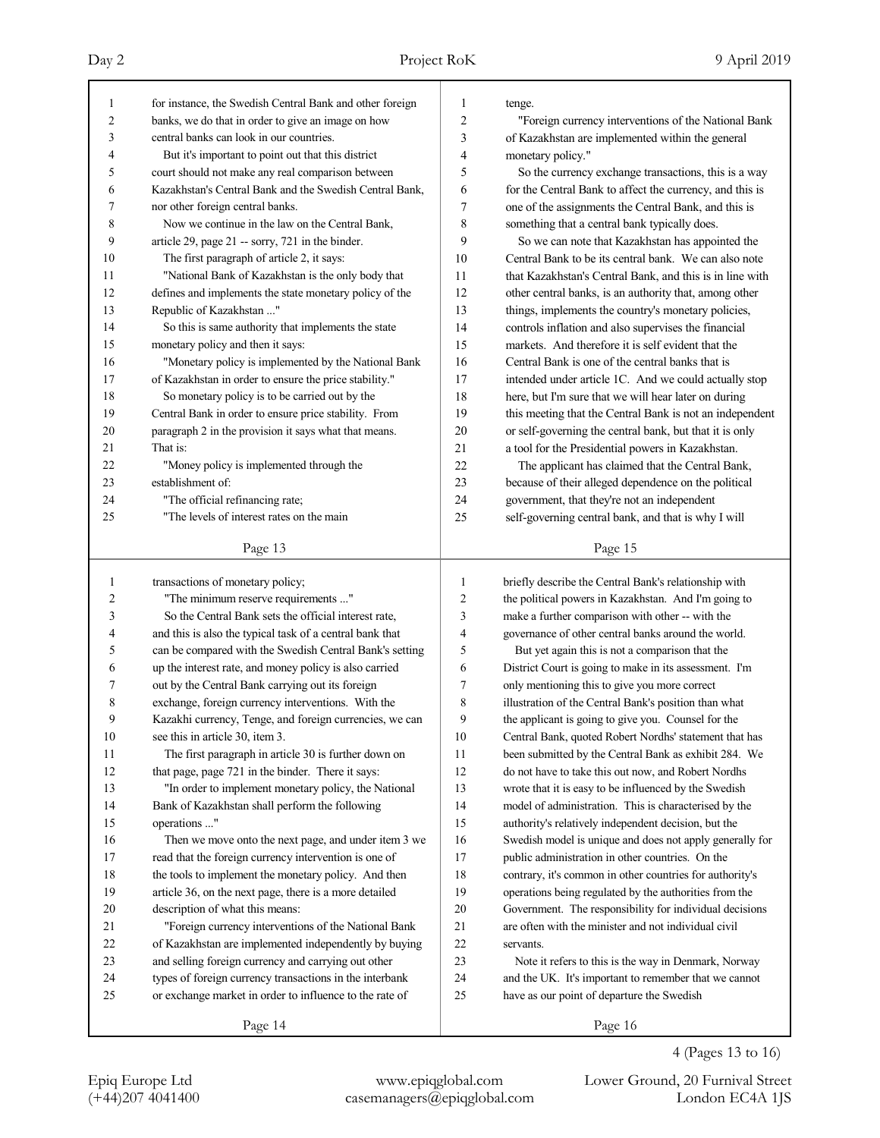(+44)207 4041400 casemanagers@epiqglobal.com London EC4A 1JS

# Epiq Europe Ltd www.epiqglobal.com Lower Ground, 20 Furnival Street

Page 16

4 (Pages 13 to 16)

| 1                       | for instance, the Swedish Central Bank and other foreign                                                           | 1              | tenge.                                                                                              |
|-------------------------|--------------------------------------------------------------------------------------------------------------------|----------------|-----------------------------------------------------------------------------------------------------|
| $\overline{c}$          | banks, we do that in order to give an image on how                                                                 | $\overline{2}$ | "Foreign currency interventions of the National Bank                                                |
| 3                       | central banks can look in our countries.                                                                           | 3              | of Kazakhstan are implemented within the general                                                    |
| 4                       | But it's important to point out that this district                                                                 | 4              | monetary policy."                                                                                   |
| 5                       | court should not make any real comparison between                                                                  | 5              | So the currency exchange transactions, this is a way                                                |
| 6                       | Kazakhstan's Central Bank and the Swedish Central Bank,                                                            | 6              | for the Central Bank to affect the currency, and this is                                            |
| 7                       | nor other foreign central banks.                                                                                   | 7              | one of the assignments the Central Bank, and this is                                                |
| 8                       | Now we continue in the law on the Central Bank,                                                                    | 8              | something that a central bank typically does.                                                       |
| 9                       | article 29, page 21 -- sorry, 721 in the binder.                                                                   | 9              | So we can note that Kazakhstan has appointed the                                                    |
| 10                      | The first paragraph of article 2, it says:                                                                         | 10             | Central Bank to be its central bank. We can also note                                               |
| 11                      | "National Bank of Kazakhstan is the only body that                                                                 | 11             | that Kazakhstan's Central Bank, and this is in line with                                            |
| 12                      | defines and implements the state monetary policy of the                                                            | 12             | other central banks, is an authority that, among other                                              |
| 13                      | Republic of Kazakhstan "                                                                                           | 13             | things, implements the country's monetary policies,                                                 |
| 14                      | So this is same authority that implements the state                                                                | 14             | controls inflation and also supervises the financial                                                |
| 15                      | monetary policy and then it says:                                                                                  | 15             | markets. And therefore it is self evident that the                                                  |
|                         |                                                                                                                    | 16             | Central Bank is one of the central banks that is                                                    |
| 16                      | "Monetary policy is implemented by the National Bank                                                               | 17             |                                                                                                     |
| 17                      | of Kazakhstan in order to ensure the price stability."                                                             | 18             | intended under article 1C. And we could actually stop                                               |
| 18                      | So monetary policy is to be carried out by the                                                                     |                | here, but I'm sure that we will hear later on during                                                |
| 19                      | Central Bank in order to ensure price stability. From                                                              | 19             | this meeting that the Central Bank is not an independent                                            |
| 20                      | paragraph 2 in the provision it says what that means.                                                              | 20             | or self-governing the central bank, but that it is only                                             |
| 21                      | That is:                                                                                                           | 21             | a tool for the Presidential powers in Kazakhstan.                                                   |
| 22                      | "Money policy is implemented through the                                                                           | 22             | The applicant has claimed that the Central Bank,                                                    |
| 23                      | establishment of:                                                                                                  | 23             | because of their alleged dependence on the political                                                |
| 24                      | "The official refinancing rate;                                                                                    | 24             | government, that they're not an independent                                                         |
| 25                      | "The levels of interest rates on the main                                                                          | 25             | self-governing central bank, and that is why I will                                                 |
|                         |                                                                                                                    |                |                                                                                                     |
|                         | Page 13                                                                                                            |                | Page 15                                                                                             |
|                         |                                                                                                                    |                |                                                                                                     |
| 1                       | transactions of monetary policy;                                                                                   | $\mathbf{1}$   | briefly describe the Central Bank's relationship with                                               |
| $\overline{\mathbf{c}}$ | "The minimum reserve requirements "                                                                                | $\overline{c}$ | the political powers in Kazakhstan. And I'm going to                                                |
| 3                       | So the Central Bank sets the official interest rate.                                                               | 3              | make a further comparison with other -- with the                                                    |
| 4                       | and this is also the typical task of a central bank that                                                           | $\overline{4}$ | governance of other central banks around the world.                                                 |
| 5                       | can be compared with the Swedish Central Bank's setting                                                            | 5              | But yet again this is not a comparison that the                                                     |
| 6                       | up the interest rate, and money policy is also carried                                                             | 6              | District Court is going to make in its assessment. I'm                                              |
| 7                       | out by the Central Bank carrying out its foreign                                                                   | 7              | only mentioning this to give you more correct                                                       |
| 8                       | exchange, foreign currency interventions. With the                                                                 | 8              | illustration of the Central Bank's position than what                                               |
| 9                       | Kazakhi currency, Tenge, and foreign currencies, we can                                                            | 9              | the applicant is going to give you. Counsel for the                                                 |
| 10                      | see this in article 30, item 3.                                                                                    | 10             | Central Bank, quoted Robert Nordhs' statement that has                                              |
| 11                      | The first paragraph in article 30 is further down on                                                               | 11             | been submitted by the Central Bank as exhibit 284. We                                               |
| 12                      | that page, page 721 in the binder. There it says:                                                                  | 12             | do not have to take this out now, and Robert Nordhs                                                 |
| 13                      | "In order to implement monetary policy, the National                                                               | 13             | wrote that it is easy to be influenced by the Swedish                                               |
| 14                      | Bank of Kazakhstan shall perform the following                                                                     | 14             | model of administration. This is characterised by the                                               |
| 15                      | operations "                                                                                                       | 15             | authority's relatively independent decision, but the                                                |
| 16                      | Then we move onto the next page, and under item 3 we                                                               | 16             | Swedish model is unique and does not apply generally for                                            |
| 17                      | read that the foreign currency intervention is one of                                                              | 17             | public administration in other countries. On the                                                    |
| 18                      | the tools to implement the monetary policy. And then                                                               | 18             | contrary, it's common in other countries for authority's                                            |
| 19                      | article 36, on the next page, there is a more detailed                                                             | 19             | operations being regulated by the authorities from the                                              |
| 20                      | description of what this means:                                                                                    | $20\,$         | Government. The responsibility for individual decisions                                             |
| 21                      | "Foreign currency interventions of the National Bank                                                               | 21             | are often with the minister and not individual civil                                                |
| 22                      | of Kazakhstan are implemented independently by buying                                                              | 22             | servants.                                                                                           |
| 23                      | and selling foreign currency and carrying out other                                                                | 23             | Note it refers to this is the way in Denmark, Norway                                                |
| 24<br>25                | types of foreign currency transactions in the interbank<br>or exchange market in order to influence to the rate of | 24<br>25       | and the UK. It's important to remember that we cannot<br>have as our point of departure the Swedish |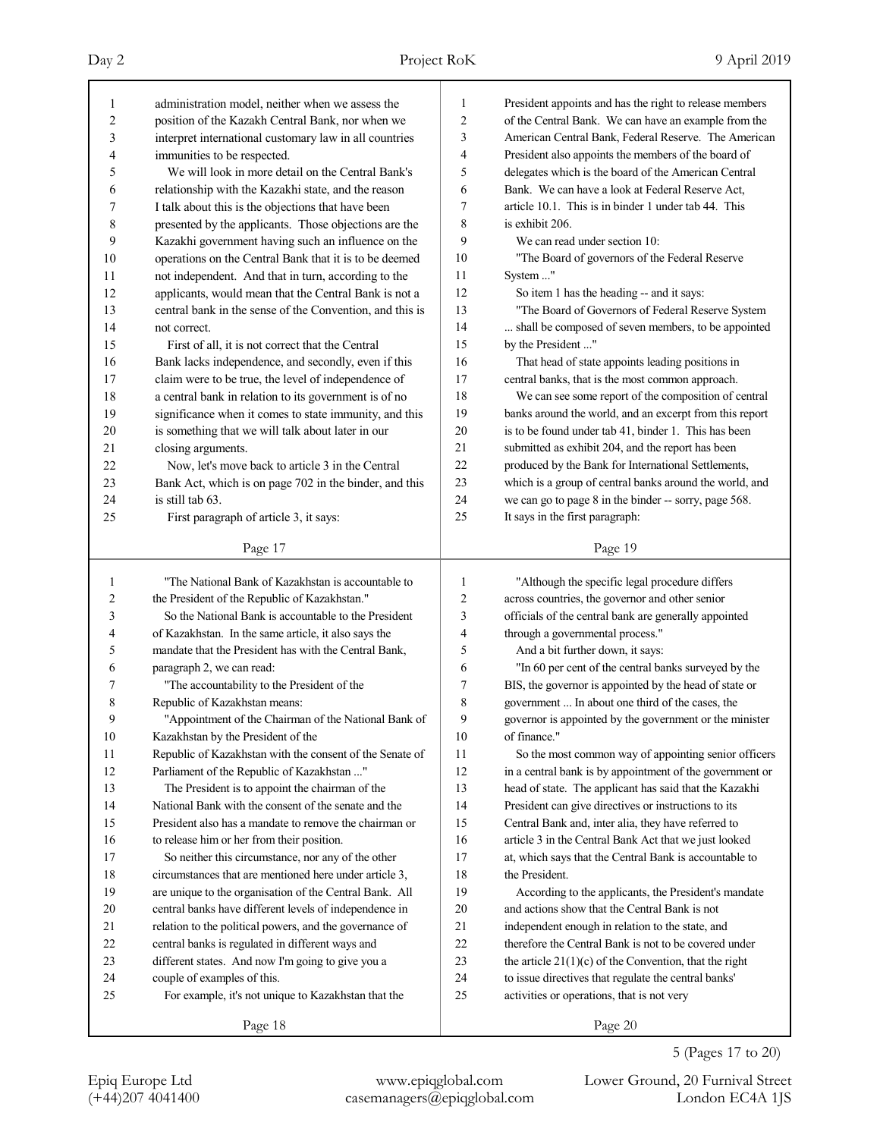| 1        | administration model, neither when we assess the                                                                  | 1  | President appoints and has the right to release members                                                    |
|----------|-------------------------------------------------------------------------------------------------------------------|----|------------------------------------------------------------------------------------------------------------|
| 2        | position of the Kazakh Central Bank, nor when we                                                                  | 2  | of the Central Bank. We can have an example from the                                                       |
| 3        | interpret international customary law in all countries                                                            | 3  | American Central Bank, Federal Reserve. The American                                                       |
| 4        | immunities to be respected.                                                                                       | 4  | President also appoints the members of the board of                                                        |
| 5        | We will look in more detail on the Central Bank's                                                                 | 5  | delegates which is the board of the American Central                                                       |
| 6        | relationship with the Kazakhi state, and the reason                                                               | 6  | Bank. We can have a look at Federal Reserve Act,                                                           |
| 7        | I talk about this is the objections that have been                                                                | 7  | article 10.1. This is in binder 1 under tab 44. This                                                       |
| 8        | presented by the applicants. Those objections are the                                                             | 8  | is exhibit 206.                                                                                            |
| 9        | Kazakhi government having such an influence on the                                                                | 9  | We can read under section 10:                                                                              |
| 10       | operations on the Central Bank that it is to be deemed                                                            | 10 | "The Board of governors of the Federal Reserve                                                             |
| 11       | not independent. And that in turn, according to the                                                               | 11 | System "                                                                                                   |
| 12       | applicants, would mean that the Central Bank is not a                                                             | 12 | So item 1 has the heading -- and it says:                                                                  |
| 13       | central bank in the sense of the Convention, and this is                                                          | 13 | "The Board of Governors of Federal Reserve System                                                          |
| 14       | not correct.                                                                                                      | 14 | shall be composed of seven members, to be appointed                                                        |
| 15       | First of all, it is not correct that the Central                                                                  | 15 | by the President "                                                                                         |
| 16       | Bank lacks independence, and secondly, even if this                                                               | 16 | That head of state appoints leading positions in                                                           |
| 17       | claim were to be true, the level of independence of                                                               | 17 | central banks, that is the most common approach.                                                           |
| 18       | a central bank in relation to its government is of no                                                             | 18 | We can see some report of the composition of central                                                       |
| 19       | significance when it comes to state immunity, and this                                                            | 19 | banks around the world, and an excerpt from this report                                                    |
| 20       | is something that we will talk about later in our                                                                 | 20 | is to be found under tab 41, binder 1. This has been                                                       |
| 21       | closing arguments.                                                                                                | 21 | submitted as exhibit 204, and the report has been                                                          |
| 22       | Now, let's move back to article 3 in the Central                                                                  | 22 | produced by the Bank for International Settlements,                                                        |
| 23       | Bank Act, which is on page 702 in the binder, and this                                                            | 23 | which is a group of central banks around the world, and                                                    |
| 24       | is still tab 63.                                                                                                  | 24 | we can go to page 8 in the binder -- sorry, page 568.                                                      |
| 25       | First paragraph of article 3, it says:                                                                            | 25 | It says in the first paragraph:                                                                            |
|          | Page 17                                                                                                           |    | Page 19                                                                                                    |
|          |                                                                                                                   |    |                                                                                                            |
|          |                                                                                                                   |    |                                                                                                            |
| 1        | "The National Bank of Kazakhstan is accountable to                                                                | 1  |                                                                                                            |
| 2        |                                                                                                                   | 2  | "Although the specific legal procedure differs                                                             |
| 3        | the President of the Republic of Kazakhstan."<br>So the National Bank is accountable to the President             | 3  | across countries, the governor and other senior<br>officials of the central bank are generally appointed   |
| 4        |                                                                                                                   | 4  | through a governmental process."                                                                           |
| 5        | of Kazakhstan. In the same article, it also says the<br>mandate that the President has with the Central Bank,     | 5  | And a bit further down, it says:                                                                           |
| 6        | paragraph 2, we can read:                                                                                         | 6  |                                                                                                            |
| 7        | "The accountability to the President of the                                                                       | 7  | "In 60 per cent of the central banks surveyed by the                                                       |
| 8        | Republic of Kazakhstan means:                                                                                     | 8  | BIS, the governor is appointed by the head of state or<br>government  In about one third of the cases, the |
| 9        | "Appointment of the Chairman of the National Bank of                                                              | 9  | governor is appointed by the government or the minister                                                    |
|          |                                                                                                                   | 10 | of finance."                                                                                               |
| 10<br>11 | Kazakhstan by the President of the<br>Republic of Kazakhstan with the consent of the Senate of                    | 11 | So the most common way of appointing senior officers                                                       |
| 12       | Parliament of the Republic of Kazakhstan "                                                                        | 12 | in a central bank is by appointment of the government or                                                   |
| 13       | The President is to appoint the chairman of the                                                                   | 13 | head of state. The applicant has said that the Kazakhi                                                     |
| 14       | National Bank with the consent of the senate and the                                                              | 14 | President can give directives or instructions to its                                                       |
| 15       | President also has a mandate to remove the chairman or                                                            | 15 | Central Bank and, inter alia, they have referred to                                                        |
| 16       |                                                                                                                   | 16 |                                                                                                            |
| 17       | to release him or her from their position.                                                                        | 17 | article 3 in the Central Bank Act that we just looked                                                      |
| 18       | So neither this circumstance, nor any of the other<br>circumstances that are mentioned here under article 3,      | 18 | at, which says that the Central Bank is accountable to<br>the President.                                   |
| 19       |                                                                                                                   | 19 | According to the applicants, the President's mandate                                                       |
| 20       | are unique to the organisation of the Central Bank. All<br>central banks have different levels of independence in | 20 | and actions show that the Central Bank is not                                                              |
| 21       | relation to the political powers, and the governance of                                                           | 21 | independent enough in relation to the state, and                                                           |
| 22       |                                                                                                                   | 22 | therefore the Central Bank is not to be covered under                                                      |
| 23       | central banks is regulated in different ways and                                                                  | 23 | the article $21(1)(c)$ of the Convention, that the right                                                   |
| 24       | different states. And now I'm going to give you a<br>couple of examples of this.                                  | 24 | to issue directives that regulate the central banks'                                                       |
| 25       | For example, it's not unique to Kazakhstan that the                                                               | 25 | activities or operations, that is not very                                                                 |
|          | Page 18                                                                                                           |    | Page 20                                                                                                    |

5 (Pages 17 to 20)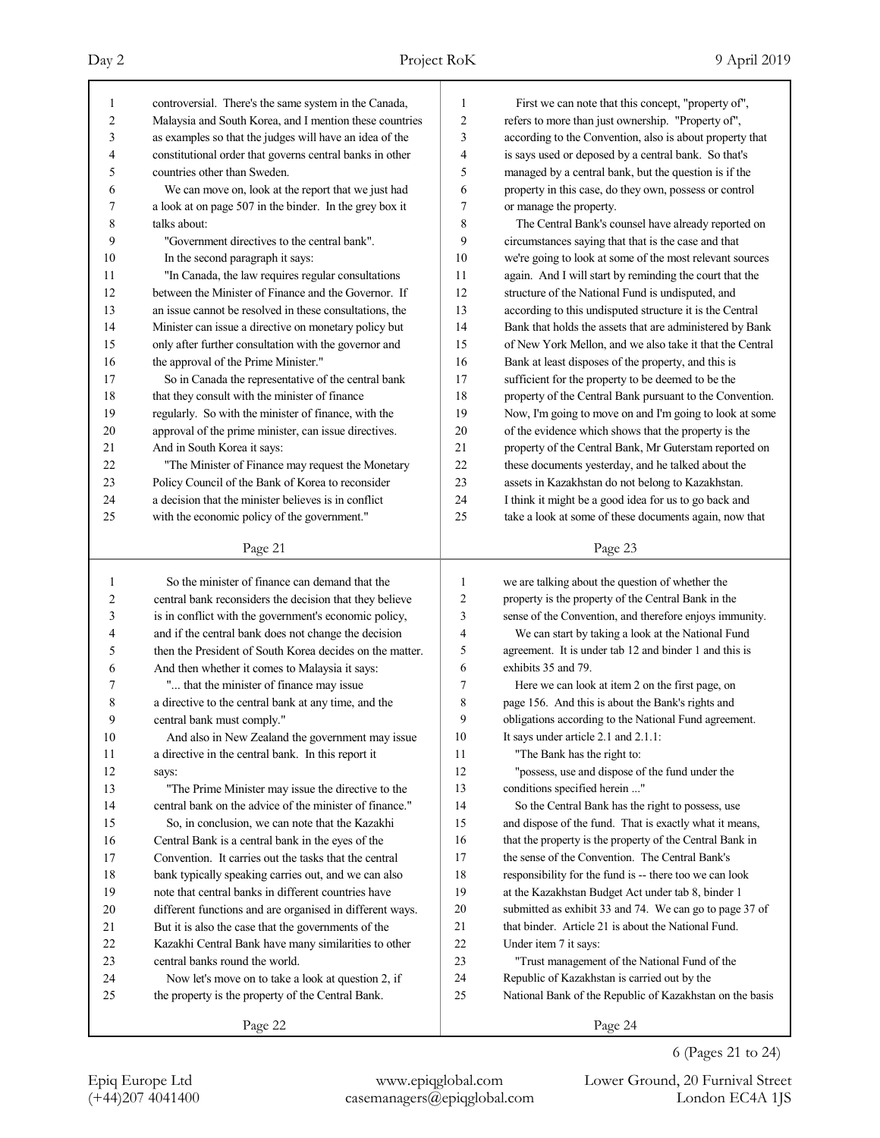(+44)207 4041400 casemanagers@epiqglobal.com London EC4A 1JS Epiq Europe Ltd www.epiqglobal.com Lower Ground, 20 Furnival Street

Page 24

6 (Pages 21 to 24)

| $\mathbf{1}$   | controversial. There's the same system in the Canada,    | $\mathbf{1}$   | First we can note that this concept, "property of",      |
|----------------|----------------------------------------------------------|----------------|----------------------------------------------------------|
| $\overline{2}$ | Malaysia and South Korea, and I mention these countries  | $\overline{c}$ | refers to more than just ownership. "Property of",       |
| 3              | as examples so that the judges will have an idea of the  | 3              | according to the Convention, also is about property that |
| 4              | constitutional order that governs central banks in other | 4              | is says used or deposed by a central bank. So that's     |
| 5              | countries other than Sweden.                             | 5              | managed by a central bank, but the question is if the    |
| 6              | We can move on, look at the report that we just had      | 6              | property in this case, do they own, possess or control   |
| 7              | a look at on page 507 in the binder. In the grey box it  | 7              | or manage the property.                                  |
| 8              | talks about:                                             | 8              | The Central Bank's counsel have already reported on      |
| 9              | "Government directives to the central bank".             | 9              | circumstances saying that that is the case and that      |
| 10             | In the second paragraph it says:                         | 10             | we're going to look at some of the most relevant sources |
| 11             | "In Canada, the law requires regular consultations       | 11             | again. And I will start by reminding the court that the  |
| 12             | between the Minister of Finance and the Governor. If     | 12             | structure of the National Fund is undisputed, and        |
| 13             | an issue cannot be resolved in these consultations, the  | 13             | according to this undisputed structure it is the Central |
| 14             | Minister can issue a directive on monetary policy but    | 14             | Bank that holds the assets that are administered by Bank |
| 15             | only after further consultation with the governor and    | 15             | of New York Mellon, and we also take it that the Central |
| 16             | the approval of the Prime Minister."                     | 16             | Bank at least disposes of the property, and this is      |
| 17             | So in Canada the representative of the central bank      | 17             | sufficient for the property to be deemed to be the       |
| 18             | that they consult with the minister of finance           | 18             | property of the Central Bank pursuant to the Convention. |
| 19             | regularly. So with the minister of finance, with the     | 19             | Now, I'm going to move on and I'm going to look at some  |
| 20             | approval of the prime minister, can issue directives.    | 20             | of the evidence which shows that the property is the     |
| 21             | And in South Korea it says:                              | 21             | property of the Central Bank, Mr Guterstam reported on   |
| 22             | "The Minister of Finance may request the Monetary        | 22             | these documents yesterday, and he talked about the       |
| 23             | Policy Council of the Bank of Korea to reconsider        | 23             | assets in Kazakhstan do not belong to Kazakhstan.        |
| 24             | a decision that the minister believes is in conflict     | 24             | I think it might be a good idea for us to go back and    |
| 25             | with the economic policy of the government."             | 25             | take a look at some of these documents again, now that   |
|                |                                                          |                |                                                          |
|                | Page 21                                                  |                | Page 23                                                  |
| $\mathbf{1}$   | So the minister of finance can demand that the           | $\mathbf{1}$   | we are talking about the question of whether the         |
| 2              | central bank reconsiders the decision that they believe  | $\overline{c}$ | property is the property of the Central Bank in the      |
| 3              | is in conflict with the government's economic policy,    | 3              | sense of the Convention, and therefore enjoys immunity.  |
| 4              | and if the central bank does not change the decision     | $\overline{4}$ | We can start by taking a look at the National Fund       |
| 5              | then the President of South Korea decides on the matter. | 5              | agreement. It is under tab 12 and binder 1 and this is   |
| 6              | And then whether it comes to Malaysia it says:           | 6              | exhibits 35 and 79.                                      |
| 7              | " that the minister of finance may issue                 | 7              | Here we can look at item 2 on the first page, on         |
| 8              | a directive to the central bank at any time, and the     | 8              | page 156. And this is about the Bank's rights and        |
| 9              | central bank must comply."                               | 9              | obligations according to the National Fund agreement.    |
| 10             | And also in New Zealand the government may issue         | 10             | It says under article 2.1 and 2.1.1:                     |
| 11             | a directive in the central bank. In this report it       | 11             | "The Bank has the right to:                              |
| 12             | says:                                                    | 12             | "possess, use and dispose of the fund under the          |
| 13             | "The Prime Minister may issue the directive to the       | 13             | conditions specified herein "                            |
| 14             | central bank on the advice of the minister of finance."  | 14             | So the Central Bank has the right to possess, use        |
| 15             | So, in conclusion, we can note that the Kazakhi          | 15             | and dispose of the fund. That is exactly what it means,  |
| 16             | Central Bank is a central bank in the eyes of the        | 16             | that the property is the property of the Central Bank in |
| 17             | Convention. It carries out the tasks that the central    | 17             | the sense of the Convention. The Central Bank's          |
| 18             | bank typically speaking carries out, and we can also     | 18             | responsibility for the fund is -- there too we can look  |
| 19             | note that central banks in different countries have      | 19             | at the Kazakhstan Budget Act under tab 8, binder 1       |
| 20             | different functions and are organised in different ways. | $20\,$         | submitted as exhibit 33 and 74. We can go to page 37 of  |
| 21             | But it is also the case that the governments of the      | 21             | that binder. Article 21 is about the National Fund.      |
| 22             | Kazakhi Central Bank have many similarities to other     | $22\,$         | Under item 7 it says:                                    |
| 23             | central banks round the world.                           | 23             | "Trust management of the National Fund of the            |
| 24             | Now let's move on to take a look at question 2, if       | 24             | Republic of Kazakhstan is carried out by the             |
|                |                                                          |                |                                                          |
| 25             | the property is the property of the Central Bank.        | 25             | National Bank of the Republic of Kazakhstan on the basis |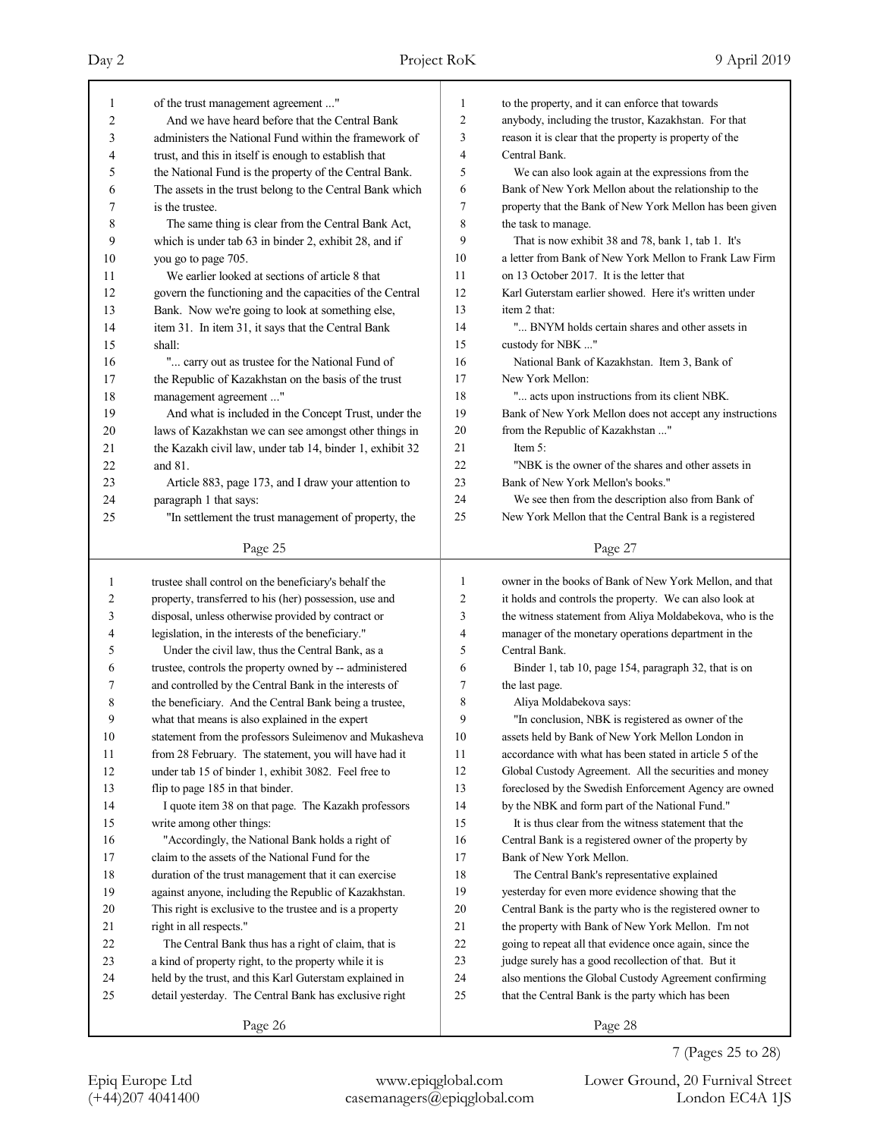| 1              | of the trust management agreement "                      | 1              | to the property, and it can enforce that towards         |
|----------------|----------------------------------------------------------|----------------|----------------------------------------------------------|
| 2              | And we have heard before that the Central Bank           | $\overline{2}$ | anybody, including the trustor, Kazakhstan. For that     |
| 3              | administers the National Fund within the framework of    | 3              | reason it is clear that the property is property of the  |
| 4              | trust, and this in itself is enough to establish that    | 4              | Central Bank.                                            |
| 5              | the National Fund is the property of the Central Bank.   | 5              | We can also look again at the expressions from the       |
| 6              | The assets in the trust belong to the Central Bank which | 6              | Bank of New York Mellon about the relationship to the    |
| 7              | is the trustee.                                          | 7              | property that the Bank of New York Mellon has been given |
| 8              | The same thing is clear from the Central Bank Act,       | 8              | the task to manage.                                      |
| 9              | which is under tab 63 in binder 2, exhibit 28, and if    | 9              | That is now exhibit 38 and 78, bank 1, tab 1. It's       |
| 10             | you go to page 705.                                      | 10             | a letter from Bank of New York Mellon to Frank Law Firm  |
| 11             | We earlier looked at sections of article 8 that          | 11             | on 13 October 2017. It is the letter that                |
| 12             | govern the functioning and the capacities of the Central | 12             | Karl Guterstam earlier showed. Here it's written under   |
| 13             | Bank. Now we're going to look at something else,         | 13             | item 2 that:                                             |
| 14             | item 31. In item 31, it says that the Central Bank       | 14             | " BNYM holds certain shares and other assets in          |
| 15             | shall:                                                   | 15             | custody for NBK "                                        |
| 16             | " carry out as trustee for the National Fund of          | 16             | National Bank of Kazakhstan. Item 3, Bank of             |
| 17             | the Republic of Kazakhstan on the basis of the trust     | 17             | New York Mellon:                                         |
| 18             | management agreement "                                   | 18             | " acts upon instructions from its client NBK.            |
| 19             | And what is included in the Concept Trust, under the     | 19             | Bank of New York Mellon does not accept any instructions |
| 20             | laws of Kazakhstan we can see amongst other things in    | 20             | from the Republic of Kazakhstan "                        |
| 21             | the Kazakh civil law, under tab 14, binder 1, exhibit 32 | 21             | Item $5$ :                                               |
| 22             | and 81.                                                  | 22             | "NBK is the owner of the shares and other assets in      |
| 23             | Article 883, page 173, and I draw your attention to      | 23             | Bank of New York Mellon's books."                        |
| 24             | paragraph 1 that says:                                   | 24             | We see then from the description also from Bank of       |
| 25             | "In settlement the trust management of property, the     | 25             | New York Mellon that the Central Bank is a registered    |
|                |                                                          |                |                                                          |
|                | Page 25                                                  |                | Page 27                                                  |
|                |                                                          |                |                                                          |
| $\mathbf{1}$   | trustee shall control on the beneficiary's behalf the    | 1              | owner in the books of Bank of New York Mellon, and that  |
| $\overline{c}$ | property, transferred to his (her) possession, use and   | $\overline{2}$ | it holds and controls the property. We can also look at  |
| 3              | disposal, unless otherwise provided by contract or       | 3              | the witness statement from Aliya Moldabekova, who is the |
| $\overline{4}$ | legislation, in the interests of the beneficiary."       | $\overline{4}$ | manager of the monetary operations department in the     |
| 5              | Under the civil law, thus the Central Bank, as a         | 5              | Central Bank.                                            |
| 6              | trustee, controls the property owned by -- administered  | 6              | Binder 1, tab 10, page 154, paragraph 32, that is on     |
| 7              | and controlled by the Central Bank in the interests of   | $\tau$         | the last page.                                           |
| 8              | the beneficiary. And the Central Bank being a trustee,   | 8              | Aliya Moldabekova says:                                  |
| 9              | what that means is also explained in the expert          | 9              | "In conclusion, NBK is registered as owner of the        |
| $10\,$         | statement from the professors Suleimenov and Mukasheva   | $10\,$         | assets held by Bank of New York Mellon London in         |
| $1\,1$         | from 28 February. The statement, you will have had it    | 11             | accordance with what has been stated in article 5 of the |
| $12\,$         | under tab 15 of binder 1, exhibit 3082. Feel free to     | $12\,$         | Global Custody Agreement. All the securities and money   |
| 13             | flip to page 185 in that binder.                         | 13             | foreclosed by the Swedish Enforcement Agency are owned   |
| 14             | I quote item 38 on that page. The Kazakh professors      | 14             | by the NBK and form part of the National Fund."          |
| 15             | write among other things:                                | 15             | It is thus clear from the witness statement that the     |
| 16             | "Accordingly, the National Bank holds a right of         | 16             | Central Bank is a registered owner of the property by    |
| 17             | claim to the assets of the National Fund for the         | 17             | Bank of New York Mellon.                                 |
| $18\,$         | duration of the trust management that it can exercise    | 18             | The Central Bank's representative explained              |
| 19             | against anyone, including the Republic of Kazakhstan.    | 19             | yesterday for even more evidence showing that the        |
| $20\,$         | This right is exclusive to the trustee and is a property | 20             | Central Bank is the party who is the registered owner to |
| $21\,$         | right in all respects."                                  | 21             | the property with Bank of New York Mellon. I'm not       |
| 22             | The Central Bank thus has a right of claim, that is      | $22\,$         | going to repeat all that evidence once again, since the  |
| 23             | a kind of property right, to the property while it is    | $23\,$         | judge surely has a good recollection of that. But it     |
| 24             | held by the trust, and this Karl Guterstam explained in  | 24             | also mentions the Global Custody Agreement confirming    |
| 25             | detail yesterday. The Central Bank has exclusive right   | 25             | that the Central Bank is the party which has been        |
|                | Page 26                                                  |                | Page 28                                                  |

7 (Pages 25 to 28)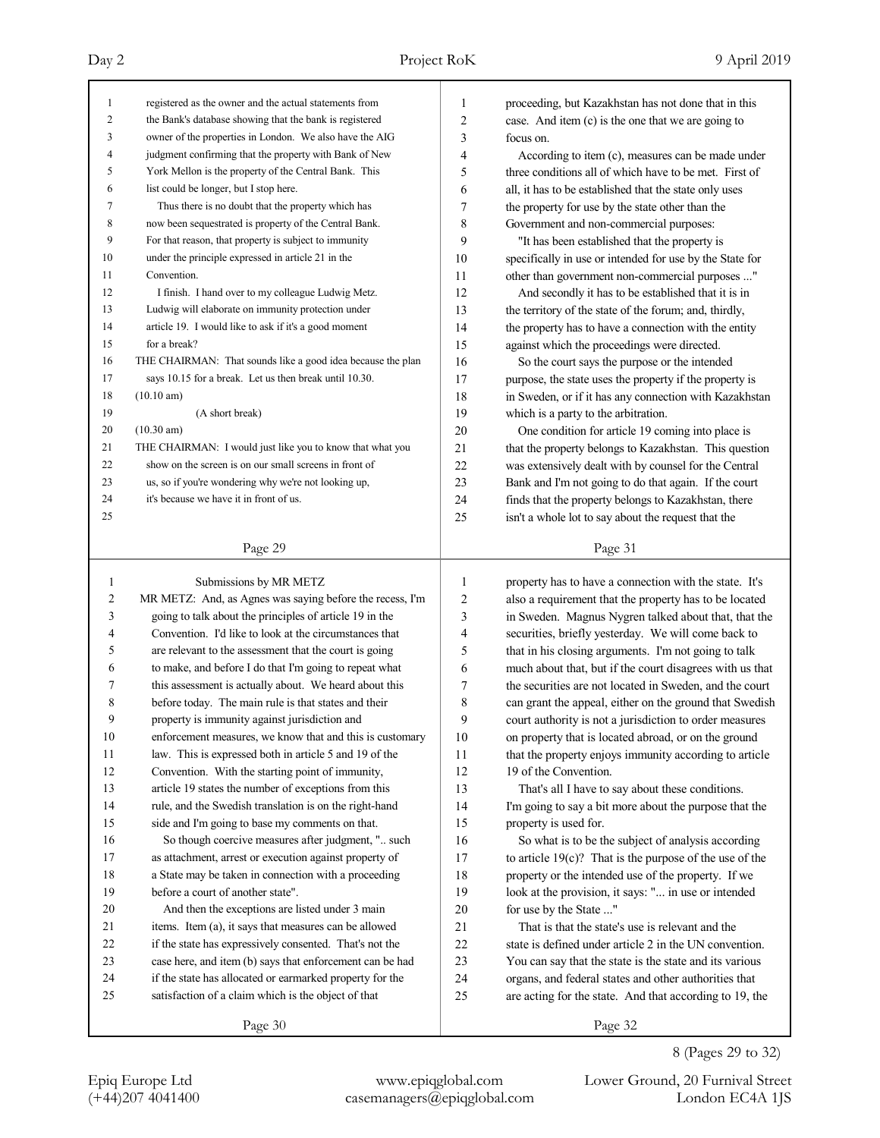| 1              | registered as the owner and the actual statements from      | 1              | proceeding, but Kazakhstan has not done that in this       |
|----------------|-------------------------------------------------------------|----------------|------------------------------------------------------------|
| 2              | the Bank's database showing that the bank is registered     | 2              | case. And item (c) is the one that we are going to         |
| 3              | owner of the properties in London. We also have the AIG     | 3              | focus on.                                                  |
| 4              | judgment confirming that the property with Bank of New      | 4              | According to item (c), measures can be made under          |
| 5              | York Mellon is the property of the Central Bank. This       | 5              | three conditions all of which have to be met. First of     |
| 6              | list could be longer, but I stop here.                      | 6              | all, it has to be established that the state only uses     |
| 7              | Thus there is no doubt that the property which has          | 7              | the property for use by the state other than the           |
| 8              | now been sequestrated is property of the Central Bank.      | 8              | Government and non-commercial purposes:                    |
| 9              | For that reason, that property is subject to immunity       | 9              | "It has been established that the property is              |
| 10             | under the principle expressed in article 21 in the          | 10             | specifically in use or intended for use by the State for   |
| 11             | Convention.                                                 | 11             | other than government non-commercial purposes "            |
| 12             | I finish. I hand over to my colleague Ludwig Metz.          | 12             | And secondly it has to be established that it is in        |
| 13             | Ludwig will elaborate on immunity protection under          | 13             | the territory of the state of the forum; and, thirdly,     |
| 14             | article 19. I would like to ask if it's a good moment       | 14             | the property has to have a connection with the entity      |
| 15             | for a break?                                                | 15             | against which the proceedings were directed.               |
| 16             | THE CHAIRMAN: That sounds like a good idea because the plan | 16             | So the court says the purpose or the intended              |
| 17             | says 10.15 for a break. Let us then break until 10.30.      | 17             | purpose, the state uses the property if the property is    |
| 18             | (10.10 am)                                                  | 18             | in Sweden, or if it has any connection with Kazakhstan     |
| 19             | (A short break)                                             | 19             | which is a party to the arbitration.                       |
| 20             | $(10.30 \text{ am})$                                        | 20             | One condition for article 19 coming into place is          |
| 21             | THE CHAIRMAN: I would just like you to know that what you   | 21             | that the property belongs to Kazakhstan. This question     |
| 22             | show on the screen is on our small screens in front of      | 22             | was extensively dealt with by counsel for the Central      |
| 23             | us, so if you're wondering why we're not looking up,        | 23             | Bank and I'm not going to do that again. If the court      |
| 24             | it's because we have it in front of us.                     | 24             | finds that the property belongs to Kazakhstan, there       |
| 25             |                                                             | 25             | isn't a whole lot to say about the request that the        |
|                | Page 29                                                     |                | Page 31                                                    |
|                |                                                             |                |                                                            |
|                |                                                             |                |                                                            |
| $\mathbf{1}$   | Submissions by MR METZ                                      | 1              | property has to have a connection with the state. It's     |
| $\overline{c}$ | MR METZ: And, as Agnes was saying before the recess, I'm    | $\overline{2}$ | also a requirement that the property has to be located     |
| 3              | going to talk about the principles of article 19 in the     | 3              | in Sweden. Magnus Nygren talked about that, that the       |
| $\overline{4}$ | Convention. I'd like to look at the circumstances that      | 4              | securities, briefly yesterday. We will come back to        |
| 5              | are relevant to the assessment that the court is going      | 5              | that in his closing arguments. I'm not going to talk       |
| 6              | to make, and before I do that I'm going to repeat what      | 6              | much about that, but if the court disagrees with us that   |
| 7              | this assessment is actually about. We heard about this      | 7              | the securities are not located in Sweden, and the court    |
| 8              | before today. The main rule is that states and their        | 8              | can grant the appeal, either on the ground that Swedish    |
| 9              | property is immunity against jurisdiction and               | 9              | court authority is not a jurisdiction to order measures    |
| 10             | enforcement measures, we know that and this is customary    | 10             | on property that is located abroad, or on the ground       |
| 11             | law. This is expressed both in article 5 and 19 of the      | 11             | that the property enjoys immunity according to article     |
| 12             | Convention. With the starting point of immunity,            | 12             | 19 of the Convention.                                      |
| 13             | article 19 states the number of exceptions from this        | 13             | That's all I have to say about these conditions.           |
| 14             | rule, and the Swedish translation is on the right-hand      | 14             | I'm going to say a bit more about the purpose that the     |
| 15             | side and I'm going to base my comments on that.             | 15             | property is used for.                                      |
| 16             | So though coercive measures after judgment, " such          | 16             | So what is to be the subject of analysis according         |
| 17             | as attachment, arrest or execution against property of      | 17             | to article $19(c)$ ? That is the purpose of the use of the |
| 18             | a State may be taken in connection with a proceeding        | 18             | property or the intended use of the property. If we        |
| 19             | before a court of another state".                           | 19             | look at the provision, it says: " in use or intended       |
| 20             | And then the exceptions are listed under 3 main             | 20             | for use by the State "                                     |
| 21             | items. Item (a), it says that measures can be allowed       | 21             | That is that the state's use is relevant and the           |
| 22             | if the state has expressively consented. That's not the     | 22             | state is defined under article 2 in the UN convention.     |
| 23             | case here, and item (b) says that enforcement can be had    | $23\,$         | You can say that the state is the state and its various    |
| 24             | if the state has allocated or earmarked property for the    | 24             | organs, and federal states and other authorities that      |
| 25             | satisfaction of a claim which is the object of that         | 25             | are acting for the state. And that according to 19, the    |
|                | Page 30                                                     |                | Page 32                                                    |

8 (Pages 29 to 32)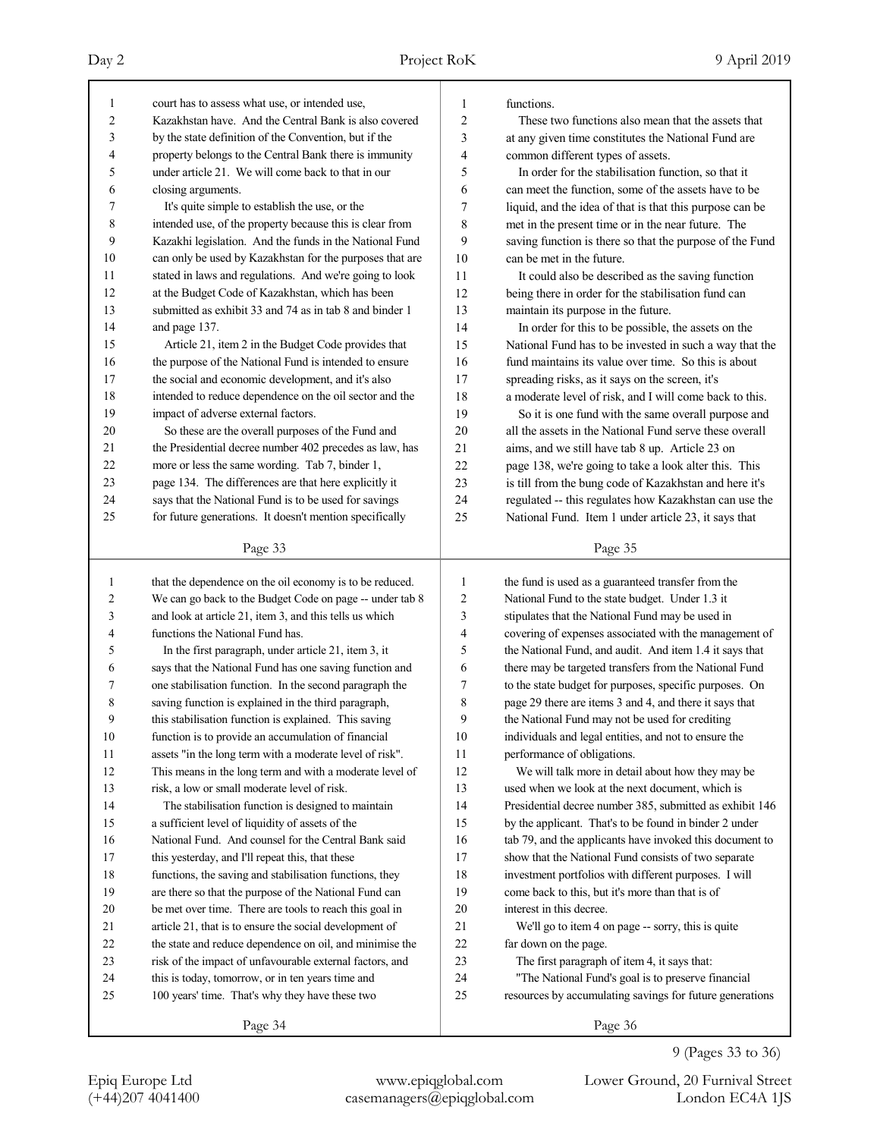| 1              | court has to assess what use, or intended use,           | 1              | functions.                                               |
|----------------|----------------------------------------------------------|----------------|----------------------------------------------------------|
| 2              | Kazakhstan have. And the Central Bank is also covered    | $\overline{c}$ | These two functions also mean that the assets that       |
| 3              | by the state definition of the Convention, but if the    | 3              | at any given time constitutes the National Fund are      |
| 4              | property belongs to the Central Bank there is immunity   | 4              | common different types of assets.                        |
| 5              | under article 21. We will come back to that in our       | 5              | In order for the stabilisation function, so that it      |
| 6              | closing arguments.                                       | 6              | can meet the function, some of the assets have to be     |
| 7              | It's quite simple to establish the use, or the           | 7              | liquid, and the idea of that is that this purpose can be |
| 8              | intended use, of the property because this is clear from | 8              | met in the present time or in the near future. The       |
| 9              | Kazakhi legislation. And the funds in the National Fund  | 9              | saving function is there so that the purpose of the Fund |
| 10             | can only be used by Kazakhstan for the purposes that are | 10             | can be met in the future.                                |
| 11             | stated in laws and regulations. And we're going to look  | 11             | It could also be described as the saving function        |
| 12             | at the Budget Code of Kazakhstan, which has been         | 12             | being there in order for the stabilisation fund can      |
| 13             | submitted as exhibit 33 and 74 as in tab 8 and binder 1  | 13             | maintain its purpose in the future.                      |
| 14             | and page 137.                                            | 14             | In order for this to be possible, the assets on the      |
| 15             | Article 21, item 2 in the Budget Code provides that      | 15             | National Fund has to be invested in such a way that the  |
| 16             | the purpose of the National Fund is intended to ensure   | 16             | fund maintains its value over time. So this is about     |
| 17             | the social and economic development, and it's also       | 17             | spreading risks, as it says on the screen, it's          |
| 18             | intended to reduce dependence on the oil sector and the  | 18             | a moderate level of risk, and I will come back to this.  |
| 19             | impact of adverse external factors.                      | 19             | So it is one fund with the same overall purpose and      |
| 20             | So these are the overall purposes of the Fund and        | 20             | all the assets in the National Fund serve these overall  |
| 21             | the Presidential decree number 402 precedes as law, has  | 21             | aims, and we still have tab 8 up. Article 23 on          |
| 22             | more or less the same wording. Tab 7, binder 1,          | 22             | page 138, we're going to take a look alter this. This    |
| 23             | page 134. The differences are that here explicitly it    | 23             | is till from the bung code of Kazakhstan and here it's   |
| 24             | says that the National Fund is to be used for savings    | 24             | regulated -- this regulates how Kazakhstan can use the   |
| 25             | for future generations. It doesn't mention specifically  | 25             | National Fund. Item 1 under article 23, it says that     |
|                |                                                          |                |                                                          |
|                | Page 33                                                  |                | Page 35                                                  |
|                |                                                          |                |                                                          |
|                |                                                          |                |                                                          |
| $\mathbf{1}$   | that the dependence on the oil economy is to be reduced. | 1              | the fund is used as a guaranteed transfer from the       |
| $\overline{2}$ | We can go back to the Budget Code on page -- under tab 8 | 2              | National Fund to the state budget. Under 1.3 it          |
| 3              | and look at article 21, item 3, and this tells us which  | 3              | stipulates that the National Fund may be used in         |
| 4              | functions the National Fund has.                         | 4              | covering of expenses associated with the management of   |
| 5              | In the first paragraph, under article 21, item 3, it     | 5              | the National Fund, and audit. And item 1.4 it says that  |
| 6              | says that the National Fund has one saving function and  | 6              | there may be targeted transfers from the National Fund   |
| 7              | one stabilisation function. In the second paragraph the  | 7              | to the state budget for purposes, specific purposes. On  |
| 8              | saving function is explained in the third paragraph,     | 8              | page 29 there are items 3 and 4, and there it says that  |
| 9              | this stabilisation function is explained. This saving    | 9              | the National Fund may not be used for crediting          |
| 10             | function is to provide an accumulation of financial      | 10             | individuals and legal entities, and not to ensure the    |
| 11             | assets "in the long term with a moderate level of risk". | 11             | performance of obligations.                              |
| 12             | This means in the long term and with a moderate level of | 12             | We will talk more in detail about how they may be        |
| 13             | risk, a low or small moderate level of risk.             | 13             | used when we look at the next document, which is         |
| 14             | The stabilisation function is designed to maintain       | 14             | Presidential decree number 385, submitted as exhibit 146 |
| 15             | a sufficient level of liquidity of assets of the         | 15             | by the applicant. That's to be found in binder 2 under   |
| 16             | National Fund. And counsel for the Central Bank said     | 16             | tab 79, and the applicants have invoked this document to |
| 17             | this yesterday, and I'll repeat this, that these         | 17             | show that the National Fund consists of two separate     |
| $18\,$         | functions, the saving and stabilisation functions, they  | 18             | investment portfolios with different purposes. I will    |
| 19             | are there so that the purpose of the National Fund can   | 19             | come back to this, but it's more than that is of         |
| $20\,$         | be met over time. There are tools to reach this goal in  | 20             | interest in this decree.                                 |
| 21             | article 21, that is to ensure the social development of  | 21             | We'll go to item 4 on page -- sorry, this is quite       |
| 22             | the state and reduce dependence on oil, and minimise the | 22             | far down on the page.                                    |
| 23             | risk of the impact of unfavourable external factors, and | 23             | The first paragraph of item 4, it says that:             |
| 24             | this is today, tomorrow, or in ten years time and        | 24             | "The National Fund's goal is to preserve financial       |
| 25             | 100 years' time. That's why they have these two          | 25             | resources by accumulating savings for future generations |
|                | Page 34                                                  |                | Page 36                                                  |

9 (Pages 33 to 36)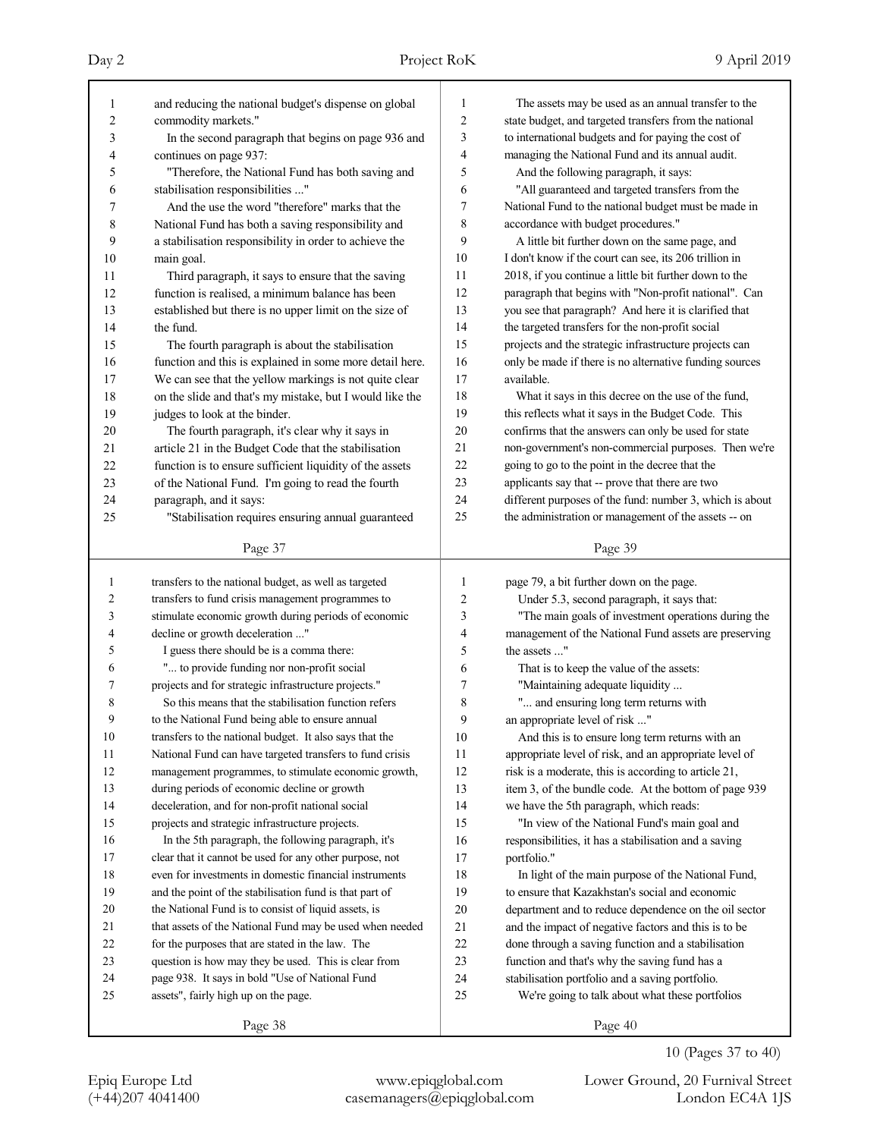| 1              | and reducing the national budget's dispense on global    | 1              | The assets may be used as an annual transfer to the      |
|----------------|----------------------------------------------------------|----------------|----------------------------------------------------------|
| 2              | commodity markets."                                      | $\overline{2}$ | state budget, and targeted transfers from the national   |
| 3              | In the second paragraph that begins on page 936 and      | 3              | to international budgets and for paying the cost of      |
| 4              | continues on page 937:                                   | 4              | managing the National Fund and its annual audit.         |
| 5              | "Therefore, the National Fund has both saving and        | 5              | And the following paragraph, it says:                    |
| 6              | stabilisation responsibilities "                         | 6              | "All guaranteed and targeted transfers from the          |
| 7              | And the use the word "therefore" marks that the          | $\tau$         | National Fund to the national budget must be made in     |
| 8              | National Fund has both a saving responsibility and       | 8              | accordance with budget procedures."                      |
| 9              | a stabilisation responsibility in order to achieve the   | 9              | A little bit further down on the same page, and          |
| 10             | main goal.                                               | 10             | I don't know if the court can see, its 206 trillion in   |
| 11             | Third paragraph, it says to ensure that the saving       | 11             | 2018, if you continue a little bit further down to the   |
| 12             | function is realised, a minimum balance has been         | 12             | paragraph that begins with "Non-profit national". Can    |
| 13             | established but there is no upper limit on the size of   | 13             | you see that paragraph? And here it is clarified that    |
| 14             | the fund.                                                | 14             | the targeted transfers for the non-profit social         |
| 15             | The fourth paragraph is about the stabilisation          | 15             | projects and the strategic infrastructure projects can   |
| 16             | function and this is explained in some more detail here. | 16             | only be made if there is no alternative funding sources  |
| 17             | We can see that the yellow markings is not quite clear   | 17             | available.                                               |
| 18             | on the slide and that's my mistake, but I would like the | 18             | What it says in this decree on the use of the fund,      |
| 19             | judges to look at the binder.                            | 19             | this reflects what it says in the Budget Code. This      |
| 20             | The fourth paragraph, it's clear why it says in          | 20             | confirms that the answers can only be used for state     |
| 21             | article 21 in the Budget Code that the stabilisation     | 21             | non-government's non-commercial purposes. Then we're     |
| 22             | function is to ensure sufficient liquidity of the assets | 22             | going to go to the point in the decree that the          |
| 23             | of the National Fund. I'm going to read the fourth       | 23             | applicants say that -- prove that there are two          |
| 24             | paragraph, and it says:                                  | 24             | different purposes of the fund: number 3, which is about |
| 25             | "Stabilisation requires ensuring annual guaranteed       | 25             | the administration or management of the assets -- on     |
|                |                                                          |                |                                                          |
|                | Page 37                                                  |                | Page 39                                                  |
|                |                                                          |                |                                                          |
|                |                                                          |                |                                                          |
| $\mathbf{1}$   | transfers to the national budget, as well as targeted    | 1              | page 79, a bit further down on the page.                 |
| $\overline{c}$ | transfers to fund crisis management programmes to        | $\overline{c}$ | Under 5.3, second paragraph, it says that:               |
| 3              | stimulate economic growth during periods of economic     | 3              | "The main goals of investment operations during the      |
| 4              | decline or growth deceleration "                         | 4              | management of the National Fund assets are preserving    |
| 5              | I guess there should be is a comma there:                | 5              | the assets "                                             |
| 6              | " to provide funding nor non-profit social               | 6              | That is to keep the value of the assets:                 |
| 7              | projects and for strategic infrastructure projects."     | 7              | "Maintaining adequate liquidity                          |
| 8              | So this means that the stabilisation function refers     | 8              | " and ensuring long term returns with                    |
| 9              | to the National Fund being able to ensure annual         | 9              | an appropriate level of risk "                           |
| 10             | transfers to the national budget. It also says that the  | 10             | And this is to ensure long term returns with an          |
| 11             | National Fund can have targeted transfers to fund crisis | 11             | appropriate level of risk, and an appropriate level of   |
| 12             | management programmes, to stimulate economic growth,     | 12             | risk is a moderate, this is according to article 21,     |
| 13             | during periods of economic decline or growth             | 13             | item 3, of the bundle code. At the bottom of page 939    |
| 14             | deceleration, and for non-profit national social         | 14             | we have the 5th paragraph, which reads:                  |
| 15             | projects and strategic infrastructure projects.          | 15             | "In view of the National Fund's main goal and            |
| 16             | In the 5th paragraph, the following paragraph, it's      | 16             | responsibilities, it has a stabilisation and a saving    |
| 17             | clear that it cannot be used for any other purpose, not  | 17             | portfolio."                                              |
| 18             | even for investments in domestic financial instruments   | 18             | In light of the main purpose of the National Fund,       |
| 19             | and the point of the stabilisation fund is that part of  | 19             | to ensure that Kazakhstan's social and economic          |
| 20             | the National Fund is to consist of liquid assets, is     | 20             | department and to reduce dependence on the oil sector    |
| 21             | that assets of the National Fund may be used when needed | 21             | and the impact of negative factors and this is to be     |
| 22             | for the purposes that are stated in the law. The         | $22\,$         | done through a saving function and a stabilisation       |
| 23             | question is how may they be used. This is clear from     | 23             | function and that's why the saving fund has a            |
| 24             | page 938. It says in bold "Use of National Fund          | 24             | stabilisation portfolio and a saving portfolio.          |
| 25             | assets", fairly high up on the page.                     | 25             | We're going to talk about what these portfolios          |

10 (Pages 37 to 40)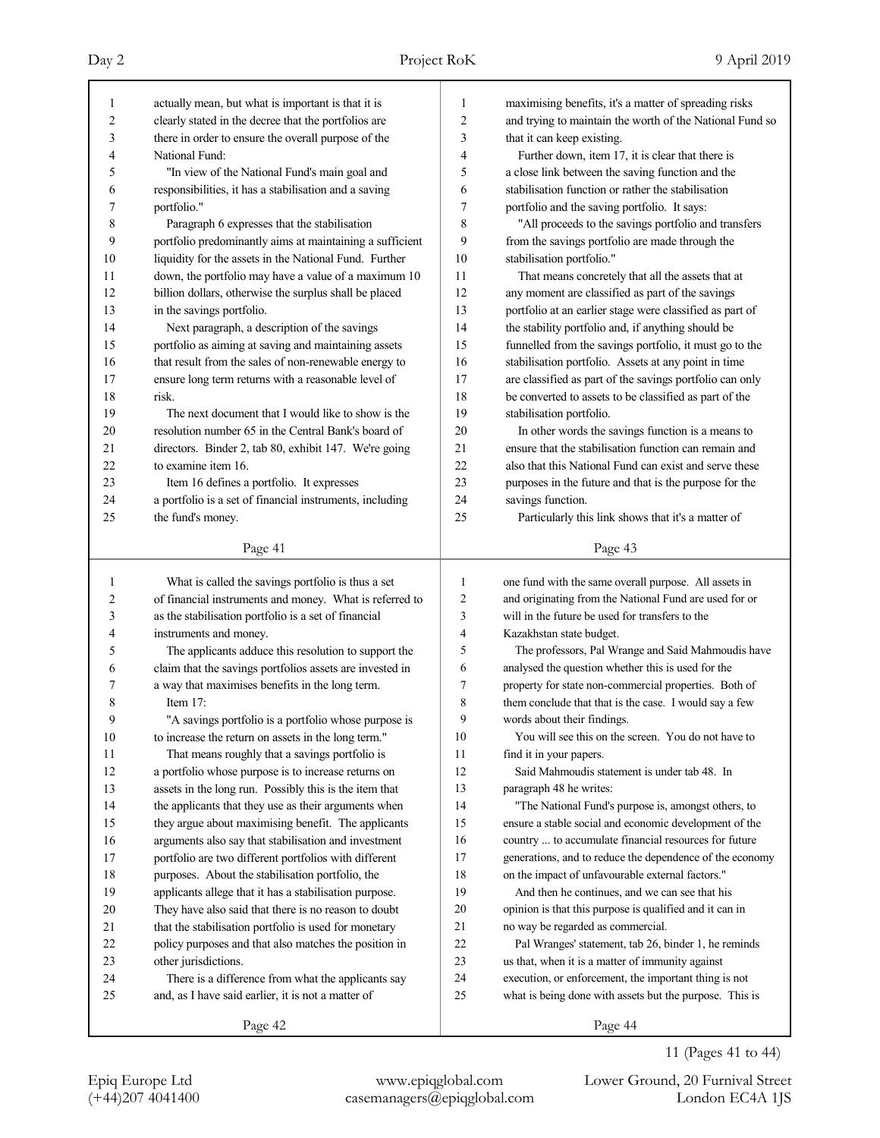| 1  | actually mean, but what is important is that it is       | 1  | maximising benefits, it's a matter of spreading risks    |
|----|----------------------------------------------------------|----|----------------------------------------------------------|
| 2  | clearly stated in the decree that the portfolios are     | 2  | and trying to maintain the worth of the National Fund so |
| 3  | there in order to ensure the overall purpose of the      | 3  | that it can keep existing.                               |
| 4  | National Fund:                                           | 4  | Further down, item 17, it is clear that there is         |
| 5  | "In view of the National Fund's main goal and            | 5  | a close link between the saving function and the         |
| 6  | responsibilities, it has a stabilisation and a saving    | 6  | stabilisation function or rather the stabilisation       |
| 7  | portfolio."                                              | 7  | portfolio and the saving portfolio. It says:             |
| 8  | Paragraph 6 expresses that the stabilisation             | 8  | "All proceeds to the savings portfolio and transfers     |
| 9  | portfolio predominantly aims at maintaining a sufficient | 9  | from the savings portfolio are made through the          |
| 10 | liquidity for the assets in the National Fund. Further   | 10 | stabilisation portfolio."                                |
| 11 | down, the portfolio may have a value of a maximum 10     | 11 | That means concretely that all the assets that at        |
| 12 | billion dollars, otherwise the surplus shall be placed   | 12 | any moment are classified as part of the savings         |
| 13 | in the savings portfolio.                                | 13 | portfolio at an earlier stage were classified as part of |
| 14 | Next paragraph, a description of the savings             | 14 | the stability portfolio and, if anything should be       |
| 15 | portfolio as aiming at saving and maintaining assets     | 15 | funnelled from the savings portfolio, it must go to the  |
| 16 | that result from the sales of non-renewable energy to    | 16 | stabilisation portfolio. Assets at any point in time     |
| 17 | ensure long term returns with a reasonable level of      | 17 | are classified as part of the savings portfolio can only |
| 18 | risk.                                                    | 18 | be converted to assets to be classified as part of the   |
| 19 | The next document that I would like to show is the       | 19 | stabilisation portfolio.                                 |
| 20 | resolution number 65 in the Central Bank's board of      | 20 | In other words the savings function is a means to        |
| 21 | directors. Binder 2, tab 80, exhibit 147. We're going    | 21 | ensure that the stabilisation function can remain and    |
| 22 | to examine item 16.                                      | 22 | also that this National Fund can exist and serve these   |
| 23 | Item 16 defines a portfolio. It expresses                | 23 | purposes in the future and that is the purpose for the   |
| 24 | a portfolio is a set of financial instruments, including | 24 | savings function.                                        |
| 25 | the fund's money.                                        | 25 | Particularly this link shows that it's a matter of       |
|    |                                                          |    |                                                          |
|    | Page 41                                                  |    | Page 43                                                  |
|    |                                                          |    |                                                          |
|    |                                                          |    |                                                          |
| 1  | What is called the savings portfolio is thus a set       | 1  | one fund with the same overall purpose. All assets in    |
| 2  | of financial instruments and money. What is referred to  | 2  | and originating from the National Fund are used for or   |
| 3  | as the stabilisation portfolio is a set of financial     | 3  | will in the future be used for transfers to the          |
| 4  | instruments and money.                                   | 4  | Kazakhstan state budget.                                 |
| 5  | The applicants adduce this resolution to support the     | 5  | The professors, Pal Wrange and Said Mahmoudis have       |
| 6  | claim that the savings portfolios assets are invested in | 6  | analysed the question whether this is used for the       |
| 7  | a way that maximises benefits in the long term.          | 7  | property for state non-commercial properties. Both of    |
| 8  | Item $17$ :                                              | 8  | them conclude that that is the case. I would say a few   |
| 9  | "A savings portfolio is a portfolio whose purpose is     | 9  | words about their findings.                              |
| 10 | to increase the return on assets in the long term."      | 10 | You will see this on the screen. You do not have to      |
| 11 | That means roughly that a savings portfolio is           | 11 | find it in your papers.                                  |
| 12 | a portfolio whose purpose is to increase returns on      | 12 | Said Mahmoudis statement is under tab 48. In             |
| 13 | assets in the long run. Possibly this is the item that   | 13 | paragraph 48 he writes:                                  |
| 14 | the applicants that they use as their arguments when     | 14 | "The National Fund's purpose is, amongst others, to      |
| 15 | they argue about maximising benefit. The applicants      | 15 | ensure a stable social and economic development of the   |
| 16 | arguments also say that stabilisation and investment     | 16 | country  to accumulate financial resources for future    |
| 17 | portfolio are two different portfolios with different    | 17 | generations, and to reduce the dependence of the economy |
| 18 | purposes. About the stabilisation portfolio, the         | 18 | on the impact of unfavourable external factors."         |
| 19 | applicants allege that it has a stabilisation purpose.   | 19 | And then he continues, and we can see that his           |
| 20 | They have also said that there is no reason to doubt     | 20 | opinion is that this purpose is qualified and it can in  |
| 21 | that the stabilisation portfolio is used for monetary    | 21 | no way be regarded as commercial.                        |
| 22 | policy purposes and that also matches the position in    | 22 | Pal Wranges' statement, tab 26, binder 1, he reminds     |
| 23 | other jurisdictions.                                     | 23 | us that, when it is a matter of immunity against         |
| 24 | There is a difference from what the applicants say       | 24 | execution, or enforcement, the important thing is not    |
| 25 | and, as I have said earlier, it is not a matter of       | 25 | what is being done with assets but the purpose. This is  |
|    | Page 42                                                  |    | Page 44                                                  |

11 (Pages 41 to 44)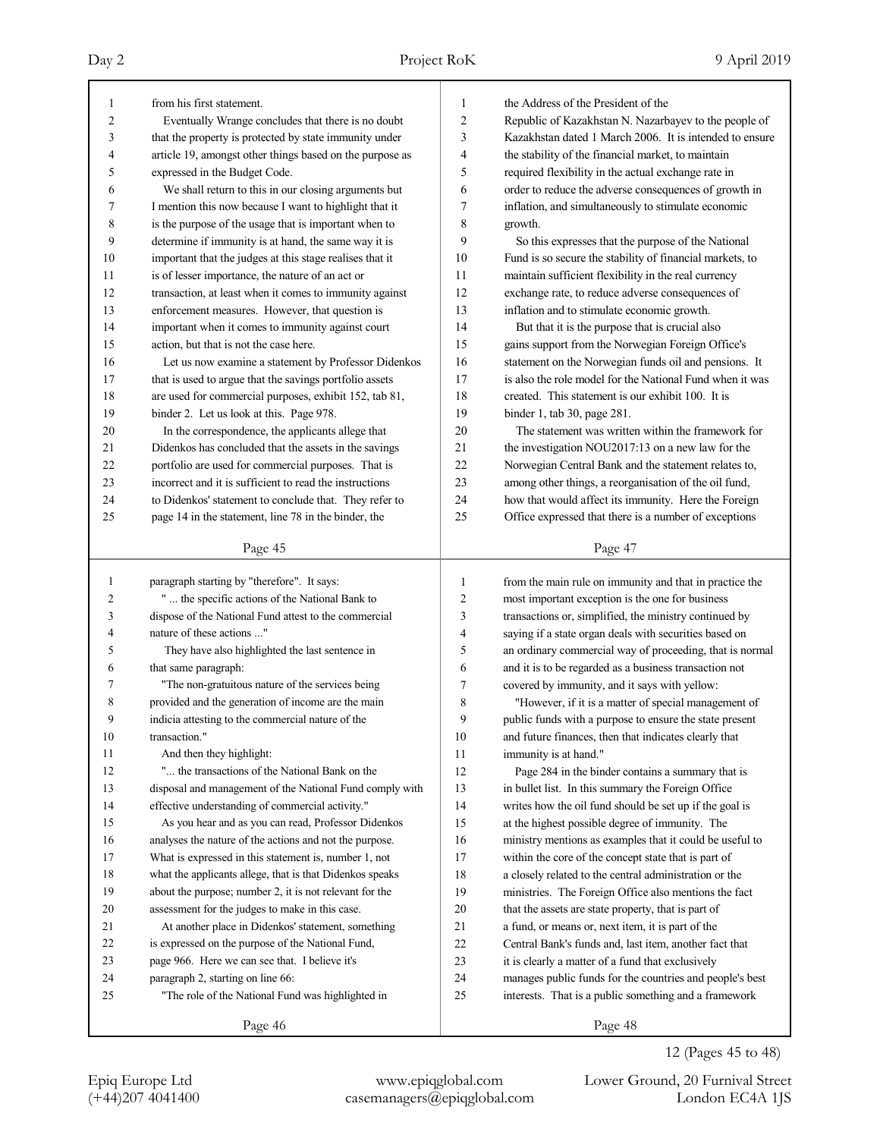| 1            | from his first statement.                                                                                           | 1                       | the Address of the President of the                                                                               |
|--------------|---------------------------------------------------------------------------------------------------------------------|-------------------------|-------------------------------------------------------------------------------------------------------------------|
| 2            | Eventually Wrange concludes that there is no doubt                                                                  | 2                       | Republic of Kazakhstan N. Nazarbayev to the people of                                                             |
| 3            | that the property is protected by state immunity under                                                              | 3                       | Kazakhstan dated 1 March 2006. It is intended to ensure                                                           |
| 4            | article 19, amongst other things based on the purpose as                                                            | 4                       | the stability of the financial market, to maintain                                                                |
| 5            | expressed in the Budget Code.                                                                                       | 5                       | required flexibility in the actual exchange rate in                                                               |
| 6            | We shall return to this in our closing arguments but                                                                | 6                       | order to reduce the adverse consequences of growth in                                                             |
| 7            | I mention this now because I want to highlight that it                                                              | 7                       | inflation, and simultaneously to stimulate economic                                                               |
| 8            | is the purpose of the usage that is important when to                                                               | 8                       | growth.                                                                                                           |
| 9            | determine if immunity is at hand, the same way it is                                                                | 9                       | So this expresses that the purpose of the National                                                                |
| 10           | important that the judges at this stage realises that it                                                            | 10                      | Fund is so secure the stability of financial markets, to                                                          |
| 11           | is of lesser importance, the nature of an act or                                                                    | 11                      | maintain sufficient flexibility in the real currency                                                              |
| 12           | transaction, at least when it comes to immunity against                                                             | 12                      | exchange rate, to reduce adverse consequences of                                                                  |
| 13           | enforcement measures. However, that question is                                                                     | 13                      | inflation and to stimulate economic growth.                                                                       |
| 14           | important when it comes to immunity against court                                                                   | 14                      | But that it is the purpose that is crucial also                                                                   |
| 15           | action, but that is not the case here.                                                                              | 15                      | gains support from the Norwegian Foreign Office's                                                                 |
| 16           | Let us now examine a statement by Professor Didenkos                                                                | 16                      | statement on the Norwegian funds oil and pensions. It                                                             |
| 17           | that is used to argue that the savings portfolio assets                                                             | 17                      | is also the role model for the National Fund when it was                                                          |
| 18           | are used for commercial purposes, exhibit 152, tab 81,                                                              | 18                      | created. This statement is our exhibit 100. It is                                                                 |
| 19           | binder 2. Let us look at this. Page 978.                                                                            | 19                      | binder 1, tab 30, page 281.                                                                                       |
| 20           | In the correspondence, the applicants allege that                                                                   | 20                      | The statement was written within the framework for                                                                |
| 21           | Didenkos has concluded that the assets in the savings                                                               | 21                      | the investigation NOU2017:13 on a new law for the                                                                 |
| 22           | portfolio are used for commercial purposes. That is                                                                 | 22                      | Norwegian Central Bank and the statement relates to,                                                              |
| 23           | incorrect and it is sufficient to read the instructions                                                             | 23                      | among other things, a reorganisation of the oil fund,                                                             |
| 24           | to Didenkos' statement to conclude that. They refer to                                                              | 24                      | how that would affect its immunity. Here the Foreign                                                              |
| 25           | page 14 in the statement, line 78 in the binder, the                                                                | 25                      | Office expressed that there is a number of exceptions                                                             |
|              |                                                                                                                     |                         |                                                                                                                   |
|              | Page 45                                                                                                             |                         | Page 47                                                                                                           |
|              |                                                                                                                     |                         |                                                                                                                   |
| $\mathbf{1}$ | paragraph starting by "therefore". It says:                                                                         | 1                       | from the main rule on immunity and that in practice the                                                           |
| 2            | "  the specific actions of the National Bank to                                                                     | $\overline{\mathbf{c}}$ | most important exception is the one for business                                                                  |
| 3            | dispose of the National Fund attest to the commercial                                                               | 3                       | transactions or, simplified, the ministry continued by                                                            |
| 4            | nature of these actions "                                                                                           | 4                       | saying if a state organ deals with securities based on                                                            |
| 5            | They have also highlighted the last sentence in                                                                     | 5                       | an ordinary commercial way of proceeding, that is normal                                                          |
| 6            | that same paragraph:                                                                                                | 6                       | and it is to be regarded as a business transaction not                                                            |
| 7            | "The non-gratuitous nature of the services being                                                                    | 7                       | covered by immunity, and it says with yellow:                                                                     |
| 8            | provided and the generation of income are the main                                                                  | 8                       | "However, if it is a matter of special management of                                                              |
| 9            | indicia attesting to the commercial nature of the                                                                   | 9                       | public funds with a purpose to ensure the state present                                                           |
| 10           | transaction."                                                                                                       | $10\,$                  |                                                                                                                   |
| 11           | And then they highlight:                                                                                            | 11                      | and future finances, then that indicates clearly that<br>immunity is at hand."                                    |
| 12           | " the transactions of the National Bank on the                                                                      | 12                      | Page 284 in the binder contains a summary that is                                                                 |
| 13           | disposal and management of the National Fund comply with                                                            | 13                      | in bullet list. In this summary the Foreign Office                                                                |
| 14           | effective understanding of commercial activity."                                                                    | 14                      | writes how the oil fund should be set up if the goal is                                                           |
| 15           | As you hear and as you can read, Professor Didenkos                                                                 | 15                      |                                                                                                                   |
| 16           | analyses the nature of the actions and not the purpose.                                                             | 16                      | at the highest possible degree of immunity. The<br>ministry mentions as examples that it could be useful to       |
| 17           | What is expressed in this statement is, number 1, not                                                               | 17                      |                                                                                                                   |
| 18           |                                                                                                                     |                         | within the core of the concept state that is part of                                                              |
| 19           | what the applicants allege, that is that Didenkos speaks<br>about the purpose; number 2, it is not relevant for the | 18<br>19                | a closely related to the central administration or the<br>ministries. The Foreign Office also mentions the fact   |
| 20           |                                                                                                                     |                         |                                                                                                                   |
| 21           | assessment for the judges to make in this case.<br>At another place in Didenkos' statement, something               | 20<br>21                | that the assets are state property, that is part of                                                               |
| 22           | is expressed on the purpose of the National Fund,                                                                   | $22\,$                  | a fund, or means or, next item, it is part of the                                                                 |
| 23           |                                                                                                                     |                         | Central Bank's funds and, last item, another fact that                                                            |
| 24           | page 966. Here we can see that. I believe it's<br>paragraph 2, starting on line 66:                                 | 23<br>24                | it is clearly a matter of a fund that exclusively                                                                 |
| 25           | "The role of the National Fund was highlighted in                                                                   | 25                      | manages public funds for the countries and people's best<br>interests. That is a public something and a framework |
|              | Page 46                                                                                                             |                         | Page 48                                                                                                           |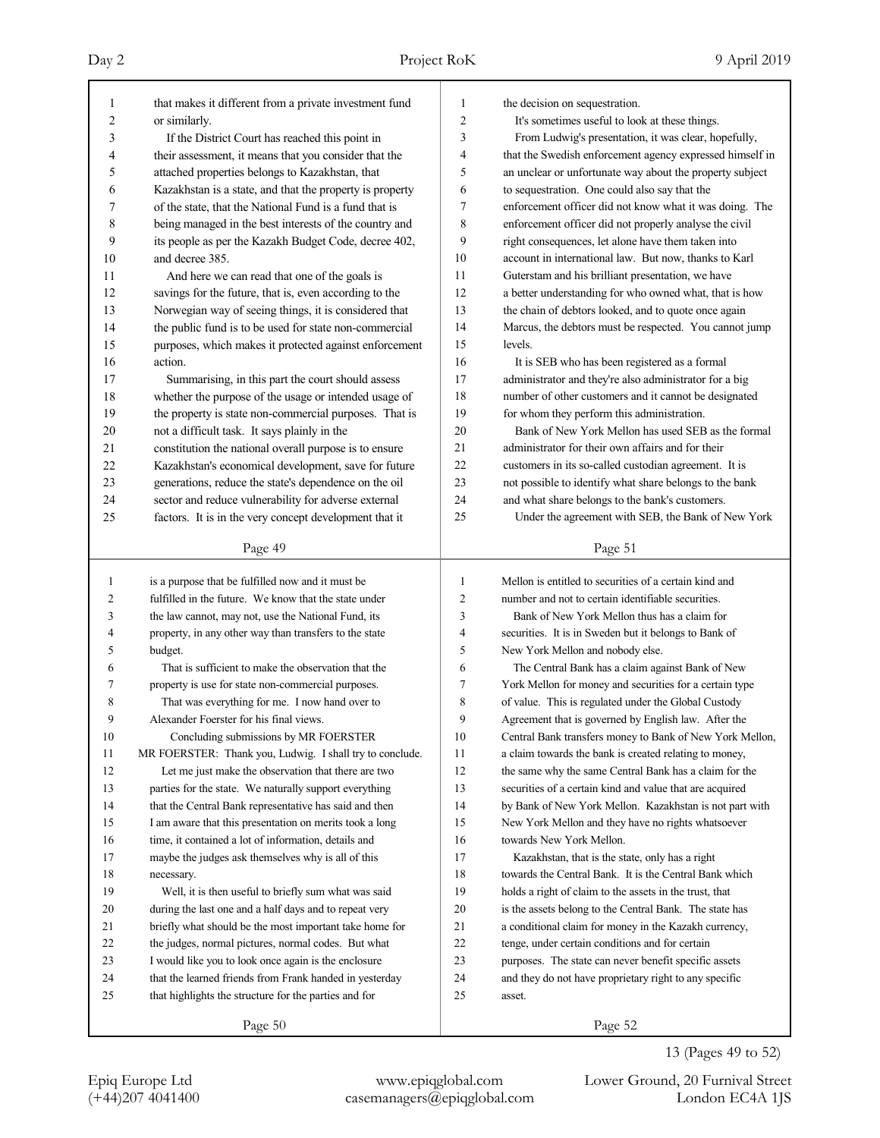| $\mathbf{1}$   | that makes it different from a private investment fund   | $\mathbf{1}$     | the decision on sequestration.                           |
|----------------|----------------------------------------------------------|------------------|----------------------------------------------------------|
| $\overline{c}$ | or similarly.                                            | $\overline{2}$   | It's sometimes useful to look at these things.           |
| 3              | If the District Court has reached this point in          | 3                | From Ludwig's presentation, it was clear, hopefully,     |
| 4              | their assessment, it means that you consider that the    | $\overline{4}$   | that the Swedish enforcement agency expressed himself in |
| 5              | attached properties belongs to Kazakhstan, that          | 5                | an unclear or unfortunate way about the property subject |
| 6              | Kazakhstan is a state, and that the property is property | 6                | to sequestration. One could also say that the            |
| 7              | of the state, that the National Fund is a fund that is   | $\boldsymbol{7}$ | enforcement officer did not know what it was doing. The  |
| 8              | being managed in the best interests of the country and   | 8                | enforcement officer did not properly analyse the civil   |
| 9              | its people as per the Kazakh Budget Code, decree 402,    | 9                | right consequences, let alone have them taken into       |
| 10             | and decree 385.                                          | 10               | account in international law. But now, thanks to Karl    |
| 11             | And here we can read that one of the goals is            | 11               | Guterstam and his brilliant presentation, we have        |
| 12             | savings for the future, that is, even according to the   | 12               | a better understanding for who owned what, that is how   |
| 13             | Norwegian way of seeing things, it is considered that    | 13               | the chain of debtors looked, and to quote once again     |
| 14             | the public fund is to be used for state non-commercial   | 14               | Marcus, the debtors must be respected. You cannot jump   |
| 15             | purposes, which makes it protected against enforcement   | 15               | levels.                                                  |
| 16             | action.                                                  | 16               | It is SEB who has been registered as a formal            |
| 17             | Summarising, in this part the court should assess        | 17               | administrator and they're also administrator for a big   |
| 18             | whether the purpose of the usage or intended usage of    | 18               | number of other customers and it cannot be designated    |
| 19             | the property is state non-commercial purposes. That is   | 19               | for whom they perform this administration.               |
| 20             | not a difficult task. It says plainly in the             | 20               | Bank of New York Mellon has used SEB as the formal       |
| 21             | constitution the national overall purpose is to ensure   | 21               | administrator for their own affairs and for their        |
| 22             | Kazakhstan's economical development, save for future     | 22               | customers in its so-called custodian agreement. It is    |
| 23             | generations, reduce the state's dependence on the oil    | 23               | not possible to identify what share belongs to the bank  |
| 24             | sector and reduce vulnerability for adverse external     | 24               | and what share belongs to the bank's customers.          |
| 25             | factors. It is in the very concept development that it   | 25               | Under the agreement with SEB, the Bank of New York       |
|                |                                                          |                  |                                                          |
|                | Page 49                                                  |                  | Page 51                                                  |
|                |                                                          |                  |                                                          |
|                |                                                          |                  |                                                          |
| 1              | is a purpose that be fulfilled now and it must be        | 1                | Mellon is entitled to securities of a certain kind and   |
| 2              | fulfilled in the future. We know that the state under    | $\overline{c}$   | number and not to certain identifiable securities.       |
| 3              | the law cannot, may not, use the National Fund, its      | 3                | Bank of New York Mellon thus has a claim for             |
| 4              | property, in any other way than transfers to the state   | $\overline{4}$   | securities. It is in Sweden but it belongs to Bank of    |
| 5              | budget.                                                  | 5                | New York Mellon and nobody else.                         |
| 6              | That is sufficient to make the observation that the      | 6                | The Central Bank has a claim against Bank of New         |
| 7              | property is use for state non-commercial purposes.       | 7                | York Mellon for money and securities for a certain type  |
| 8              | That was everything for me. I now hand over to           | 8                | of value. This is regulated under the Global Custody     |
| 9              | Alexander Foerster for his final views.                  | 9                | Agreement that is governed by English law. After the     |
| 10             | Concluding submissions by MR FOERSTER                    | 10               | Central Bank transfers money to Bank of New York Mellon, |
| 11             | MR FOERSTER: Thank you, Ludwig. I shall try to conclude. | 11               | a claim towards the bank is created relating to money,   |
| 12             | Let me just make the observation that there are two      | 12               | the same why the same Central Bank has a claim for the   |
| 13             | parties for the state. We naturally support everything   | 13               | securities of a certain kind and value that are acquired |
| 14             | that the Central Bank representative has said and then   | 14               | by Bank of New York Mellon. Kazakhstan is not part with  |
| 15             | I am aware that this presentation on merits took a long  | 15               | New York Mellon and they have no rights whatsoever       |
| 16             | time, it contained a lot of information, details and     | 16               | towards New York Mellon.                                 |
| 17             | maybe the judges ask themselves why is all of this       | 17               | Kazakhstan, that is the state, only has a right          |
| 18             | necessary.                                               | 18               | towards the Central Bank. It is the Central Bank which   |
| 19             | Well, it is then useful to briefly sum what was said     | 19               | holds a right of claim to the assets in the trust, that  |
| 20             | during the last one and a half days and to repeat very   | $20\,$           | is the assets belong to the Central Bank. The state has  |
| 21             | briefly what should be the most important take home for  | 21               | a conditional claim for money in the Kazakh currency,    |
| 22             | the judges, normal pictures, normal codes. But what      | $22\,$           | tenge, under certain conditions and for certain          |
| 23             | I would like you to look once again is the enclosure     | 23               | purposes. The state can never benefit specific assets    |
| 24             | that the learned friends from Frank handed in yesterday  | 24               | and they do not have proprietary right to any specific   |
| 25             | that highlights the structure for the parties and for    | 25               | asset.                                                   |

(+44)207 4041400 casemanagers@epiqglobal.com London EC4A 1JS

Epiq Europe Ltd www.epiqglobal.com Lower Ground, 20 Furnival Street

13 (Pages 49 to 52)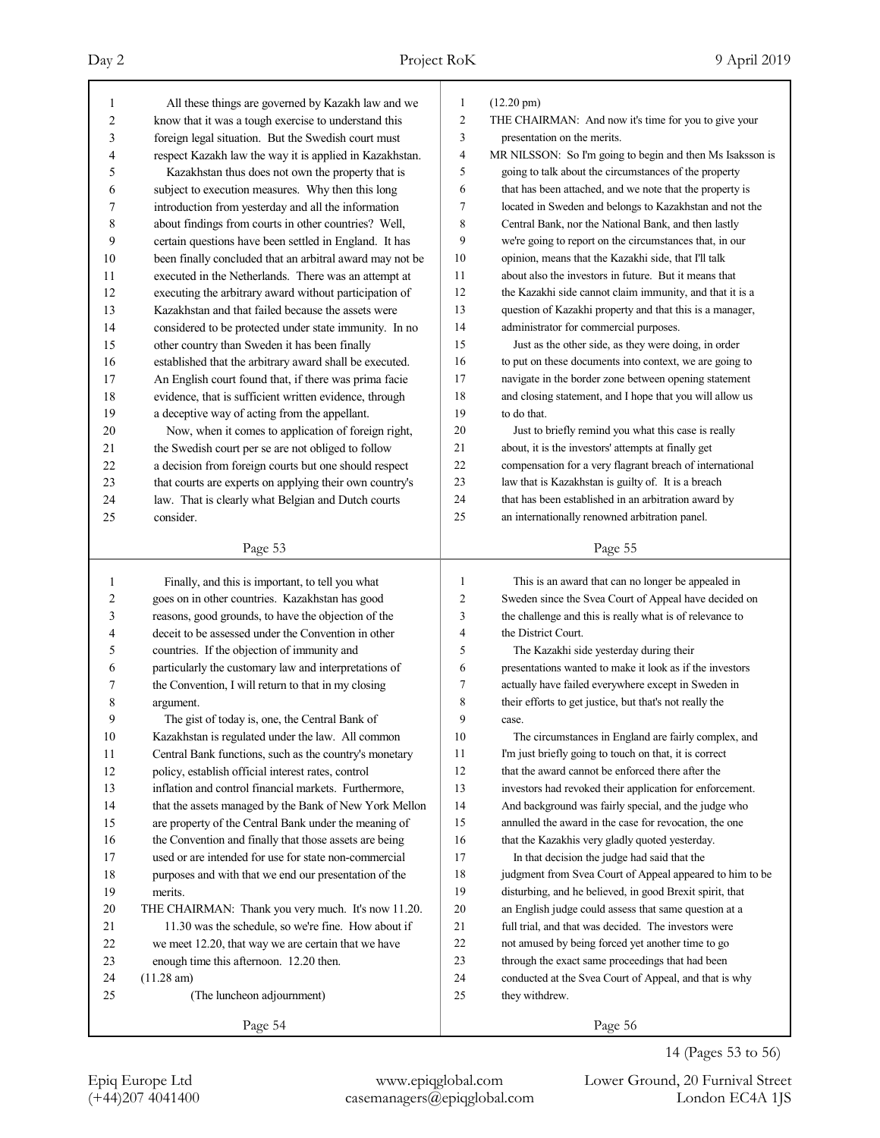| 1  | All these things are governed by Kazakh law and we                                                         | 1      | $(12.20 \text{ pm})$                                                            |
|----|------------------------------------------------------------------------------------------------------------|--------|---------------------------------------------------------------------------------|
| 2  | know that it was a tough exercise to understand this                                                       | 2      | THE CHAIRMAN: And now it's time for you to give your                            |
| 3  | foreign legal situation. But the Swedish court must                                                        | 3      | presentation on the merits.                                                     |
| 4  | respect Kazakh law the way it is applied in Kazakhstan.                                                    | 4      | MR NILSSON: So I'm going to begin and then Ms Isaksson is                       |
| 5  | Kazakhstan thus does not own the property that is                                                          | 5      | going to talk about the circumstances of the property                           |
| 6  | subject to execution measures. Why then this long                                                          | 6      | that has been attached, and we note that the property is                        |
| 7  | introduction from yesterday and all the information                                                        | 7      | located in Sweden and belongs to Kazakhstan and not the                         |
| 8  | about findings from courts in other countries? Well,                                                       | 8      | Central Bank, nor the National Bank, and then lastly                            |
| 9  | certain questions have been settled in England. It has                                                     | 9      | we're going to report on the circumstances that, in our                         |
| 10 | been finally concluded that an arbitral award may not be                                                   | 10     | opinion, means that the Kazakhi side, that I'll talk                            |
| 11 | executed in the Netherlands. There was an attempt at                                                       | 11     | about also the investors in future. But it means that                           |
| 12 | executing the arbitrary award without participation of                                                     | 12     | the Kazakhi side cannot claim immunity, and that it is a                        |
| 13 | Kazakhstan and that failed because the assets were                                                         | 13     | question of Kazakhi property and that this is a manager,                        |
| 14 | considered to be protected under state immunity. In no                                                     | 14     | administrator for commercial purposes.                                          |
| 15 | other country than Sweden it has been finally                                                              | 15     | Just as the other side, as they were doing, in order                            |
| 16 | established that the arbitrary award shall be executed.                                                    | 16     | to put on these documents into context, we are going to                         |
| 17 | An English court found that, if there was prima facie                                                      | 17     | navigate in the border zone between opening statement                           |
| 18 | evidence, that is sufficient written evidence, through                                                     | 18     | and closing statement, and I hope that you will allow us                        |
| 19 | a deceptive way of acting from the appellant.                                                              | 19     | to do that.                                                                     |
| 20 | Now, when it comes to application of foreign right,                                                        | 20     | Just to briefly remind you what this case is really                             |
| 21 | the Swedish court per se are not obliged to follow                                                         | 21     | about, it is the investors' attempts at finally get                             |
| 22 | a decision from foreign courts but one should respect                                                      | 22     | compensation for a very flagrant breach of international                        |
| 23 | that courts are experts on applying their own country's                                                    | 23     | law that is Kazakhstan is guilty of. It is a breach                             |
| 24 | law. That is clearly what Belgian and Dutch courts                                                         | 24     | that has been established in an arbitration award by                            |
| 25 | consider.                                                                                                  | 25     | an internationally renowned arbitration panel.                                  |
|    |                                                                                                            |        |                                                                                 |
|    | Page 53                                                                                                    |        | Page 55                                                                         |
|    |                                                                                                            |        |                                                                                 |
|    |                                                                                                            | 1      |                                                                                 |
| 1  | Finally, and this is important, to tell you what                                                           | 2      | This is an award that can no longer be appealed in                              |
| 2  | goes on in other countries. Kazakhstan has good                                                            | 3      | Sweden since the Svea Court of Appeal have decided on                           |
| 3  | reasons, good grounds, to have the objection of the<br>deceit to be assessed under the Convention in other | 4      | the challenge and this is really what is of relevance to<br>the District Court. |
| 4  |                                                                                                            | 5      |                                                                                 |
| 5  | countries. If the objection of immunity and                                                                |        | The Kazakhi side yesterday during their                                         |
| 6  | particularly the customary law and interpretations of                                                      | 6<br>7 | presentations wanted to make it look as if the investors                        |
| 7  | the Convention, I will return to that in my closing                                                        |        | actually have failed everywhere except in Sweden in                             |
| 8  | argument.                                                                                                  | 8<br>9 | their efforts to get justice, but that's not really the                         |
| 9  | The gist of today is, one, the Central Bank of                                                             |        | case.                                                                           |
| 10 | Kazakhstan is regulated under the law. All common                                                          | 10     | The circumstances in England are fairly complex, and                            |
| 11 | Central Bank functions, such as the country's monetary                                                     | 11     | I'm just briefly going to touch on that, it is correct                          |
| 12 | policy, establish official interest rates, control                                                         | 12     | that the award cannot be enforced there after the                               |
| 13 | inflation and control financial markets. Furthermore,                                                      | 13     | investors had revoked their application for enforcement.                        |
| 14 | that the assets managed by the Bank of New York Mellon                                                     | 14     | And background was fairly special, and the judge who                            |
| 15 | are property of the Central Bank under the meaning of                                                      | 15     | annulled the award in the case for revocation, the one                          |
| 16 | the Convention and finally that those assets are being                                                     | 16     | that the Kazakhis very gladly quoted yesterday.                                 |
| 17 | used or are intended for use for state non-commercial                                                      | 17     | In that decision the judge had said that the                                    |
| 18 | purposes and with that we end our presentation of the                                                      | 18     | judgment from Svea Court of Appeal appeared to him to be                        |
| 19 | merits.                                                                                                    | 19     | disturbing, and he believed, in good Brexit spirit, that                        |
| 20 | THE CHAIRMAN: Thank you very much. It's now 11.20.                                                         | 20     | an English judge could assess that same question at a                           |
| 21 | 11.30 was the schedule, so we're fine. How about if                                                        | 21     | full trial, and that was decided. The investors were                            |
| 22 | we meet 12.20, that way we are certain that we have                                                        | $22\,$ | not amused by being forced yet another time to go                               |
| 23 | enough time this afternoon. 12.20 then.                                                                    | 23     | through the exact same proceedings that had been                                |
| 24 | $(11.28 \text{ am})$                                                                                       | 24     | conducted at the Svea Court of Appeal, and that is why                          |
| 25 | (The luncheon adjournment)                                                                                 | 25     | they withdrew.                                                                  |

14 (Pages 53 to 56)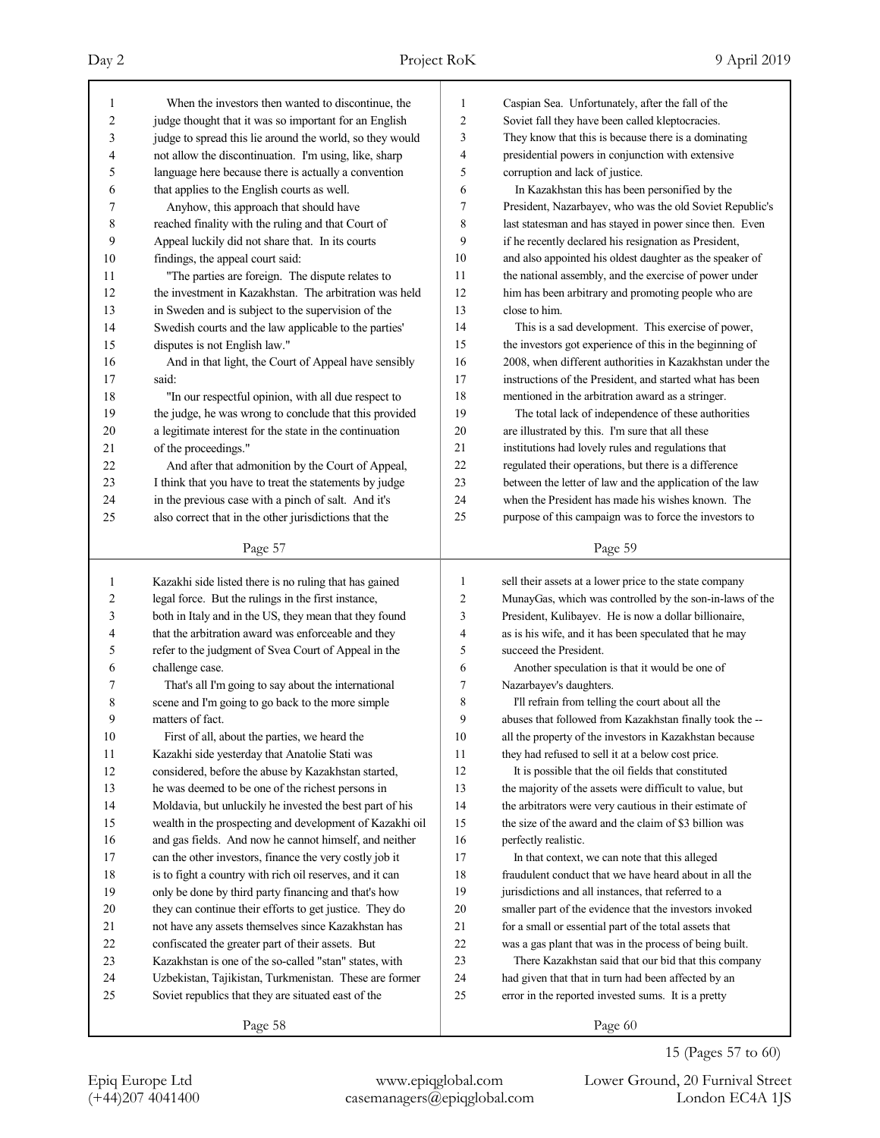| 1      | When the investors then wanted to discontinue, the       | 1      | Caspian Sea. Unfortunately, after the fall of the        |
|--------|----------------------------------------------------------|--------|----------------------------------------------------------|
| 2      | judge thought that it was so important for an English    | 2      | Soviet fall they have been called kleptocracies.         |
| 3      | judge to spread this lie around the world, so they would | 3      | They know that this is because there is a dominating     |
| 4      | not allow the discontinuation. I'm using, like, sharp    | 4      | presidential powers in conjunction with extensive        |
| 5      | language here because there is actually a convention     | 5      | corruption and lack of justice.                          |
| 6      | that applies to the English courts as well.              | 6      | In Kazakhstan this has been personified by the           |
| 7      | Anyhow, this approach that should have                   | 7      | President, Nazarbayev, who was the old Soviet Republic's |
| 8      | reached finality with the ruling and that Court of       | 8      | last statesman and has stayed in power since then. Even  |
| 9      | Appeal luckily did not share that. In its courts         | 9      | if he recently declared his resignation as President,    |
| 10     | findings, the appeal court said:                         | 10     | and also appointed his oldest daughter as the speaker of |
| 11     | "The parties are foreign. The dispute relates to         | 11     | the national assembly, and the exercise of power under   |
| 12     | the investment in Kazakhstan. The arbitration was held   | 12     | him has been arbitrary and promoting people who are      |
| 13     | in Sweden and is subject to the supervision of the       | 13     | close to him.                                            |
| 14     | Swedish courts and the law applicable to the parties'    | 14     | This is a sad development. This exercise of power,       |
| 15     | disputes is not English law."                            | 15     | the investors got experience of this in the beginning of |
| 16     | And in that light, the Court of Appeal have sensibly     | 16     | 2008, when different authorities in Kazakhstan under the |
| 17     | said:                                                    | 17     | instructions of the President, and started what has been |
| 18     | "In our respectful opinion, with all due respect to      | 18     | mentioned in the arbitration award as a stringer.        |
| 19     | the judge, he was wrong to conclude that this provided   | 19     | The total lack of independence of these authorities      |
| 20     | a legitimate interest for the state in the continuation  | 20     | are illustrated by this. I'm sure that all these         |
| 21     | of the proceedings."                                     | 21     | institutions had lovely rules and regulations that       |
| 22     | And after that admonition by the Court of Appeal,        | 22     | regulated their operations, but there is a difference    |
| 23     | I think that you have to treat the statements by judge   | 23     | between the letter of law and the application of the law |
| 24     | in the previous case with a pinch of salt. And it's      | 24     | when the President has made his wishes known. The        |
| 25     | also correct that in the other jurisdictions that the    | 25     | purpose of this campaign was to force the investors to   |
|        |                                                          |        |                                                          |
|        | Page 57                                                  |        | Page 59                                                  |
|        |                                                          |        |                                                          |
|        |                                                          |        |                                                          |
| 1      | Kazakhi side listed there is no ruling that has gained   | 1      | sell their assets at a lower price to the state company  |
| 2      | legal force. But the rulings in the first instance,      | 2      | MunayGas, which was controlled by the son-in-laws of the |
| 3      | both in Italy and in the US, they mean that they found   | 3      | President, Kulibayev. He is now a dollar billionaire,    |
| 4      | that the arbitration award was enforceable and they      | 4      | as is his wife, and it has been speculated that he may   |
| 5      | refer to the judgment of Svea Court of Appeal in the     | 5      | succeed the President.                                   |
| 6      | challenge case.                                          | 6      | Another speculation is that it would be one of           |
| 7      | That's all I'm going to say about the international      | 7      | Nazarbayev's daughters.                                  |
| 8      | scene and I'm going to go back to the more simple        | 8      | I'll refrain from telling the court about all the        |
| 9      | matters of fact.                                         | 9      | abuses that followed from Kazakhstan finally took the -- |
| $10\,$ | First of all, about the parties, we heard the            | 10     | all the property of the investors in Kazakhstan because  |
| 11     | Kazakhi side yesterday that Anatolie Stati was           | 11     | they had refused to sell it at a below cost price.       |
| 12     | considered, before the abuse by Kazakhstan started,      | 12     | It is possible that the oil fields that constituted      |
| 13     | he was deemed to be one of the richest persons in        | 13     | the majority of the assets were difficult to value, but  |
| 14     | Moldavia, but unluckily he invested the best part of his | 14     | the arbitrators were very cautious in their estimate of  |
| 15     | wealth in the prospecting and development of Kazakhi oil | 15     | the size of the award and the claim of \$3 billion was   |
| 16     | and gas fields. And now he cannot himself, and neither   | 16     | perfectly realistic.                                     |
| 17     | can the other investors, finance the very costly job it  | 17     | In that context, we can note that this alleged           |
| 18     | is to fight a country with rich oil reserves, and it can | 18     | fraudulent conduct that we have heard about in all the   |
| 19     | only be done by third party financing and that's how     | 19     | jurisdictions and all instances, that referred to a      |
| 20     | they can continue their efforts to get justice. They do  | $20\,$ | smaller part of the evidence that the investors invoked  |
| 21     | not have any assets themselves since Kazakhstan has      | 21     | for a small or essential part of the total assets that   |
| 22     | confiscated the greater part of their assets. But        | $22\,$ | was a gas plant that was in the process of being built.  |
| 23     | Kazakhstan is one of the so-called "stan" states, with   | $23\,$ | There Kazakhstan said that our bid that this company     |
| 24     | Uzbekistan, Tajikistan, Turkmenistan. These are former   | 24     | had given that that in turn had been affected by an      |
| 25     | Soviet republics that they are situated east of the      | 25     | error in the reported invested sums. It is a pretty      |

15 (Pages 57 to 60)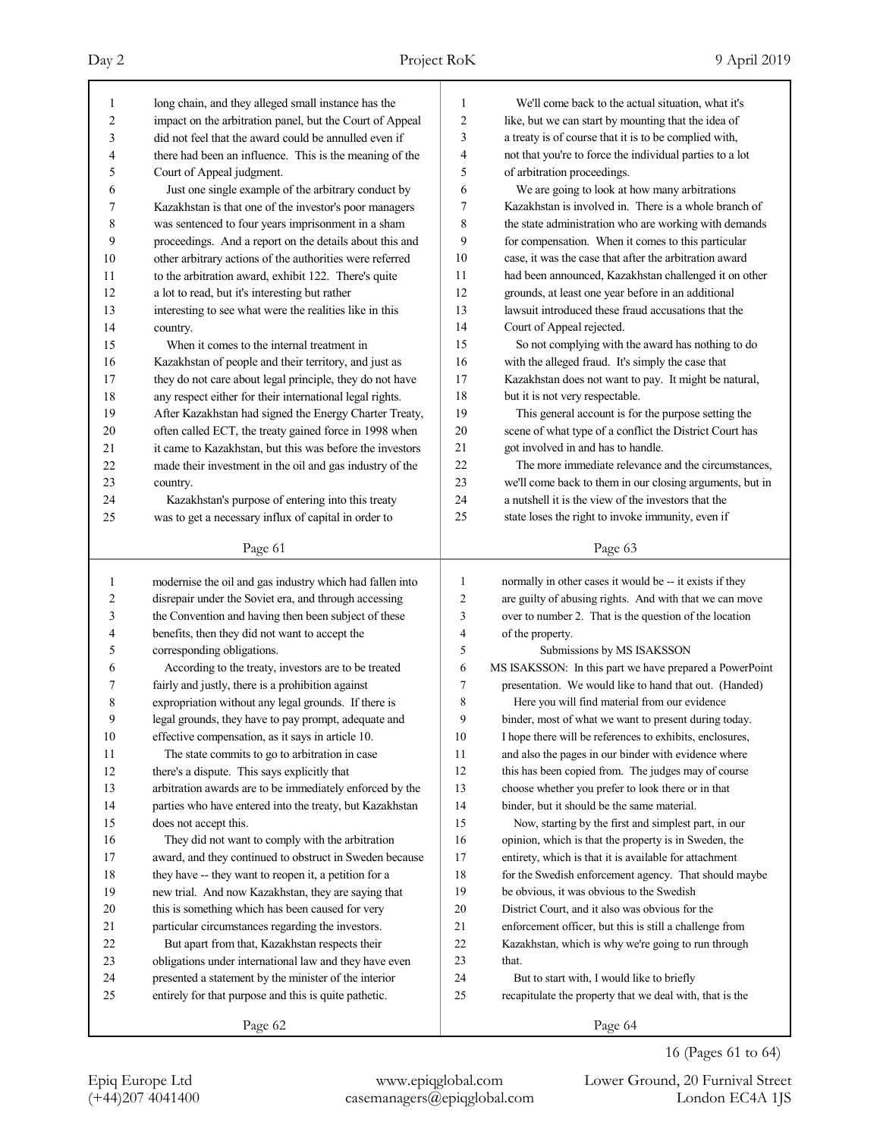| 1  | long chain, and they alleged small instance has the                                                       | 1              | We'll come back to the actual situation, what it's       |
|----|-----------------------------------------------------------------------------------------------------------|----------------|----------------------------------------------------------|
| 2  | impact on the arbitration panel, but the Court of Appeal                                                  | $\overline{c}$ | like, but we can start by mounting that the idea of      |
| 3  | did not feel that the award could be annulled even if                                                     | 3              | a treaty is of course that it is to be complied with,    |
| 4  | there had been an influence. This is the meaning of the                                                   | 4              | not that you're to force the individual parties to a lot |
| 5  | Court of Appeal judgment.                                                                                 | 5              | of arbitration proceedings.                              |
| 6  | Just one single example of the arbitrary conduct by                                                       | 6              | We are going to look at how many arbitrations            |
| 7  | Kazakhstan is that one of the investor's poor managers                                                    | 7              | Kazakhstan is involved in. There is a whole branch of    |
| 8  | was sentenced to four years imprisonment in a sham                                                        | 8              | the state administration who are working with demands    |
| 9  | proceedings. And a report on the details about this and                                                   | 9              | for compensation. When it comes to this particular       |
| 10 | other arbitrary actions of the authorities were referred                                                  | 10             | case, it was the case that after the arbitration award   |
| 11 | to the arbitration award, exhibit 122. There's quite                                                      | 11             | had been announced, Kazakhstan challenged it on other    |
| 12 | a lot to read, but it's interesting but rather                                                            | 12             | grounds, at least one year before in an additional       |
| 13 | interesting to see what were the realities like in this                                                   | 13             | lawsuit introduced these fraud accusations that the      |
| 14 | country.                                                                                                  | 14             | Court of Appeal rejected.                                |
| 15 | When it comes to the internal treatment in                                                                | 15             | So not complying with the award has nothing to do        |
| 16 | Kazakhstan of people and their territory, and just as                                                     | 16             | with the alleged fraud. It's simply the case that        |
| 17 | they do not care about legal principle, they do not have                                                  | 17             | Kazakhstan does not want to pay. It might be natural,    |
| 18 | any respect either for their international legal rights.                                                  | 18             | but it is not very respectable.                          |
| 19 | After Kazakhstan had signed the Energy Charter Treaty,                                                    | 19             | This general account is for the purpose setting the      |
| 20 | often called ECT, the treaty gained force in 1998 when                                                    | 20             | scene of what type of a conflict the District Court has  |
| 21 | it came to Kazakhstan, but this was before the investors                                                  | 21             | got involved in and has to handle.                       |
| 22 | made their investment in the oil and gas industry of the                                                  | 22             | The more immediate relevance and the circumstances,      |
| 23 | country.                                                                                                  | 23             | we'll come back to them in our closing arguments, but in |
| 24 | Kazakhstan's purpose of entering into this treaty                                                         | 24             | a nutshell it is the view of the investors that the      |
| 25 | was to get a necessary influx of capital in order to                                                      | 25             | state loses the right to invoke immunity, even if        |
|    |                                                                                                           |                |                                                          |
|    | Page 61                                                                                                   |                | Page 63                                                  |
|    |                                                                                                           |                |                                                          |
| 1  |                                                                                                           | 1              |                                                          |
| 2  | modernise the oil and gas industry which had fallen into                                                  | $\overline{2}$ | normally in other cases it would be -- it exists if they |
| 3  | disrepair under the Soviet era, and through accessing                                                     | 3              | are guilty of abusing rights. And with that we can move  |
| 4  | the Convention and having then been subject of these                                                      | 4              | over to number 2. That is the question of the location   |
| 5  | benefits, then they did not want to accept the<br>corresponding obligations.                              | 5              | of the property.<br>Submissions by MS ISAKSSON           |
| 6  |                                                                                                           | 6              | MS ISAKSSON: In this part we have prepared a PowerPoint  |
| 7  | According to the treaty, investors are to be treated<br>fairly and justly, there is a prohibition against | 7              | presentation. We would like to hand that out. (Handed)   |
| 8  | expropriation without any legal grounds. If there is                                                      | 8              | Here you will find material from our evidence            |
| 9  | legal grounds, they have to pay prompt, adequate and                                                      | 9              | binder, most of what we want to present during today.    |
| 10 | effective compensation, as it says in article 10.                                                         | 10             | I hope there will be references to exhibits, enclosures, |
| 11 | The state commits to go to arbitration in case                                                            | 11             | and also the pages in our binder with evidence where     |
| 12 | there's a dispute. This says explicitly that                                                              | 12             | this has been copied from. The judges may of course      |
| 13 | arbitration awards are to be immediately enforced by the                                                  | 13             | choose whether you prefer to look there or in that       |
| 14 | parties who have entered into the treaty, but Kazakhstan                                                  | 14             | binder, but it should be the same material.              |
| 15 | does not accept this.                                                                                     | 15             | Now, starting by the first and simplest part, in our     |
| 16 | They did not want to comply with the arbitration                                                          | 16             | opinion, which is that the property is in Sweden, the    |
| 17 | award, and they continued to obstruct in Sweden because                                                   | 17             | entirety, which is that it is available for attachment   |
| 18 | they have -- they want to reopen it, a petition for a                                                     | 18             | for the Swedish enforcement agency. That should maybe    |
| 19 | new trial. And now Kazakhstan, they are saying that                                                       | 19             | be obvious, it was obvious to the Swedish                |
| 20 | this is something which has been caused for very                                                          | $20\,$         | District Court, and it also was obvious for the          |
| 21 | particular circumstances regarding the investors.                                                         | 21             | enforcement officer, but this is still a challenge from  |
| 22 | But apart from that, Kazakhstan respects their                                                            | $22\,$         | Kazakhstan, which is why we're going to run through      |
| 23 | obligations under international law and they have even                                                    | 23             | that.                                                    |
| 24 | presented a statement by the minister of the interior                                                     | 24             | But to start with, I would like to briefly               |
| 25 | entirely for that purpose and this is quite pathetic.                                                     | 25             | recapitulate the property that we deal with, that is the |
|    | Page 62                                                                                                   |                | Page 64                                                  |

16 (Pages 61 to 64)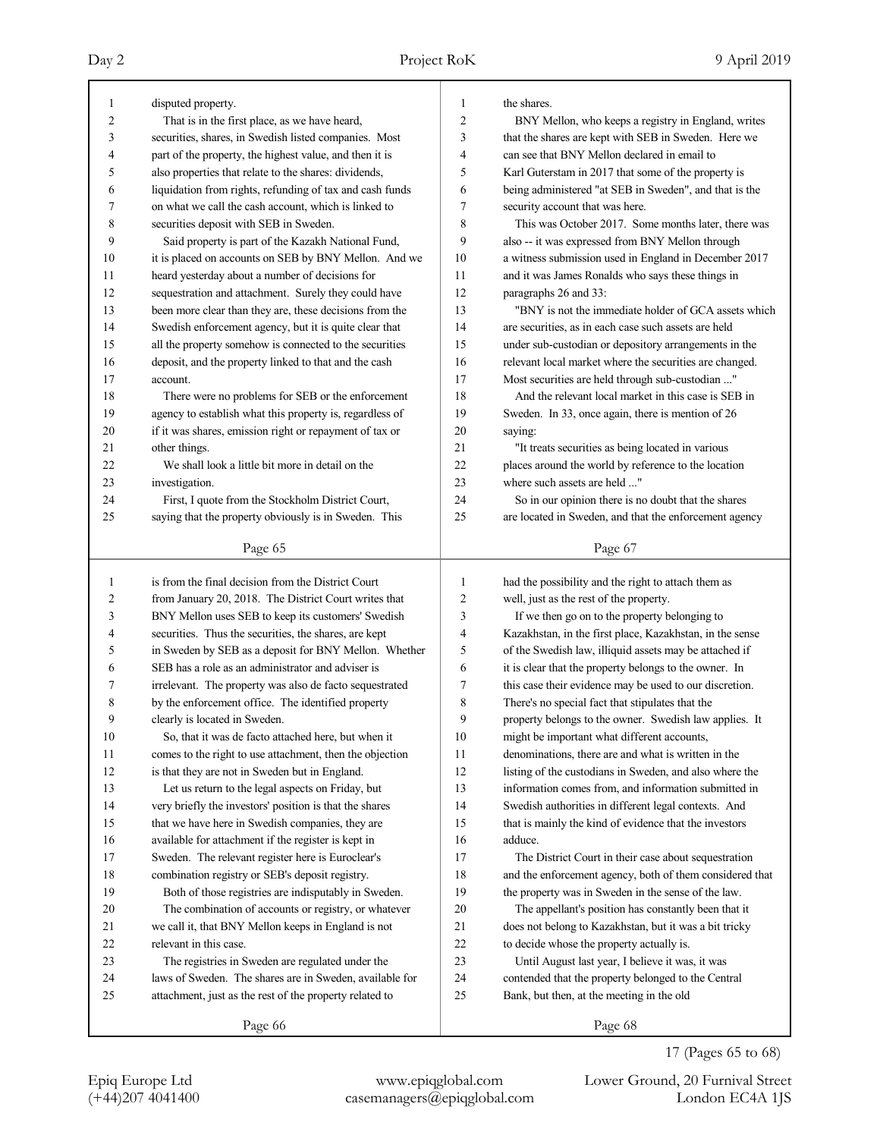| 1              | disputed property.                                       | 1              | the shares.                                              |
|----------------|----------------------------------------------------------|----------------|----------------------------------------------------------|
| $\overline{2}$ | That is in the first place, as we have heard,            | $\overline{2}$ | BNY Mellon, who keeps a registry in England, writes      |
| 3              | securities, shares, in Swedish listed companies. Most    | 3              | that the shares are kept with SEB in Sweden. Here we     |
| 4              | part of the property, the highest value, and then it is  | $\overline{4}$ | can see that BNY Mellon declared in email to             |
| 5              | also properties that relate to the shares: dividends,    | 5              | Karl Guterstam in 2017 that some of the property is      |
| 6              | liquidation from rights, refunding of tax and cash funds | 6              | being administered "at SEB in Sweden", and that is the   |
| 7              | on what we call the cash account, which is linked to     | 7              | security account that was here.                          |
| 8              | securities deposit with SEB in Sweden.                   | 8              | This was October 2017. Some months later, there was      |
| 9              | Said property is part of the Kazakh National Fund,       | 9              | also -- it was expressed from BNY Mellon through         |
| 10             | it is placed on accounts on SEB by BNY Mellon. And we    | 10             | a witness submission used in England in December 2017    |
| 11             | heard yesterday about a number of decisions for          | 11             | and it was James Ronalds who says these things in        |
| 12             | sequestration and attachment. Surely they could have     | 12             | paragraphs 26 and 33:                                    |
| 13             | been more clear than they are, these decisions from the  | 13             | "BNY is not the immediate holder of GCA assets which     |
| 14             | Swedish enforcement agency, but it is quite clear that   | 14             | are securities, as in each case such assets are held     |
| 15             | all the property somehow is connected to the securities  | 15             | under sub-custodian or depository arrangements in the    |
| 16             | deposit, and the property linked to that and the cash    | 16             | relevant local market where the securities are changed.  |
| 17             | account.                                                 | 17             | Most securities are held through sub-custodian "         |
| 18             | There were no problems for SEB or the enforcement        | 18             | And the relevant local market in this case is SEB in     |
| 19             | agency to establish what this property is, regardless of | 19             | Sweden. In 33, once again, there is mention of 26        |
| 20             | if it was shares, emission right or repayment of tax or  | 20             | saying:                                                  |
| 21             | other things.                                            | 21             | "It treats securities as being located in various        |
| 22             | We shall look a little bit more in detail on the         | 22             | places around the world by reference to the location     |
| 23             | investigation.                                           | 23             | where such assets are held "                             |
| 24             | First, I quote from the Stockholm District Court,        | 24             | So in our opinion there is no doubt that the shares      |
| 25             | saying that the property obviously is in Sweden. This    | 25             | are located in Sweden, and that the enforcement agency   |
|                |                                                          |                |                                                          |
|                | Page 65                                                  |                | Page 67                                                  |
|                |                                                          |                |                                                          |
|                |                                                          |                |                                                          |
| 1              | is from the final decision from the District Court       | 1              | had the possibility and the right to attach them as      |
| $\overline{2}$ | from January 20, 2018. The District Court writes that    | $\overline{2}$ | well, just as the rest of the property.                  |
| 3              | BNY Mellon uses SEB to keep its customers' Swedish       | 3              | If we then go on to the property belonging to            |
| 4              | securities. Thus the securities, the shares, are kept    | $\overline{4}$ | Kazakhstan, in the first place, Kazakhstan, in the sense |
| 5              | in Sweden by SEB as a deposit for BNY Mellon. Whether    | 5              | of the Swedish law, illiquid assets may be attached if   |
| 6              | SEB has a role as an administrator and adviser is        | 6              | it is clear that the property belongs to the owner. In   |
| 7              | irrelevant. The property was also de facto sequestrated  | 7              | this case their evidence may be used to our discretion.  |
| 8              | by the enforcement office. The identified property       | 8              | There's no special fact that stipulates that the         |
| 9              | clearly is located in Sweden.                            | 9              | property belongs to the owner. Swedish law applies. It   |
| 10             | So, that it was de facto attached here, but when it      | 10             | might be important what different accounts,              |
| 11             | comes to the right to use attachment, then the objection | 11             | denominations, there are and what is written in the      |
| 12             | is that they are not in Sweden but in England.           | 12             | listing of the custodians in Sweden, and also where the  |
| 13             | Let us return to the legal aspects on Friday, but        | 13             | information comes from, and information submitted in     |
| 14             | very briefly the investors' position is that the shares  | 14             | Swedish authorities in different legal contexts. And     |
| 15             | that we have here in Swedish companies, they are         | 15             | that is mainly the kind of evidence that the investors   |
| 16             | available for attachment if the register is kept in      | 16             | adduce.                                                  |
| 17             | Sweden. The relevant register here is Euroclear's        | 17             | The District Court in their case about sequestration     |
| 18             | combination registry or SEB's deposit registry.          | 18             | and the enforcement agency, both of them considered that |
| 19             | Both of those registries are indisputably in Sweden.     | 19             | the property was in Sweden in the sense of the law.      |
| $20\,$         | The combination of accounts or registry, or whatever     | 20             | The appellant's position has constantly been that it     |
| 21             | we call it, that BNY Mellon keeps in England is not      | 21             | does not belong to Kazakhstan, but it was a bit tricky   |
| 22             | relevant in this case.                                   | 22             | to decide whose the property actually is.                |
| 23             | The registries in Sweden are regulated under the         | 23             | Until August last year, I believe it was, it was         |
| 24             | laws of Sweden. The shares are in Sweden, available for  | 24             | contended that the property belonged to the Central      |
| 25             | attachment, just as the rest of the property related to  | 25             | Bank, but then, at the meeting in the old                |

17 (Pages 65 to 68)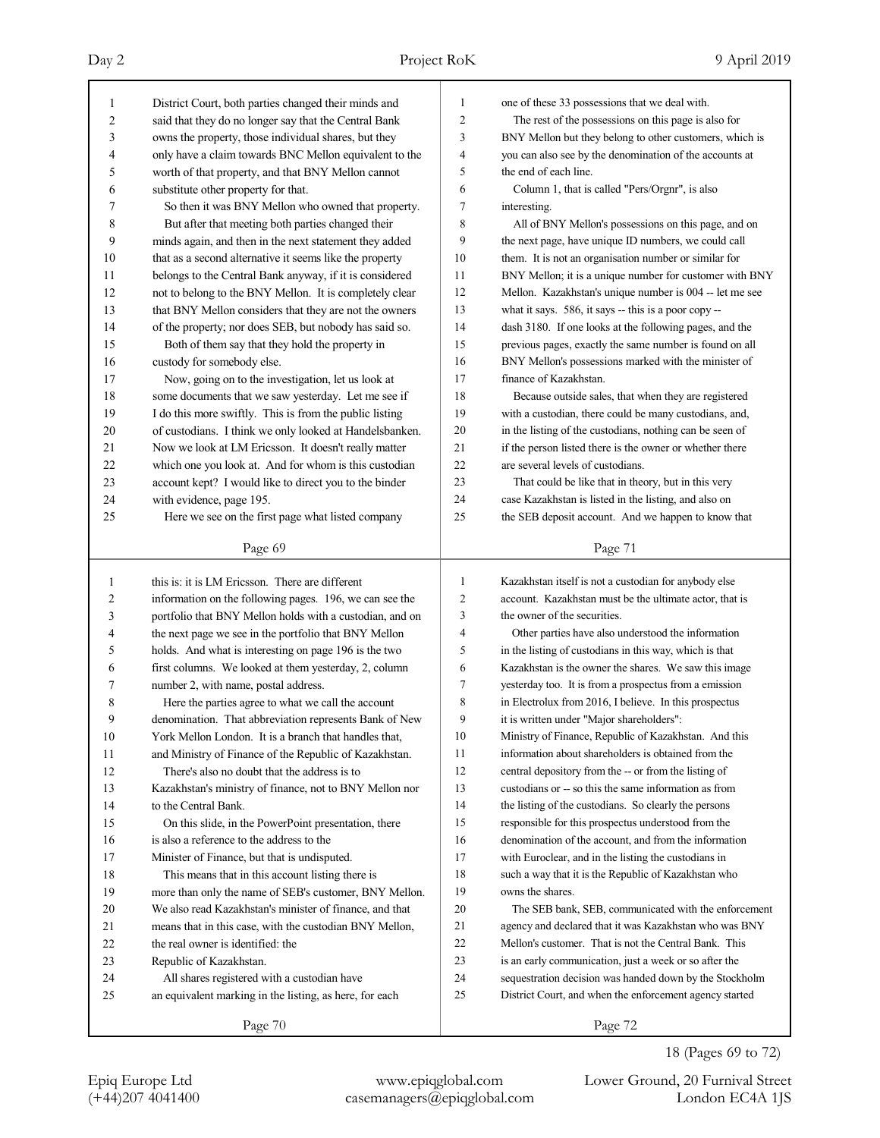$(+44)207$   $4041400$  casemanagers@epiqglobal.com Epiq Europe Ltd www.epiqglobal.com L

| ower Ground, 20 Furnival Street |                 |  |
|---------------------------------|-----------------|--|
|                                 | London EC4A 1JS |  |

18 (Pages 69 to 72)

| 1                       | District Court, both parties changed their minds and                                                                | $\mathbf{1}$     | one of these 33 possessions that we deal with.                                                                 |
|-------------------------|---------------------------------------------------------------------------------------------------------------------|------------------|----------------------------------------------------------------------------------------------------------------|
| $\overline{\mathbf{c}}$ | said that they do no longer say that the Central Bank                                                               | $\sqrt{2}$       | The rest of the possessions on this page is also for                                                           |
| 3                       | owns the property, those individual shares, but they                                                                | $\mathfrak{Z}$   | BNY Mellon but they belong to other customers, which is                                                        |
| 4                       | only have a claim towards BNC Mellon equivalent to the                                                              | 4                | you can also see by the denomination of the accounts at                                                        |
| 5                       | worth of that property, and that BNY Mellon cannot                                                                  | 5                | the end of each line.                                                                                          |
| 6                       | substitute other property for that.                                                                                 | 6                | Column 1, that is called "Pers/Orgnr", is also                                                                 |
| 7                       | So then it was BNY Mellon who owned that property.                                                                  | $\tau$           | interesting.                                                                                                   |
| 8                       | But after that meeting both parties changed their                                                                   | 8                | All of BNY Mellon's possessions on this page, and on                                                           |
| 9                       | minds again, and then in the next statement they added                                                              | 9                | the next page, have unique ID numbers, we could call                                                           |
| 10                      | that as a second alternative it seems like the property                                                             | 10               | them. It is not an organisation number or similar for                                                          |
| 11                      | belongs to the Central Bank anyway, if it is considered                                                             | 11               | BNY Mellon; it is a unique number for customer with BNY                                                        |
| 12                      | not to belong to the BNY Mellon. It is completely clear                                                             | 12               | Mellon. Kazakhstan's unique number is 004 -- let me see                                                        |
| 13                      | that BNY Mellon considers that they are not the owners                                                              | 13               | what it says. 586, it says -- this is a poor copy --                                                           |
| 14                      | of the property; nor does SEB, but nobody has said so.                                                              | 14               | dash 3180. If one looks at the following pages, and the                                                        |
| 15                      | Both of them say that they hold the property in                                                                     | 15               | previous pages, exactly the same number is found on all                                                        |
| 16                      | custody for somebody else.                                                                                          | 16               | BNY Mellon's possessions marked with the minister of                                                           |
| 17                      | Now, going on to the investigation, let us look at                                                                  | 17               | finance of Kazakhstan.                                                                                         |
| 18                      | some documents that we saw yesterday. Let me see if                                                                 | 18               | Because outside sales, that when they are registered                                                           |
| 19                      | I do this more swiftly. This is from the public listing                                                             | 19               | with a custodian, there could be many custodians, and,                                                         |
| 20                      | of custodians. I think we only looked at Handelsbanken.                                                             | 20               | in the listing of the custodians, nothing can be seen of                                                       |
| 21                      | Now we look at LM Ericsson. It doesn't really matter                                                                | 21               | if the person listed there is the owner or whether there                                                       |
| 22                      | which one you look at. And for whom is this custodian                                                               | 22               | are several levels of custodians.                                                                              |
| 23                      | account kept? I would like to direct you to the binder                                                              | 23               | That could be like that in theory, but in this very                                                            |
| 24                      | with evidence, page 195.                                                                                            | 24               | case Kazakhstan is listed in the listing, and also on                                                          |
| 25                      | Here we see on the first page what listed company                                                                   | 25               | the SEB deposit account. And we happen to know that                                                            |
|                         |                                                                                                                     |                  |                                                                                                                |
|                         | Page 69                                                                                                             |                  | Page 71                                                                                                        |
|                         |                                                                                                                     |                  |                                                                                                                |
| $\mathbf{1}$            | this is: it is LM Ericsson. There are different                                                                     | $\mathbf{1}$     | Kazakhstan itself is not a custodian for anybody else                                                          |
| 2                       |                                                                                                                     | $\overline{c}$   | account. Kazakhstan must be the ultimate actor, that is                                                        |
| 3                       | information on the following pages. 196, we can see the<br>portfolio that BNY Mellon holds with a custodian, and on | 3                | the owner of the securities.                                                                                   |
| 4                       | the next page we see in the portfolio that BNY Mellon                                                               | $\overline{4}$   | Other parties have also understood the information                                                             |
| 5                       | holds. And what is interesting on page 196 is the two                                                               | 5                | in the listing of custodians in this way, which is that                                                        |
| 6                       | first columns. We looked at them yesterday, 2, column                                                               | 6                | Kazakhstan is the owner the shares. We saw this image                                                          |
| 7                       | number 2, with name, postal address.                                                                                | $\boldsymbol{7}$ | yesterday too. It is from a prospectus from a emission                                                         |
| 8                       | Here the parties agree to what we call the account                                                                  | 8                | in Electrolux from 2016, I believe. In this prospectus                                                         |
| 9                       | denomination. That abbreviation represents Bank of New                                                              | 9                | it is written under "Major shareholders":                                                                      |
| 10                      | York Mellon London. It is a branch that handles that,                                                               | 10               | Ministry of Finance, Republic of Kazakhstan. And this                                                          |
| 11                      | and Ministry of Finance of the Republic of Kazakhstan.                                                              | 11               | information about shareholders is obtained from the                                                            |
| 12                      | There's also no doubt that the address is to                                                                        | 12               | central depository from the -- or from the listing of                                                          |
| 13                      | Kazakhstan's ministry of finance, not to BNY Mellon nor                                                             | 13               | custodians or -- so this the same information as from                                                          |
| 14                      | to the Central Bank.                                                                                                | 14               | the listing of the custodians. So clearly the persons                                                          |
| 15                      | On this slide, in the PowerPoint presentation, there                                                                | 15               | responsible for this prospectus understood from the                                                            |
| 16                      |                                                                                                                     | 16               |                                                                                                                |
| 17                      | is also a reference to the address to the                                                                           | 17               | denomination of the account, and from the information<br>with Euroclear, and in the listing the custodians in  |
|                         | Minister of Finance, but that is undisputed.                                                                        | 18               |                                                                                                                |
| 18<br>19                | This means that in this account listing there is<br>more than only the name of SEB's customer, BNY Mellon.          | 19               | such a way that it is the Republic of Kazakhstan who<br>owns the shares.                                       |
| 20                      |                                                                                                                     | 20               |                                                                                                                |
| 21                      | We also read Kazakhstan's minister of finance, and that<br>means that in this case, with the custodian BNY Mellon,  | 21               | The SEB bank, SEB, communicated with the enforcement<br>agency and declared that it was Kazakhstan who was BNY |
|                         |                                                                                                                     | 22               | Mellon's customer. That is not the Central Bank. This                                                          |
| 22<br>23                | the real owner is identified: the                                                                                   | 23               | is an early communication, just a week or so after the                                                         |
| 24                      | Republic of Kazakhstan.                                                                                             | 24               | sequestration decision was handed down by the Stockholm                                                        |
| 25                      | All shares registered with a custodian have<br>an equivalent marking in the listing, as here, for each              | 25               | District Court, and when the enforcement agency started                                                        |
|                         | Page 70                                                                                                             |                  | Page 72                                                                                                        |

I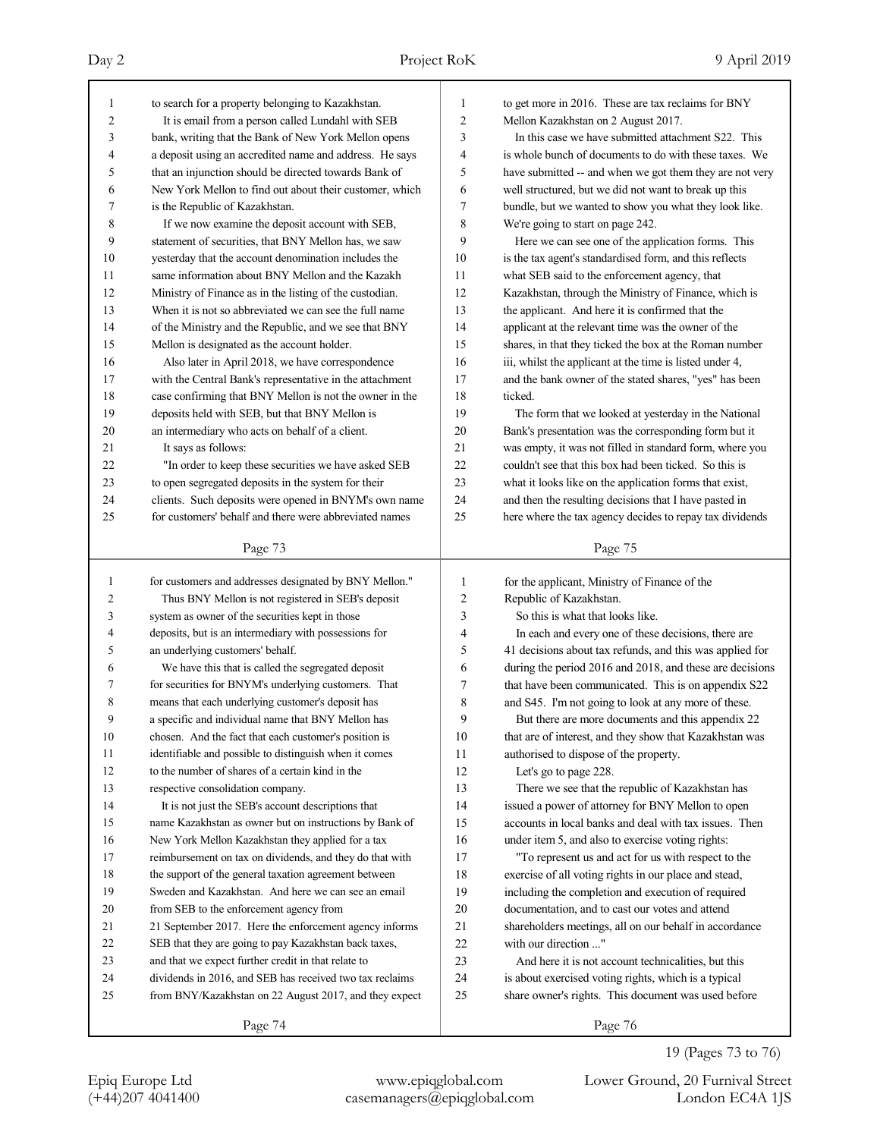| 1              | to search for a property belonging to Kazakhstan.        | 1              | to get more in 2016. These are tax reclaims for BNY      |
|----------------|----------------------------------------------------------|----------------|----------------------------------------------------------|
| 2              | It is email from a person called Lundahl with SEB        | $\overline{c}$ | Mellon Kazakhstan on 2 August 2017.                      |
| 3              | bank, writing that the Bank of New York Mellon opens     | 3              | In this case we have submitted attachment S22. This      |
| 4              | a deposit using an accredited name and address. He says  | 4              | is whole bunch of documents to do with these taxes. We   |
| 5              | that an injunction should be directed towards Bank of    | 5              | have submitted -- and when we got them they are not very |
| 6              | New York Mellon to find out about their customer, which  | 6              | well structured, but we did not want to break up this    |
| 7              | is the Republic of Kazakhstan.                           | 7              | bundle, but we wanted to show you what they look like.   |
| 8              | If we now examine the deposit account with SEB,          | 8              | We're going to start on page 242.                        |
| 9              | statement of securities, that BNY Mellon has, we saw     | 9              | Here we can see one of the application forms. This       |
| 10             | yesterday that the account denomination includes the     | 10             | is the tax agent's standardised form, and this reflects  |
| 11             | same information about BNY Mellon and the Kazakh         | 11             | what SEB said to the enforcement agency, that            |
| 12             | Ministry of Finance as in the listing of the custodian.  | 12             | Kazakhstan, through the Ministry of Finance, which is    |
| 13             | When it is not so abbreviated we can see the full name   | 13             | the applicant. And here it is confirmed that the         |
| 14             | of the Ministry and the Republic, and we see that BNY    | 14             | applicant at the relevant time was the owner of the      |
| 15             | Mellon is designated as the account holder.              | 15             | shares, in that they ticked the box at the Roman number  |
| 16             | Also later in April 2018, we have correspondence         | 16             | iii, whilst the applicant at the time is listed under 4, |
| 17             | with the Central Bank's representative in the attachment | 17             | and the bank owner of the stated shares, "yes" has been  |
| 18             | case confirming that BNY Mellon is not the owner in the  | 18             | ticked.                                                  |
| 19             | deposits held with SEB, but that BNY Mellon is           | 19             | The form that we looked at yesterday in the National     |
| 20             | an intermediary who acts on behalf of a client.          | 20             | Bank's presentation was the corresponding form but it    |
| 21             | It says as follows:                                      | 21             | was empty, it was not filled in standard form, where you |
| 22             | "In order to keep these securities we have asked SEB     | 22             | couldn't see that this box had been ticked. So this is   |
| 23             | to open segregated deposits in the system for their      | 23             | what it looks like on the application forms that exist,  |
| 24             | clients. Such deposits were opened in BNYM's own name    | 24             | and then the resulting decisions that I have pasted in   |
| 25             | for customers' behalf and there were abbreviated names   | 25             | here where the tax agency decides to repay tax dividends |
|                |                                                          |                |                                                          |
|                | Page 73                                                  |                | Page 75                                                  |
|                |                                                          |                |                                                          |
|                |                                                          |                |                                                          |
| $\mathbf{1}$   | for customers and addresses designated by BNY Mellon."   | $\mathbf{1}$   | for the applicant, Ministry of Finance of the            |
| $\overline{c}$ | Thus BNY Mellon is not registered in SEB's deposit       | $\overline{2}$ | Republic of Kazakhstan.                                  |
| 3              | system as owner of the securities kept in those          | 3              | So this is what that looks like.                         |
| 4              | deposits, but is an intermediary with possessions for    | $\overline{4}$ | In each and every one of these decisions, there are      |
| 5              | an underlying customers' behalf.                         | 5              | 41 decisions about tax refunds, and this was applied for |
| 6              | We have this that is called the segregated deposit       | 6              | during the period 2016 and 2018, and these are decisions |
| 7              | for securities for BNYM's underlying customers. That     | $\tau$         | that have been communicated. This is on appendix S22     |
| 8              | means that each underlying customer's deposit has        | 8              | and S45. I'm not going to look at any more of these.     |
| 9              | a specific and individual name that BNY Mellon has       | 9              | But there are more documents and this appendix 22        |
| 10             | chosen. And the fact that each customer's position is    | 10             | that are of interest, and they show that Kazakhstan was  |
| 11             | identifiable and possible to distinguish when it comes   | 11             | authorised to dispose of the property.                   |
| 12             | to the number of shares of a certain kind in the         | 12             | Let's go to page 228.                                    |
| 13             | respective consolidation company.                        | 13             | There we see that the republic of Kazakhstan has         |
| 14             | It is not just the SEB's account descriptions that       | 14             | issued a power of attorney for BNY Mellon to open        |
| 15             | name Kazakhstan as owner but on instructions by Bank of  | 15             | accounts in local banks and deal with tax issues. Then   |
| 16             | New York Mellon Kazakhstan they applied for a tax        | 16             | under item 5, and also to exercise voting rights:        |
| 17             | reimbursement on tax on dividends, and they do that with | 17             | "To represent us and act for us with respect to the      |
| $18\,$         | the support of the general taxation agreement between    | 18             | exercise of all voting rights in our place and stead,    |
| 19             | Sweden and Kazakhstan. And here we can see an email      | 19             | including the completion and execution of required       |
| 20             | from SEB to the enforcement agency from                  | 20             | documentation, and to cast our votes and attend          |
| 21             | 21 September 2017. Here the enforcement agency informs   | 21             | shareholders meetings, all on our behalf in accordance   |
| 22             | SEB that they are going to pay Kazakhstan back taxes,    | 22             | with our direction "                                     |
| 23             | and that we expect further credit in that relate to      | 23             | And here it is not account technicalities, but this      |
| 24             | dividends in 2016, and SEB has received two tax reclaims | 24             | is about exercised voting rights, which is a typical     |
| 25             | from BNY/Kazakhstan on 22 August 2017, and they expect   | 25             | share owner's rights. This document was used before      |
|                | Page 74                                                  |                | Page 76                                                  |

19 (Pages 73 to 76)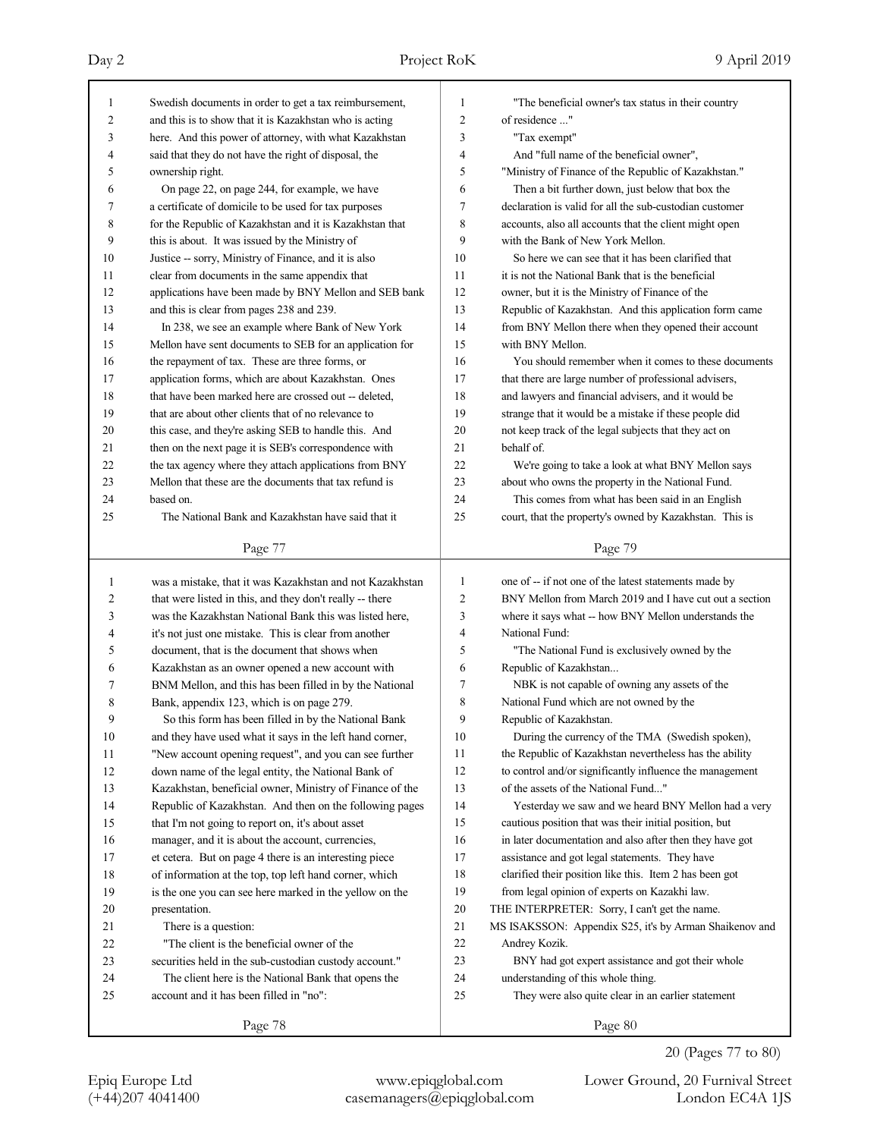(+44)207 4041400 casemanagers@epiqglobal.com London EC4A 1JS

# Epiq Europe Ltd www.epiqglobal.com Lower Ground, 20 Furnival Street

20 (Pages 77 to 80)

| 1              | Swedish documents in order to get a tax reimbursement,                                                           | 1                   | "The beneficial owner's tax status in their country                                                              |
|----------------|------------------------------------------------------------------------------------------------------------------|---------------------|------------------------------------------------------------------------------------------------------------------|
| $\overline{2}$ | and this is to show that it is Kazakhstan who is acting                                                          | $\overline{c}$      | of residence "                                                                                                   |
| 3              | here. And this power of attorney, with what Kazakhstan                                                           | 3                   | "Tax exempt"                                                                                                     |
| 4              | said that they do not have the right of disposal, the                                                            | $\overline{4}$      | And "full name of the beneficial owner",                                                                         |
| 5              | ownership right.                                                                                                 | 5                   | "Ministry of Finance of the Republic of Kazakhstan."                                                             |
| 6              | On page 22, on page 244, for example, we have                                                                    | 6                   | Then a bit further down, just below that box the                                                                 |
| 7              | a certificate of domicile to be used for tax purposes                                                            | 7                   | declaration is valid for all the sub-custodian customer                                                          |
| 8              | for the Republic of Kazakhstan and it is Kazakhstan that                                                         | 8                   | accounts, also all accounts that the client might open                                                           |
| 9              | this is about. It was issued by the Ministry of                                                                  | 9                   | with the Bank of New York Mellon.                                                                                |
| 10             | Justice -- sorry, Ministry of Finance, and it is also                                                            | 10                  | So here we can see that it has been clarified that                                                               |
| 11             | clear from documents in the same appendix that                                                                   | 11<br>12            | it is not the National Bank that is the beneficial                                                               |
| 12             | applications have been made by BNY Mellon and SEB bank                                                           | 13                  | owner, but it is the Ministry of Finance of the<br>Republic of Kazakhstan. And this application form came        |
| 13             | and this is clear from pages 238 and 239.                                                                        | 14                  |                                                                                                                  |
| 14             | In 238, we see an example where Bank of New York                                                                 | 15                  | from BNY Mellon there when they opened their account<br>with BNY Mellon.                                         |
| 15             | Mellon have sent documents to SEB for an application for                                                         | 16                  | You should remember when it comes to these documents                                                             |
| 16<br>17       | the repayment of tax. These are three forms, or<br>application forms, which are about Kazakhstan. Ones           | 17                  |                                                                                                                  |
| 18             | that have been marked here are crossed out -- deleted.                                                           | 18                  | that there are large number of professional advisers,                                                            |
| 19             | that are about other clients that of no relevance to                                                             | 19                  | and lawyers and financial advisers, and it would be<br>strange that it would be a mistake if these people did    |
| 20             | this case, and they're asking SEB to handle this. And                                                            | 20                  | not keep track of the legal subjects that they act on                                                            |
| 21             | then on the next page it is SEB's correspondence with                                                            | 21                  | behalf of.                                                                                                       |
| 22             | the tax agency where they attach applications from BNY                                                           | 22                  | We're going to take a look at what BNY Mellon says                                                               |
| 23             | Mellon that these are the documents that tax refund is                                                           | 23                  | about who owns the property in the National Fund.                                                                |
| 24             | based on.                                                                                                        | 24                  | This comes from what has been said in an English                                                                 |
| 25             | The National Bank and Kazakhstan have said that it                                                               | 25                  | court, that the property's owned by Kazakhstan. This is                                                          |
|                |                                                                                                                  |                     |                                                                                                                  |
|                | Page 77                                                                                                          |                     | Page 79                                                                                                          |
|                |                                                                                                                  |                     |                                                                                                                  |
|                |                                                                                                                  |                     |                                                                                                                  |
| 1              | was a mistake, that it was Kazakhstan and not Kazakhstan                                                         | $\mathbf{1}$        | one of -- if not one of the latest statements made by<br>BNY Mellon from March 2019 and I have cut out a section |
| 2              | that were listed in this, and they don't really -- there                                                         | $\overline{c}$<br>3 |                                                                                                                  |
| 3<br>4         | was the Kazakhstan National Bank this was listed here,                                                           | $\overline{4}$      | where it says what -- how BNY Mellon understands the<br>National Fund:                                           |
| 5              | it's not just one mistake. This is clear from another<br>document, that is the document that shows when          | 5                   |                                                                                                                  |
| 6              |                                                                                                                  | 6                   | "The National Fund is exclusively owned by the                                                                   |
| 7              | Kazakhstan as an owner opened a new account with<br>BNM Mellon, and this has been filled in by the National      | 7                   | Republic of Kazakhstan                                                                                           |
| 8              |                                                                                                                  | 8                   | NBK is not capable of owning any assets of the<br>National Fund which are not owned by the                       |
| 9              | Bank, appendix 123, which is on page 279.                                                                        | 9                   | Republic of Kazakhstan.                                                                                          |
|                | So this form has been filled in by the National Bank<br>and they have used what it says in the left hand corner, | $10\,$              | During the currency of the TMA (Swedish spoken),                                                                 |
| $10\,$<br>11   | "New account opening request", and you can see further                                                           | 11                  | the Republic of Kazakhstan nevertheless has the ability                                                          |
| 12             | down name of the legal entity, the National Bank of                                                              | 12                  | to control and/or significantly influence the management                                                         |
| 13             | Kazakhstan, beneficial owner, Ministry of Finance of the                                                         | 13                  | of the assets of the National Fund"                                                                              |
| 14             | Republic of Kazakhstan. And then on the following pages                                                          | 14                  | Yesterday we saw and we heard BNY Mellon had a very                                                              |
| 15             | that I'm not going to report on, it's about asset                                                                | 15                  | cautious position that was their initial position, but                                                           |
| 16             | manager, and it is about the account, currencies,                                                                | 16                  | in later documentation and also after then they have got                                                         |
| 17             | et cetera. But on page 4 there is an interesting piece                                                           | 17                  | assistance and got legal statements. They have                                                                   |
| 18             | of information at the top, top left hand corner, which                                                           | 18                  | clarified their position like this. Item 2 has been got                                                          |
| 19             | is the one you can see here marked in the yellow on the                                                          | 19                  | from legal opinion of experts on Kazakhi law.                                                                    |
| 20             | presentation.                                                                                                    | 20                  | THE INTERPRETER: Sorry, I can't get the name.                                                                    |
| 21             | There is a question:                                                                                             | 21                  | MS ISAKSSON: Appendix S25, it's by Arman Shaikenov and                                                           |
| 22             | "The client is the beneficial owner of the                                                                       | $22\,$              | Andrey Kozik.                                                                                                    |
| 23             | securities held in the sub-custodian custody account."                                                           | 23                  | BNY had got expert assistance and got their whole                                                                |
| 24             | The client here is the National Bank that opens the                                                              | 24                  | understanding of this whole thing.                                                                               |
| 25             | account and it has been filled in "no":                                                                          | 25                  | They were also quite clear in an earlier statement                                                               |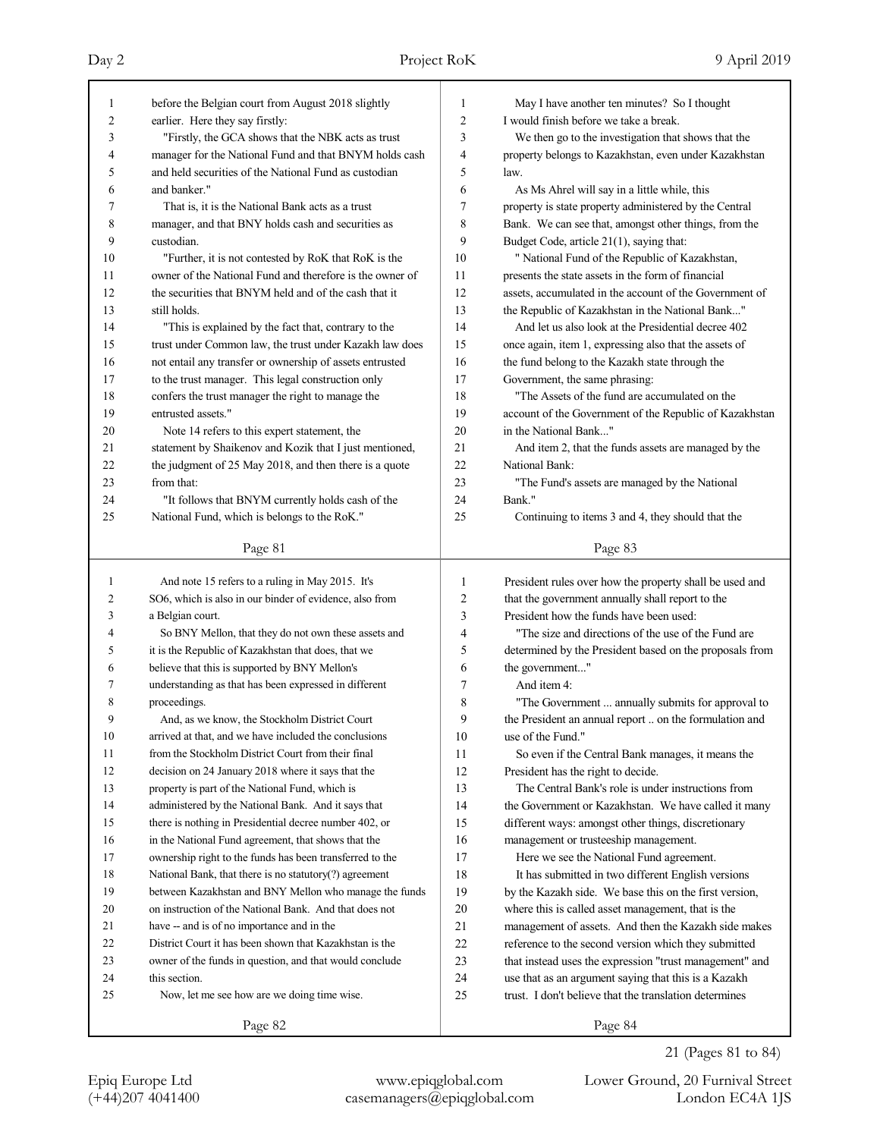| 1<br>2<br>3<br>4<br>5<br>6<br>7<br>8<br>9<br>10<br>11<br>12<br>13<br>14<br>15<br>16<br>17<br>18 | before the Belgian court from August 2018 slightly<br>earlier. Here they say firstly:<br>"Firstly, the GCA shows that the NBK acts as trust<br>manager for the National Fund and that BNYM holds cash<br>and held securities of the National Fund as custodian<br>and banker."<br>That is, it is the National Bank acts as a trust<br>manager, and that BNY holds cash and securities as<br>custodian.<br>"Further, it is not contested by RoK that RoK is the<br>owner of the National Fund and therefore is the owner of<br>the securities that BNYM held and of the cash that it<br>still holds.<br>"This is explained by the fact that, contrary to the<br>trust under Common law, the trust under Kazakh law does<br>not entail any transfer or ownership of assets entrusted<br>to the trust manager. This legal construction only<br>confers the trust manager the right to manage the | 1<br>2<br>3<br>4<br>5<br>6<br>7<br>8<br>9<br>10<br>11<br>12<br>13<br>14<br>15<br>16<br>17<br>18 | May I have another ten minutes? So I thought<br>I would finish before we take a break.<br>We then go to the investigation that shows that the<br>property belongs to Kazakhstan, even under Kazakhstan<br>law.<br>As Ms Ahrel will say in a little while, this<br>property is state property administered by the Central<br>Bank. We can see that, amongst other things, from the<br>Budget Code, article 21(1), saying that:<br>" National Fund of the Republic of Kazakhstan,<br>presents the state assets in the form of financial<br>assets, accumulated in the account of the Government of<br>the Republic of Kazakhstan in the National Bank"<br>And let us also look at the Presidential decree 402<br>once again, item 1, expressing also that the assets of<br>the fund belong to the Kazakh state through the<br>Government, the same phrasing:<br>"The Assets of the fund are accumulated on the |
|-------------------------------------------------------------------------------------------------|-----------------------------------------------------------------------------------------------------------------------------------------------------------------------------------------------------------------------------------------------------------------------------------------------------------------------------------------------------------------------------------------------------------------------------------------------------------------------------------------------------------------------------------------------------------------------------------------------------------------------------------------------------------------------------------------------------------------------------------------------------------------------------------------------------------------------------------------------------------------------------------------------|-------------------------------------------------------------------------------------------------|--------------------------------------------------------------------------------------------------------------------------------------------------------------------------------------------------------------------------------------------------------------------------------------------------------------------------------------------------------------------------------------------------------------------------------------------------------------------------------------------------------------------------------------------------------------------------------------------------------------------------------------------------------------------------------------------------------------------------------------------------------------------------------------------------------------------------------------------------------------------------------------------------------------|
| 19                                                                                              | entrusted assets."                                                                                                                                                                                                                                                                                                                                                                                                                                                                                                                                                                                                                                                                                                                                                                                                                                                                            | 19                                                                                              | account of the Government of the Republic of Kazakhstan                                                                                                                                                                                                                                                                                                                                                                                                                                                                                                                                                                                                                                                                                                                                                                                                                                                      |
| 20                                                                                              | Note 14 refers to this expert statement, the                                                                                                                                                                                                                                                                                                                                                                                                                                                                                                                                                                                                                                                                                                                                                                                                                                                  | 20                                                                                              | in the National Bank"                                                                                                                                                                                                                                                                                                                                                                                                                                                                                                                                                                                                                                                                                                                                                                                                                                                                                        |
| 21                                                                                              | statement by Shaikenov and Kozik that I just mentioned,                                                                                                                                                                                                                                                                                                                                                                                                                                                                                                                                                                                                                                                                                                                                                                                                                                       | 21                                                                                              | And item 2, that the funds assets are managed by the                                                                                                                                                                                                                                                                                                                                                                                                                                                                                                                                                                                                                                                                                                                                                                                                                                                         |
| 22                                                                                              | the judgment of 25 May 2018, and then there is a quote                                                                                                                                                                                                                                                                                                                                                                                                                                                                                                                                                                                                                                                                                                                                                                                                                                        | 22                                                                                              | National Bank:                                                                                                                                                                                                                                                                                                                                                                                                                                                                                                                                                                                                                                                                                                                                                                                                                                                                                               |
| 23                                                                                              | from that:                                                                                                                                                                                                                                                                                                                                                                                                                                                                                                                                                                                                                                                                                                                                                                                                                                                                                    | 23                                                                                              | "The Fund's assets are managed by the National                                                                                                                                                                                                                                                                                                                                                                                                                                                                                                                                                                                                                                                                                                                                                                                                                                                               |
| 24                                                                                              | "It follows that BNYM currently holds cash of the                                                                                                                                                                                                                                                                                                                                                                                                                                                                                                                                                                                                                                                                                                                                                                                                                                             | 24                                                                                              | Bank."                                                                                                                                                                                                                                                                                                                                                                                                                                                                                                                                                                                                                                                                                                                                                                                                                                                                                                       |
| 25                                                                                              | National Fund, which is belongs to the RoK."                                                                                                                                                                                                                                                                                                                                                                                                                                                                                                                                                                                                                                                                                                                                                                                                                                                  | 25                                                                                              | Continuing to items 3 and 4, they should that the                                                                                                                                                                                                                                                                                                                                                                                                                                                                                                                                                                                                                                                                                                                                                                                                                                                            |
|                                                                                                 | Page 81                                                                                                                                                                                                                                                                                                                                                                                                                                                                                                                                                                                                                                                                                                                                                                                                                                                                                       |                                                                                                 | Page 83                                                                                                                                                                                                                                                                                                                                                                                                                                                                                                                                                                                                                                                                                                                                                                                                                                                                                                      |
|                                                                                                 |                                                                                                                                                                                                                                                                                                                                                                                                                                                                                                                                                                                                                                                                                                                                                                                                                                                                                               |                                                                                                 |                                                                                                                                                                                                                                                                                                                                                                                                                                                                                                                                                                                                                                                                                                                                                                                                                                                                                                              |
| 1                                                                                               | And note 15 refers to a ruling in May 2015. It's                                                                                                                                                                                                                                                                                                                                                                                                                                                                                                                                                                                                                                                                                                                                                                                                                                              | 1                                                                                               | President rules over how the property shall be used and                                                                                                                                                                                                                                                                                                                                                                                                                                                                                                                                                                                                                                                                                                                                                                                                                                                      |
| $\overline{c}$                                                                                  | SO6, which is also in our binder of evidence, also from                                                                                                                                                                                                                                                                                                                                                                                                                                                                                                                                                                                                                                                                                                                                                                                                                                       | 2                                                                                               | that the government annually shall report to the                                                                                                                                                                                                                                                                                                                                                                                                                                                                                                                                                                                                                                                                                                                                                                                                                                                             |
| 3                                                                                               | a Belgian court.                                                                                                                                                                                                                                                                                                                                                                                                                                                                                                                                                                                                                                                                                                                                                                                                                                                                              | 3                                                                                               | President how the funds have been used:                                                                                                                                                                                                                                                                                                                                                                                                                                                                                                                                                                                                                                                                                                                                                                                                                                                                      |
| 4                                                                                               | So BNY Mellon, that they do not own these assets and                                                                                                                                                                                                                                                                                                                                                                                                                                                                                                                                                                                                                                                                                                                                                                                                                                          | 4                                                                                               | "The size and directions of the use of the Fund are                                                                                                                                                                                                                                                                                                                                                                                                                                                                                                                                                                                                                                                                                                                                                                                                                                                          |
| 5                                                                                               | it is the Republic of Kazakhstan that does, that we                                                                                                                                                                                                                                                                                                                                                                                                                                                                                                                                                                                                                                                                                                                                                                                                                                           | 5                                                                                               | determined by the President based on the proposals from                                                                                                                                                                                                                                                                                                                                                                                                                                                                                                                                                                                                                                                                                                                                                                                                                                                      |
| 6                                                                                               | believe that this is supported by BNY Mellon's                                                                                                                                                                                                                                                                                                                                                                                                                                                                                                                                                                                                                                                                                                                                                                                                                                                | 6                                                                                               | the government"                                                                                                                                                                                                                                                                                                                                                                                                                                                                                                                                                                                                                                                                                                                                                                                                                                                                                              |
| 7                                                                                               | understanding as that has been expressed in different                                                                                                                                                                                                                                                                                                                                                                                                                                                                                                                                                                                                                                                                                                                                                                                                                                         | 7                                                                                               | And item 4:                                                                                                                                                                                                                                                                                                                                                                                                                                                                                                                                                                                                                                                                                                                                                                                                                                                                                                  |
| 8                                                                                               | proceedings.                                                                                                                                                                                                                                                                                                                                                                                                                                                                                                                                                                                                                                                                                                                                                                                                                                                                                  | 8                                                                                               | "The Government  annually submits for approval to                                                                                                                                                                                                                                                                                                                                                                                                                                                                                                                                                                                                                                                                                                                                                                                                                                                            |
| 9                                                                                               | And, as we know, the Stockholm District Court                                                                                                                                                                                                                                                                                                                                                                                                                                                                                                                                                                                                                                                                                                                                                                                                                                                 | 9                                                                                               | the President an annual report  on the formulation and                                                                                                                                                                                                                                                                                                                                                                                                                                                                                                                                                                                                                                                                                                                                                                                                                                                       |
| $10\,$                                                                                          | arrived at that, and we have included the conclusions                                                                                                                                                                                                                                                                                                                                                                                                                                                                                                                                                                                                                                                                                                                                                                                                                                         | 10                                                                                              | use of the Fund."                                                                                                                                                                                                                                                                                                                                                                                                                                                                                                                                                                                                                                                                                                                                                                                                                                                                                            |
| 11                                                                                              | from the Stockholm District Court from their final                                                                                                                                                                                                                                                                                                                                                                                                                                                                                                                                                                                                                                                                                                                                                                                                                                            | 11                                                                                              | So even if the Central Bank manages, it means the                                                                                                                                                                                                                                                                                                                                                                                                                                                                                                                                                                                                                                                                                                                                                                                                                                                            |
| 12                                                                                              | decision on 24 January 2018 where it says that the                                                                                                                                                                                                                                                                                                                                                                                                                                                                                                                                                                                                                                                                                                                                                                                                                                            | 12                                                                                              | President has the right to decide.                                                                                                                                                                                                                                                                                                                                                                                                                                                                                                                                                                                                                                                                                                                                                                                                                                                                           |
| 13                                                                                              | property is part of the National Fund, which is                                                                                                                                                                                                                                                                                                                                                                                                                                                                                                                                                                                                                                                                                                                                                                                                                                               | 13                                                                                              | The Central Bank's role is under instructions from                                                                                                                                                                                                                                                                                                                                                                                                                                                                                                                                                                                                                                                                                                                                                                                                                                                           |
| 14                                                                                              | administered by the National Bank. And it says that                                                                                                                                                                                                                                                                                                                                                                                                                                                                                                                                                                                                                                                                                                                                                                                                                                           | 14                                                                                              | the Government or Kazakhstan. We have called it many                                                                                                                                                                                                                                                                                                                                                                                                                                                                                                                                                                                                                                                                                                                                                                                                                                                         |
| 15                                                                                              | there is nothing in Presidential decree number 402, or                                                                                                                                                                                                                                                                                                                                                                                                                                                                                                                                                                                                                                                                                                                                                                                                                                        | 15                                                                                              | different ways: amongst other things, discretionary                                                                                                                                                                                                                                                                                                                                                                                                                                                                                                                                                                                                                                                                                                                                                                                                                                                          |
| 16                                                                                              | in the National Fund agreement, that shows that the                                                                                                                                                                                                                                                                                                                                                                                                                                                                                                                                                                                                                                                                                                                                                                                                                                           | 16                                                                                              | management or trusteeship management.                                                                                                                                                                                                                                                                                                                                                                                                                                                                                                                                                                                                                                                                                                                                                                                                                                                                        |
| 17                                                                                              | ownership right to the funds has been transferred to the                                                                                                                                                                                                                                                                                                                                                                                                                                                                                                                                                                                                                                                                                                                                                                                                                                      | 17                                                                                              | Here we see the National Fund agreement.                                                                                                                                                                                                                                                                                                                                                                                                                                                                                                                                                                                                                                                                                                                                                                                                                                                                     |
| 18                                                                                              | National Bank, that there is no statutory(?) agreement                                                                                                                                                                                                                                                                                                                                                                                                                                                                                                                                                                                                                                                                                                                                                                                                                                        | $18\,$                                                                                          | It has submitted in two different English versions                                                                                                                                                                                                                                                                                                                                                                                                                                                                                                                                                                                                                                                                                                                                                                                                                                                           |
| 19                                                                                              | between Kazakhstan and BNY Mellon who manage the funds                                                                                                                                                                                                                                                                                                                                                                                                                                                                                                                                                                                                                                                                                                                                                                                                                                        | 19                                                                                              | by the Kazakh side. We base this on the first version,                                                                                                                                                                                                                                                                                                                                                                                                                                                                                                                                                                                                                                                                                                                                                                                                                                                       |
| 20                                                                                              | on instruction of the National Bank. And that does not                                                                                                                                                                                                                                                                                                                                                                                                                                                                                                                                                                                                                                                                                                                                                                                                                                        | 20                                                                                              | where this is called asset management, that is the                                                                                                                                                                                                                                                                                                                                                                                                                                                                                                                                                                                                                                                                                                                                                                                                                                                           |
| 21                                                                                              | have -- and is of no importance and in the                                                                                                                                                                                                                                                                                                                                                                                                                                                                                                                                                                                                                                                                                                                                                                                                                                                    | 21                                                                                              | management of assets. And then the Kazakh side makes                                                                                                                                                                                                                                                                                                                                                                                                                                                                                                                                                                                                                                                                                                                                                                                                                                                         |
| 22                                                                                              | District Court it has been shown that Kazakhstan is the                                                                                                                                                                                                                                                                                                                                                                                                                                                                                                                                                                                                                                                                                                                                                                                                                                       | 22                                                                                              | reference to the second version which they submitted                                                                                                                                                                                                                                                                                                                                                                                                                                                                                                                                                                                                                                                                                                                                                                                                                                                         |
| 23                                                                                              | owner of the funds in question, and that would conclude                                                                                                                                                                                                                                                                                                                                                                                                                                                                                                                                                                                                                                                                                                                                                                                                                                       | 23                                                                                              | that instead uses the expression "trust management" and                                                                                                                                                                                                                                                                                                                                                                                                                                                                                                                                                                                                                                                                                                                                                                                                                                                      |
| 24                                                                                              | this section.                                                                                                                                                                                                                                                                                                                                                                                                                                                                                                                                                                                                                                                                                                                                                                                                                                                                                 | 24                                                                                              | use that as an argument saying that this is a Kazakh                                                                                                                                                                                                                                                                                                                                                                                                                                                                                                                                                                                                                                                                                                                                                                                                                                                         |
| 25                                                                                              | Now, let me see how are we doing time wise.                                                                                                                                                                                                                                                                                                                                                                                                                                                                                                                                                                                                                                                                                                                                                                                                                                                   | 25                                                                                              | trust. I don't believe that the translation determines                                                                                                                                                                                                                                                                                                                                                                                                                                                                                                                                                                                                                                                                                                                                                                                                                                                       |

21 (Pages 81 to 84)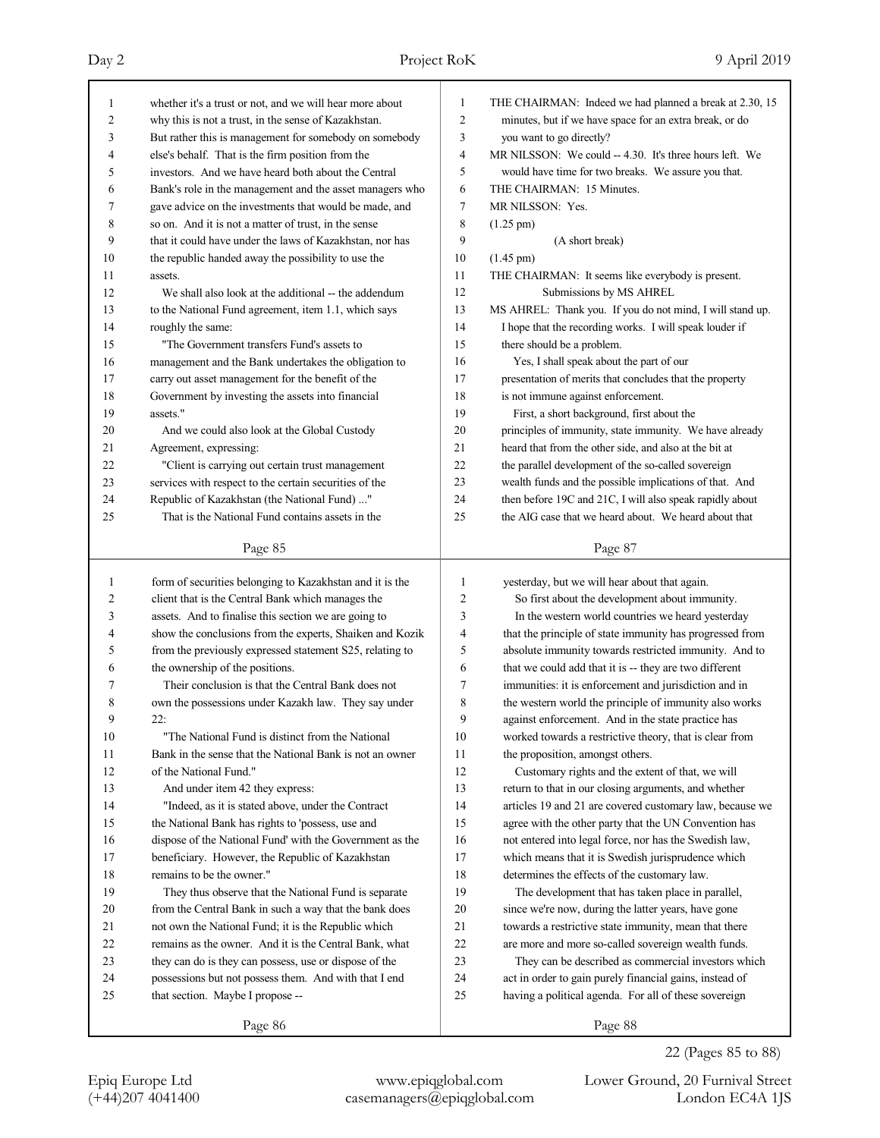| 1                       | whether it's a trust or not, and we will hear more about | $\mathbf{1}$   | THE CHAIRMAN: Indeed we had planned a break at 2.30, 15   |
|-------------------------|----------------------------------------------------------|----------------|-----------------------------------------------------------|
| $\overline{\mathbf{c}}$ | why this is not a trust, in the sense of Kazakhstan.     | $\overline{2}$ | minutes, but if we have space for an extra break, or do   |
| 3                       | But rather this is management for somebody on somebody   | 3              | you want to go directly?                                  |
| 4                       | else's behalf. That is the firm position from the        | 4              | MR NILSSON: We could --4.30. It's three hours left. We    |
| 5                       | investors. And we have heard both about the Central      | 5              | would have time for two breaks. We assure you that.       |
| 6                       | Bank's role in the management and the asset managers who | 6              | THE CHAIRMAN: 15 Minutes.                                 |
| 7                       | gave advice on the investments that would be made, and   | 7              | MR NILSSON: Yes.                                          |
| 8                       | so on. And it is not a matter of trust, in the sense     | 8              | $(1.25 \text{ pm})$                                       |
| 9                       | that it could have under the laws of Kazakhstan, nor has | 9              | (A short break)                                           |
| 10                      | the republic handed away the possibility to use the      | 10             | $(1.45 \text{ pm})$                                       |
| 11                      | assets.                                                  | 11             | THE CHAIRMAN: It seems like everybody is present.         |
| 12                      | We shall also look at the additional -- the addendum     | 12             | Submissions by MS AHREL                                   |
| 13                      | to the National Fund agreement, item 1.1, which says     | 13             | MS AHREL: Thank you. If you do not mind, I will stand up. |
| 14                      | roughly the same:                                        | 14             | I hope that the recording works. I will speak louder if   |
| 15                      | "The Government transfers Fund's assets to               | 15             | there should be a problem.                                |
| 16                      | management and the Bank undertakes the obligation to     | 16             | Yes, I shall speak about the part of our                  |
| 17                      | carry out asset management for the benefit of the        | 17             | presentation of merits that concludes that the property   |
| 18                      | Government by investing the assets into financial        | 18             | is not immune against enforcement.                        |
| 19                      | assets."                                                 | 19             | First, a short background, first about the                |
| 20                      | And we could also look at the Global Custody             | 20             | principles of immunity, state immunity. We have already   |
| 21                      | Agreement, expressing:                                   | 21             | heard that from the other side, and also at the bit at    |
| 22                      | "Client is carrying out certain trust management         | 22             | the parallel development of the so-called sovereign       |
| 23                      | services with respect to the certain securities of the   | 23             | wealth funds and the possible implications of that. And   |
| 24                      | Republic of Kazakhstan (the National Fund) "             | 24             | then before 19C and 21C, I will also speak rapidly about  |
| 25                      | That is the National Fund contains assets in the         | 25             | the AIG case that we heard about. We heard about that     |
|                         |                                                          |                |                                                           |
|                         | Page 85                                                  |                | Page 87                                                   |
|                         |                                                          |                |                                                           |
|                         |                                                          |                |                                                           |
| 1                       | form of securities belonging to Kazakhstan and it is the | 1              | yesterday, but we will hear about that again.             |
| 2                       | client that is the Central Bank which manages the        | $\overline{2}$ | So first about the development about immunity.            |
| 3                       | assets. And to finalise this section we are going to     | 3              | In the western world countries we heard yesterday         |
| 4                       | show the conclusions from the experts, Shaiken and Kozik | $\overline{4}$ | that the principle of state immunity has progressed from  |
| 5                       | from the previously expressed statement S25, relating to | 5              | absolute immunity towards restricted immunity. And to     |
| 6                       | the ownership of the positions.                          | 6              | that we could add that it is -- they are two different    |
| 7                       | Their conclusion is that the Central Bank does not       | 7              | immunities: it is enforcement and jurisdiction and in     |
| 8                       | own the possessions under Kazakh law. They say under     | 8              | the western world the principle of immunity also works    |
| 9                       | 22:                                                      | 9              | against enforcement. And in the state practice has        |
| $10\,$                  | "The National Fund is distinct from the National         | 10             | worked towards a restrictive theory, that is clear from   |
| 11                      | Bank in the sense that the National Bank is not an owner | 11             | the proposition, amongst others.                          |
| 12                      | of the National Fund."                                   | 12             | Customary rights and the extent of that, we will          |
| 13                      | And under item 42 they express:                          | 13             | return to that in our closing arguments, and whether      |
| 14                      | "Indeed, as it is stated above, under the Contract       | 14             | articles 19 and 21 are covered customary law, because we  |
| 15                      | the National Bank has rights to 'possess, use and        | 15             | agree with the other party that the UN Convention has     |
| 16                      | dispose of the National Fund' with the Government as the | 16             | not entered into legal force, nor has the Swedish law,    |
| 17                      | beneficiary. However, the Republic of Kazakhstan         | 17             | which means that it is Swedish jurisprudence which        |
| 18                      | remains to be the owner."                                | 18             | determines the effects of the customary law.              |
| 19                      | They thus observe that the National Fund is separate     | 19             | The development that has taken place in parallel,         |
| $20\,$                  | from the Central Bank in such a way that the bank does   | $20\,$         | since we're now, during the latter years, have gone       |
| 21                      | not own the National Fund; it is the Republic which      | 21             | towards a restrictive state immunity, mean that there     |
| 22                      | remains as the owner. And it is the Central Bank, what   | 22             | are more and more so-called sovereign wealth funds.       |
| 23                      | they can do is they can possess, use or dispose of the   | 23             | They can be described as commercial investors which       |
| 24                      | possessions but not possess them. And with that I end    | 24             | act in order to gain purely financial gains, instead of   |
| 25                      | that section. Maybe I propose --                         | 25             | having a political agenda. For all of these sovereign     |
|                         | Page 86                                                  |                | Page 88                                                   |

22 (Pages 85 to 88)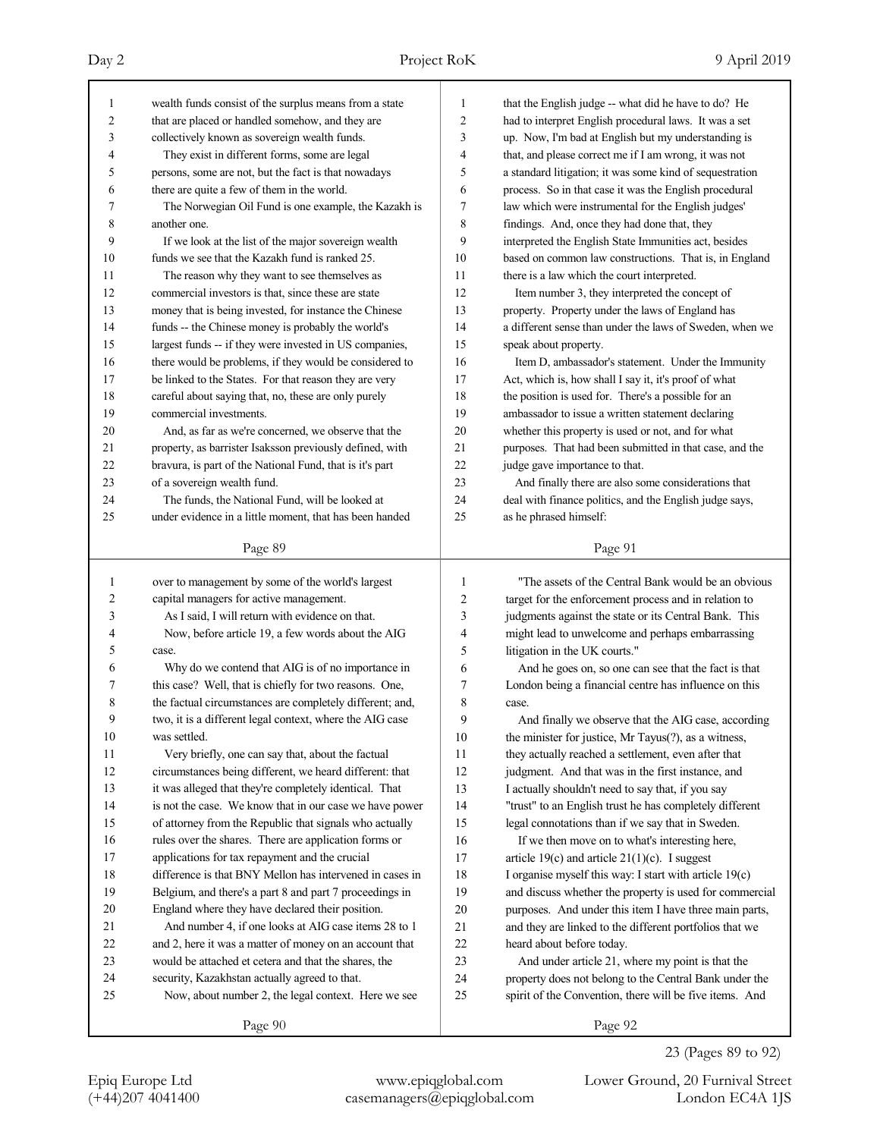$(+44)207$  4041400 casemanagers@epiqglobal.com Epiq Europe Ltd www.epiqglobal.com L

| ower Ground, 20 Furnival Street |  |
|---------------------------------|--|
| London EC4A 1JS                 |  |

23 (Pages 89 to 92)

| Day 2          |                                                         | Project RoK | 9 April 2019                                             |
|----------------|---------------------------------------------------------|-------------|----------------------------------------------------------|
|                | wealth funds consist of the surplus means from a state  |             | that the English judge -- what did he have to do? He     |
| $\overline{c}$ | that are placed or handled somehow, and they are        | 2           | had to interpret English procedural laws. It was a set   |
| 3              | collectively known as sovereign wealth funds.           | 3           | up. Now, I'm bad at English but my understanding is      |
| 4              | They exist in different forms, some are legal           | 4           | that, and please correct me if I am wrong, it was not    |
| 5              | persons, some are not, but the fact is that nowadays    | 5           | a standard litigation; it was some kind of sequestration |
| 6              | there are quite a few of them in the world.             | 6           | process. So in that case it was the English procedural   |
|                | The Norwegian Oil Fund is one example, the Kazakh is    | 7           | law which were instrumental for the English judges'      |
| 8              | another one.                                            | 8           | findings. And, once they had done that, they             |
| 9              | If we look at the list of the major sovereign wealth    | 9           | interpreted the English State Immunities act, besides    |
| 10             | funds we see that the Kazakh fund is ranked 25.         | 10          | based on common law constructions. That is, in England   |
| 11             | The reason why they want to see themselves as           | 11          | there is a law which the court interpreted.              |
| 12             | commercial investors is that, since these are state     | 12          | Item number 3, they interpreted the concept of           |
| 13             | money that is being invested, for instance the Chinese  | 13          | property. Property under the laws of England has         |
| 14             | funds -- the Chinese money is probably the world's      | 14          | a different sense than under the laws of Sweden, when we |
| 15             | largest funds -- if they were invested in US companies, | 15          | speak about property.                                    |
| 16             | there would be problems, if they would be considered to | 16          | Item D, ambassador's statement. Under the Immunity       |
|                |                                                         |             |                                                          |

| 16             | there would be problems, if they would be considered to  | 16             | Item D, ambassador's statement. Under the Immunity      |
|----------------|----------------------------------------------------------|----------------|---------------------------------------------------------|
| 17             | be linked to the States. For that reason they are very   | 17             | Act, which is, how shall I say it, it's proof of what   |
| 18             | careful about saying that, no, these are only purely     | 18             | the position is used for. There's a possible for an     |
| 19             | commercial investments.                                  | 19             | ambassador to issue a written statement declaring       |
| 20             | And, as far as we're concerned, we observe that the      | 20             | whether this property is used or not, and for what      |
| 21             | property, as barrister Isaksson previously defined, with | 21             | purposes. That had been submitted in that case, and the |
| 22             | bravura, is part of the National Fund, that is it's part | 22             | judge gave importance to that.                          |
| 23             | of a sovereign wealth fund.                              | 23             | And finally there are also some considerations that     |
| 24             | The funds, the National Fund, will be looked at          | 24             | deal with finance politics, and the English judge says, |
| 25             | under evidence in a little moment, that has been handed  | 25             | as he phrased himself:                                  |
|                | Page 89                                                  |                | Page 91                                                 |
| 1              | over to management by some of the world's largest        | $\mathbf{1}$   | "The assets of the Central Bank would be an obvious     |
| $\overline{c}$ | capital managers for active management.                  | $\overline{2}$ | target for the enforcement process and in relation to   |
| 3              | As I said, I will return with evidence on that.          | 3              | judgments against the state or its Central Bank. This   |
| 4              | Now, before article 19, a few words about the AIG        | 4              | might lead to unwelcome and perhaps embarrassing        |
| 5              | case.                                                    | 5              | litigation in the UK courts."                           |
| 6              | Why do we contend that AIG is of no importance in        | 6              | And he goes on, so one can see that the fact is that    |
| 7              | this case? Well, that is chiefly for two reasons. One,   | 7              | London being a financial centre has influence on this   |
| $\,$ 8 $\,$    | the factual circumstances are completely different; and, | 8              | case.                                                   |
| 9              | two, it is a different legal context, where the AIG case | 9              | And finally we observe that the AIG case, according     |
| 10             | was settled.                                             | 10             | the minister for justice, Mr Tayus(?), as a witness,    |
| 11             | Very briefly, one can say that, about the factual        | 11             | they actually reached a settlement, even after that     |
| 12             | circumstances being different, we heard different: that  | 12             | judgment. And that was in the first instance, and       |
| 13             | it was alleged that they're completely identical. That   | 13             | I actually shouldn't need to say that, if you say       |
| 14             | is not the case. We know that in our case we have power  | 14             | "trust" to an English trust he has completely different |
| 15             | of attorney from the Republic that signals who actually  | 15             | legal connotations than if we say that in Sweden.       |
| 16             | rules over the shares. There are application forms or    | 16             | If we then move on to what's interesting here,          |
| 17             | applications for tax repayment and the crucial           | 17             | article 19 $(c)$ and article 21 $(1)(c)$ . I suggest    |
| $18\,$         | difference is that BNY Mellon has intervened in cases in | 18             | I organise myself this way: I start with article 19(c)  |
| 19             | Belgium, and there's a part 8 and part 7 proceedings in  | 19             | and discuss whether the property is used for commercial |
| 20             | England where they have declared their position.         | 20             | purposes. And under this item I have three main parts,  |
| 21             | And number 4, if one looks at AIG case items 28 to 1     | 21             | and they are linked to the different portfolios that we |
| 22             | and 2, here it was a matter of money on an account that  | 22             | heard about before today.                               |
| 23             | would be attached et cetera and that the shares, the     | 23             | And under article 21, where my point is that the        |
| 24             | security, Kazakhstan actually agreed to that.            | 24             | property does not belong to the Central Bank under the  |
| 25             | Now, about number 2, the legal context. Here we see      | 25             | spirit of the Convention, there will be five items. And |
|                | Page 90                                                  |                | Page 92                                                 |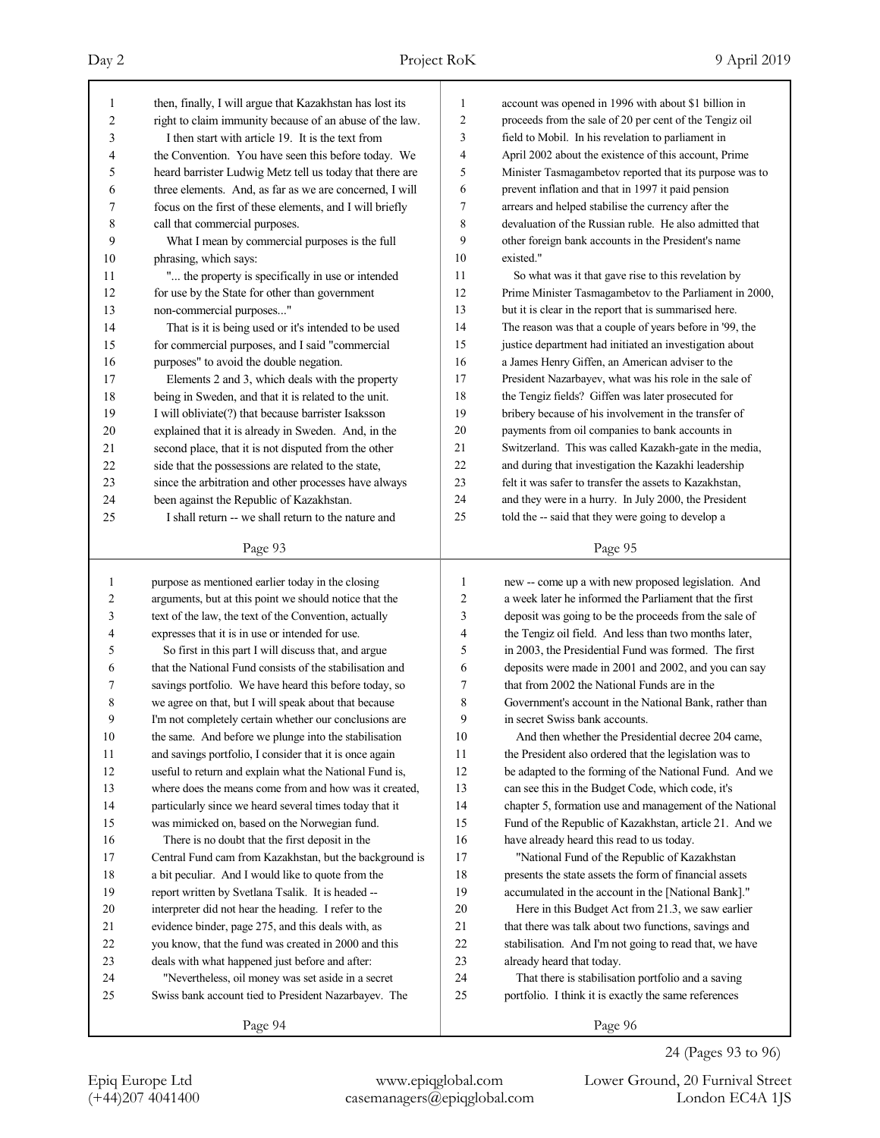| 1              | then, finally, I will argue that Kazakhstan has lost its | 1              | account was opened in 1996 with about \$1 billion in     |
|----------------|----------------------------------------------------------|----------------|----------------------------------------------------------|
| 2              | right to claim immunity because of an abuse of the law.  | $\overline{2}$ | proceeds from the sale of 20 per cent of the Tengiz oil  |
| 3              | I then start with article 19. It is the text from        | 3              | field to Mobil. In his revelation to parliament in       |
| 4              | the Convention. You have seen this before today. We      | $\overline{4}$ | April 2002 about the existence of this account, Prime    |
| 5              | heard barrister Ludwig Metz tell us today that there are | 5              | Minister Tasmagambetov reported that its purpose was to  |
| 6              | three elements. And, as far as we are concerned, I will  | 6              | prevent inflation and that in 1997 it paid pension       |
| 7              | focus on the first of these elements, and I will briefly | $\tau$         | arrears and helped stabilise the currency after the      |
| 8              | call that commercial purposes.                           | 8              | devaluation of the Russian ruble. He also admitted that  |
| 9              | What I mean by commercial purposes is the full           | 9              | other foreign bank accounts in the President's name      |
| 10             | phrasing, which says:                                    | 10             | existed."                                                |
| 11             | " the property is specifically in use or intended        | 11             | So what was it that gave rise to this revelation by      |
| 12             | for use by the State for other than government           | 12             | Prime Minister Tasmagambetov to the Parliament in 2000,  |
| 13             | non-commercial purposes"                                 | 13             | but it is clear in the report that is summarised here.   |
| 14             | That is it is being used or it's intended to be used     | 14             | The reason was that a couple of years before in '99, the |
| 15             | for commercial purposes, and I said "commercial          | 15             | justice department had initiated an investigation about  |
| 16             | purposes" to avoid the double negation.                  | 16             | a James Henry Giffen, an American adviser to the         |
| 17             | Elements 2 and 3, which deals with the property          | 17             | President Nazarbayev, what was his role in the sale of   |
| 18             | being in Sweden, and that it is related to the unit.     | 18             | the Tengiz fields? Giffen was later prosecuted for       |
| 19             | I will obliviate(?) that because barrister Isaksson      | 19             | bribery because of his involvement in the transfer of    |
| 20             | explained that it is already in Sweden. And, in the      | 20             | payments from oil companies to bank accounts in          |
| 21             | second place, that it is not disputed from the other     | 21             | Switzerland. This was called Kazakh-gate in the media,   |
| 22             | side that the possessions are related to the state,      | 22             | and during that investigation the Kazakhi leadership     |
| 23             | since the arbitration and other processes have always    | 23             | felt it was safer to transfer the assets to Kazakhstan,  |
| 24             | been against the Republic of Kazakhstan.                 | 24             | and they were in a hurry. In July 2000, the President    |
| 25             | I shall return -- we shall return to the nature and      | 25             | told the -- said that they were going to develop a       |
|                |                                                          |                |                                                          |
|                | Page 93                                                  |                | Page 95                                                  |
|                |                                                          |                |                                                          |
|                |                                                          |                |                                                          |
| 1              | purpose as mentioned earlier today in the closing        | 1              | new -- come up a with new proposed legislation. And      |
| $\overline{c}$ | arguments, but at this point we should notice that the   | 2              | a week later he informed the Parliament that the first   |
| 3              | text of the law, the text of the Convention, actually    | 3              | deposit was going to be the proceeds from the sale of    |
| 4              | expresses that it is in use or intended for use.         | 4              | the Tengiz oil field. And less than two months later,    |
| 5              | So first in this part I will discuss that, and argue     | 5              | in 2003, the Presidential Fund was formed. The first     |
| 6              | that the National Fund consists of the stabilisation and | 6              | deposits were made in 2001 and 2002, and you can say     |
| 7              | savings portfolio. We have heard this before today, so   | 7              | that from 2002 the National Funds are in the             |
| 8              | we agree on that, but I will speak about that because    | 8              | Government's account in the National Bank, rather than   |
| 9              | I'm not completely certain whether our conclusions are   | 9              | in secret Swiss bank accounts.                           |
| $10\,$         | the same. And before we plunge into the stabilisation    | $10\,$         | And then whether the Presidential decree 204 came,       |
| 11             | and savings portfolio, I consider that it is once again  | 11             | the President also ordered that the legislation was to   |
| 12             | useful to return and explain what the National Fund is,  | 12             | be adapted to the forming of the National Fund. And we   |
| 13             | where does the means come from and how was it created,   | 13             | can see this in the Budget Code, which code, it's        |
| 14             | particularly since we heard several times today that it  | 14             | chapter 5, formation use and management of the National  |
| 15             | was mimicked on, based on the Norwegian fund.            | 15             | Fund of the Republic of Kazakhstan, article 21. And we   |
| 16             | There is no doubt that the first deposit in the          | 16             | have already heard this read to us today.                |
| 17             | Central Fund cam from Kazakhstan, but the background is  | 17             | "National Fund of the Republic of Kazakhstan             |
| 18             | a bit peculiar. And I would like to quote from the       | 18             | presents the state assets the form of financial assets   |
| 19             | report written by Svetlana Tsalik. It is headed --       | 19             | accumulated in the account in the [National Bank]."      |
| 20             | interpreter did not hear the heading. I refer to the     | 20             | Here in this Budget Act from 21.3, we saw earlier        |
| 21             | evidence binder, page 275, and this deals with, as       | 21             | that there was talk about two functions, savings and     |
| 22             | you know, that the fund was created in 2000 and this     | 22             | stabilisation. And I'm not going to read that, we have   |
| 23             | deals with what happened just before and after:          | 23             | already heard that today.                                |
| 24             | "Nevertheless, oil money was set aside in a secret       | 24             | That there is stabilisation portfolio and a saving       |
| 25             | Swiss bank account tied to President Nazarbayev. The     | 25             | portfolio. I think it is exactly the same references     |

24 (Pages 93 to 96)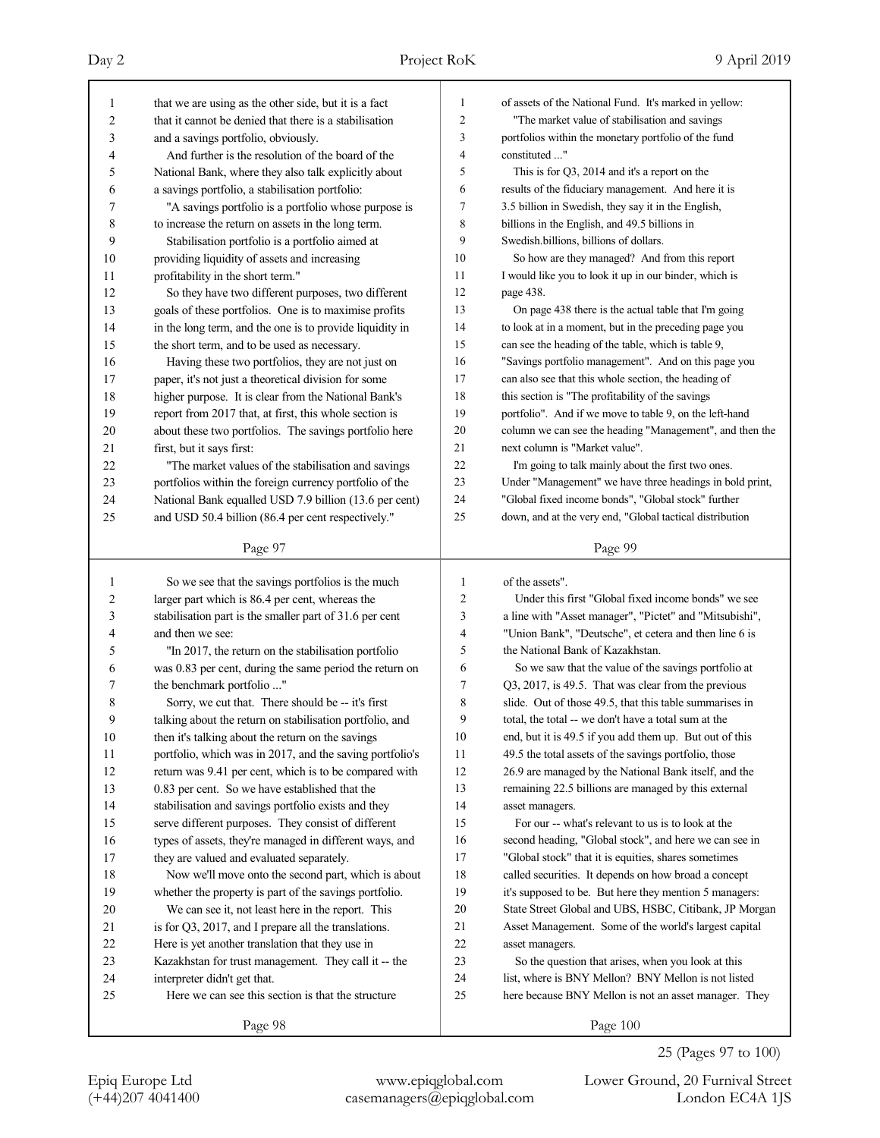| 1      | that we are using as the other side, but it is a fact    | 1              | of assets of the National Fund. It's marked in yellow:   |
|--------|----------------------------------------------------------|----------------|----------------------------------------------------------|
| 2      | that it cannot be denied that there is a stabilisation   | $\overline{2}$ | "The market value of stabilisation and savings           |
| 3      | and a savings portfolio, obviously.                      | 3              | portfolios within the monetary portfolio of the fund     |
| 4      | And further is the resolution of the board of the        | $\overline{4}$ | constituted "                                            |
| 5      | National Bank, where they also talk explicitly about     | 5              | This is for $Q3$ , 2014 and it's a report on the         |
| 6      | a savings portfolio, a stabilisation portfolio:          | 6              | results of the fiduciary management. And here it is      |
| 7      | "A savings portfolio is a portfolio whose purpose is     | $\tau$         | 3.5 billion in Swedish, they say it in the English,      |
| 8      | to increase the return on assets in the long term.       | 8              | billions in the English, and 49.5 billions in            |
| 9      | Stabilisation portfolio is a portfolio aimed at          | 9              | Swedish.billions, billions of dollars.                   |
| 10     | providing liquidity of assets and increasing             | 10             | So how are they managed? And from this report            |
| 11     | profitability in the short term."                        | 11             | I would like you to look it up in our binder, which is   |
| 12     | So they have two different purposes, two different       | 12             | page 438.                                                |
| 13     | goals of these portfolios. One is to maximise profits    | 13             | On page 438 there is the actual table that I'm going     |
| 14     | in the long term, and the one is to provide liquidity in | 14             | to look at in a moment, but in the preceding page you    |
| 15     | the short term, and to be used as necessary.             | 15             | can see the heading of the table, which is table 9,      |
| 16     | Having these two portfolios, they are not just on        | 16             | "Savings portfolio management". And on this page you     |
| 17     | paper, it's not just a theoretical division for some     | 17             | can also see that this whole section, the heading of     |
| 18     | higher purpose. It is clear from the National Bank's     | 18             | this section is "The profitability of the savings        |
| 19     | report from 2017 that, at first, this whole section is   | 19             | portfolio". And if we move to table 9, on the left-hand  |
| 20     | about these two portfolios. The savings portfolio here   | 20             | column we can see the heading "Management", and then the |
| 21     | first, but it says first:                                | 21             | next column is "Market value".                           |
| 22     | "The market values of the stabilisation and savings      | 22             | I'm going to talk mainly about the first two ones.       |
| 23     | portfolios within the foreign currency portfolio of the  | 23             | Under "Management" we have three headings in bold print, |
| 24     | National Bank equalled USD 7.9 billion (13.6 per cent)   | 24             | "Global fixed income bonds", "Global stock" further      |
| 25     | and USD 50.4 billion (86.4 per cent respectively."       | 25             | down, and at the very end, "Global tactical distribution |
|        | Page 97                                                  |                | Page 99                                                  |
|        |                                                          |                |                                                          |
|        |                                                          |                |                                                          |
| 1      | So we see that the savings portfolios is the much        | 1              | of the assets".                                          |
| 2      | larger part which is 86.4 per cent, whereas the          | 2              | Under this first "Global fixed income bonds" we see      |
| 3      | stabilisation part is the smaller part of 31.6 per cent  | 3              | a line with "Asset manager", "Pictet" and "Mitsubishi",  |
| 4      | and then we see:                                         | 4              | "Union Bank", "Deutsche", et cetera and then line 6 is   |
| 5      | "In 2017, the return on the stabilisation portfolio      | 5              | the National Bank of Kazakhstan.                         |
| 6      | was 0.83 per cent, during the same period the return on  | 6              | So we saw that the value of the savings portfolio at     |
| 7      | the benchmark portfolio "                                | 7              | Q3, 2017, is 49.5. That was clear from the previous      |
| 8      | Sorry, we cut that. There should be -- it's first        | 8              | slide. Out of those 49.5, that this table summarises in  |
| 9      | talking about the return on stabilisation portfolio, and | 9              | total, the total -- we don't have a total sum at the     |
| 10     | then it's talking about the return on the savings        | 10             | end, but it is 49.5 if you add them up. But out of this  |
| 11     | portfolio, which was in 2017, and the saving portfolio's | 11             | 49.5 the total assets of the savings portfolio, those    |
| 12     | return was 9.41 per cent, which is to be compared with   | 12             | 26.9 are managed by the National Bank itself, and the    |
| 13     | 0.83 per cent. So we have established that the           | 13             | remaining 22.5 billions are managed by this external     |
| 14     | stabilisation and savings portfolio exists and they      | 14             | asset managers.                                          |
| 15     | serve different purposes. They consist of different      | 15             | For our -- what's relevant to us is to look at the       |
| 16     | types of assets, they're managed in different ways, and  | 16             | second heading, "Global stock", and here we can see in   |
| 17     | they are valued and evaluated separately.                | 17             | "Global stock" that it is equities, shares sometimes     |
| 18     | Now we'll move onto the second part, which is about      | 18             | called securities. It depends on how broad a concept     |
| 19     | whether the property is part of the savings portfolio.   | 19             | it's supposed to be. But here they mention 5 managers:   |
| $20\,$ | We can see it, not least here in the report. This        | 20             | State Street Global and UBS, HSBC, Citibank, JP Morgan   |
| 21     | is for Q3, 2017, and I prepare all the translations.     | 21             | Asset Management. Some of the world's largest capital    |
| 22     | Here is yet another translation that they use in         | 22             | asset managers.                                          |
| 23     | Kazakhstan for trust management. They call it -- the     | 23             | So the question that arises, when you look at this       |
| 24     | interpreter didn't get that.                             | 24             | list, where is BNY Mellon? BNY Mellon is not listed      |
| 25     | Here we can see this section is that the structure       | 25             | here because BNY Mellon is not an asset manager. They    |
|        | Page 98                                                  |                | Page 100                                                 |

25 (Pages 97 to 100)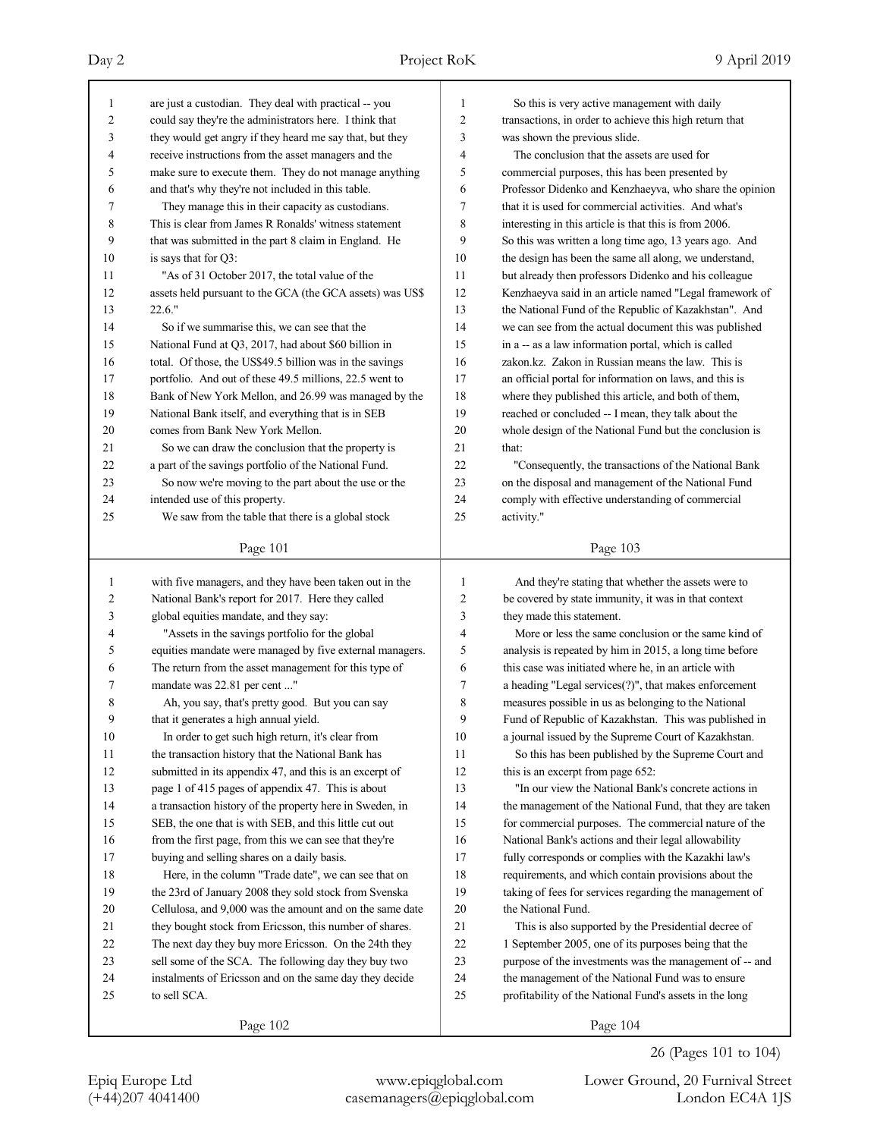| 1           | are just a custodian. They deal with practical -- you                                                         | 1              | So this is very active management with daily                                                                      |
|-------------|---------------------------------------------------------------------------------------------------------------|----------------|-------------------------------------------------------------------------------------------------------------------|
| 2           | could say they're the administrators here. I think that                                                       | $\overline{2}$ | transactions, in order to achieve this high return that                                                           |
| 3           | they would get angry if they heard me say that, but they                                                      | 3              | was shown the previous slide.                                                                                     |
| 4           | receive instructions from the asset managers and the                                                          | 4              | The conclusion that the assets are used for                                                                       |
| 5           | make sure to execute them. They do not manage anything                                                        | 5              | commercial purposes, this has been presented by                                                                   |
| 6           | and that's why they're not included in this table.                                                            | 6              | Professor Didenko and Kenzhaeyva, who share the opinion                                                           |
| 7           | They manage this in their capacity as custodians.                                                             | $\overline{7}$ | that it is used for commercial activities. And what's                                                             |
| 8           | This is clear from James R Ronalds' witness statement                                                         | 8              | interesting in this article is that this is from 2006.                                                            |
| 9           | that was submitted in the part 8 claim in England. He                                                         | 9              | So this was written a long time ago, 13 years ago. And                                                            |
| 10          | is says that for Q3:                                                                                          | 10             | the design has been the same all along, we understand,                                                            |
| 11          | "As of 31 October 2017, the total value of the                                                                | 11             | but already then professors Didenko and his colleague                                                             |
| 12          | assets held pursuant to the GCA (the GCA assets) was US\$                                                     | 12             | Kenzhaeyva said in an article named "Legal framework of                                                           |
| 13          | 22.6."                                                                                                        | 13             | the National Fund of the Republic of Kazakhstan". And                                                             |
| 14          | So if we summarise this, we can see that the                                                                  | 14             | we can see from the actual document this was published                                                            |
| 15          | National Fund at Q3, 2017, had about \$60 billion in                                                          | 15             | in a -- as a law information portal, which is called                                                              |
| 16          | total. Of those, the US\$49.5 billion was in the savings                                                      | 16             | zakon.kz. Zakon in Russian means the law. This is                                                                 |
| 17          | portfolio. And out of these 49.5 millions, 22.5 went to                                                       | 17             | an official portal for information on laws, and this is                                                           |
| $18\,$      | Bank of New York Mellon, and 26.99 was managed by the                                                         | 18             | where they published this article, and both of them,                                                              |
| 19          | National Bank itself, and everything that is in SEB                                                           | 19             | reached or concluded -- I mean, they talk about the                                                               |
| $20\,$      | comes from Bank New York Mellon.                                                                              | 20             | whole design of the National Fund but the conclusion is                                                           |
| 21          | So we can draw the conclusion that the property is                                                            | 21             | that:                                                                                                             |
| 22          | a part of the savings portfolio of the National Fund.                                                         | 22             | "Consequently, the transactions of the National Bank                                                              |
| 23          | So now we're moving to the part about the use or the                                                          | 23             | on the disposal and management of the National Fund                                                               |
| 24          | intended use of this property.                                                                                | 24             | comply with effective understanding of commercial                                                                 |
| 25          | We saw from the table that there is a global stock                                                            | 25             | activity."                                                                                                        |
|             |                                                                                                               |                |                                                                                                                   |
|             | Page 101                                                                                                      |                | Page 103                                                                                                          |
|             |                                                                                                               |                |                                                                                                                   |
|             |                                                                                                               |                |                                                                                                                   |
| 1           | with five managers, and they have been taken out in the                                                       | 1              | And they're stating that whether the assets were to                                                               |
| 2           | National Bank's report for 2017. Here they called                                                             | 2<br>3         | be covered by state immunity, it was in that context                                                              |
| 3<br>4      | global equities mandate, and they say:                                                                        | 4              | they made this statement.<br>More or less the same conclusion or the same kind of                                 |
| 5           | "Assets in the savings portfolio for the global                                                               | 5              |                                                                                                                   |
| 6           | equities mandate were managed by five external managers.                                                      | 6              | analysis is repeated by him in 2015, a long time before                                                           |
| 7           | The return from the asset management for this type of                                                         | 7              | this case was initiated where he, in an article with                                                              |
| 8           | mandate was 22.81 per cent "                                                                                  | 8              | a heading "Legal services(?)", that makes enforcement                                                             |
| $\mathbf Q$ | Ah, you say, that's pretty good. But you can say<br>that it generates a high annual yield.                    | $\mathbf Q$    | measures possible in us as belonging to the National                                                              |
|             |                                                                                                               | 10             | Fund of Republic of Kazakhstan. This was published in                                                             |
| 10<br>11    | In order to get such high return, it's clear from                                                             | 11             | a journal issued by the Supreme Court of Kazakhstan.                                                              |
| 12          | the transaction history that the National Bank has                                                            | 12             | So this has been published by the Supreme Court and                                                               |
| 13          | submitted in its appendix 47, and this is an excerpt of                                                       | 13             | this is an excerpt from page 652:<br>"In our view the National Bank's concrete actions in                         |
| 14          | page 1 of 415 pages of appendix 47. This is about                                                             | 14             |                                                                                                                   |
| 15          | a transaction history of the property here in Sweden, in                                                      | 15             | the management of the National Fund, that they are taken<br>for commercial purposes. The commercial nature of the |
| 16          | SEB, the one that is with SEB, and this little cut out                                                        | 16             |                                                                                                                   |
| 17          | from the first page, from this we can see that they're                                                        | 17             | National Bank's actions and their legal allowability                                                              |
| 18          | buying and selling shares on a daily basis.                                                                   | 18             | fully corresponds or complies with the Kazakhi law's                                                              |
| 19          | Here, in the column "Trade date", we can see that on<br>the 23rd of January 2008 they sold stock from Svenska | 19             | requirements, and which contain provisions about the<br>taking of fees for services regarding the management of   |
| 20          | Cellulosa, and 9,000 was the amount and on the same date                                                      | 20             | the National Fund.                                                                                                |
| 21          | they bought stock from Ericsson, this number of shares.                                                       | 21             | This is also supported by the Presidential decree of                                                              |
| 22          | The next day they buy more Ericsson. On the 24th they                                                         | 22             | 1 September 2005, one of its purposes being that the                                                              |
| 23          | sell some of the SCA. The following day they buy two                                                          | 23             | purpose of the investments was the management of -- and                                                           |
| 24          | instalments of Ericsson and on the same day they decide                                                       | 24             | the management of the National Fund was to ensure                                                                 |
| 25          | to sell SCA.                                                                                                  | 25             | profitability of the National Fund's assets in the long                                                           |
|             | Page 102                                                                                                      |                | Page 104                                                                                                          |

26 (Pages 101 to 104)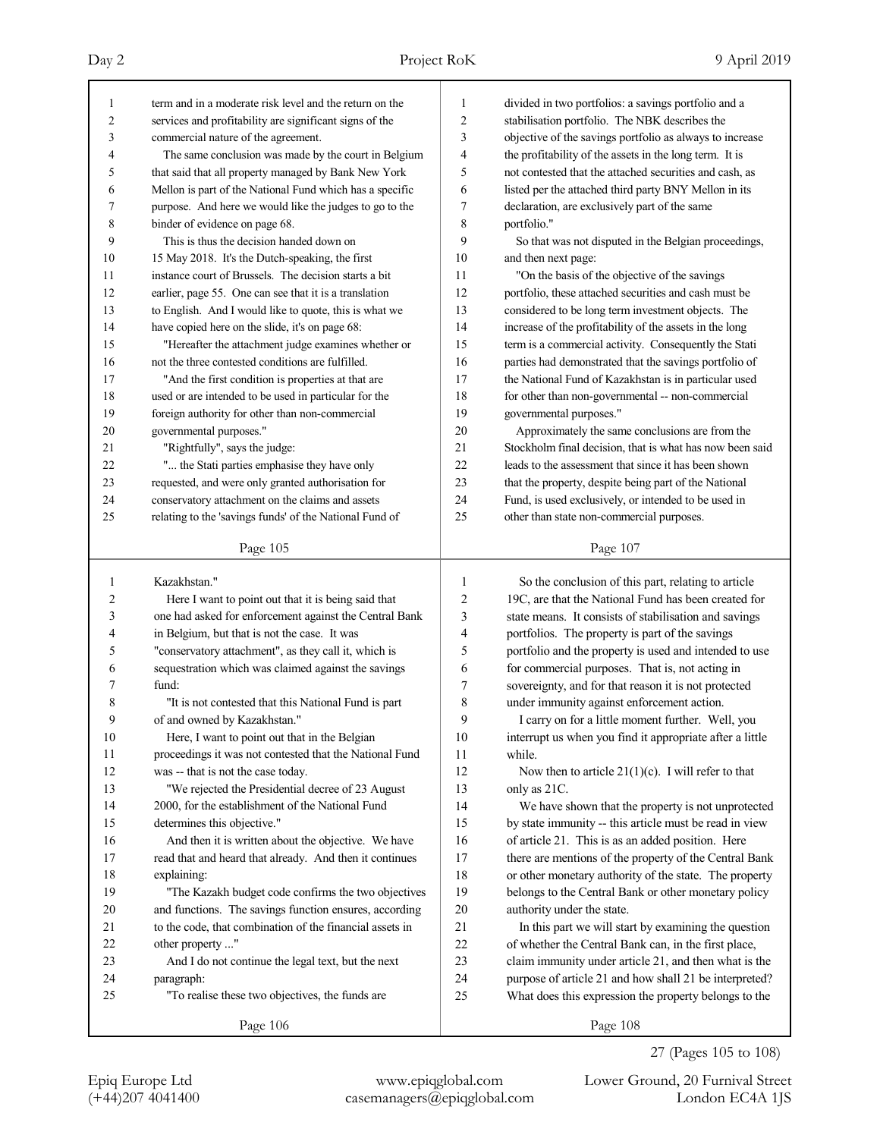| $\mathbf{1}$   |                                                          |                |                                                          |
|----------------|----------------------------------------------------------|----------------|----------------------------------------------------------|
|                | term and in a moderate risk level and the return on the  | 1              | divided in two portfolios: a savings portfolio and a     |
| $\overline{c}$ | services and profitability are significant signs of the  | $\overline{c}$ | stabilisation portfolio. The NBK describes the           |
| 3              | commercial nature of the agreement.                      | 3              | objective of the savings portfolio as always to increase |
| $\overline{4}$ | The same conclusion was made by the court in Belgium     | $\overline{4}$ | the profitability of the assets in the long term. It is  |
| 5              | that said that all property managed by Bank New York     | 5              | not contested that the attached securities and cash, as  |
| 6              | Mellon is part of the National Fund which has a specific | 6              | listed per the attached third party BNY Mellon in its    |
| 7              | purpose. And here we would like the judges to go to the  | 7              | declaration, are exclusively part of the same            |
| 8              | binder of evidence on page 68.                           | 8              | portfolio."                                              |
| 9              | This is thus the decision handed down on                 | 9              | So that was not disputed in the Belgian proceedings,     |
| 10             | 15 May 2018. It's the Dutch-speaking, the first          | 10             | and then next page:                                      |
| 11             | instance court of Brussels. The decision starts a bit    | 11             | "On the basis of the objective of the savings            |
| 12             | earlier, page 55. One can see that it is a translation   | 12             | portfolio, these attached securities and cash must be    |
| 13             | to English. And I would like to quote, this is what we   | 13             | considered to be long term investment objects. The       |
| 14             | have copied here on the slide, it's on page 68:          | 14             | increase of the profitability of the assets in the long  |
| 15             | "Hereafter the attachment judge examines whether or      | 15             | term is a commercial activity. Consequently the Stati    |
| 16             | not the three contested conditions are fulfilled.        | 16             | parties had demonstrated that the savings portfolio of   |
| 17             | "And the first condition is properties at that are       | 17             | the National Fund of Kazakhstan is in particular used    |
| 18             | used or are intended to be used in particular for the    | 18             | for other than non-governmental -- non-commercial        |
| 19             | foreign authority for other than non-commercial          | 19             | governmental purposes."                                  |
| 20             | governmental purposes."                                  | 20             | Approximately the same conclusions are from the          |
| 21             | "Rightfully", says the judge:                            | 21             | Stockholm final decision, that is what has now been said |
| 22             | " the Stati parties emphasise they have only             | 22             | leads to the assessment that since it has been shown     |
| 23             | requested, and were only granted authorisation for       | 23             | that the property, despite being part of the National    |
| 24             | conservatory attachment on the claims and assets         | 24             | Fund, is used exclusively, or intended to be used in     |
| 25             | relating to the 'savings funds' of the National Fund of  | 25             | other than state non-commercial purposes.                |
|                |                                                          |                |                                                          |
|                | Page 105                                                 |                | Page 107                                                 |
| $\mathbf{1}$   | Kazakhstan."                                             | 1              | So the conclusion of this part, relating to article      |
|                |                                                          |                |                                                          |
|                |                                                          |                |                                                          |
| 2              | Here I want to point out that it is being said that      | $\overline{2}$ | 19C, are that the National Fund has been created for     |
| 3              | one had asked for enforcement against the Central Bank   | 3              | state means. It consists of stabilisation and savings    |
| 4              | in Belgium, but that is not the case. It was             | 4              | portfolios. The property is part of the savings          |
| 5              | "conservatory attachment", as they call it, which is     | 5              | portfolio and the property is used and intended to use   |
| 6              | sequestration which was claimed against the savings      | 6              | for commercial purposes. That is, not acting in          |
| 7              | fund:                                                    | $\tau$         | sovereignty, and for that reason it is not protected     |
| 8              | "It is not contested that this National Fund is part     | 8              | under immunity against enforcement action.               |
| 9              | of and owned by Kazakhstan."                             | 9              | I carry on for a little moment further. Well, you        |
| $10\,$         | Here, I want to point out that in the Belgian            | 10             | interrupt us when you find it appropriate after a little |
| 11             | proceedings it was not contested that the National Fund  | 11             | while.                                                   |
| 12             | was -- that is not the case today.                       | 12             | Now then to article $21(1)(c)$ . I will refer to that    |
| 13             | "We rejected the Presidential decree of 23 August        | 13             | only as 21C.                                             |
| 14             | 2000, for the establishment of the National Fund         | 14             | We have shown that the property is not unprotected       |
| 15             | determines this objective."                              | 15             | by state immunity -- this article must be read in view   |
| 16             | And then it is written about the objective. We have      | 16             | of article 21. This is as an added position. Here        |
| 17             | read that and heard that already. And then it continues  | 17             | there are mentions of the property of the Central Bank   |
| 18             | explaining:                                              | $18\,$         | or other monetary authority of the state. The property   |
| 19             | "The Kazakh budget code confirms the two objectives      | 19             | belongs to the Central Bank or other monetary policy     |
| 20             | and functions. The savings function ensures, according   | $20\,$         | authority under the state.                               |
| 21             | to the code, that combination of the financial assets in | 21             | In this part we will start by examining the question     |
| 22             | other property "                                         | 22             | of whether the Central Bank can, in the first place,     |
| 23             | And I do not continue the legal text, but the next       | 23             | claim immunity under article 21, and then what is the    |
| 24             | paragraph:                                               | 24             | purpose of article 21 and how shall 21 be interpreted?   |
| 25             | "To realise these two objectives, the funds are          | 25             | What does this expression the property belongs to the    |
|                | Page 106                                                 |                | Page 108                                                 |

27 (Pages 105 to 108)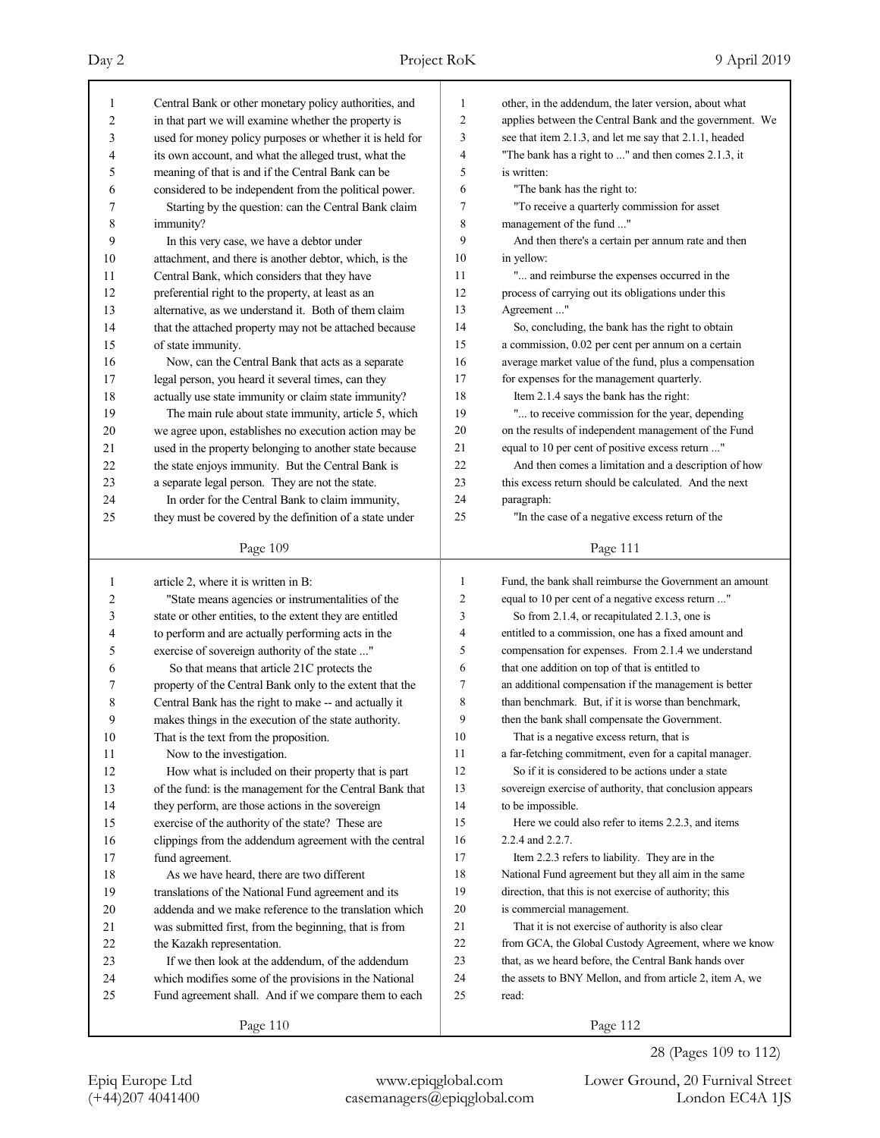| 1      | Central Bank or other monetary policy authorities, and   | 1              | other, in the addendum, the later version, about what    |
|--------|----------------------------------------------------------|----------------|----------------------------------------------------------|
| 2      | in that part we will examine whether the property is     | $\overline{c}$ | applies between the Central Bank and the government. We  |
| 3      | used for money policy purposes or whether it is held for | 3              | see that item 2.1.3, and let me say that 2.1.1, headed   |
| 4      | its own account, and what the alleged trust, what the    | 4              | "The bank has a right to " and then comes 2.1.3, it      |
| 5      | meaning of that is and if the Central Bank can be        | 5              | is written:                                              |
| 6      | considered to be independent from the political power.   | 6              | "The bank has the right to:                              |
| 7      | Starting by the question: can the Central Bank claim     | 7              | "To receive a quarterly commission for asset             |
| 8      | immunity?                                                | 8              | management of the fund "                                 |
| 9      | In this very case, we have a debtor under                | 9              | And then there's a certain per annum rate and then       |
| 10     | attachment, and there is another debtor, which, is the   | 10             | in yellow:                                               |
| 11     | Central Bank, which considers that they have             | 11             | " and reimburse the expenses occurred in the             |
| 12     | preferential right to the property, at least as an       | 12             | process of carrying out its obligations under this       |
| 13     | alternative, as we understand it. Both of them claim     | 13             | Agreement "                                              |
| 14     | that the attached property may not be attached because   | 14             | So, concluding, the bank has the right to obtain         |
| 15     | of state immunity.                                       | 15             | a commission, 0.02 per cent per annum on a certain       |
| 16     | Now, can the Central Bank that acts as a separate        | 16             | average market value of the fund, plus a compensation    |
| 17     | legal person, you heard it several times, can they       | 17             | for expenses for the management quarterly.               |
| 18     | actually use state immunity or claim state immunity?     | 18             | Item 2.1.4 says the bank has the right:                  |
| 19     | The main rule about state immunity, article 5, which     | 19             | " to receive commission for the year, depending          |
| 20     | we agree upon, establishes no execution action may be    | $20\,$         | on the results of independent management of the Fund     |
| 21     | used in the property belonging to another state because  | 21             | equal to 10 per cent of positive excess return "         |
| 22     | the state enjoys immunity. But the Central Bank is       | 22             | And then comes a limitation and a description of how     |
| 23     | a separate legal person. They are not the state.         | 23             | this excess return should be calculated. And the next    |
| 24     | In order for the Central Bank to claim immunity,         | 24             | paragraph:                                               |
| 25     | they must be covered by the definition of a state under  | 25             | "In the case of a negative excess return of the          |
|        |                                                          |                |                                                          |
|        | Page 109                                                 |                | Page 111                                                 |
|        |                                                          |                |                                                          |
|        |                                                          |                |                                                          |
| 1      | article 2, where it is written in B:                     | 1              | Fund, the bank shall reimburse the Government an amount  |
| 2      | "State means agencies or instrumentalities of the        | 2              | equal to 10 per cent of a negative excess return "       |
| 3      | state or other entities, to the extent they are entitled | 3              | So from 2.1.4, or recapitulated 2.1.3, one is            |
| 4      | to perform and are actually performing acts in the       | $\overline{4}$ | entitled to a commission, one has a fixed amount and     |
| 5      | exercise of sovereign authority of the state "           | 5              | compensation for expenses. From 2.1.4 we understand      |
| 6      | So that means that article 21C protects the              | 6              | that one addition on top of that is entitled to          |
| 7      | property of the Central Bank only to the extent that the | 7              | an additional compensation if the management is better   |
| 8      | Central Bank has the right to make -- and actually it    | 8              | than benchmark. But, if it is worse than benchmark,      |
| 9      | makes things in the execution of the state authority.    | 9              | then the bank shall compensate the Government.           |
| $10\,$ | That is the text from the proposition.                   | 10             | That is a negative excess return, that is                |
| 11     | Now to the investigation.                                | 11             | a far-fetching commitment, even for a capital manager.   |
| 12     | How what is included on their property that is part      | 12             | So if it is considered to be actions under a state       |
| 13     | of the fund: is the management for the Central Bank that | 13             | sovereign exercise of authority, that conclusion appears |
| 14     | they perform, are those actions in the sovereign         | 14             | to be impossible.                                        |
| 15     | exercise of the authority of the state? These are        | 15             | Here we could also refer to items 2.2.3, and items       |
| 16     | clippings from the addendum agreement with the central   | 16             | 2.2.4 and 2.2.7.                                         |
| 17     | fund agreement.                                          | 17             | Item 2.2.3 refers to liability. They are in the          |
| 18     | As we have heard, there are two different                | 18             | National Fund agreement but they all aim in the same     |
| 19     | translations of the National Fund agreement and its      | 19             | direction, that this is not exercise of authority; this  |
| 20     | addenda and we make reference to the translation which   | $20\,$         | is commercial management.                                |
| 21     | was submitted first, from the beginning, that is from    | 21             | That it is not exercise of authority is also clear       |
| 22     | the Kazakh representation.                               | 22             | from GCA, the Global Custody Agreement, where we know    |
| 23     | If we then look at the addendum, of the addendum         | 23             | that, as we heard before, the Central Bank hands over    |
| 24     | which modifies some of the provisions in the National    | 24             | the assets to BNY Mellon, and from article 2, item A, we |
| 25     | Fund agreement shall. And if we compare them to each     | 25             | read:                                                    |

28 (Pages 109 to 112)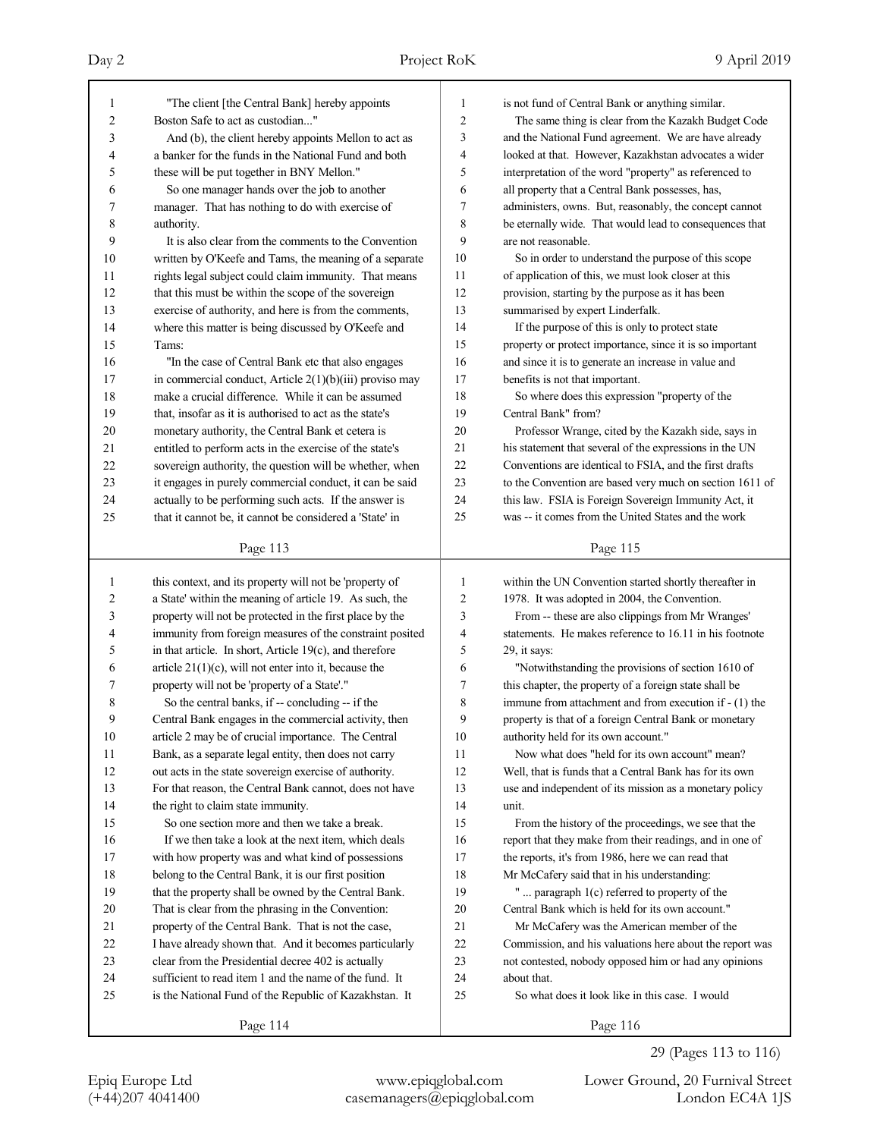| 1      | "The client [the Central Bank] hereby appoints           | $\mathbf{1}$   | is not fund of Central Bank or anything similar.         |
|--------|----------------------------------------------------------|----------------|----------------------------------------------------------|
| 2      | Boston Safe to act as custodian"                         | $\overline{c}$ | The same thing is clear from the Kazakh Budget Code      |
| 3      | And (b), the client hereby appoints Mellon to act as     | 3              | and the National Fund agreement. We are have already     |
| 4      | a banker for the funds in the National Fund and both     | 4              | looked at that. However, Kazakhstan advocates a wider    |
| 5      | these will be put together in BNY Mellon."               | 5              | interpretation of the word "property" as referenced to   |
| 6      | So one manager hands over the job to another             | 6              | all property that a Central Bank possesses, has,         |
| 7      | manager. That has nothing to do with exercise of         | 7              | administers, owns. But, reasonably, the concept cannot   |
| 8      | authority.                                               | 8              | be eternally wide. That would lead to consequences that  |
| 9      | It is also clear from the comments to the Convention     | 9              | are not reasonable.                                      |
| 10     | written by O'Keefe and Tams, the meaning of a separate   | 10             | So in order to understand the purpose of this scope      |
| 11     | rights legal subject could claim immunity. That means    | 11             | of application of this, we must look closer at this      |
| 12     | that this must be within the scope of the sovereign      | 12             | provision, starting by the purpose as it has been        |
| 13     | exercise of authority, and here is from the comments,    | 13             | summarised by expert Linderfalk.                         |
| 14     | where this matter is being discussed by O'Keefe and      | 14             | If the purpose of this is only to protect state          |
| 15     | Tams:                                                    | 15             | property or protect importance, since it is so important |
| 16     | "In the case of Central Bank etc that also engages       | 16             | and since it is to generate an increase in value and     |
| 17     | in commercial conduct, Article 2(1)(b)(iii) proviso may  | 17             | benefits is not that important.                          |
| 18     | make a crucial difference. While it can be assumed       | 18             | So where does this expression "property of the           |
| 19     | that, insofar as it is authorised to act as the state's  | 19             | Central Bank" from?                                      |
| 20     | monetary authority, the Central Bank et cetera is        | 20             | Professor Wrange, cited by the Kazakh side, says in      |
| 21     | entitled to perform acts in the exercise of the state's  | 21             | his statement that several of the expressions in the UN  |
| 22     | sovereign authority, the question will be whether, when  | 22             | Conventions are identical to FSIA, and the first drafts  |
| 23     | it engages in purely commercial conduct, it can be said  | 23             | to the Convention are based very much on section 1611 of |
| 24     | actually to be performing such acts. If the answer is    | 24             | this law. FSIA is Foreign Sovereign Immunity Act, it     |
| 25     | that it cannot be, it cannot be considered a 'State' in  | 25             | was -- it comes from the United States and the work      |
|        |                                                          |                |                                                          |
|        | Page 113                                                 |                | Page 115                                                 |
|        |                                                          |                |                                                          |
|        |                                                          |                |                                                          |
| 1      | this context, and its property will not be 'property of  | $\mathbf{1}$   | within the UN Convention started shortly thereafter in   |
| 2      | a State' within the meaning of article 19. As such, the  | $\overline{c}$ | 1978. It was adopted in 2004, the Convention.            |
| 3      | property will not be protected in the first place by the | 3              | From -- these are also clippings from Mr Wranges'        |
| 4      | immunity from foreign measures of the constraint posited | 4              | statements. He makes reference to 16.11 in his footnote  |
| 5      | in that article. In short, Article 19(c), and therefore  | 5              | 29, it says:                                             |
| 6      | article $21(1)(c)$ , will not enter into it, because the | 6              | "Notwithstanding the provisions of section 1610 of       |
| 7      | property will not be 'property of a State'."             | 7              | this chapter, the property of a foreign state shall be   |
| 8      | So the central banks, if -- concluding -- if the         | 8              | immune from attachment and from execution if - (1) the   |
| 9      | Central Bank engages in the commercial activity, then    | 9              | property is that of a foreign Central Bank or monetary   |
| $10\,$ | article 2 may be of crucial importance. The Central      | 10             | authority held for its own account."                     |
| 11     | Bank, as a separate legal entity, then does not carry    | 11             | Now what does "held for its own account" mean?           |
| 12     | out acts in the state sovereign exercise of authority.   | 12             | Well, that is funds that a Central Bank has for its own  |
| 13     | For that reason, the Central Bank cannot, does not have  | 13             | use and independent of its mission as a monetary policy  |
| 14     | the right to claim state immunity.                       | 14             | unit.                                                    |
| 15     | So one section more and then we take a break.            | 15             | From the history of the proceedings, we see that the     |
| 16     | If we then take a look at the next item, which deals     | 16             | report that they make from their readings, and in one of |
| 17     | with how property was and what kind of possessions       | 17             | the reports, it's from 1986, here we can read that       |
| $18\,$ | belong to the Central Bank, it is our first position     | 18             | Mr McCafery said that in his understanding:              |
| 19     | that the property shall be owned by the Central Bank.    | 19             | "  paragraph 1(c) referred to property of the            |
| $20\,$ | That is clear from the phrasing in the Convention:       | $20\,$         | Central Bank which is held for its own account."         |
| 21     | property of the Central Bank. That is not the case,      | 21             | Mr McCafery was the American member of the               |
| 22     | I have already shown that. And it becomes particularly   | 22             | Commission, and his valuations here about the report was |
| 23     | clear from the Presidential decree 402 is actually       | 23             | not contested, nobody opposed him or had any opinions    |
| 24     | sufficient to read item 1 and the name of the fund. It   | 24             | about that.                                              |
| 25     | is the National Fund of the Republic of Kazakhstan. It   | 25             | So what does it look like in this case. I would          |

29 (Pages 113 to 116)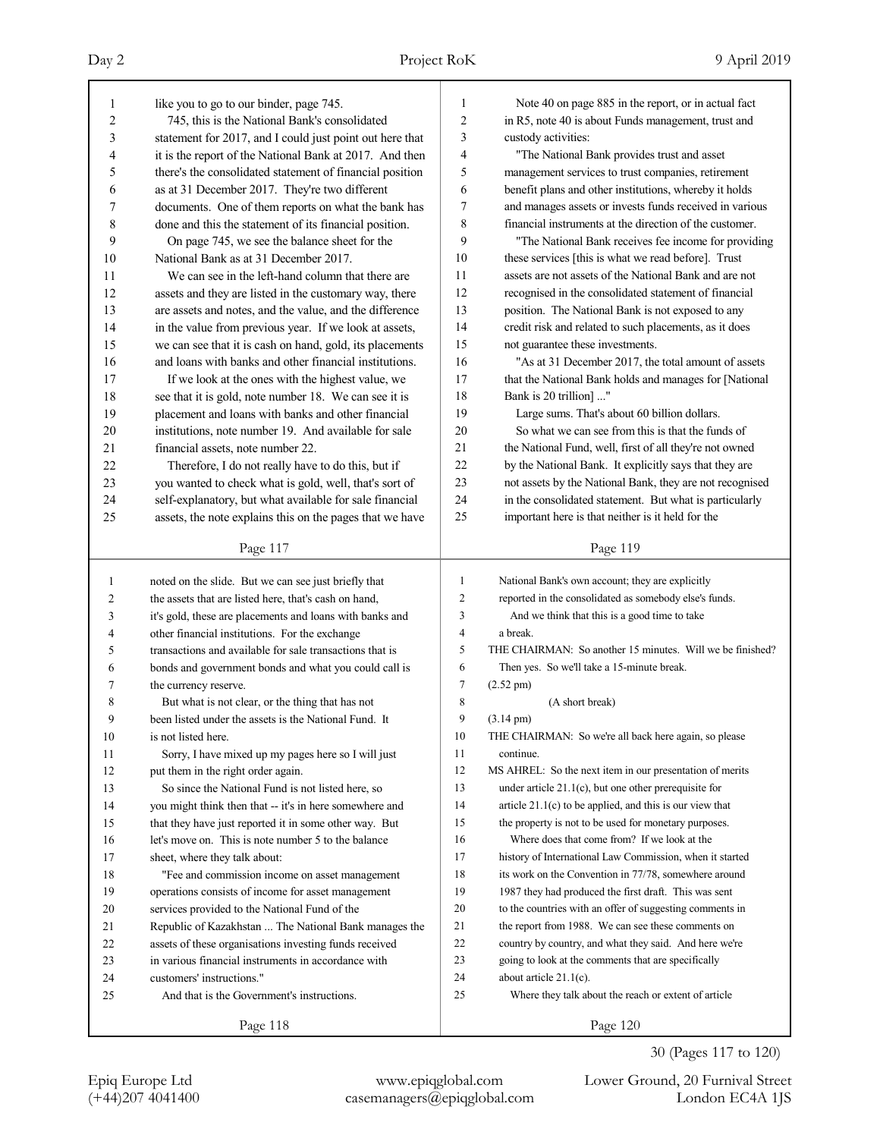| 1        | like you to go to our binder, page 745.                                          | 1              | Note 40 on page 885 in the report, or in actual fact                                                              |
|----------|----------------------------------------------------------------------------------|----------------|-------------------------------------------------------------------------------------------------------------------|
| 2        | 745, this is the National Bank's consolidated                                    | $\overline{2}$ | in R5, note 40 is about Funds management, trust and                                                               |
| 3        | statement for 2017, and I could just point out here that                         | 3              | custody activities:                                                                                               |
| 4        | it is the report of the National Bank at 2017. And then                          | 4              | "The National Bank provides trust and asset                                                                       |
| 5        | there's the consolidated statement of financial position                         | 5              | management services to trust companies, retirement                                                                |
| 6        | as at 31 December 2017. They're two different                                    | 6              | benefit plans and other institutions, whereby it holds                                                            |
| 7        | documents. One of them reports on what the bank has                              | $\tau$         | and manages assets or invests funds received in various                                                           |
| 8        | done and this the statement of its financial position.                           | 8              | financial instruments at the direction of the customer.                                                           |
| 9        | On page 745, we see the balance sheet for the                                    | 9              | "The National Bank receives fee income for providing                                                              |
| 10       | National Bank as at 31 December 2017.                                            | 10             | these services [this is what we read before]. Trust                                                               |
| 11       | We can see in the left-hand column that there are                                | 11             | assets are not assets of the National Bank and are not                                                            |
| 12       | assets and they are listed in the customary way, there                           | 12             | recognised in the consolidated statement of financial                                                             |
| 13       | are assets and notes, and the value, and the difference                          | 13             | position. The National Bank is not exposed to any                                                                 |
| 14       | in the value from previous year. If we look at assets,                           | 14             | credit risk and related to such placements, as it does                                                            |
| 15       | we can see that it is cash on hand, gold, its placements                         | 15             | not guarantee these investments.                                                                                  |
| 16       | and loans with banks and other financial institutions.                           | 16             | "As at 31 December 2017, the total amount of assets                                                               |
| 17       | If we look at the ones with the highest value, we                                | 17             | that the National Bank holds and manages for [National                                                            |
| 18       | see that it is gold, note number 18. We can see it is                            | 18             | Bank is 20 trillion] "                                                                                            |
| 19       | placement and loans with banks and other financial                               | 19             | Large sums. That's about 60 billion dollars.                                                                      |
| 20       | institutions, note number 19. And available for sale                             | 20             | So what we can see from this is that the funds of                                                                 |
| 21       | financial assets, note number 22.                                                | 21             | the National Fund, well, first of all they're not owned                                                           |
| 22       | Therefore, I do not really have to do this, but if                               | 22             | by the National Bank. It explicitly says that they are                                                            |
| 23       | you wanted to check what is gold, well, that's sort of                           | 23             | not assets by the National Bank, they are not recognised                                                          |
| 24       | self-explanatory, but what available for sale financial                          | 24             | in the consolidated statement. But what is particularly                                                           |
| 25       | assets, the note explains this on the pages that we have                         | 25             | important here is that neither is it held for the                                                                 |
|          | Page 117                                                                         |                | Page 119                                                                                                          |
|          |                                                                                  |                |                                                                                                                   |
|          |                                                                                  |                |                                                                                                                   |
| 1        | noted on the slide. But we can see just briefly that                             | 1              | National Bank's own account; they are explicitly                                                                  |
| 2        | the assets that are listed here, that's cash on hand,                            | $\overline{c}$ | reported in the consolidated as somebody else's funds.                                                            |
| 3        | it's gold, these are placements and loans with banks and                         | 3              | And we think that this is a good time to take                                                                     |
| 4        | other financial institutions. For the exchange                                   | 4              | a break.                                                                                                          |
| 5        | transactions and available for sale transactions that is                         | 5<br>6         | THE CHAIRMAN: So another 15 minutes. Will we be finished?                                                         |
| 6        | bonds and government bonds and what you could call is                            | $\tau$         | Then yes. So we'll take a 15-minute break.                                                                        |
| 7        | the currency reserve.                                                            | 8              | $(2.52 \text{ pm})$                                                                                               |
| 8        | But what is not clear, or the thing that has not                                 | 9              | (A short break)                                                                                                   |
| 9        | been listed under the assets is the National Fund. It                            |                | $(3.14 \text{ pm})$                                                                                               |
| 10       | is not listed here.                                                              | 10<br>11       | THE CHAIRMAN: So we're all back here again, so please<br>continue.                                                |
| 11       | Sorry, I have mixed up my pages here so I will just                              |                |                                                                                                                   |
| 12       | put them in the right order again.                                               | 12             | MS AHREL: So the next item in our presentation of merits                                                          |
| 13       | So since the National Fund is not listed here, so                                | 13<br>14       | under article $21.1(c)$ , but one other prerequisite for                                                          |
| 14       | you might think then that -- it's in here somewhere and                          | 15             | article $21.1(c)$ to be applied, and this is our view that                                                        |
| 15       | that they have just reported it in some other way. But                           | 16             | the property is not to be used for monetary purposes.                                                             |
| 16       | let's move on. This is note number 5 to the balance                              | 17             | Where does that come from? If we look at the<br>history of International Law Commission, when it started          |
| 17       | sheet, where they talk about:                                                    | 18             |                                                                                                                   |
| 18       | "Fee and commission income on asset management                                   | 19             | its work on the Convention in 77/78, somewhere around                                                             |
| 19       | operations consists of income for asset management                               | 20             | 1987 they had produced the first draft. This was sent<br>to the countries with an offer of suggesting comments in |
| 20<br>21 | services provided to the National Fund of the                                    | 21             | the report from 1988. We can see these comments on                                                                |
|          | Republic of Kazakhstan  The National Bank manages the                            | $22\,$         |                                                                                                                   |
| $22\,$   | assets of these organisations investing funds received                           | 23             | country by country, and what they said. And here we're                                                            |
| 23<br>24 | in various financial instruments in accordance with<br>customers' instructions." | 24             | going to look at the comments that are specifically<br>about article $21.1(c)$ .                                  |
| 25       | And that is the Government's instructions.                                       | 25             | Where they talk about the reach or extent of article                                                              |
|          | Page 118                                                                         |                | Page 120                                                                                                          |

30 (Pages 117 to 120)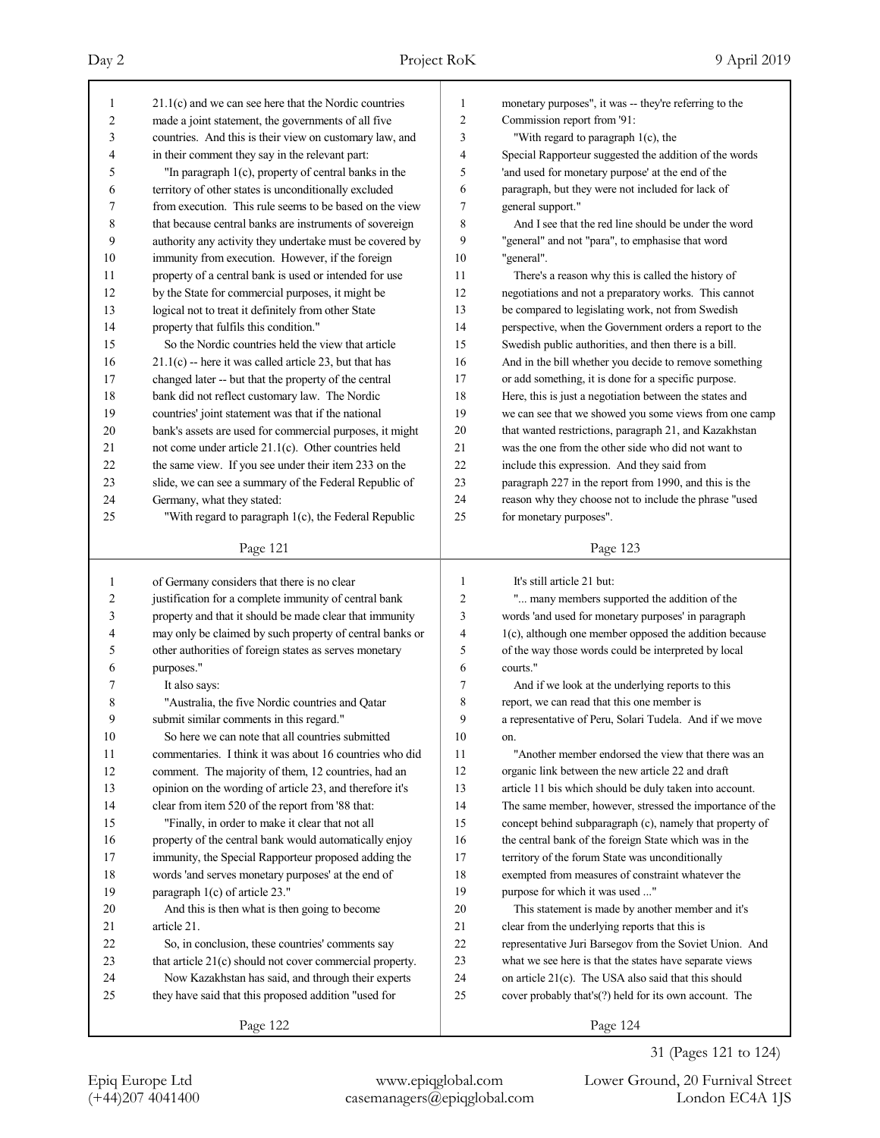| 1      | $21.1(c)$ and we can see here that the Nordic countries  | 1              | monetary purposes", it was -- they're referring to the   |
|--------|----------------------------------------------------------|----------------|----------------------------------------------------------|
| 2      | made a joint statement, the governments of all five      | $\overline{2}$ | Commission report from '91:                              |
| 3      | countries. And this is their view on customary law, and  | 3              | "With regard to paragraph 1(c), the                      |
| 4      | in their comment they say in the relevant part:          | $\overline{4}$ | Special Rapporteur suggested the addition of the words   |
| 5      | "In paragraph 1(c), property of central banks in the     | 5              | 'and used for monetary purpose' at the end of the        |
| 6      | territory of other states is unconditionally excluded    | 6              | paragraph, but they were not included for lack of        |
| 7      | from execution. This rule seems to be based on the view  | $\overline{7}$ | general support."                                        |
| 8      | that because central banks are instruments of sovereign  | 8              | And I see that the red line should be under the word     |
| 9      | authority any activity they undertake must be covered by | 9              | "general" and not "para", to emphasise that word         |
| 10     | immunity from execution. However, if the foreign         | 10             | "general".                                               |
| 11     | property of a central bank is used or intended for use   | 11             | There's a reason why this is called the history of       |
| 12     | by the State for commercial purposes, it might be        | 12             | negotiations and not a preparatory works. This cannot    |
| 13     | logical not to treat it definitely from other State      | 13             | be compared to legislating work, not from Swedish        |
| 14     | property that fulfils this condition."                   | 14             | perspective, when the Government orders a report to the  |
| 15     | So the Nordic countries held the view that article       | 15             | Swedish public authorities, and then there is a bill.    |
| 16     | $21.1(c)$ -- here it was called article 23, but that has | 16             | And in the bill whether you decide to remove something   |
| 17     | changed later -- but that the property of the central    | 17             | or add something, it is done for a specific purpose.     |
| 18     | bank did not reflect customary law. The Nordic           | 18             | Here, this is just a negotiation between the states and  |
| 19     | countries' joint statement was that if the national      | 19             | we can see that we showed you some views from one camp   |
| 20     | bank's assets are used for commercial purposes, it might | 20             | that wanted restrictions, paragraph 21, and Kazakhstan   |
| 21     | not come under article 21.1(c). Other countries held     | 21             | was the one from the other side who did not want to      |
| 22     | the same view. If you see under their item 233 on the    | 22             | include this expression. And they said from              |
| 23     | slide, we can see a summary of the Federal Republic of   | 23             | paragraph 227 in the report from 1990, and this is the   |
| 24     | Germany, what they stated:                               | 24             | reason why they choose not to include the phrase "used   |
| 25     | "With regard to paragraph 1(c), the Federal Republic     | 25             | for monetary purposes".                                  |
|        |                                                          |                |                                                          |
|        | Page 121                                                 |                | Page 123                                                 |
|        |                                                          |                |                                                          |
|        |                                                          |                |                                                          |
| 1      | of Germany considers that there is no clear              | 1              | It's still article 21 but:                               |
| 2      | justification for a complete immunity of central bank    | $\overline{2}$ | " many members supported the addition of the             |
| 3      | property and that it should be made clear that immunity  | 3              | words 'and used for monetary purposes' in paragraph      |
| 4      | may only be claimed by such property of central banks or | 4              | 1(c), although one member opposed the addition because   |
| 5      | other authorities of foreign states as serves monetary   | 5              | of the way those words could be interpreted by local     |
| 6      | purposes."                                               | 6              | courts."                                                 |
| 7      | It also says:                                            | 7              | And if we look at the underlying reports to this         |
| 8      | "Australia, the five Nordic countries and Qatar          | 8              | report, we can read that this one member is              |
| 9      | submit similar comments in this regard."                 | 9              | a representative of Peru, Solari Tudela. And if we move  |
| $10\,$ | So here we can note that all countries submitted         | 10             | on.                                                      |
| 11     | commentaries. I think it was about 16 countries who did  | 11             | "Another member endorsed the view that there was an      |
| 12     | comment. The majority of them, 12 countries, had an      | 12             | organic link between the new article 22 and draft        |
| 13     | opinion on the wording of article 23, and therefore it's | 13             | article 11 bis which should be duly taken into account.  |
| 14     | clear from item 520 of the report from '88 that:         | 14             | The same member, however, stressed the importance of the |
| 15     | "Finally, in order to make it clear that not all         | 15             | concept behind subparagraph (c), namely that property of |
| 16     | property of the central bank would automatically enjoy   | 16             | the central bank of the foreign State which was in the   |
| 17     | immunity, the Special Rapporteur proposed adding the     | 17             | territory of the forum State was unconditionally         |
| 18     | words 'and serves monetary purposes' at the end of       | 18             | exempted from measures of constraint whatever the        |
| 19     | paragraph 1(c) of article 23."                           | 19             | purpose for which it was used "                          |
| 20     | And this is then what is then going to become            | 20             | This statement is made by another member and it's        |
| 21     | article 21.                                              | 21             | clear from the underlying reports that this is           |
| 22     | So, in conclusion, these countries' comments say         | $22\,$         | representative Juri Barsegov from the Soviet Union. And  |
| 23     | that article 21(c) should not cover commercial property. | 23             | what we see here is that the states have separate views  |
| 24     | Now Kazakhstan has said, and through their experts       | 24             | on article $21(c)$ . The USA also said that this should  |
| 25     | they have said that this proposed addition "used for     | 25             | cover probably that's(?) held for its own account. The   |

31 (Pages 121 to 124)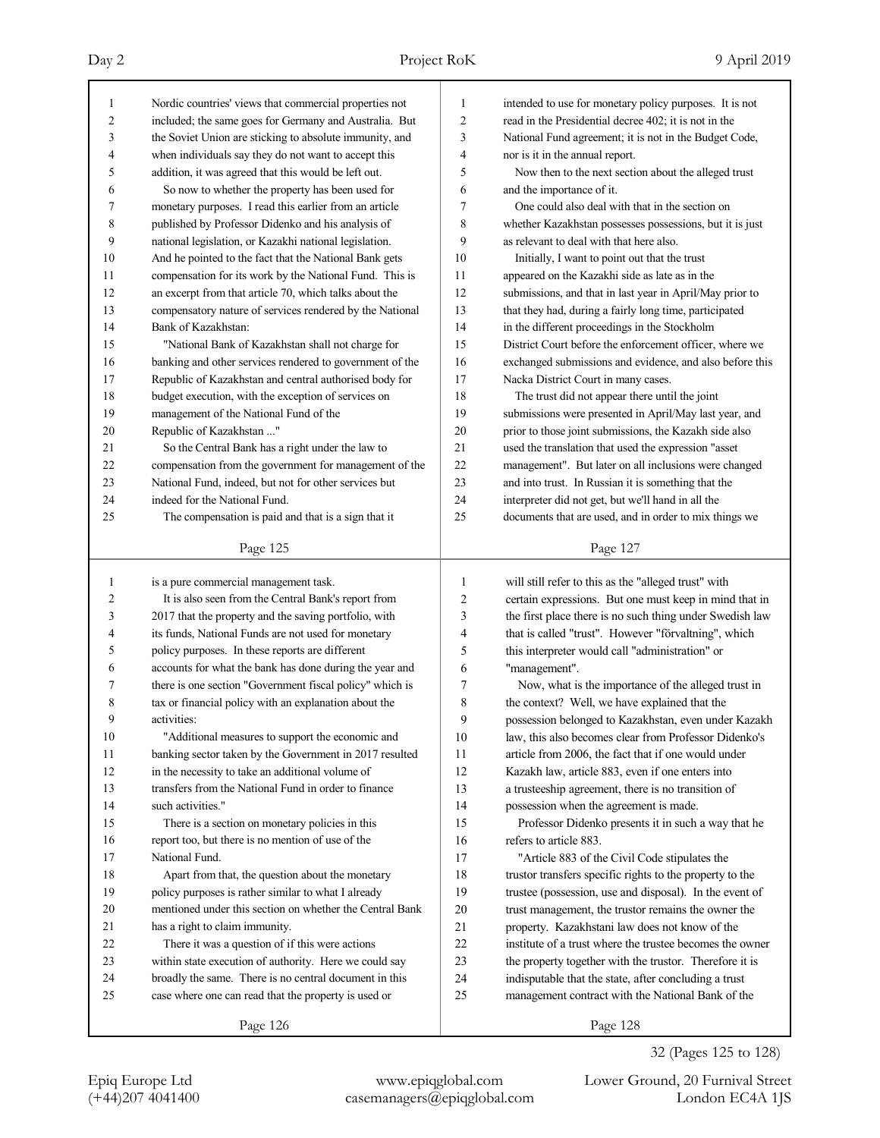| $\mathbf{1}$   | Nordic countries' views that commercial properties not   | $\mathbf{1}$   | intended to use for monetary policy purposes. It is not  |
|----------------|----------------------------------------------------------|----------------|----------------------------------------------------------|
| $\overline{c}$ | included; the same goes for Germany and Australia. But   | $\overline{c}$ | read in the Presidential decree 402; it is not in the    |
| 3              | the Soviet Union are sticking to absolute immunity, and  | 3              | National Fund agreement; it is not in the Budget Code,   |
| 4              | when individuals say they do not want to accept this     | $\overline{4}$ | nor is it in the annual report.                          |
| 5              | addition, it was agreed that this would be left out.     | 5              | Now then to the next section about the alleged trust     |
| 6              | So now to whether the property has been used for         | 6              | and the importance of it.                                |
| 7              | monetary purposes. I read this earlier from an article   | 7              | One could also deal with that in the section on          |
| 8              | published by Professor Didenko and his analysis of       | 8              | whether Kazakhstan possesses possessions, but it is just |
| 9              | national legislation, or Kazakhi national legislation.   | 9              | as relevant to deal with that here also.                 |
| 10             | And he pointed to the fact that the National Bank gets   | 10             | Initially, I want to point out that the trust            |
| 11             | compensation for its work by the National Fund. This is  | 11             | appeared on the Kazakhi side as late as in the           |
| 12             | an excerpt from that article 70, which talks about the   | 12             | submissions, and that in last year in April/May prior to |
| 13             | compensatory nature of services rendered by the National | 13             | that they had, during a fairly long time, participated   |
| 14             | Bank of Kazakhstan:                                      | 14             | in the different proceedings in the Stockholm            |
| 15             | "National Bank of Kazakhstan shall not charge for        | 15             | District Court before the enforcement officer, where we  |
| 16             | banking and other services rendered to government of the | 16             | exchanged submissions and evidence, and also before this |
| 17             | Republic of Kazakhstan and central authorised body for   | 17             | Nacka District Court in many cases.                      |
| 18             | budget execution, with the exception of services on      | 18             | The trust did not appear there until the joint           |
| 19             | management of the National Fund of the                   | 19             | submissions were presented in April/May last year, and   |
| 20             | Republic of Kazakhstan "                                 | 20             | prior to those joint submissions, the Kazakh side also   |
| 21             | So the Central Bank has a right under the law to         | 21             | used the translation that used the expression "asset     |
| 22             | compensation from the government for management of the   | 22             | management". But later on all inclusions were changed    |
| 23             | National Fund, indeed, but not for other services but    | 23             | and into trust. In Russian it is something that the      |
| 24             | indeed for the National Fund.                            | 24             | interpreter did not get, but we'll hand in all the       |
| 25             | The compensation is paid and that is a sign that it      | 25             | documents that are used, and in order to mix things we   |
|                |                                                          |                |                                                          |
|                | Page 125                                                 |                | Page 127                                                 |
|                |                                                          |                |                                                          |
|                |                                                          |                |                                                          |
| $\mathbf{1}$   | is a pure commercial management task.                    | $\mathbf{1}$   | will still refer to this as the "alleged trust" with     |
| 2<br>3         | It is also seen from the Central Bank's report from      | $\overline{c}$ | certain expressions. But one must keep in mind that in   |
| 4              | 2017 that the property and the saving portfolio, with    | $\mathfrak{Z}$ | the first place there is no such thing under Swedish law |
| 5              | its funds, National Funds are not used for monetary      | 4<br>5         | that is called "trust". However "förvaltning", which     |
|                | policy purposes. In these reports are different          |                | this interpreter would call "administration" or          |
| 6              | accounts for what the bank has done during the year and  | 6              | "management".                                            |
| 7              | there is one section "Government fiscal policy" which is | 7              | Now, what is the importance of the alleged trust in      |
| 8<br>9         | tax or financial policy with an explanation about the    | 8<br>9         | the context? Well, we have explained that the            |
|                | activities:                                              |                | possession belonged to Kazakhstan, even under Kazakh     |
| 10             | "Additional measures to support the economic and         | 10             | law, this also becomes clear from Professor Didenko's    |
| 11             | banking sector taken by the Government in 2017 resulted  | 11             | article from 2006, the fact that if one would under      |
| 12             | in the necessity to take an additional volume of         | 12             | Kazakh law, article 883, even if one enters into         |
| 13             | transfers from the National Fund in order to finance     | 13             | a trusteeship agreement, there is no transition of       |
| 14             | such activities."                                        | 14             | possession when the agreement is made.                   |
| 15             | There is a section on monetary policies in this          | 15             | Professor Didenko presents it in such a way that he      |
| 16             | report too, but there is no mention of use of the        | 16             | refers to article 883.                                   |
| 17             | National Fund.                                           | 17             | "Article 883 of the Civil Code stipulates the            |
| 18             | Apart from that, the question about the monetary         | 18             | trustor transfers specific rights to the property to the |
| 19             | policy purposes is rather similar to what I already      | 19             | trustee (possession, use and disposal). In the event of  |
| 20             | mentioned under this section on whether the Central Bank | 20             | trust management, the trustor remains the owner the      |
| 21             | has a right to claim immunity.                           | 21             | property. Kazakhstani law does not know of the           |
| 22             | There it was a question of if this were actions          | 22             | institute of a trust where the trustee becomes the owner |
| 23             | within state execution of authority. Here we could say   | 23             | the property together with the trustor. Therefore it is  |
| 24             | broadly the same. There is no central document in this   | 24             | indisputable that the state, after concluding a trust    |
| 25             | case where one can read that the property is used or     | 25             | management contract with the National Bank of the        |

32 (Pages 125 to 128)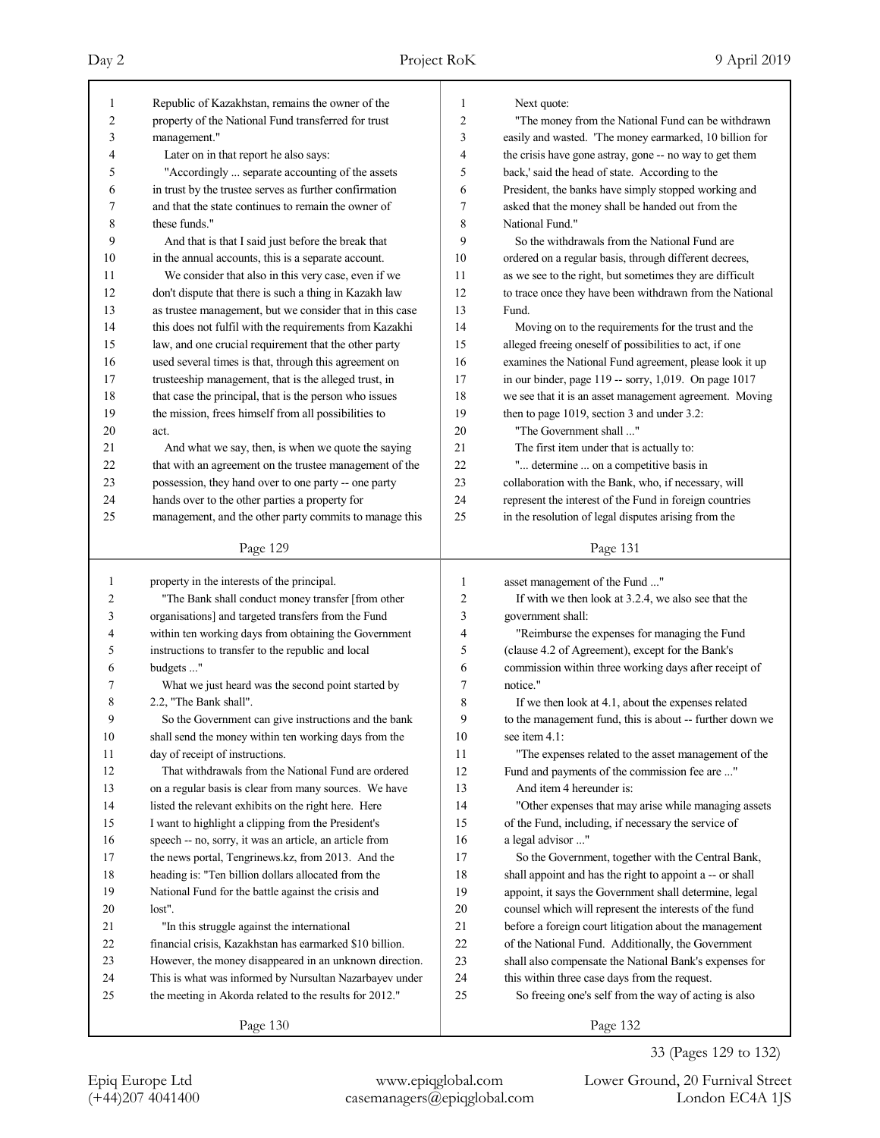| 1  | Republic of Kazakhstan, remains the owner of the         | 1              | Next quote:                                              |
|----|----------------------------------------------------------|----------------|----------------------------------------------------------|
| 2  | property of the National Fund transferred for trust      | $\overline{c}$ | "The money from the National Fund can be withdrawn       |
| 3  | management."                                             | 3              | easily and wasted. 'The money earmarked, 10 billion for  |
| 4  | Later on in that report he also says:                    | 4              | the crisis have gone astray, gone -- no way to get them  |
| 5  | "Accordingly  separate accounting of the assets          | 5              | back,' said the head of state. According to the          |
| 6  | in trust by the trustee serves as further confirmation   | 6              | President, the banks have simply stopped working and     |
| 7  | and that the state continues to remain the owner of      | $\overline{7}$ | asked that the money shall be handed out from the        |
| 8  | these funds."                                            | 8              | National Fund."                                          |
| 9  | And that is that I said just before the break that       | 9              | So the withdrawals from the National Fund are.           |
| 10 | in the annual accounts, this is a separate account.      | 10             | ordered on a regular basis, through different decrees,   |
| 11 | We consider that also in this very case, even if we      | 11             | as we see to the right, but sometimes they are difficult |
| 12 | don't dispute that there is such a thing in Kazakh law   | 12             | to trace once they have been withdrawn from the National |
| 13 | as trustee management, but we consider that in this case | 13             | Fund.                                                    |
| 14 | this does not fulfil with the requirements from Kazakhi  | 14             | Moving on to the requirements for the trust and the      |
| 15 | law, and one crucial requirement that the other party    | 15             | alleged freeing oneself of possibilities to act, if one  |
| 16 | used several times is that, through this agreement on    | 16             | examines the National Fund agreement, please look it up  |
| 17 | trusteeship management, that is the alleged trust, in    | 17             | in our binder, page 119 -- sorry, 1,019. On page 1017    |
| 18 | that case the principal, that is the person who issues   | 18             | we see that it is an asset management agreement. Moving  |
| 19 | the mission, frees himself from all possibilities to     | 19             | then to page 1019, section 3 and under 3.2:              |
| 20 | act.                                                     | 20             | "The Government shall "                                  |
| 21 | And what we say, then, is when we quote the saying       | 21             | The first item under that is actually to:                |
| 22 | that with an agreement on the trustee management of the  | 22             | " determine  on a competitive basis in                   |
| 23 | possession, they hand over to one party -- one party     | 23             | collaboration with the Bank, who, if necessary, will     |
| 24 | hands over to the other parties a property for           | 24             | represent the interest of the Fund in foreign countries  |
| 25 | management, and the other party commits to manage this   | 25             | in the resolution of legal disputes arising from the     |
|    |                                                          |                |                                                          |
|    | Page 129                                                 |                | Page 131                                                 |
|    |                                                          |                |                                                          |
|    |                                                          |                |                                                          |
| 1  | property in the interests of the principal.              | 1              | asset management of the Fund "                           |
| 2  | "The Bank shall conduct money transfer [from other       | 2              | If with we then look at 3.2.4, we also see that the      |
| 3  | organisations] and targeted transfers from the Fund      | 3              | government shall:                                        |
| 4  | within ten working days from obtaining the Government    | 4              | "Reimburse the expenses for managing the Fund            |
| 5  | instructions to transfer to the republic and local       | 5              | (clause 4.2 of Agreement), except for the Bank's         |
| 6  | budgets "                                                | 6              | commission within three working days after receipt of    |
| 7  | What we just heard was the second point started by       | 7              | notice."                                                 |
| 8  | 2.2, "The Bank shall".                                   | 8              | If we then look at 4.1, about the expenses related       |
| 9  | So the Government can give instructions and the bank     | 9              | to the management fund, this is about -- further down we |
| 10 | shall send the money within ten working days from the    | $10\,$         | see item $4.1$ :                                         |
| 11 | day of receipt of instructions.                          | 11             | "The expenses related to the asset management of the     |
| 12 | That withdrawals from the National Fund are ordered      | 12             | Fund and payments of the commission fee are "            |
| 13 | on a regular basis is clear from many sources. We have   | 13             | And item 4 hereunder is:                                 |
| 14 | listed the relevant exhibits on the right here. Here     | 14             | "Other expenses that may arise while managing assets     |
| 15 | I want to highlight a clipping from the President's      | 15             | of the Fund, including, if necessary the service of      |
| 16 | speech -- no, sorry, it was an article, an article from  | 16             | a legal advisor "                                        |
| 17 | the news portal, Tengrinews.kz, from 2013. And the       | 17             | So the Government, together with the Central Bank,       |
| 18 | heading is: "Ten billion dollars allocated from the      | 18             | shall appoint and has the right to appoint a -- or shall |
| 19 | National Fund for the battle against the crisis and      | 19             | appoint, it says the Government shall determine, legal   |
| 20 | lost".                                                   | 20             | counsel which will represent the interests of the fund   |
| 21 | "In this struggle against the international              | 21             |                                                          |
|    |                                                          | 22             | before a foreign court litigation about the management   |
| 22 | financial crisis, Kazakhstan has earmarked \$10 billion. |                | of the National Fund. Additionally, the Government       |
| 23 | However, the money disappeared in an unknown direction.  | 23             | shall also compensate the National Bank's expenses for   |
| 24 | This is what was informed by Nursultan Nazarbayev under  | 24             | this within three case days from the request.            |
| 25 | the meeting in Akorda related to the results for 2012."  | 25             | So freeing one's self from the way of acting is also     |

33 (Pages 129 to 132)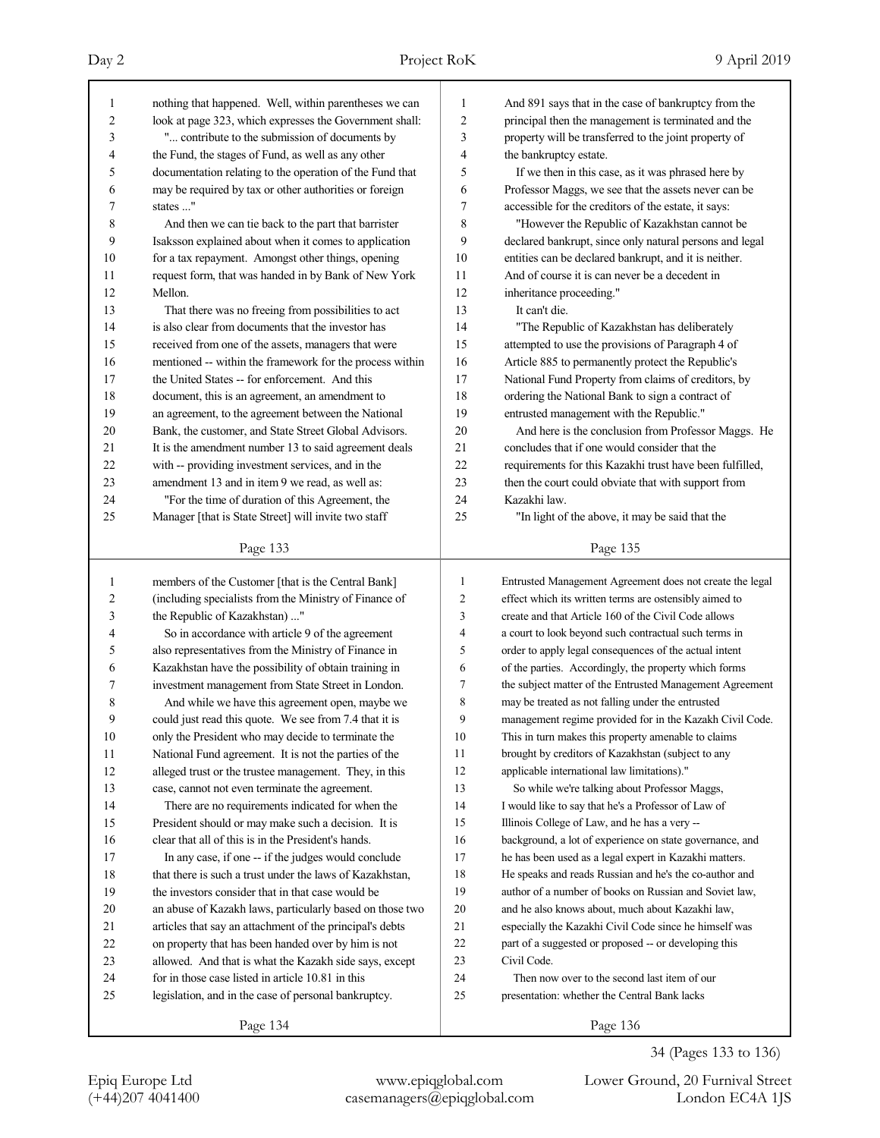Day 2 Project RoK 9 April 2019

| 1  | nothing that happened. Well, within parentheses we can   | 1              | And 891 says that in the case of bankruptcy from the     |
|----|----------------------------------------------------------|----------------|----------------------------------------------------------|
| 2  | look at page 323, which expresses the Government shall:  |                | principal then the management is terminated and the      |
| 3  | " contribute to the submission of documents by           | 3              | property will be transferred to the joint property of    |
| 4  | the Fund, the stages of Fund, as well as any other       | 4              | the bankruptcy estate.                                   |
| 5  | documentation relating to the operation of the Fund that |                | If we then in this case, as it was phrased here by       |
| 6  | may be required by tax or other authorities or foreign   | 6              | Professor Maggs, we see that the assets never can be     |
| 7  | states "                                                 | 7              | accessible for the creditors of the estate, it says:     |
| 8  | And then we can tie back to the part that barrister      | 8              | "However the Republic of Kazakhstan cannot be            |
| 9  | Isaksson explained about when it comes to application    | 9              | declared bankrupt, since only natural persons and legal  |
| 10 | for a tax repayment. Amongst other things, opening       | 10             | entities can be declared bankrupt, and it is neither.    |
| 11 | request form, that was handed in by Bank of New York     | 11             | And of course it is can never be a decedent in           |
| 12 | Mellon.                                                  | 12             | inheritance proceeding."                                 |
| 13 | That there was no freeing from possibilities to act      | 13             | It can't die.                                            |
| 14 | is also clear from documents that the investor has       | 14             | "The Republic of Kazakhstan has deliberately             |
| 15 | received from one of the assets, managers that were      | 15             | attempted to use the provisions of Paragraph 4 of        |
| 16 | mentioned -- within the framework for the process within | 16             | Article 885 to permanently protect the Republic's        |
| 17 | the United States -- for enforcement. And this           | 17             | National Fund Property from claims of creditors, by      |
| 18 | document, this is an agreement, an amendment to          | 18             | ordering the National Bank to sign a contract of         |
| 19 | an agreement, to the agreement between the National      | 19             | entrusted management with the Republic."                 |
| 20 | Bank, the customer, and State Street Global Advisors.    | 20             | And here is the conclusion from Professor Maggs. He      |
| 21 | It is the amendment number 13 to said agreement deals    | 21             | concludes that if one would consider that the            |
| 22 | with -- providing investment services, and in the        | 22             | requirements for this Kazakhi trust have been fulfilled, |
| 23 | amendment 13 and in item 9 we read, as well as:          | 23             | then the court could obviate that with support from      |
| 24 | "For the time of duration of this Agreement, the         | 24             | Kazakhi law.                                             |
| 25 | Manager [that is State Street] will invite two staff     | 25             | "In light of the above, it may be said that the          |
|    |                                                          |                |                                                          |
|    | Page 133                                                 |                | Page 135                                                 |
|    |                                                          |                |                                                          |
|    |                                                          |                |                                                          |
| 1  | members of the Customer [that is the Central Bank]       | $\mathbf{1}$   | Entrusted Management Agreement does not create the legal |
| 2  | (including specialists from the Ministry of Finance of   | $\overline{c}$ | effect which its written terms are ostensibly aimed to   |
| 3  | the Republic of Kazakhstan) "                            | 3              | create and that Article 160 of the Civil Code allows     |
| 4  | So in accordance with article 9 of the agreement         | 4              | a court to look beyond such contractual such terms in    |
| 5  | also representatives from the Ministry of Finance in     | 5              | order to apply legal consequences of the actual intent   |
| 6  | Kazakhstan have the possibility of obtain training in    | 6              | of the parties. Accordingly, the property which forms    |
| 7  | investment management from State Street in London.       | 7              | the subject matter of the Entrusted Management Agreement |
| 8  | And while we have this agreement open, maybe we          | 8              | may be treated as not falling under the entrusted        |
| 9  | could just read this quote. We see from 7.4 that it is   | 9              | management regime provided for in the Kazakh Civil Code. |
| 10 | only the President who may decide to terminate the       | 10             | This in turn makes this property amenable to claims      |
| 11 | National Fund agreement. It is not the parties of the    | 11             | brought by creditors of Kazakhstan (subject to any       |
| 12 | alleged trust or the trustee management. They, in this   | 12             | applicable international law limitations)."              |
| 13 | case, cannot not even terminate the agreement.           | 13             | So while we're talking about Professor Maggs,            |
| 14 | There are no requirements indicated for when the         | 14             | I would like to say that he's a Professor of Law of      |
| 15 | President should or may make such a decision. It is      | 15             | Illinois College of Law, and he has a very --            |
| 16 | clear that all of this is in the President's hands.      | 16             | background, a lot of experience on state governance, and |
| 17 | In any case, if one -- if the judges would conclude      | 17             | he has been used as a legal expert in Kazakhi matters.   |
| 18 | that there is such a trust under the laws of Kazakhstan, | 18             | He speaks and reads Russian and he's the co-author and   |
| 19 | the investors consider that in that case would be        | 19             | author of a number of books on Russian and Soviet law,   |
| 20 | an abuse of Kazakh laws, particularly based on those two | $20\,$         | and he also knows about, much about Kazakhi law,         |
| 21 | articles that say an attachment of the principal's debts | 21             | especially the Kazakhi Civil Code since he himself was   |
| 22 | on property that has been handed over by him is not      | 22             | part of a suggested or proposed -- or developing this    |
| 23 | allowed. And that is what the Kazakh side says, except   | 23             | Civil Code.                                              |
| 24 | for in those case listed in article 10.81 in this        | 24             | Then now over to the second last item of our             |
| 25 | legislation, and in the case of personal bankruptcy.     | 25             | presentation: whether the Central Bank lacks             |

Epiq Europe Ltd www.epiqglobal.com Lower Ground, 20 Furnival Street

34 (Pages 133 to 136)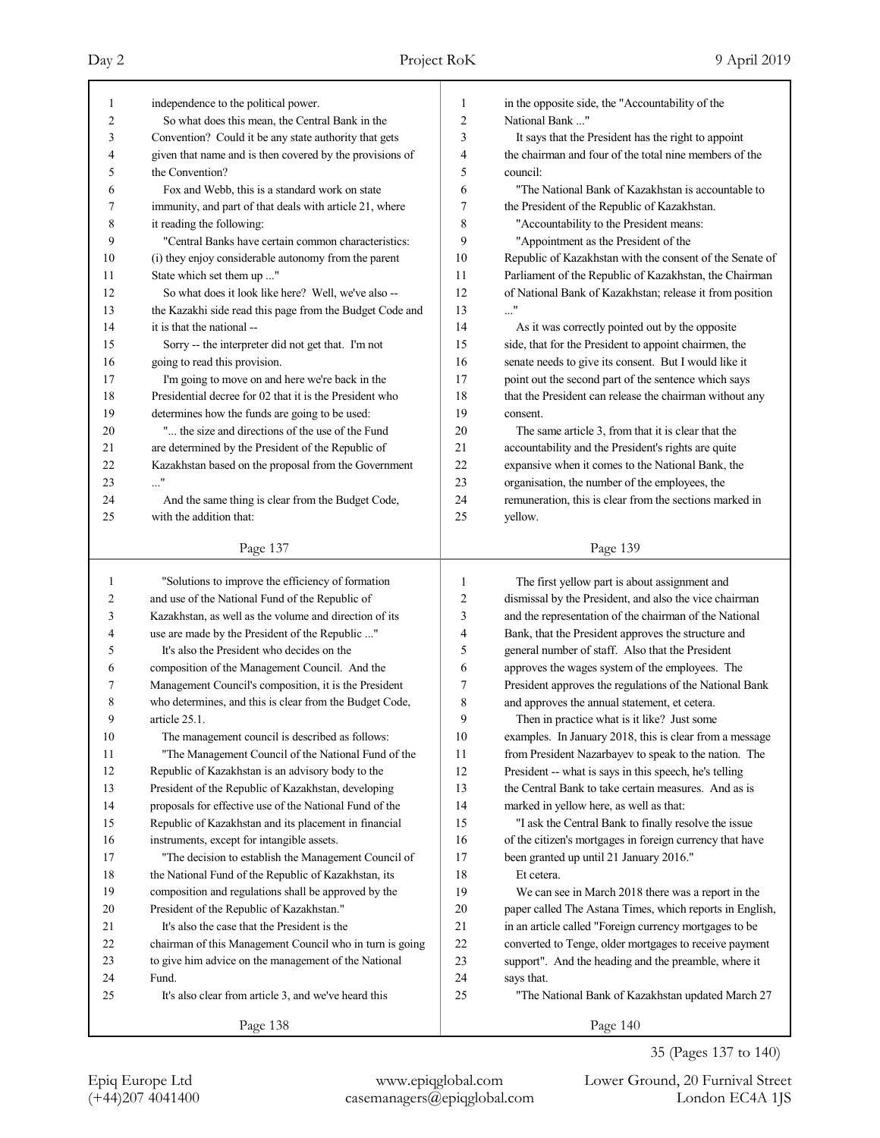24 Fund.

(+44)207 4041400 casemanagers@epiqglobal.com London EC4A 1JS Epiq Europe Ltd www.epiqglobal.com Lower Ground, 20 Furnival Street

| Day 2          | Project RoK                                              | 9 April 2019 |                                                          |
|----------------|----------------------------------------------------------|--------------|----------------------------------------------------------|
| 1              | independence to the political power.                     |              | in the opposite side, the "Accountability of the         |
| $\overline{2}$ | So what does this mean, the Central Bank in the          | 2            | National Bank "                                          |
| 3              | Convention? Could it be any state authority that gets    | 3            | It says that the President has the right to appoint      |
| 4              | given that name and is then covered by the provisions of | 4            | the chairman and four of the total nine members of the   |
| 5              | the Convention?                                          | 5            | council:                                                 |
| 6              | Fox and Webb, this is a standard work on state           | 6            | "The National Bank of Kazakhstan is accountable to       |
|                | immunity, and part of that deals with article 21, where  | 7            | the President of the Republic of Kazakhstan.             |
| 8              | it reading the following:                                | 8            | "Accountability to the President means:                  |
| 9              | "Central Banks have certain common characteristics:      | 9            | "Appointment as the President of the                     |
| 10             | (i) they enjoy considerable autonomy from the parent     | 10           | Republic of Kazakhstan with the consent of the Senate of |
| 11             | State which set them up "                                | 11           | Parliament of the Republic of Kazakhstan, the Chairman   |
| 12             | So what does it look like here? Well, we've also --      | 12           | of National Bank of Kazakhstan; release it from position |
| 13             | the Kazakhi side read this page from the Budget Code and | 13           | $\mathbf{u}$                                             |
| 14             | it is that the national --                               | 14           | As it was correctly pointed out by the opposite          |
| 15             | Sorry -- the interpreter did not get that. I'm not       | 15           | side, that for the President to appoint chairmen, the    |
| 16             | going to read this provision.                            | 16           | senate needs to give its consent. But I would like it    |
| 17             | I'm going to move on and here we're back in the          | 17           | point out the second part of the sentence which says     |
| 18             | Presidential decree for 02 that it is the President who  | 18           | that the President can release the chairman without any  |
| 19             | determines how the funds are going to be used:           | 19           | consent.                                                 |
| 20             | " the size and directions of the use of the Fund         | 20           | The same article 3, from that it is clear that the       |
| 21             | are determined by the President of the Republic of       | 21           | accountability and the President's rights are quite      |
| 22             | Kazakhstan based on the proposal from the Government     | 22           | expansive when it comes to the National Bank, the        |

Page 137

Page 138

35 (Pages 137 to 140) 24 And the same thing is clear from the Budget Code, 1 "Solutions to improve the efficiency of formation 2 and use of the National Fund of the Republic of 3 Kazakhstan, as well as the volume and direction of its 4 use are made by the President of the Republic ..." 5 It's also the President who decides on the 6 composition of the Management Council. And the 7 Management Council's composition, it is the President 8 who determines, and this is clear from the Budget Code, 10 The management council is described as follows: 11 "The Management Council of the National Fund of the 12 Republic of Kazakhstan is an advisory body to the 13 President of the Republic of Kazakhstan, developing 14 proposals for effective use of the National Fund of the 15 Republic of Kazakhstan and its placement in financial 16 instruments, except for intangible assets. 17 "The decision to establish the Management Council of 18 the National Fund of the Republic of Kazakhstan, its 19 composition and regulations shall be approved by the 20 President of the Republic of Kazakhstan." 21 It's also the case that the President is the 22 chairman of this Management Council who in turn is going 23 to give him advice on the management of the National 25 It's also clear from article 3, and we've heard this Page 139 he Republic of Kazakhstan, the Chairman nk of Kazakhstan; release it from position rrectly pointed out by the opposite 1e President to appoint chairmen, the give its consent. But I would like it econd part of the sentence which says ent can release the chairman without any ticle 3, from that it is clear that the and the President's rights are quite expansive when it comes to the National Bank, the 23 organisation, the number of the employees, the 24 remuneration, this is clear from the sections marked in 25 yellow. Page 140 1 The first yellow part is about assignment and 2 dismissal by the President, and also the vice chairman 3 and the representation of the chairman of the National 4 Bank, that the President approves the structure and 5 general number of staff. Also that the President 6 approves the wages system of the employees. The 7 President approves the regulations of the National Bank 8 and approves the annual statement, et cetera. 9 Then in practice what is it like? Just some 10 examples. In January 2018, this is clear from a message 11 from President Nazarbayev to speak to the nation. The 12 President -- what is says in this speech, he's telling 13 the Central Bank to take certain measures. And as is 14 marked in yellow here, as well as that: 15 "I ask the Central Bank to finally resolve the issue 16 of the citizen's mortgages in foreign currency that have 17 been granted up until 21 January 2016." 18 Et cetera. 19 We can see in March 2018 there was a report in the 20 paper called The Astana Times, which reports in English, 21 in an article called "Foreign currency mortgages to be 22 converted to Tenge, older mortgages to receive payment 23 support". And the heading and the preamble, where it 24 says that. 25 "The National Bank of Kazakhstan updated March 27

23 ..."

25 with the addition that:

9 article 25.1.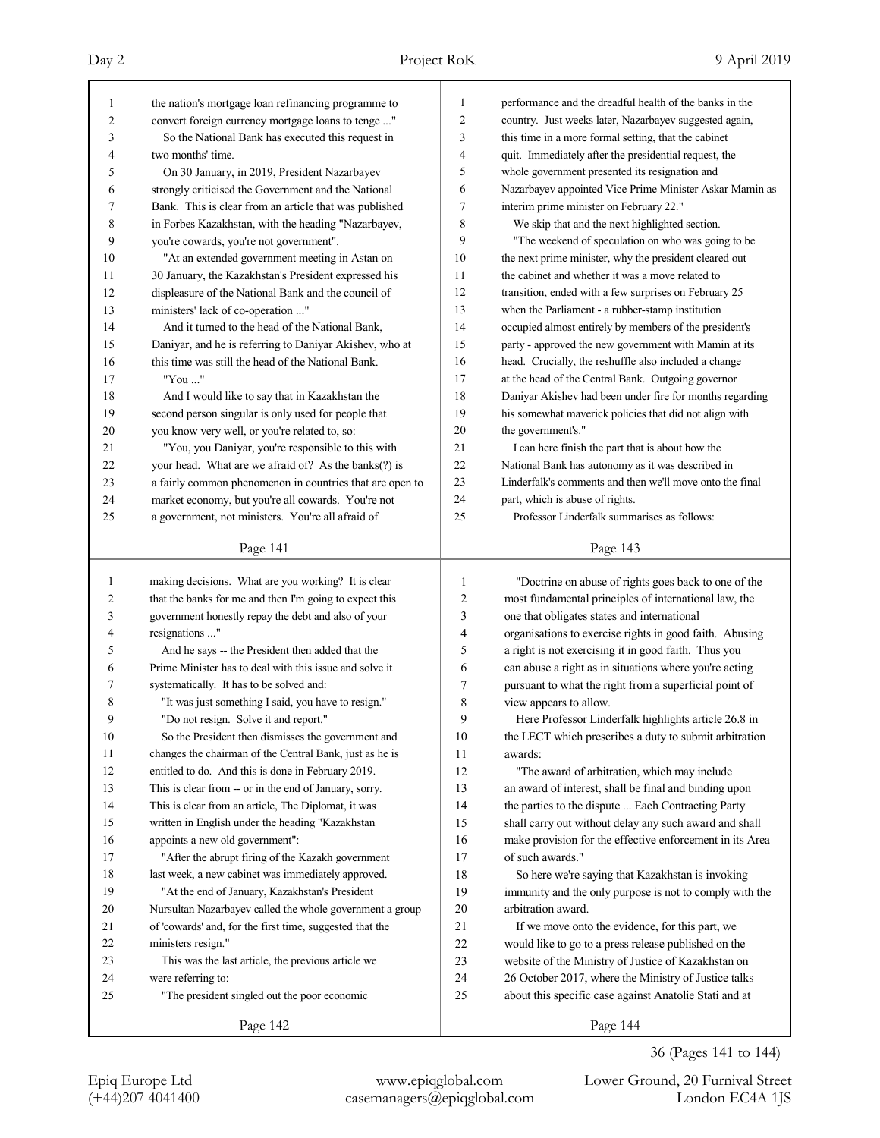36 (Pages 141 to 144)

| $\mathbf{1}$     | the nation's mortgage loan refinancing programme to      | $\mathbf{1}$             | performance and the dreadful health of the banks in the  |
|------------------|----------------------------------------------------------|--------------------------|----------------------------------------------------------|
| $\boldsymbol{2}$ | convert foreign currency mortgage loans to tenge "       | $\sqrt{2}$               | country. Just weeks later, Nazarbayev suggested again,   |
| 3                | So the National Bank has executed this request in        | 3                        | this time in a more formal setting, that the cabinet     |
| 4                | two months' time.                                        | 4                        | quit. Immediately after the presidential request, the    |
| 5                | On 30 January, in 2019, President Nazarbayev             | 5                        | whole government presented its resignation and           |
| 6                | strongly criticised the Government and the National      | 6                        | Nazarbayev appointed Vice Prime Minister Askar Mamin as  |
| 7                | Bank. This is clear from an article that was published   | $\boldsymbol{7}$         | interim prime minister on February 22."                  |
| 8                | in Forbes Kazakhstan, with the heading "Nazarbayev,      | $\,$ 8 $\,$              | We skip that and the next highlighted section.           |
| 9                | you're cowards, you're not government".                  | 9                        | "The weekend of speculation on who was going to be       |
| 10               | "At an extended government meeting in Astan on           | 10                       | the next prime minister, why the president cleared out   |
| 11               | 30 January, the Kazakhstan's President expressed his     | 11                       | the cabinet and whether it was a move related to         |
| 12               | displeasure of the National Bank and the council of      | 12                       | transition, ended with a few surprises on February 25    |
| 13               | ministers' lack of co-operation "                        | 13                       | when the Parliament - a rubber-stamp institution         |
| 14               | And it turned to the head of the National Bank,          | 14                       | occupied almost entirely by members of the president's   |
| 15               | Daniyar, and he is referring to Daniyar Akishev, who at  | 15                       | party - approved the new government with Mamin at its    |
| 16               | this time was still the head of the National Bank.       | 16                       | head. Crucially, the reshuffle also included a change    |
| 17               | "You "                                                   | 17                       | at the head of the Central Bank. Outgoing governor       |
| 18               | And I would like to say that in Kazakhstan the           | 18                       | Daniyar Akishev had been under fire for months regarding |
| 19               | second person singular is only used for people that      | 19                       | his somewhat maverick policies that did not align with   |
| 20               | you know very well, or you're related to, so:            | 20                       | the government's."                                       |
| 21               | "You, you Daniyar, you're responsible to this with       | 21                       | I can here finish the part that is about how the         |
| 22               | your head. What are we afraid of? As the banks(?) is     | 22                       | National Bank has autonomy as it was described in        |
| 23               | a fairly common phenomenon in countries that are open to | 23                       | Linderfalk's comments and then we'll move onto the final |
| 24               | market economy, but you're all cowards. You're not       | 24                       | part, which is abuse of rights.                          |
| 25               | a government, not ministers. You're all afraid of        | 25                       | Professor Linderfalk summarises as follows:              |
|                  | Page 141                                                 |                          | Page 143                                                 |
|                  |                                                          |                          |                                                          |
| $\mathbf{1}$     | making decisions. What are you working? It is clear      | $\mathbf{1}$             | "Doctrine on abuse of rights goes back to one of the     |
| 2                | that the banks for me and then I'm going to expect this  | 2                        | most fundamental principles of international law, the    |
| 3                | government honestly repay the debt and also of your      | 3                        | one that obligates states and international              |
| 4                | resignations "                                           | $\overline{\mathcal{L}}$ | organisations to exercise rights in good faith. Abusing  |
| 5                | And he says -- the President then added that the         | 5                        | a right is not exercising it in good faith. Thus you     |
| 6                | Prime Minister has to deal with this issue and solve it  | 6                        | can abuse a right as in situations where you're acting   |
| 7                | systematically. It has to be solved and:                 | $\sqrt{ }$               | pursuant to what the right from a superficial point of   |
| 8                | "It was just something I said, you have to resign."      | 8                        | view appears to allow.                                   |
| 9                | "Do not resign. Solve it and report."                    | 9                        | Here Professor Linderfalk highlights article 26.8 in     |
| 10               | So the President then dismisses the government and       | 10                       | the LECT which prescribes a duty to submit arbitration   |
| 11               | changes the chairman of the Central Bank, just as he is  | 11                       | awards:                                                  |
| 12               | entitled to do. And this is done in February 2019.       | 12                       | "The award of arbitration, which may include             |
| 13               | This is clear from -- or in the end of January, sorry.   | 13                       | an award of interest, shall be final and binding upon    |
| 14               | This is clear from an article, The Diplomat, it was      | 14                       | the parties to the dispute  Each Contracting Party       |
| 15               | written in English under the heading "Kazakhstan         | 15                       | shall carry out without delay any such award and shall   |
| 16               | appoints a new old government":                          | 16                       | make provision for the effective enforcement in its Area |
| 17               | "After the abrupt firing of the Kazakh government        | 17                       | of such awards."                                         |
| 18               | last week, a new cabinet was immediately approved.       | 18                       | So here we're saying that Kazakhstan is invoking         |
| 19               | "At the end of January, Kazakhstan's President           | 19                       | immunity and the only purpose is not to comply with the  |
| 20               | Nursultan Nazarbayev called the whole government a group | 20                       | arbitration award.                                       |
| 21               | of 'cowards' and, for the first time, suggested that the | 21                       | If we move onto the evidence, for this part, we          |
| 22               | ministers resign."                                       | 22                       | would like to go to a press release published on the     |
| 23               | This was the last article, the previous article we       | 23                       | website of the Ministry of Justice of Kazakhstan on      |
| 24               | were referring to:                                       | 24                       | 26 October 2017, where the Ministry of Justice talks     |
| 25               | "The president singled out the poor economic             | 25                       | about this specific case against Anatolie Stati and at   |
|                  | Page 142                                                 |                          | Page 144                                                 |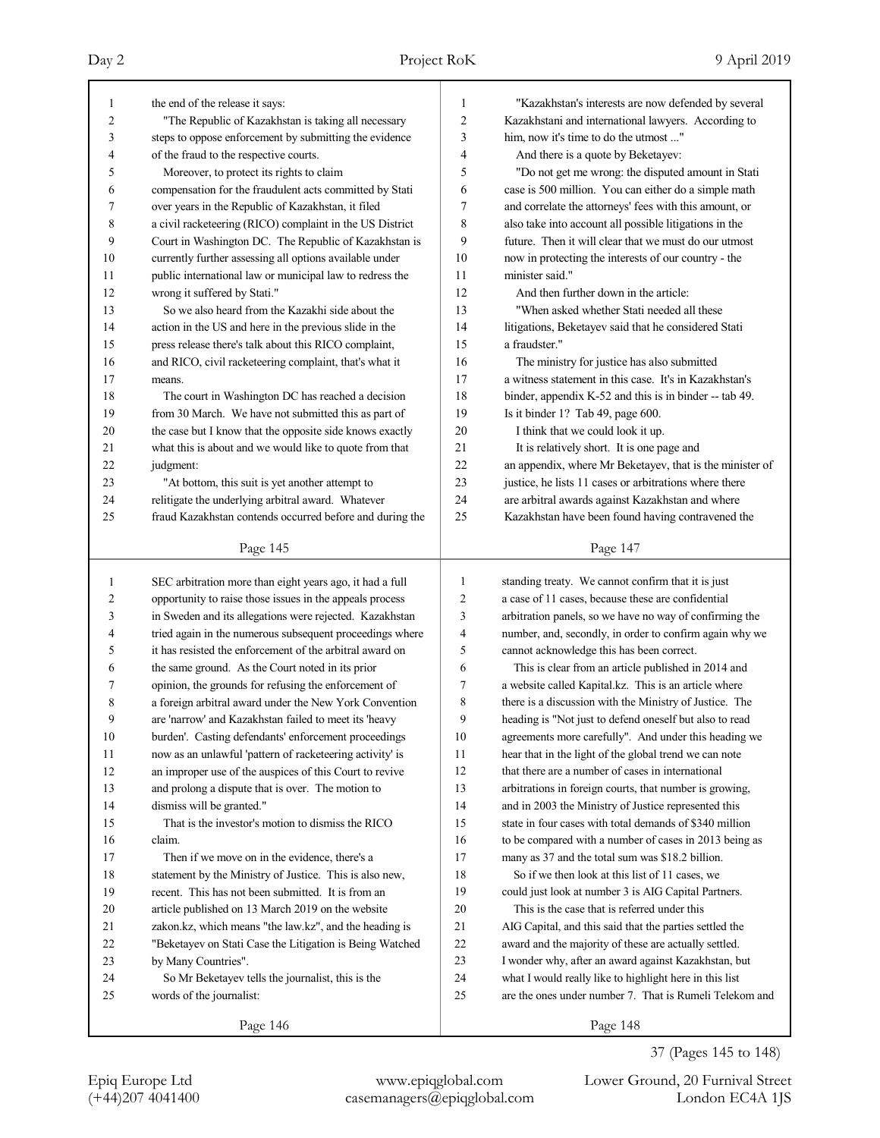| $\mathbf{1}$ | the end of the release it says:                          | 1              | "Kazakhstan's interests are now defended by several      |
|--------------|----------------------------------------------------------|----------------|----------------------------------------------------------|
| 2            | "The Republic of Kazakhstan is taking all necessary      | $\overline{2}$ | Kazakhstani and international lawyers. According to      |
| 3            | steps to oppose enforcement by submitting the evidence   | 3              | him, now it's time to do the utmost "                    |
| 4            | of the fraud to the respective courts.                   | 4              | And there is a quote by Beketayev:                       |
| 5            | Moreover, to protect its rights to claim                 | 5              | "Do not get me wrong: the disputed amount in Stati       |
| 6            | compensation for the fraudulent acts committed by Stati  |                | case is 500 million. You can either do a simple math     |
| 7            | over years in the Republic of Kazakhstan, it filed       | 7              | and correlate the attorneys' fees with this amount, or   |
| 8            | a civil racketeering (RICO) complaint in the US District | 8              | also take into account all possible litigations in the   |
| 9            | Court in Washington DC. The Republic of Kazakhstan is    | 9              | future. Then it will clear that we must do our utmost    |
| 10           | currently further assessing all options available under  | 10             | now in protecting the interests of our country - the     |
| 11           | public international law or municipal law to redress the | 11             | minister said."                                          |
| 12           | wrong it suffered by Stati."                             | 12             | And then further down in the article:                    |
| 13           | So we also heard from the Kazakhi side about the         | 13             | "When asked whether Stati needed all these               |
| 14           | action in the US and here in the previous slide in the   | 14             | litigations, Beketayev said that he considered Stati     |
| 15           | press release there's talk about this RICO complaint,    | 15             | a fraudster."                                            |
| 16           | and RICO, civil racketeering complaint, that's what it   | 16             | The ministry for justice has also submitted              |
| 17           | means.                                                   | 17             | a witness statement in this case. It's in Kazakhstan's   |
| 18           | The court in Washington DC has reached a decision        | 18             | binder, appendix K-52 and this is in binder -- tab 49.   |
| 19           | from 30 March. We have not submitted this as part of     | 19             | Is it binder 1? Tab 49, page 600.                        |
| 20           | the case but I know that the opposite side knows exactly | 20             | I think that we could look it up.                        |
| 21           | what this is about and we would like to quote from that  | 21             | It is relatively short. It is one page and               |
| 22           | judgment:                                                | 22             | an appendix, where Mr Beketayev, that is the minister of |
| 23           | "At bottom, this suit is yet another attempt to          | 23             | justice, he lists 11 cases or arbitrations where there   |
| 24           | relitigate the underlying arbitral award. Whatever       | 24             | are arbitral awards against Kazakhstan and where         |
| 25           | fraud Kazakhstan contends occurred before and during the | 25             | Kazakhstan have been found having contravened the        |
|              |                                                          |                |                                                          |
|              | Page 145                                                 |                | Page 147                                                 |
|              |                                                          |                |                                                          |
|              |                                                          |                |                                                          |
| 1            | SEC arbitration more than eight years ago, it had a full | 1              | standing treaty. We cannot confirm that it is just       |
| 2            | opportunity to raise those issues in the appeals process | 2              | a case of 11 cases, because these are confidential       |
| 3            | in Sweden and its allegations were rejected. Kazakhstan  | 3              | arbitration panels, so we have no way of confirming the  |
| 4            | tried again in the numerous subsequent proceedings where | 4              | number, and, secondly, in order to confirm again why we  |
| 5            | it has resisted the enforcement of the arbitral award on | 5              | cannot acknowledge this has been correct.                |
| 6            | the same ground. As the Court noted in its prior         | 6              | This is clear from an article published in 2014 and      |
| 7            | opinion, the grounds for refusing the enforcement of     | 7              | a website called Kapital.kz. This is an article where    |
| 8            | a foreign arbitral award under the New York Convention   | 8              | there is a discussion with the Ministry of Justice. The  |
| 9            | are 'narrow' and Kazakhstan failed to meet its 'heavy    | 9              | heading is "Not just to defend oneself but also to read  |
| 10           | burden'. Casting defendants' enforcement proceedings     | 10             | agreements more carefully". And under this heading we    |
| 11           | now as an unlawful 'pattern of racketeering activity' is | 11             | hear that in the light of the global trend we can note   |
| 12           | an improper use of the auspices of this Court to revive  | 12             | that there are a number of cases in international        |
| 13           | and prolong a dispute that is over. The motion to        | 13             | arbitrations in foreign courts, that number is growing,  |
| 14           | dismiss will be granted."                                | 14             | and in 2003 the Ministry of Justice represented this     |
| 15           | That is the investor's motion to dismiss the RICO        | 15             | state in four cases with total demands of \$340 million  |
| 16           | claim.                                                   | 16             | to be compared with a number of cases in 2013 being as   |
| 17           | Then if we move on in the evidence, there's a            | 17             | many as 37 and the total sum was \$18.2 billion.         |
| 18           | statement by the Ministry of Justice. This is also new,  | 18             | So if we then look at this list of 11 cases, we          |
| 19           | recent. This has not been submitted. It is from an       | 19             | could just look at number 3 is AIG Capital Partners.     |
| 20           | article published on 13 March 2019 on the website        | 20             | This is the case that is referred under this             |
| 21           | zakon.kz, which means "the law.kz", and the heading is   | 21             | AIG Capital, and this said that the parties settled the  |
| 22           | "Beketayev on Stati Case the Litigation is Being Watched | 22             | award and the majority of these are actually settled.    |
| 23           | by Many Countries".                                      | 23             | I wonder why, after an award against Kazakhstan, but     |
| 24           | So Mr Beketayev tells the journalist, this is the        | 24             | what I would really like to highlight here in this list  |
| 25           | words of the journalist:                                 | 25             | are the ones under number 7. That is Rumeli Telekom and  |

37 (Pages 145 to 148)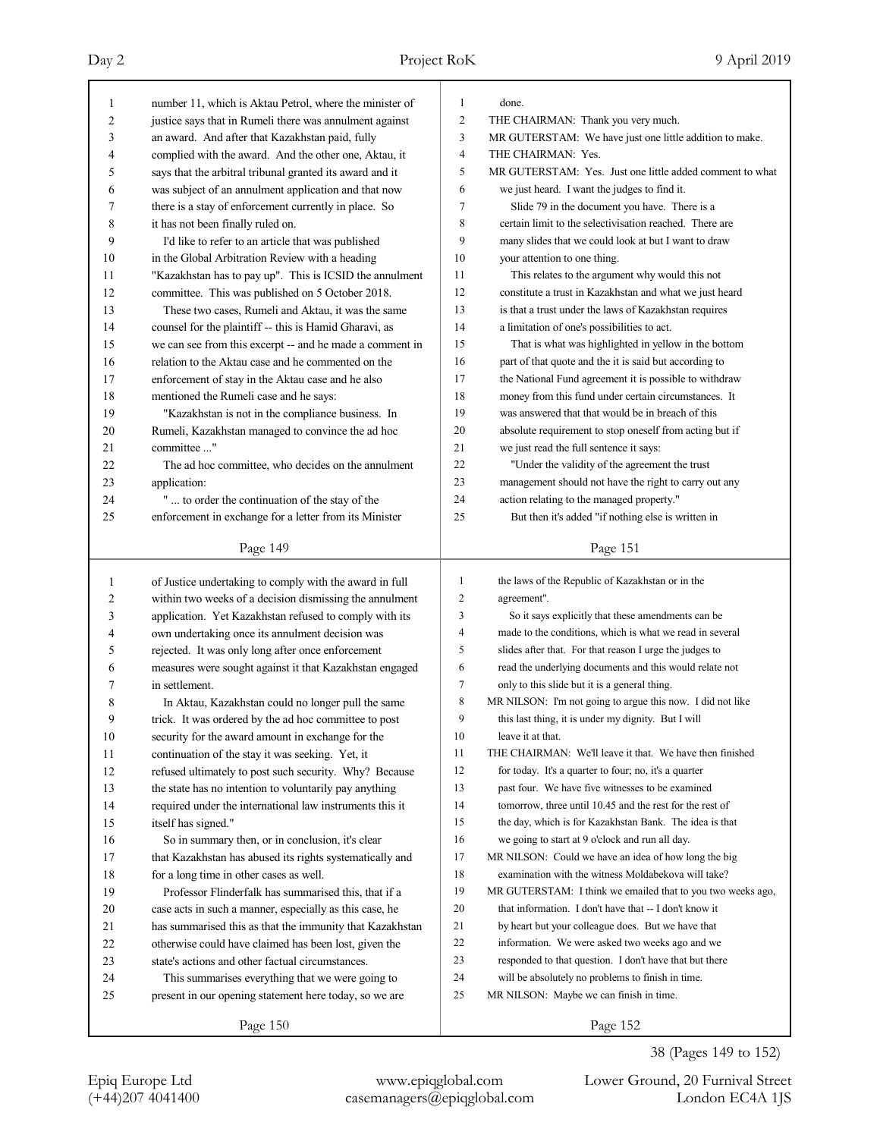(+44)207 4041400 casemanagers@epiqglobal.com London EC4A 1JS

# Epiq Europe Ltd www.epiqglobal.com Lower Ground, 20 Furnival Street

| 5            | says that the arbitral tribunal granted its award and it | 5                | MR GUTERSTAM: Yes. Just one little added comment to what    |
|--------------|----------------------------------------------------------|------------------|-------------------------------------------------------------|
| 6            | was subject of an annulment application and that now     | 6                | we just heard. I want the judges to find it.                |
| 7            | there is a stay of enforcement currently in place. So    | 7                | Slide 79 in the document you have. There is a               |
| 8            | it has not been finally ruled on.                        | 8                | certain limit to the selectivisation reached. There are     |
| 9            | I'd like to refer to an article that was published       | 9                | many slides that we could look at but I want to draw        |
| 10           | in the Global Arbitration Review with a heading          | 10               | your attention to one thing.                                |
| 11           | "Kazakhstan has to pay up". This is ICSID the annulment  | 11               | This relates to the argument why would this not             |
| 12           | committee. This was published on 5 October 2018.         | 12               | constitute a trust in Kazakhstan and what we just heard     |
| 13           | These two cases, Rumeli and Aktau, it was the same       | 13               | is that a trust under the laws of Kazakhstan requires       |
| 14           | counsel for the plaintiff -- this is Hamid Gharavi, as   | 14               | a limitation of one's possibilities to act.                 |
| 15           | we can see from this excerpt -- and he made a comment in | 15               | That is what was highlighted in yellow in the bottom        |
| 16           | relation to the Aktau case and he commented on the       | 16               | part of that quote and the it is said but according to      |
| 17           | enforcement of stay in the Aktau case and he also        | 17               | the National Fund agreement it is possible to withdraw      |
| 18           | mentioned the Rumeli case and he says:                   | 18               | money from this fund under certain circumstances. It        |
| 19           | "Kazakhstan is not in the compliance business. In        | 19               | was answered that that would be in breach of this           |
| 20           | Rumeli, Kazakhstan managed to convince the ad hoc        | 20               | absolute requirement to stop oneself from acting but if     |
| 21           | committee "                                              | 21               | we just read the full sentence it says:                     |
| 22           | The ad hoc committee, who decides on the annulment       | 22               | "Under the validity of the agreement the trust              |
| 23           | application:                                             | 23               | management should not have the right to carry out any       |
| 24           | "  to order the continuation of the stay of the          | 24               | action relating to the managed property."                   |
| 25           | enforcement in exchange for a letter from its Minister   | 25               | But then it's added "if nothing else is written in          |
|              |                                                          |                  |                                                             |
|              | Page 149                                                 |                  | Page 151                                                    |
|              |                                                          |                  |                                                             |
| $\mathbf{1}$ | of Justice undertaking to comply with the award in full  | $\mathbf{1}$     | the laws of the Republic of Kazakhstan or in the            |
| 2            | within two weeks of a decision dismissing the annulment  | $\overline{c}$   | agreement".                                                 |
| 3            | application. Yet Kazakhstan refused to comply with its   | $\mathfrak{Z}$   | So it says explicitly that these amendments can be          |
| 4            | own undertaking once its annulment decision was          | $\overline{4}$   | made to the conditions, which is what we read in several    |
| 5            | rejected. It was only long after once enforcement        | 5                | slides after that. For that reason I urge the judges to     |
| 6            | measures were sought against it that Kazakhstan engaged  | 6                | read the underlying documents and this would relate not     |
| 7            | in settlement.                                           | $\boldsymbol{7}$ | only to this slide but it is a general thing.               |
| 8            | In Aktau, Kazakhstan could no longer pull the same       | $\,8\,$          | MR NILSON: I'm not going to argue this now. I did not like  |
| 9            | trick. It was ordered by the ad hoc committee to post    | 9                | this last thing, it is under my dignity. But I will         |
| 10           | security for the award amount in exchange for the        | 10               | leave it at that.                                           |
| 11           | continuation of the stay it was seeking. Yet, it         | 11               | THE CHAIRMAN: We'll leave it that. We have then finished    |
| 12           | refused ultimately to post such security. Why? Because   | 12               | for today. It's a quarter to four; no, it's a quarter       |
| 13           | the state has no intention to voluntarily pay anything   | 13               | past four. We have five witnesses to be examined            |
| 14           | required under the international law instruments this it | 14               | tomorrow, three until 10.45 and the rest for the rest of    |
| 15           | itself has signed."                                      | 15               | the day, which is for Kazakhstan Bank. The idea is that     |
| 16           | So in summary then, or in conclusion, it's clear         | 16               | we going to start at 9 o'clock and run all day.             |
| 17           | that Kazakhstan has abused its rights systematically and | 17               | MR NILSON: Could we have an idea of how long the big        |
| 18           | for a long time in other cases as well.                  | 18               | examination with the witness Moldabekova will take?         |
| 19           | Professor Flinderfalk has summarised this, that if a     | 19               | MR GUTERSTAM: I think we emailed that to you two weeks ago, |
| 20           | case acts in such a manner, especially as this case, he  | 20               | that information. I don't have that -- I don't know it      |
| 21           | has summarised this as that the immunity that Kazakhstan | 21               | by heart but your colleague does. But we have that          |
| 22           | otherwise could have claimed has been lost, given the    | 22               | information. We were asked two weeks ago and we             |
| 23           | state's actions and other factual circumstances.         | 23               | responded to that question. I don't have that but there     |
| 24           | This summarises everything that we were going to         | 24               | will be absolutely no problems to finish in time.           |
| 25           | present in our opening statement here today, so we are   | 25               | MR NILSON: Maybe we can finish in time.                     |
|              | Page 150                                                 |                  | Page 152                                                    |
|              |                                                          |                  | 38 (Pages 149 to 152)                                       |

1 done.

2 THE CHAIRMAN: Thank you very much.

4 THE CHAIRMAN: Yes.

3 MR GUTERSTAM: We have just one little addition to make.

1 number 11, which is Aktau Petrol, where the minister of 2 justice says that in Rumeli there was annulment against 3 an award. And after that Kazakhstan paid, fully 4 complied with the award. And the other one, Aktau, it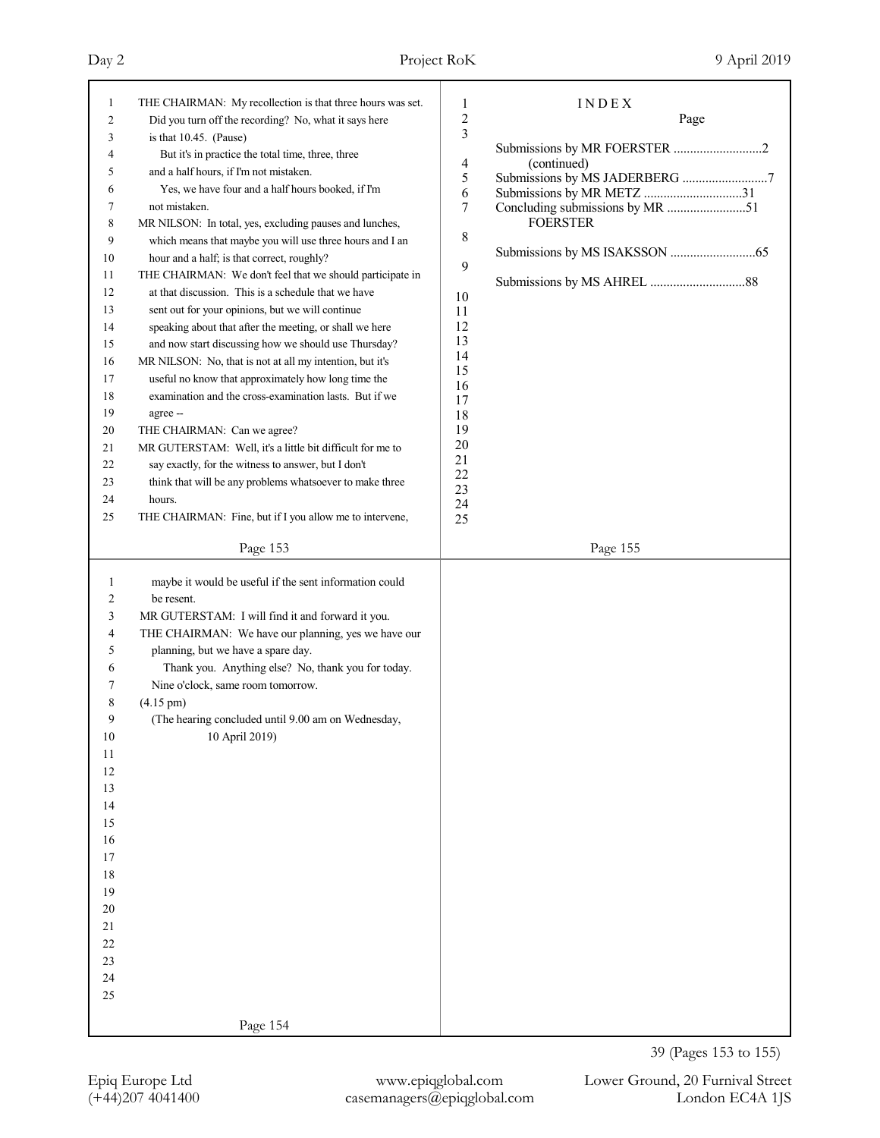| 1      |                                                            |                                    |
|--------|------------------------------------------------------------|------------------------------------|
|        | THE CHAIRMAN: My recollection is that three hours was set. | 1<br>INDEX<br>$\overline{c}$       |
| 2      | Did you turn off the recording? No, what it says here      | Page<br>3                          |
| 3      | is that 10.45. (Pause)                                     | Submissions by MR FOERSTER 2       |
| 4      | But it's in practice the total time, three, three          | 4<br>(continued)                   |
| 5      | and a half hours, if I'm not mistaken.                     | 5<br>Submissions by MS JADERBERG 7 |
| 6      | Yes, we have four and a half hours booked, if I'm          | Submissions by MR METZ 31<br>6     |
| 7      | not mistaken.                                              | 7                                  |
| 8      | MR NILSON: In total, yes, excluding pauses and lunches,    | <b>FOERSTER</b>                    |
| 9      | which means that maybe you will use three hours and I an   | 8                                  |
| 10     | hour and a half; is that correct, roughly?                 |                                    |
| 11     | THE CHAIRMAN: We don't feel that we should participate in  | 9                                  |
| 12     | at that discussion. This is a schedule that we have        | 10                                 |
| 13     | sent out for your opinions, but we will continue           | 11                                 |
| 14     | speaking about that after the meeting, or shall we here    | 12                                 |
| 15     | and now start discussing how we should use Thursday?       | 13                                 |
| 16     | MR NILSON: No, that is not at all my intention, but it's   | 14                                 |
| 17     | useful no know that approximately how long time the        | 15                                 |
| 18     | examination and the cross-examination lasts. But if we     | 16                                 |
|        |                                                            | 17                                 |
| 19     | agree --                                                   | 18                                 |
| 20     | THE CHAIRMAN: Can we agree?                                | 19<br>20                           |
| 21     | MR GUTERSTAM: Well, it's a little bit difficult for me to  | 21                                 |
| 22     | say exactly, for the witness to answer, but I don't        | 22                                 |
| 23     | think that will be any problems whatsoever to make three   | 23                                 |
| 24     | hours.                                                     | 24                                 |
| 25     | THE CHAIRMAN: Fine, but if I you allow me to intervene,    | 25                                 |
|        | Page 153                                                   | Page 155                           |
|        |                                                            |                                    |
| 1      | maybe it would be useful if the sent information could     |                                    |
| 2      | be resent.                                                 |                                    |
| 3      | MR GUTERSTAM: I will find it and forward it you.           |                                    |
|        |                                                            |                                    |
| 4      | THE CHAIRMAN: We have our planning, yes we have our        |                                    |
| 5      | planning, but we have a spare day.                         |                                    |
| 6      | Thank you. Anything else? No, thank you for today.         |                                    |
| 7      | Nine o'clock, same room tomorrow.                          |                                    |
| 8      | $(4.15 \text{ pm})$                                        |                                    |
| 9      |                                                            |                                    |
|        | (The hearing concluded until 9.00 am on Wednesday,         |                                    |
| 10     | 10 April 2019)                                             |                                    |
| 11     |                                                            |                                    |
| 12     |                                                            |                                    |
| 13     |                                                            |                                    |
| 14     |                                                            |                                    |
| 15     |                                                            |                                    |
| 16     |                                                            |                                    |
| $17\,$ |                                                            |                                    |
| 18     |                                                            |                                    |
| 19     |                                                            |                                    |
| $20\,$ |                                                            |                                    |
| 21     |                                                            |                                    |
| $22\,$ |                                                            |                                    |
| 23     |                                                            |                                    |
| 24     |                                                            |                                    |
| 25     |                                                            |                                    |
|        | Page 154                                                   |                                    |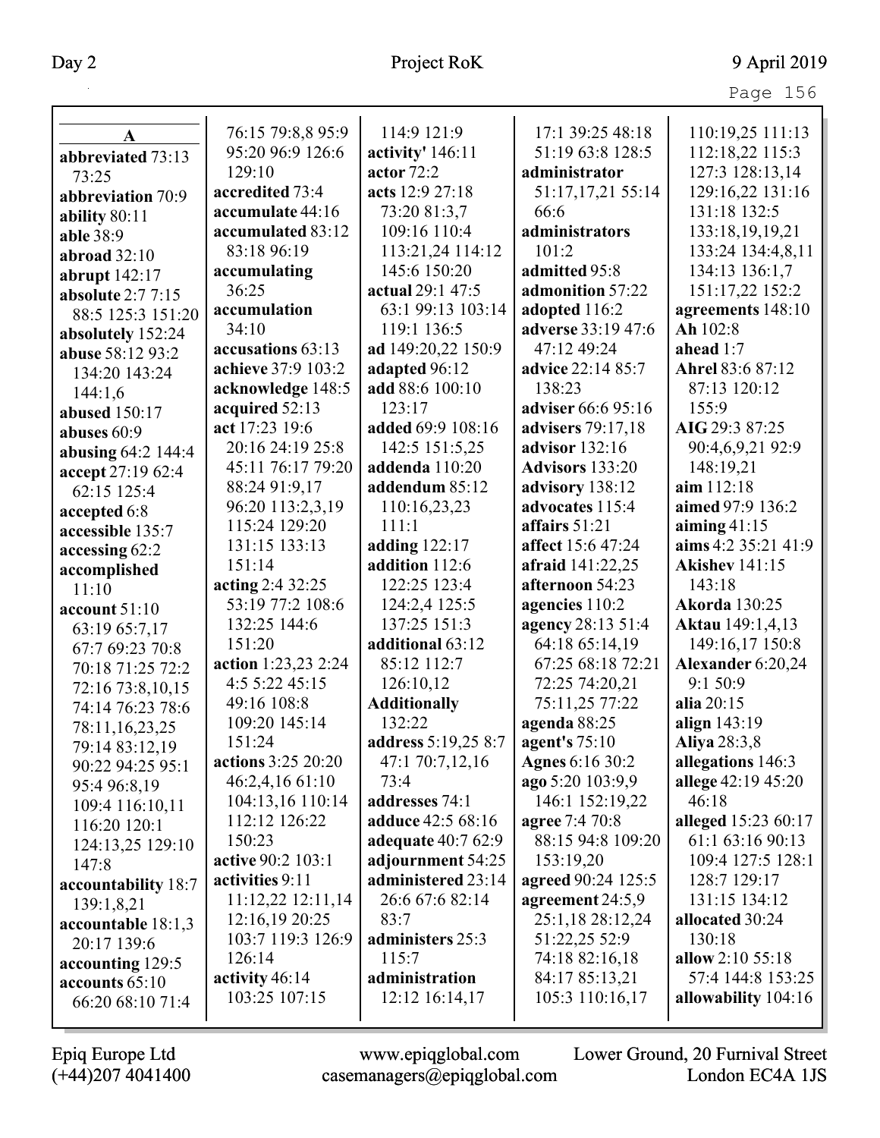| A                   | 76:15 79:8,8 95:9   | 114:9 121:9               | 17:1 39:25 48:18         | 110:19,25 111:13        |
|---------------------|---------------------|---------------------------|--------------------------|-------------------------|
| abbreviated 73:13   | 95:20 96:9 126:6    | activity' 146:11          | 51:19 63:8 128:5         | 112:18,22 115:3         |
| 73:25               | 129:10              | actor $72:2$              | administrator            | 127:3 128:13,14         |
| abbreviation 70:9   | accredited 73:4     | acts 12:9 27:18           | 51:17,17,21 55:14        | 129:16,22 131:16        |
| ability 80:11       | accumulate 44:16    | 73:20 81:3,7              | 66:6                     | 131:18 132:5            |
| able 38:9           | accumulated 83:12   | 109:16 110:4              | administrators           | 133:18,19,19,21         |
| abroad $32:10$      | 83:18 96:19         | 113:21,24 114:12          | 101:2                    | 133:24 134:4,8,11       |
| abrupt 142:17       | accumulating        | 145:6 150:20              | admitted 95:8            | 134:13 136:1,7          |
| absolute 2:7 7:15   | 36:25               | actual 29:1 47:5          | admonition 57:22         | 151:17,22 152:2         |
| 88:5 125:3 151:20   | accumulation        | 63:1 99:13 103:14         | adopted 116:2            | agreements 148:10       |
| absolutely 152:24   | 34:10               | 119:1 136:5               | adverse 33:19 47:6       | Ah 102:8                |
| abuse 58:12 93:2    | accusations 63:13   | ad 149:20,22 150:9        | 47:12 49:24              | ahead 1:7               |
| 134:20 143:24       | achieve 37:9 103:2  | adapted 96:12             | advice 22:14 85:7        | Ahrel 83:6 87:12        |
| 144:1,6             | acknowledge 148:5   | add 88:6 100:10           | 138:23                   | 87:13 120:12            |
| abused 150:17       | acquired 52:13      | 123:17                    | adviser 66:6 95:16       | 155:9                   |
| abuses 60:9         | act 17:23 19:6      | added 69:9 108:16         | <b>advisers</b> 79:17,18 | AIG 29:3 87:25          |
| abusing 64:2 144:4  | 20:16 24:19 25:8    | 142:5 151:5,25            | <b>advisor</b> 132:16    | 90:4,6,9,21 92:9        |
| accept 27:19 62:4   | 45:11 76:17 79:20   | addenda 110:20            | <b>Advisors</b> 133:20   | 148:19,21               |
| 62:15 125:4         | 88:24 91:9,17       | addendum 85:12            | advisory 138:12          | $\lim 112:18$           |
| accepted 6:8        | 96:20 113:2,3,19    | 110:16,23,23              | advocates 115:4          | aimed 97:9 136:2        |
| accessible 135:7    | 115:24 129:20       | 111:1                     | affairs $51:21$          | aiming $41:15$          |
| accessing 62:2      | 131:15 133:13       | adding $122:17$           | affect 15:6 47:24        | aims 4:2 35:21 41:9     |
| accomplished        | 151:14              | addition 112:6            | afraid 141:22,25         | <b>Akishev</b> 141:15   |
| 11:10               | acting 2:4 32:25    | 122:25 123:4              | afternoon 54:23          | 143:18                  |
| account 51:10       | 53:19 77:2 108:6    | 124:2,4 125:5             | agencies 110:2           | <b>Akorda</b> 130:25    |
| 63:19 65:7,17       | 132:25 144:6        | 137:25 151:3              | agency 28:13 51:4        | <b>Aktau</b> 149:1,4,13 |
| 67:7 69:23 70:8     | 151:20              | additional 63:12          | 64:18 65:14,19           | 149:16,17 150:8         |
| 70:18 71:25 72:2    | action 1:23,23 2:24 | 85:12 112:7               | 67:25 68:18 72:21        | Alexander 6:20,24       |
| 72:16 73:8,10,15    | 4:5 5:22 45:15      | 126:10,12                 | 72:25 74:20,21           | 9:1 50:9                |
| 74:14 76:23 78:6    | 49:16 108:8         | <b>Additionally</b>       | 75:11,25 77:22           | alia 20:15              |
| 78:11,16,23,25      | 109:20 145:14       | 132:22                    | agenda 88:25             | align 143:19            |
| 79:14 83:12,19      | 151:24              | address 5:19,25 8:7       | agent's $75:10$          | <b>Aliya 28:3,8</b>     |
| 90:22 94:25 95:1    | actions 3:25 20:20  | 47:1 70:7,12,16           | <b>Agnes</b> 6:16 30:2   | allegations 146:3       |
| 95:4 96:8,19        | 46:2,4,1661:10      | 73:4                      | ago 5:20 103:9,9         | allege 42:19 45:20      |
| 109:4 116:10,11     | 104:13,16 110:14    | addresses 74:1            | 146:1 152:19,22          | 46:18                   |
| 116:20 120:1        | 112:12 126:22       | adduce 42:5 68:16         | agree 7:4 70:8           | alleged 15:23 60:17     |
| 124:13,25 129:10    | 150:23              | <b>adequate</b> 40:7 62:9 | 88:15 94:8 109:20        | 61:1 63:16 90:13        |
| 147:8               | active 90:2 103:1   | adjournment 54:25         | 153:19,20                | 109:4 127:5 128:1       |
| accountability 18:7 | activities 9:11     | administered 23:14        | agreed 90:24 125:5       | 128:7 129:17            |
| 139:1,8,21          | 11:12,22 12:11,14   | 26:6 67:6 82:14           | agreement 24:5,9         | 131:15 134:12           |
| accountable 18:1,3  | 12:16,19 20:25      | 83:7                      | 25:1,18 28:12,24         | allocated 30:24         |
| 20:17 139:6         | 103:7 119:3 126:9   | administers 25:3          | 51:22,25 52:9            | 130:18                  |
| accounting 129:5    | 126:14              | 115:7                     | 74:18 82:16,18           | allow 2:10 55:18        |
| accounts 65:10      | activity 46:14      | administration            | 84:17 85:13,21           | 57:4 144:8 153:25       |
| 66:20 68:10 71:4    | 103:25 107:15       | 12:12 16:14,17            | 105:3 110:16,17          | allowability 104:16     |
|                     |                     |                           |                          |                         |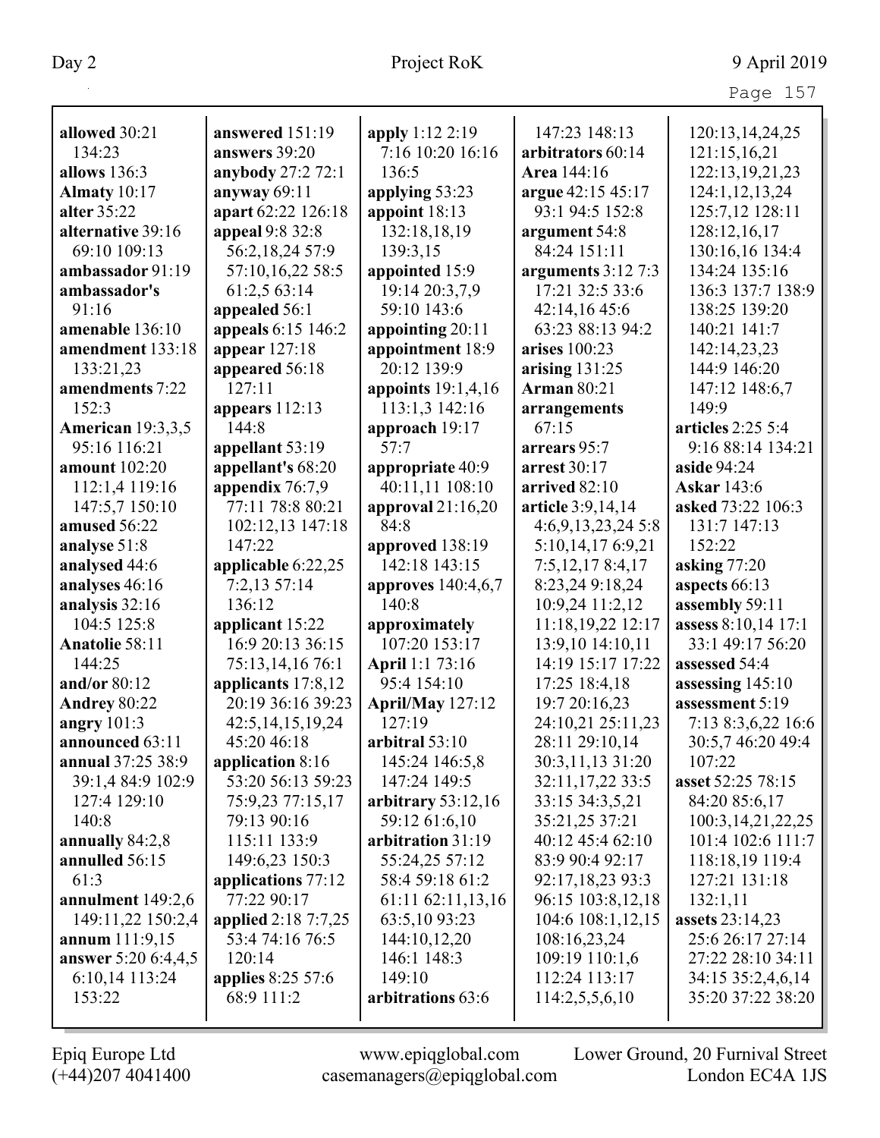|                            |                                        |                             |                                 | Page 157                               |
|----------------------------|----------------------------------------|-----------------------------|---------------------------------|----------------------------------------|
| allowed 30:21              | answered 151:19                        | apply 1:12 2:19             | 147:23 148:13                   | 120:13,14,24,25                        |
| 134:23                     | answers 39:20                          | 7:16 10:20 16:16            | arbitrators 60:14               | 121:15,16,21                           |
| allows 136:3               | anybody 27:2 72:1                      | 136:5                       | <b>Area</b> 144:16              | 122:13, 19, 21, 23                     |
| Almaty $10:17$             | anyway 69:11                           | applying 53:23              | argue 42:15 45:17               | 124:1,12,13,24                         |
| alter 35:22                | apart 62:22 126:18                     | appoint $18:13$             | 93:1 94:5 152:8                 | 125:7,12 128:11                        |
| alternative 39:16          | appeal 9:8 32:8                        | 132:18,18,19                | argument 54:8                   | 128:12,16,17                           |
| 69:10 109:13               | 56:2,18,24 57:9                        | 139:3,15                    | 84:24 151:11                    | 130:16,16 134:4                        |
| ambassador 91:19           | 57:10,16,22 58:5                       | appointed 15:9              | arguments $3:12$ 7:3            | 134:24 135:16                          |
| ambassador's               | 61:2,5 63:14                           | 19:14 20:3,7,9              | 17:21 32:5 33:6                 | 136:3 137:7 138:9                      |
| 91:16                      | appealed 56:1                          | 59:10 143:6                 | 42:14,16 45:6                   | 138:25 139:20                          |
| amenable 136:10            | appeals 6:15 146:2                     | appointing 20:11            | 63:23 88:13 94:2                | 140:21 141:7                           |
| amendment 133:18           | appear 127:18                          | appointment 18:9            | arises 100:23                   | 142:14,23,23                           |
| 133:21,23                  | appeared 56:18                         | 20:12 139:9                 | arising $131:25$                | 144:9 146:20                           |
| amendments 7:22            | 127:11                                 | appoints $19:1,4,16$        | <b>Arman 80:21</b>              | 147:12 148:6,7                         |
| 152:3                      | appears $112:13$                       | 113:1,3 142:16              | arrangements                    | 149:9                                  |
| <b>American</b> 19:3,3,5   | 144:8                                  | approach 19:17              | 67:15                           | articles 2:25 5:4                      |
| 95:16 116:21               | appellant 53:19                        | 57:7                        | arrears 95:7                    | 9:16 88:14 134:21                      |
| amount 102:20              | appellant's 68:20                      | appropriate 40:9            | arrest 30:17                    | <b>aside 94:24</b>                     |
| 112:1,4 119:16             | appendix $76:7,9$                      | 40:11,11 108:10             | arrived 82:10                   | <b>Askar</b> 143:6                     |
| 147:5,7 150:10             | 77:11 78:8 80:21                       | approval $21:16,20$         | article 3:9,14,14               | asked 73:22 106:3                      |
| amused 56:22               | 102:12,13 147:18                       | 84:8                        | 4:6,9,13,23,245:8               | 131:7 147:13                           |
| analyse 51:8               | 147:22                                 | approved 138:19             | 5:10,14,176:9,21                | 152:22                                 |
| analysed 44:6              | applicable 6:22,25                     | 142:18 143:15               | 7:5,12,178:4,17                 | asking $77:20$                         |
| analyses 46:16             | 7:2,13 57:14                           | approves $140:4,6,7$        | 8:23,24 9:18,24                 | aspects 66:13                          |
| analysis 32:16             | 136:12                                 | 140:8                       | 10:9,24 11:2,12                 | assembly 59:11                         |
| 104:5 125:8                | applicant 15:22                        | approximately               | 11:18,19,22 12:17               | assess 8:10,14 17:1                    |
| Anatolie 58:11             | 16:9 20:13 36:15                       | 107:20 153:17               | 13:9,10 14:10,11                | 33:1 49:17 56:20                       |
| 144:25                     | 75:13,14,16 76:1                       | April 1:1 73:16             | 14:19 15:17 17:22               | assessed 54:4                          |
| and/or $80:12$             | applicants 17:8,12                     | 95:4 154:10                 | 17:25 18:4,18                   | assessing 145:10                       |
| Andrey 80:22               | 20:19 36:16 39:23                      | <b>April/May 127:12</b>     | 19:7 20:16,23                   | assessment 5:19                        |
| angry $101:3$              | 42:5, 14, 15, 19, 24                   | 127:19                      | 24:10,21 25:11,23               | 7:13 8:3,6,22 16:6                     |
| announced 63:11            | 45:20 46:18                            | arbitral 53:10              | 28:11 29:10,14                  | 30:5,7 46:20 49:4                      |
| annual 37:25 38:9          | application 8:16                       | 145:24 146:5,8              | 30:3,11,13 31:20                | 107:22                                 |
| 39:1,4 84:9 102:9          | 53:20 56:13 59:23                      | 147:24 149:5                | 32:11,17,22 33:5                | asset 52:25 78:15                      |
| 127:4 129:10               | 75:9,23 77:15,17                       | arbitrary $53:12,16$        | 33:15 34:3,5,21                 | 84:20 85:6,17                          |
| 140:8                      | 79:13 90:16                            | 59:12 61:6,10               | 35:21,25 37:21                  | 100:3, 14, 21, 22, 25                  |
| annually 84:2,8            | 115:11 133:9                           | arbitration 31:19           | 40:12 45:4 62:10                | 101:4 102:6 111:7                      |
| annulled 56:15             | 149:6,23 150:3                         | 55:24,25 57:12              | 83:9 90:4 92:17                 | 118:18,19 119:4                        |
| 61:3                       | applications 77:12                     | 58:4 59:18 61:2             | 92:17,18,23 93:3                | 127:21 131:18                          |
| annulment 149:2,6          | 77:22 90:17                            | 61:11 62:11,13,16           | 96:15 103:8,12,18               | 132:1,11                               |
| 149:11,22 150:2,4          | <b>applied</b> 2:18 7:7,25             | 63:5,10 93:23               | 104:6 108:1,12,15               | <b>assets</b> 23:14,23                 |
| annum $111:9,15$           | 53:4 74:16 76:5                        | 144:10,12,20                | 108:16,23,24                    | 25:6 26:17 27:14                       |
| <b>answer</b> 5:20 6:4,4,5 | 120:14                                 | 146:1 148:3                 | 109:19 110:1,6                  | 27:22 28:10 34:11                      |
| 6:10,14 113:24<br>153:22   | <b>applies</b> 8:25 57:6<br>68:9 111:2 | 149:10<br>arbitrations 63:6 | 112:24 113:17<br>114:2,5,5,6,10 | 34:15 35:2,4,6,14<br>35:20 37:22 38:20 |
|                            |                                        |                             |                                 |                                        |
|                            |                                        |                             |                                 |                                        |

Epiq Europe Ltd www.epiqglobal.com Lower Ground, 20 Furnival Street<br>
(+44)207 4041400 casemanagers@epiqglobal.com London EC4A 1JS www.epiqglobal.com Lower Ground, 20 Furnival Street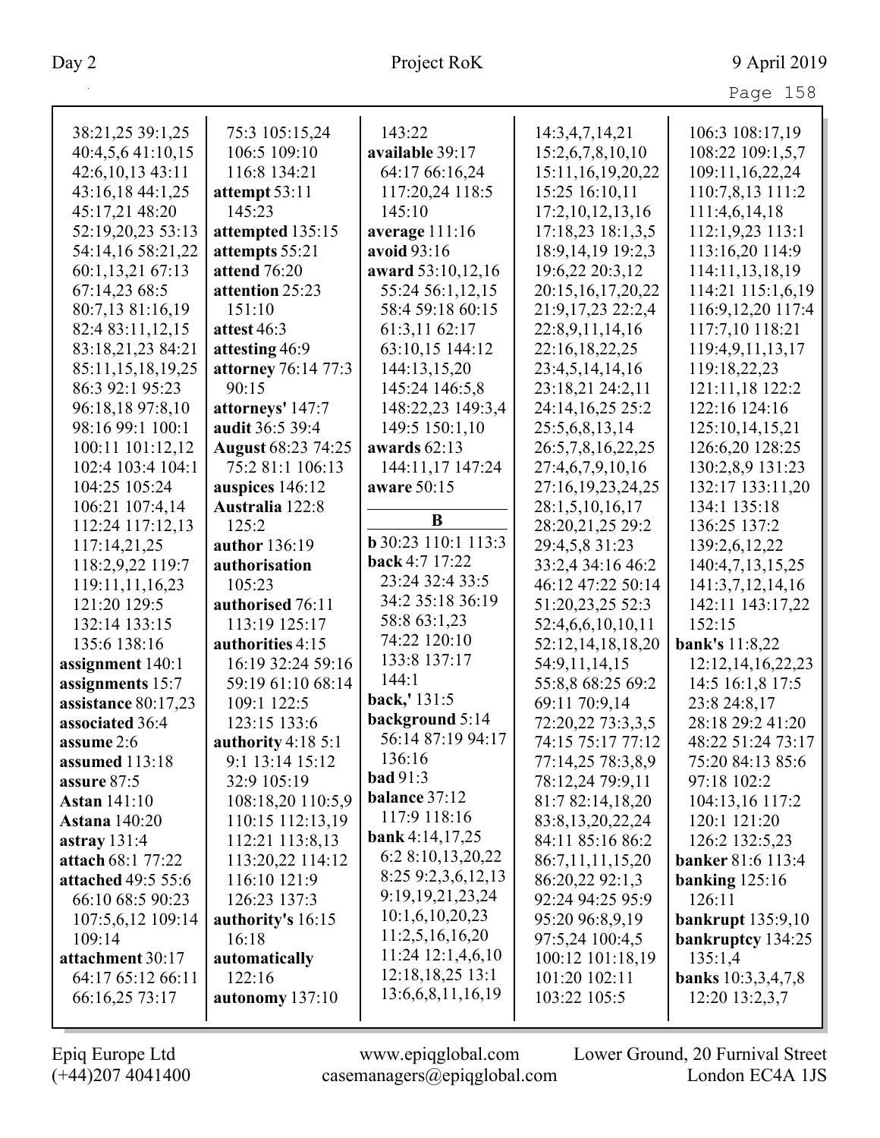| 38:21,25 39:1,25          | 75:3 105:15,24             | 143:22                     | 14:3,4,7,14,21        | 106:3 108:17,19           |
|---------------------------|----------------------------|----------------------------|-----------------------|---------------------------|
| 40:4,5,6 41:10,15         | 106:5 109:10               | available 39:17            | 15:2,6,7,8,10,10      | 108:22 109:1,5,7          |
| 42:6,10,13 43:11          | 116:8 134:21               | 64:17 66:16,24             | 15:11, 16, 19, 20, 22 | 109:11,16,22,24           |
| 43:16,18 44:1,25          | attempt 53:11              | 117:20,24 118:5            | 15:25 16:10,11        | 110:7,8,13 111:2          |
| 45:17,21 48:20            | 145:23                     | 145:10                     | 17:2, 10, 12, 13, 16  | 111:4,6,14,18             |
| 52:19,20,23 53:13         | attempted 135:15           | average $111:16$           | 17:18,23 18:1,3,5     | 112:1,9,23 113:1          |
| 54:14,16 58:21,22         | attempts 55:21             | avoid 93:16                | 18:9, 14, 19 19:2, 3  | 113:16,20 114:9           |
| 60:1,13,21 67:13          | attend 76:20               | award 53:10,12,16          | 19:6,22 20:3,12       | 114:11,13,18,19           |
| 67:14,23 68:5             | attention 25:23            | 55:24 56:1,12,15           | 20:15,16,17,20,22     | 114:21 115:1,6,19         |
| 80:7,13 81:16,19          | 151:10                     | 58:4 59:18 60:15           | 21:9,17,23 22:2,4     | 116:9, 12, 20 117:4       |
| 82:4 83:11,12,15          | attest 46:3                | 61:3,11 62:17              | 22:8,9,11,14,16       | 117:7,10 118:21           |
| 83:18,21,23 84:21         | attesting 46:9             | 63:10,15 144:12            | 22:16,18,22,25        | 119:4,9,11,13,17          |
| 85:11,15,18,19,25         | <b>attorney</b> 76:14 77:3 | 144:13,15,20               | 23:4,5,14,14,16       | 119:18,22,23              |
| 86:3 92:1 95:23           | 90:15                      | 145:24 146:5,8             | 23:18,21 24:2,11      | 121:11,18 122:2           |
| 96:18,18 97:8,10          | attorneys' 147:7           | 148:22,23 149:3,4          | 24:14,16,25 25:2      | 122:16 124:16             |
| 98:16 99:1 100:1          | audit 36:5 39:4            | 149:5 150:1,10             | 25:5,6,8,13,14        | 125:10,14,15,21           |
| 100:11 101:12,12          | August 68:23 74:25         | awards $62:13$             | 26:5,7,8,16,22,25     | 126:6,20 128:25           |
| 102:4 103:4 104:1         | 75:2 81:1 106:13           | 144:11,17 147:24           | 27:4,6,7,9,10,16      | 130:2,8,9 131:23          |
| 104:25 105:24             | auspices 146:12            | aware 50:15                | 27:16,19,23,24,25     | 132:17 133:11,20          |
| 106:21 107:4,14           | Australia 122:8            |                            | 28:1,5,10,16,17       | 134:1 135:18              |
| 112:24 117:12,13          | 125:2                      | B                          | 28:20,21,25 29:2      | 136:25 137:2              |
| 117:14,21,25              | author 136:19              | <b>b</b> 30:23 110:1 113:3 | 29:4,5,8 31:23        | 139:2,6,12,22             |
| 118:2,9,22 119:7          | authorisation              | back 4:7 17:22             | 33:2,4 34:16 46:2     | 140:4,7,13,15,25          |
| 119:11,11,16,23           | 105:23                     | 23:24 32:4 33:5            | 46:12 47:22 50:14     | 141:3,7,12,14,16          |
| 121:20 129:5              | authorised 76:11           | 34:2 35:18 36:19           | 51:20,23,25 52:3      | 142:11 143:17,22          |
| 132:14 133:15             | 113:19 125:17              | 58:8 63:1,23               | 52:4,6,6,10,10,11     | 152:15                    |
| 135:6 138:16              | authorities 4:15           | 74:22 120:10               | 52:12,14,18,18,20     | bank's 11:8,22            |
| assignment 140:1          | 16:19 32:24 59:16          | 133:8 137:17               | 54:9,11,14,15         | 12:12, 14, 16, 22, 23     |
| assignments 15:7          | 59:19 61:10 68:14          | 144:1                      | 55:8,8 68:25 69:2     | 14:5 16:1,8 17:5          |
| assistance 80:17,23       | 109:1 122:5                | back,' 131:5               | 69:11 70:9,14         | 23:8 24:8,17              |
| associated 36:4           | 123:15 133:6               | background 5:14            | 72:20,22 73:3,3,5     | 28:18 29:2 41:20          |
| assume 2:6                | authority 4:18 5:1         | 56:14 87:19 94:17          | 74:15 75:17 77:12     | 48:22 51:24 73:17         |
| assumed 113:18            | 9:1 13:14 15:12            | 136:16                     | 77:14,25 78:3,8,9     | 75:20 84:13 85:6          |
| assure 87:5               | 32:9 105:19                | <b>bad</b> 91:3            | 78:12,24 79:9,11      | 97:18 102:2               |
| <b>Astan</b> 141:10       | 108:18,20 110:5,9          | balance 37:12              | 81:7 82:14,18,20      | 104:13,16 117:2           |
| <b>Astana</b> 140:20      | 110:15 112:13,19           | 117:9 118:16               | 83:8,13,20,22,24      | 120:1 121:20              |
| astray $131:4$            | 112:21 113:8,13            | bank $4:14,17,25$          | 84:11 85:16 86:2      | 126:2 132:5,23            |
| <b>attach 68:1 77:22</b>  | 113:20,22 114:12           | 6:2 8:10,13,20,22          | 86:7,11,11,15,20      | <b>banker</b> 81:6 113:4  |
| <b>attached</b> 49:5 55:6 | 116:10 121:9               | 8:25 9:2,3,6,12,13         | 86:20,22 92:1,3       | banking $125:16$          |
| 66:10 68:5 90:23          | 126:23 137:3               | 9:19,19,21,23,24           | 92:24 94:25 95:9      | 126:11                    |
| 107:5,6,12 109:14         | authority's 16:15          | 10:1,6,10,20,23            | 95:20 96:8,9,19       | bankrupt $135:9,10$       |
| 109:14                    | 16:18                      | 11:2,5,16,16,20            | 97:5,24 100:4,5       | bankruptcy 134:25         |
| attachment 30:17          | automatically              | 11:24 12:1,4,6,10          | 100:12 101:18,19      | 135:1,4                   |
| 64:17 65:12 66:11         | 122:16                     | 12:18,18,25 13:1           | 101:20 102:11         | <b>banks</b> 10:3,3,4,7,8 |
| 66:16,25 73:17            | autonomy 137:10            | 13:6,6,8,11,16,19          | 103:22 105:5          | 12:20 13:2,3,7            |
|                           |                            |                            |                       |                           |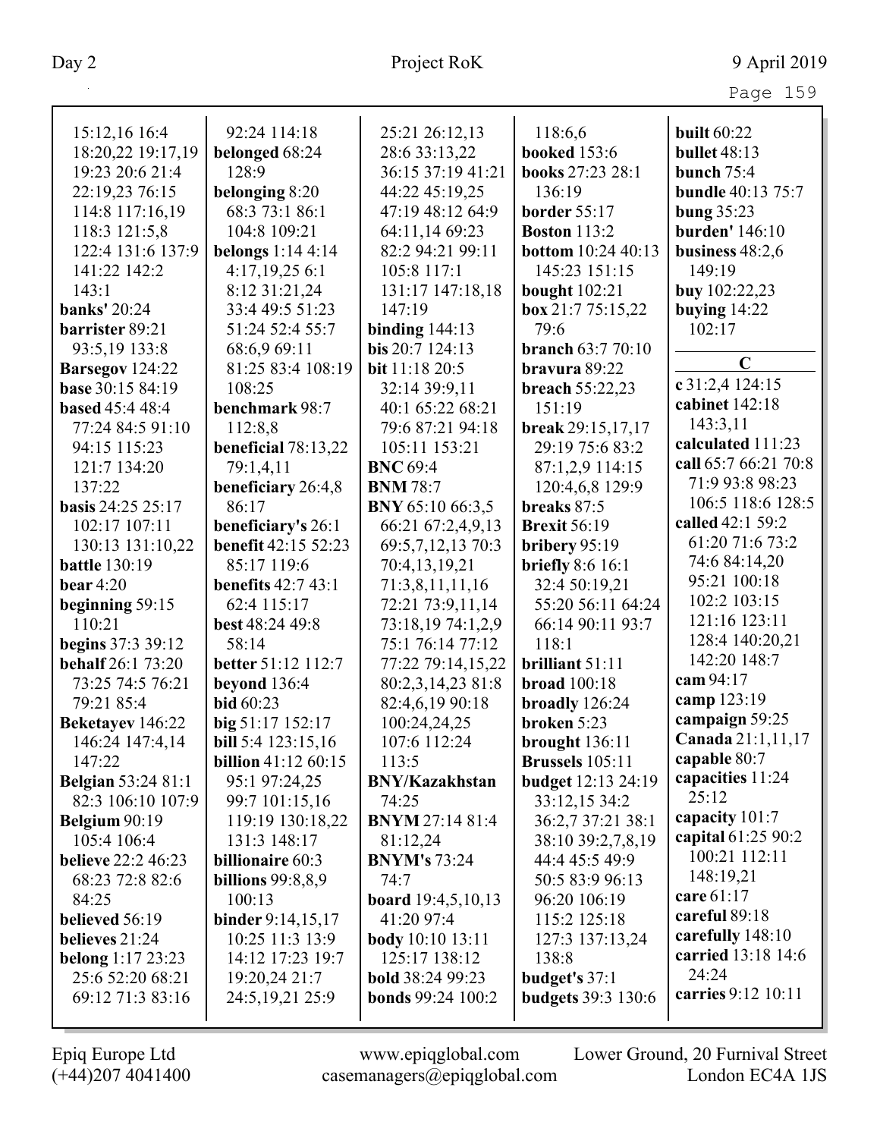| rage |  |
|------|--|
|------|--|

| 15:12,16 16:4             | 92:24 114:18                  | 25:21 26:12,13            | 118:6,6                   | <b>built</b> 60:22       |
|---------------------------|-------------------------------|---------------------------|---------------------------|--------------------------|
| 18:20,22 19:17,19         | belonged 68:24                | 28:6 33:13,22             | <b>booked</b> 153:6       | <b>bullet</b> 48:13      |
| 19:23 20:6 21:4           | 128:9                         | 36:15 37:19 41:21         | books 27:23 28:1          | bunch $75:4$             |
| 22:19,23 76:15            | belonging 8:20                | 44:22 45:19,25            | 136:19                    | <b>bundle</b> 40:13 75:7 |
| 114:8 117:16,19           | 68:3 73:1 86:1                | 47:19 48:12 64:9          | <b>border</b> 55:17       | bung $35:23$             |
| 118:3 121:5,8             | 104:8 109:21                  | 64:11,14 69:23            | <b>Boston 113:2</b>       | <b>burden'</b> 146:10    |
| 122:4 131:6 137:9         | belongs $1:144:14$            | 82:2 94:21 99:11          | <b>bottom</b> 10:24 40:13 | business $48:2,6$        |
| 141:22 142:2              | 4:17,19,256:1                 | 105:8 117:1               | 145:23 151:15             | 149:19                   |
| 143:1                     | 8:12 31:21,24                 | 131:17 147:18,18          | <b>bought</b> 102:21      | buy 102:22,23            |
| <b>banks'</b> 20:24       | 33:4 49:5 51:23               | 147:19                    | box 21:7 75:15,22         | buying $14:22$           |
| <b>barrister</b> 89:21    | 51:24 52:4 55:7               | binding $144:13$          | 79:6                      | 102:17                   |
| 93:5,19 133:8             | 68:6,9 69:11                  | bis 20:7 124:13           | <b>branch 63:7 70:10</b>  |                          |
| Barsegov 124:22           | 81:25 83:4 108:19             | bit 11:18 20:5            | bravura 89:22             | $\mathbf C$              |
| base 30:15 84:19          | 108:25                        | 32:14 39:9,11             | <b>breach</b> 55:22,23    | c 31:2,4 124:15          |
| <b>based</b> 45:4 48:4    | benchmark 98:7                | 40:1 65:22 68:21          | 151:19                    | cabinet 142:18           |
| 77:24 84:5 91:10          | 112:8,8                       | 79:6 87:21 94:18          | break 29:15,17,17         | 143:3,11                 |
| 94:15 115:23              | beneficial 78:13,22           | 105:11 153:21             | 29:19 75:6 83:2           | calculated 111:23        |
| 121:7 134:20              | 79:1,4,11                     | <b>BNC</b> 69:4           | 87:1,2,9 114:15           | call 65:7 66:21 70:8     |
| 137:22                    | beneficiary 26:4,8            | <b>BNM</b> 78:7           | 120:4,6,8 129:9           | 71:9 93:8 98:23          |
| <b>basis</b> 24:25 25:17  | 86:17                         | <b>BNY</b> 65:10 66:3,5   | breaks 87:5               | 106:5 118:6 128:5        |
| 102:17 107:11             | beneficiary's 26:1            | 66:21 67:2,4,9,13         | <b>Brexit 56:19</b>       | called 42:1 59:2         |
| 130:13 131:10,22          | benefit 42:15 52:23           | 69:5,7,12,13 70:3         | bribery $95:19$           | 61:20 71:6 73:2          |
| <b>battle</b> 130:19      | 85:17 119:6                   | 70:4,13,19,21             | <b>briefly</b> 8:6 16:1   | 74:6 84:14,20            |
| bear $4:20$               | <b>benefits</b> 42:7 43:1     | 71:3,8,11,11,16           | 32:4 50:19,21             | 95:21 100:18             |
| beginning 59:15           | 62:4 115:17                   | 72:21 73:9,11,14          | 55:20 56:11 64:24         | 102:2 103:15             |
| 110:21                    | best 48:24 49:8               | 73:18,19 74:1,2,9         | 66:14 90:11 93:7          | 121:16 123:11            |
| begins 37:3 39:12         | 58:14                         | 75:1 76:14 77:12          | 118:1                     | 128:4 140:20,21          |
| <b>behalf</b> 26:1 73:20  | better 51:12 112:7            | 77:22 79:14,15,22         | brilliant 51:11           | 142:20 148:7             |
| 73:25 74:5 76:21          | beyond 136:4                  | 80:2,3,14,23 81:8         | <b>broad</b> 100:18       | cam 94:17                |
| 79:21 85:4                | <b>bid</b> 60:23              | 82:4,6,19 90:18           | broadly 126:24            | camp 123:19              |
| Beketayev 146:22          | big 51:17 152:17              | 100:24,24,25              | broken 5:23               | campaign 59:25           |
| 146:24 147:4,14           | bill 5:4 123:15,16            | 107:6 112:24              | brought $136:11$          | Canada 21:1,11,17        |
| 147:22                    | <b>billion</b> $41:12\,60:15$ | 113:5                     | Brussels $105:11$         | capable 80:7             |
| <b>Belgian</b> 53:24 81:1 | 95:1 97:24,25                 | <b>BNY/Kazakhstan</b>     | <b>budget</b> 12:13 24:19 | capacities 11:24         |
| 82:3 106:10 107:9         | 99:7 101:15,16                | 74:25                     | 33:12,15 34:2             | 25:12                    |
| Belgium 90:19             | 119:19 130:18,22              | <b>BNYM 27:14 81:4</b>    | 36:2,7 37:21 38:1         | capacity 101:7           |
| 105:4 106:4               | 131:3 148:17                  | 81:12,24                  | 38:10 39:2,7,8,19         | capital 61:25 90:2       |
| <b>believe</b> 22:2 46:23 | <b>billionaire</b> 60:3       | <b>BNYM's</b> 73:24       | 44:4 45:5 49:9            | 100:21 112:11            |
| 68:23 72:8 82:6           | billions $99:8,8,9$           | 74:7                      | 50:5 83:9 96:13           | 148:19,21                |
| 84:25                     | 100:13                        | <b>board</b> 19:4,5,10,13 | 96:20 106:19              | care $61:17$             |
| <b>believed</b> 56:19     | binder 9:14,15,17             | 41:20 97:4                | 115:2 125:18              | careful 89:18            |
| believes 21:24            | 10:25 11:3 13:9               | <b>body</b> 10:10 13:11   | 127:3 137:13,24           | carefully 148:10         |
| <b>belong</b> 1:17 23:23  | 14:12 17:23 19:7              | 125:17 138:12             | 138:8                     | carried 13:18 14:6       |
| 25:6 52:20 68:21          | 19:20,24 21:7                 | bold 38:24 99:23          | budget's 37:1             | 24:24                    |
| 69:12 71:3 83:16          | 24:5, 19, 21 25: 9            | <b>bonds</b> 99:24 100:2  | <b>budgets</b> 39:3 130:6 | carries 9:12 10:11       |
|                           |                               |                           |                           |                          |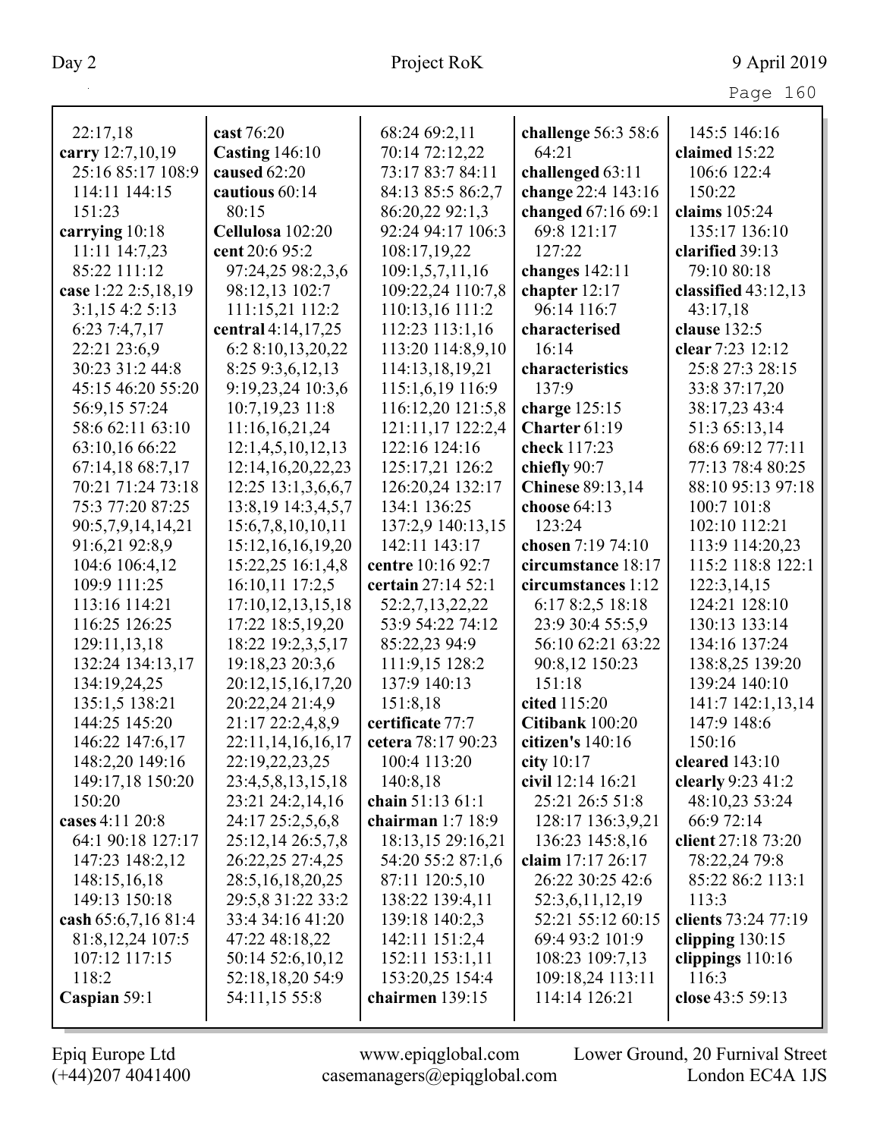| Page | 160 |
|------|-----|
|      |     |

| 22:17,18             | cast 76:20             | 68:24 69:2,11         | challenge 56:3 58:6     | 145:5 146:16        |
|----------------------|------------------------|-----------------------|-------------------------|---------------------|
| carry 12:7,10,19     | <b>Casting 146:10</b>  | 70:14 72:12,22        | 64:21                   | claimed 15:22       |
| 25:16 85:17 108:9    | caused 62:20           | 73:17 83:7 84:11      | challenged 63:11        | 106:6 122:4         |
| 114:11 144:15        | cautious 60:14         | 84:13 85:5 86:2,7     | change 22:4 143:16      | 150:22              |
| 151:23               | 80:15                  | 86:20,22 92:1,3       | changed 67:16 69:1      | claims 105:24       |
| carrying 10:18       | Cellulosa 102:20       | 92:24 94:17 106:3     | 69:8 121:17             | 135:17 136:10       |
| 11:11 14:7,23        | cent 20:6 95:2         | 108:17,19,22          | 127:22                  | clarified 39:13     |
| 85:22 111:12         | 97:24,25 98:2,3,6      | 109:1,5,7,11,16       | changes $142:11$        | 79:10 80:18         |
| case 1:22 2:5,18,19  | 98:12,13 102:7         | 109:22,24 110:7,8     | chapter 12:17           | classified 43:12,13 |
| $3:1,15$ 4:2 5:13    | 111:15,21 112:2        | 110:13,16 111:2       | 96:14 116:7             | 43:17,18            |
| 6:237:4,7,17         | central 4:14,17,25     | 112:23 113:1,16       | characterised           | clause 132:5        |
| 22:21 23:6,9         | 6:2 8:10,13,20,22      | 113:20 114:8,9,10     | 16:14                   | clear 7:23 12:12    |
| 30:23 31:2 44:8      | 8:25 9:3,6,12,13       | 114:13,18,19,21       | characteristics         | 25:8 27:3 28:15     |
| 45:15 46:20 55:20    | 9:19,23,24 10:3,6      | 115:1,6,19 116:9      | 137:9                   | 33:8 37:17,20       |
| 56:9,15 57:24        | 10:7,19,23 11:8        | 116:12,20 121:5,8     | charge 125:15           | 38:17,23 43:4       |
| 58:6 62:11 63:10     | 11:16,16,21,24         | 121:11,17 122:2,4     | Charter 61:19           | 51:3 65:13,14       |
| 63:10,16 66:22       | 12:1,4,5,10,12,13      | 122:16 124:16         | check 117:23            | 68:6 69:12 77:11    |
| 67:14,18 68:7,17     | 12:14, 16, 20, 22, 23  | 125:17,21 126:2       | chiefly 90:7            | 77:13 78:4 80:25    |
| 70:21 71:24 73:18    | $12:25$ $13:1,3,6,6,7$ | 126:20,24 132:17      | <b>Chinese</b> 89:13,14 | 88:10 95:13 97:18   |
| 75:3 77:20 87:25     | 13:8, 19 14:3, 4, 5, 7 | 134:1 136:25          | choose 64:13            | 100:7 101:8         |
| 90:5,7,9,14,14,21    | 15:6,7,8,10,10,11      | 137:2,9 140:13,15     | 123:24                  | 102:10 112:21       |
| 91:6,21 92:8,9       | 15:12, 16, 16, 19, 20  | 142:11 143:17         | chosen 7:19 74:10       | 113:9 114:20,23     |
| 104:6 106:4,12       | 15:22,25 16:1,4,8      | centre 10:16 92:7     | circumstance 18:17      | 115:2 118:8 122:1   |
| 109:9 111:25         | 16:10,11 17:2,5        | certain 27:14 52:1    | circumstances 1:12      | 122:3,14,15         |
| 113:16 114:21        | 17:10,12,13,15,18      | 52:2,7,13,22,22       | 6:17 8:2,5 18:18        | 124:21 128:10       |
| 116:25 126:25        | 17:22 18:5,19,20       | 53:9 54:22 74:12      | 23:9 30:4 55:5,9        | 130:13 133:14       |
| 129:11,13,18         | 18:22 19:2,3,5,17      | 85:22,23 94:9         | 56:10 62:21 63:22       | 134:16 137:24       |
| 132:24 134:13,17     | 19:18,23 20:3,6        | 111:9,15 128:2        | 90:8,12 150:23          | 138:8,25 139:20     |
| 134:19,24,25         | 20:12,15,16,17,20      | 137:9 140:13          | 151:18                  | 139:24 140:10       |
| 135:1,5 138:21       | 20:22,24 21:4,9        | 151:8,18              | cited 115:20            | 141:7 142:1,13,14   |
| 144:25 145:20        | 21:17 22:2,4,8,9       | certificate 77:7      | Citibank 100:20         | 147:9 148:6         |
| 146:22 147:6,17      | 22:11, 14, 16, 16, 17  | cetera 78:17 90:23    | citizen's 140:16        | 150:16              |
| 148:2,20 149:16      | 22:19,22,23,25         | 100:4 113:20          | city 10:17              | cleared $143:10$    |
| 149:17,18 150:20     | 23:4,5,8,13,15,18      | 140:8,18              | civil 12:14 16:21       | clearly 9:23 41:2   |
| 150:20               | 23:21 24:2,14,16       | chain 51:13 61:1      | 25:21 26:5 51:8         | 48:10,23 53:24      |
| cases 4:11 20:8      | 24:17 25:2,5,6,8       | chairman $1:7$ $18:9$ | 128:17 136:3,9,21       | 66:9 72:14          |
| 64:1 90:18 127:17    | 25:12,14 26:5,7,8      | 18:13,15 29:16,21     | 136:23 145:8,16         | client 27:18 73:20  |
| 147:23 148:2,12      | 26:22,25 27:4,25       | 54:20 55:2 87:1,6     | claim 17:17 26:17       | 78:22,24 79:8       |
| 148:15,16,18         | 28:5, 16, 18, 20, 25   | 87:11 120:5,10        | 26:22 30:25 42:6        | 85:22 86:2 113:1    |
| 149:13 150:18        | 29:5,8 31:22 33:2      | 138:22 139:4,11       | 52:3,6,11,12,19         | 113:3               |
| cash $65:6,7,1681:4$ | 33:4 34:16 41:20       | 139:18 140:2,3        | 52:21 55:12 60:15       | clients 73:24 77:19 |
| 81:8,12,24 107:5     | 47:22 48:18,22         | 142:11 151:2,4        | 69:4 93:2 101:9         | clipping $130:15$   |
| 107:12 117:15        | 50:14 52:6,10,12       | 152:11 153:1,11       | 108:23 109:7,13         | clippings $110:16$  |
| 118:2                | 52:18,18,20 54:9       | 153:20,25 154:4       | 109:18,24 113:11        | 116:3               |
| Caspian 59:1         | 54:11,15 55:8          | chairmen 139:15       | 114:14 126:21           | close 43:5 59:13    |
|                      |                        |                       |                         |                     |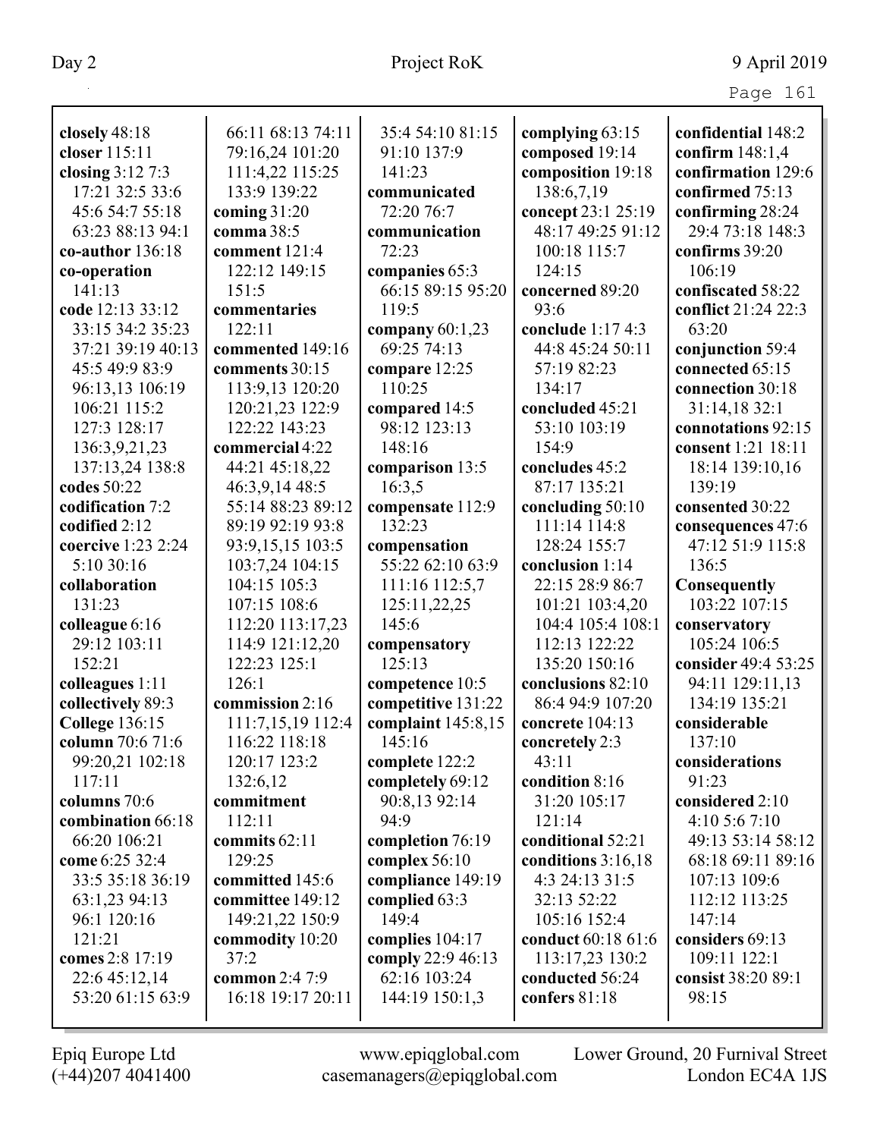|                       |                   |                      |                    | Page 161            |
|-----------------------|-------------------|----------------------|--------------------|---------------------|
| closely 48:18         | 66:11 68:13 74:11 | 35:4 54:10 81:15     | complying 63:15    | confidential 148:2  |
| closer 115:11         | 79:16,24 101:20   | 91:10 137:9          | composed 19:14     | confirm $148:1,4$   |
| closing $3:127:3$     | 111:4,22 115:25   | 141:23               | composition 19:18  | confirmation 129:6  |
| 17:21 32:5 33:6       | 133:9 139:22      | communicated         | 138:6,7,19         | confirmed 75:13     |
| 45:6 54:7 55:18       | coming $31:20$    | 72:20 76:7           | concept 23:1 25:19 | confirming $28:24$  |
| 63:23 88:13 94:1      | comma 38:5        | communication        | 48:17 49:25 91:12  | 29:4 73:18 148:3    |
| co-author $136:18$    | comment $121:4$   | 72:23                | 100:18 115:7       | confirms 39:20      |
| co-operation          | 122:12 149:15     | companies 65:3       | 124:15             | 106:19              |
| 141:13                | 151:5             | 66:15 89:15 95:20    | concerned 89:20    | confiscated 58:22   |
| code 12:13 33:12      | commentaries      | 119:5                | 93:6               | conflict 21:24 22:3 |
| 33:15 34:2 35:23      | 122:11            | company $60:1,23$    | conclude 1:17 4:3  | 63:20               |
| 37:21 39:19 40:13     | commented 149:16  | 69:25 74:13          | 44:8 45:24 50:11   | conjunction 59:4    |
| 45:5 49:9 83:9        | comments 30:15    | compare 12:25        | 57:19 82:23        | connected 65:15     |
| 96:13,13 106:19       | 113:9,13 120:20   | 110:25               | 134:17             | connection 30:18    |
| 106:21 115:2          | 120:21,23 122:9   | compared 14:5        | concluded 45:21    | 31:14,18 32:1       |
| 127:3 128:17          | 122:22 143:23     | 98:12 123:13         | 53:10 103:19       | connotations 92:15  |
| 136:3,9,21,23         | commercial 4:22   | 148:16               | 154:9              | consent 1:21 18:11  |
| 137:13,24 138:8       | 44:21 45:18,22    | comparison 13:5      | concludes 45:2     | 18:14 139:10,16     |
| codes 50:22           | 46:3,9,14 48:5    | 16:3,5               | 87:17 135:21       | 139:19              |
| codification 7:2      | 55:14 88:23 89:12 | compensate 112:9     | concluding 50:10   | consented 30:22     |
| codified 2:12         | 89:19 92:19 93:8  | 132:23               | 111:14 114:8       | consequences 47:6   |
| coercive 1:23 2:24    | 93:9,15,15 103:5  | compensation         | 128:24 155:7       | 47:12 51:9 115:8    |
| 5:10 30:16            | 103:7,24 104:15   | 55:22 62:10 63:9     | conclusion 1:14    | 136:5               |
| collaboration         | 104:15 105:3      | 111:16 112:5,7       | 22:15 28:9 86:7    | Consequently        |
| 131:23                | 107:15 108:6      | 125:11,22,25         | 101:21 103:4,20    | 103:22 107:15       |
| colleague 6:16        | 112:20 113:17,23  | 145:6                | 104:4 105:4 108:1  | conservatory        |
| 29:12 103:11          | 114:9 121:12,20   | compensatory         | 112:13 122:22      | 105:24 106:5        |
| 152:21                | 122:23 125:1      | 125:13               | 135:20 150:16      | consider 49:4 53:25 |
| colleagues 1:11       | 126:1             | competence 10:5      | conclusions 82:10  | 94:11 129:11,13     |
| collectively 89:3     | commission 2:16   | competitive 131:22   | 86:4 94:9 107:20   | 134:19 135:21       |
| <b>College</b> 136:15 | 111:7,15,19112:4  | complaint $145:8,15$ | concrete $104:13$  | considerable        |
| column 70:6 71:6      | 116:22 118:18     | 145:16               | concretely 2:3     | 137:10              |
| 99:20,21 102:18       | 120:17 123:2      | complete 122:2       | 43:11              | considerations      |
| 117:11                | 132:6,12          | completely 69:12     | condition 8:16     | 91:23               |
| columns 70:6          | commitment        | 90:8,13 92:14        | 31:20 105:17       | considered 2:10     |
| combination 66:18     | 112:11            | 94:9                 | 121:14             | 4:10 5:6 7:10       |
| 66:20 106:21          | commits 62:11     | completion 76:19     | conditional 52:21  | 49:13 53:14 58:12   |
| come 6:25 32:4        | 129:25            | complex 56:10        | conditions 3:16,18 | 68:18 69:11 89:16   |
| 33:5 35:18 36:19      | committed 145:6   | compliance 149:19    | 4:3 24:13 31:5     | 107:13 109:6        |
| 63:1,23 94:13         | committee 149:12  | complied 63:3        | 32:13 52:22        | 112:12 113:25       |
| 96:1 120:16           | 149:21,22 150:9   | 149:4                | 105:16 152:4       | 147:14              |
| 121:21                | commodity 10:20   | complies 104:17      | conduct 60:18 61:6 | considers 69:13     |
| comes 2:8 17:19       | 37:2              | comply 22:9 46:13    | 113:17,23 130:2    | 109:11 122:1        |
| 22:6 45:12,14         | common 2:4 7:9    | 62:16 103:24         | conducted 56:24    | consist 38:20 89:1  |
| 53:20 61:15 63:9      | 16:18 19:17 20:11 | 144:19 150:1,3       | confers 81:18      | 98:15               |
|                       |                   |                      |                    |                     |

Epiq Europe Ltd www.epiqglobal.com Lower Ground, 20 Furnival Street<br>
(+44)207 4041400 casemanagers@epiqglobal.com London EC4A 1JS www.epiqglobal.com Lower Ground, 20 Furnival Street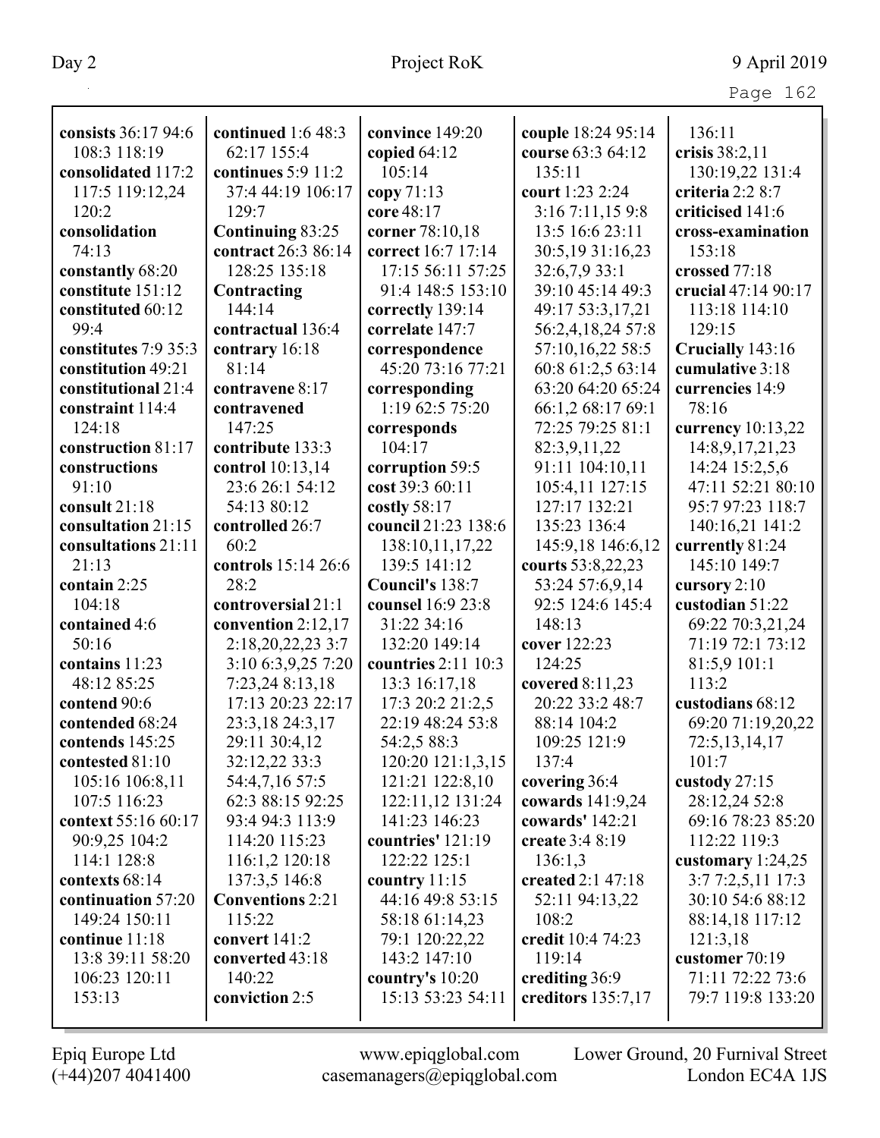| ∕ane | $\overline{\phantom{a}}$ |
|------|--------------------------|
|------|--------------------------|

| consists 36:17 94:6                  | continued $1:648:3$                      | convince 149:20                     | couple 18:24 95:14                    | 136:11                              |
|--------------------------------------|------------------------------------------|-------------------------------------|---------------------------------------|-------------------------------------|
| 108:3 118:19                         | 62:17 155:4                              | copied $64:12$                      | course 63:3 64:12                     | crisis 38:2,11                      |
| consolidated 117:2                   | continues $5:9$ 11:2                     | 105:14                              | 135:11                                | 130:19,22 131:4                     |
| 117:5 119:12,24                      | 37:4 44:19 106:17                        | copy 71:13                          | court 1:23 2:24                       | criteria 2:2 8:7                    |
| 120:2                                | 129:7                                    | core 48:17                          | 3:16 7:11,15 9:8                      | criticised 141:6                    |
| consolidation                        | Continuing 83:25                         | corner 78:10,18                     | 13:5 16:6 23:11                       | cross-examination                   |
| 74:13                                | contract 26:3 86:14                      | correct 16:7 17:14                  | 30:5,19 31:16,23                      | 153:18                              |
| constantly 68:20                     | 128:25 135:18                            | 17:15 56:11 57:25                   | 32:6,7,9 33:1                         | crossed 77:18                       |
| constitute 151:12                    | Contracting                              | 91:4 148:5 153:10                   | 39:10 45:14 49:3                      | crucial 47:14 90:17                 |
| constituted 60:12                    | 144:14                                   | correctly 139:14                    | 49:17 53:3,17,21                      | 113:18 114:10                       |
| 99:4                                 | contractual 136:4                        | correlate 147:7                     | 56:2,4,18,24 57:8                     | 129:15                              |
| constitutes 7:9 35:3                 | contrary 16:18                           | correspondence                      | 57:10,16,22 58:5                      | Crucially 143:16                    |
| constitution 49:21                   | 81:14                                    | 45:20 73:16 77:21                   | 60:8 61:2,5 63:14                     | cumulative 3:18                     |
| constitutional 21:4                  | contravene 8:17                          | corresponding                       | 63:20 64:20 65:24                     | currencies 14:9                     |
| constraint 114:4                     | contravened                              | 1:19 62:5 75:20                     | 66:1,2 68:17 69:1                     | 78:16                               |
| 124:18                               | 147:25                                   | corresponds                         | 72:25 79:25 81:1                      | currency 10:13,22                   |
| construction 81:17                   | contribute 133:3                         | 104:17                              | 82:3,9,11,22                          | 14:8,9,17,21,23                     |
| constructions                        | control 10:13,14                         | corruption 59:5                     | 91:11 104:10,11                       | 14:24 15:2,5,6                      |
| 91:10                                | 23:6 26:1 54:12                          | cost 39:3 60:11                     | 105:4,11 127:15                       | 47:11 52:21 80:10                   |
| consult 21:18                        | 54:13 80:12                              | costly 58:17                        | 127:17 132:21                         | 95:7 97:23 118:7                    |
| consultation 21:15                   | controlled 26:7                          | council 21:23 138:6                 | 135:23 136:4                          | 140:16,21 141:2                     |
| consultations 21:11                  | 60:2                                     | 138:10,11,17,22                     | 145:9,18 146:6,12                     | currently 81:24                     |
| 21:13                                | controls 15:14 26:6                      | 139:5 141:12                        | courts 53:8,22,23                     | 145:10 149:7                        |
| contain 2:25                         | 28:2                                     | Council's 138:7                     | 53:24 57:6,9,14                       | cursory 2:10                        |
| 104:18                               | controversial 21:1                       | counsel 16:9 23:8                   | 92:5 124:6 145:4                      | custodian 51:22                     |
| contained 4:6                        | convention 2:12,17                       | 31:22 34:16                         | 148:13                                | 69:22 70:3,21,24                    |
| 50:16                                | 2:18,20,22,23 3:7                        | 132:20 149:14                       | cover 122:23                          | 71:19 72:1 73:12                    |
| contains 11:23                       | 3:10 6:3,9,25 7:20                       | <b>countries</b> 2:11 10:3          | 124:25                                | 81:5,9 101:1                        |
| 48:12 85:25                          | 7:23,24 8:13,18                          | 13:3 16:17,18                       | covered $8:11,23$                     | 113:2                               |
| contend 90:6                         | 17:13 20:23 22:17                        | 17:3 20:2 21:2,5                    | 20:22 33:2 48:7                       | custodians 68:12                    |
| contended 68:24                      | 23:3,18 24:3,17                          | 22:19 48:24 53:8                    | 88:14 104:2                           | 69:20 71:19,20,22                   |
| contends 145:25                      | 29:11 30:4,12                            | 54:2,5 88:3                         | 109:25 121:9                          | 72:5, 13, 14, 17                    |
| contested 81:10                      | 32:12,22 33:3                            | 120:20 121:1,3,15                   | 137:4                                 | 101:7                               |
| 105:16 106:8,11                      | 54:4,7,16 57:5                           | 121:21 122:8,10                     | covering 36:4                         | custody $27:15$                     |
| 107:5 116:23                         | 62:3 88:15 92:25                         | 122:11,12 131:24                    | cowards $141:9,24$                    | 28:12,24 52:8                       |
| context 55:16 60:17                  | 93:4 94:3 113:9                          | 141:23 146:23                       | <b>cowards'</b> 142:21                | 69:16 78:23 85:20                   |
| 90:9,25 104:2                        | 114:20 115:23                            | countries' 121:19<br>122:22 125:1   | create 3:4 8:19                       | 112:22 119:3                        |
| 114:1 128:8                          | 116:1,2 120:18                           |                                     | 136:1,3                               | customary $1:24,25$                 |
| contexts 68:14<br>continuation 57:20 | 137:3,5 146:8<br><b>Conventions 2:21</b> | country $11:15$<br>44:16 49:8 53:15 | created $2:1$ 47:18<br>52:11 94:13,22 | 3:77:2,5,1117:3<br>30:10 54:6 88:12 |
| 149:24 150:11                        | 115:22                                   | 58:18 61:14,23                      | 108:2                                 | 88:14,18 117:12                     |
| continue 11:18                       | convert 141:2                            | 79:1 120:22,22                      | credit 10:4 74:23                     | 121:3,18                            |
| 13:8 39:11 58:20                     | converted 43:18                          | 143:2 147:10                        | 119:14                                | customer $70:19$                    |
| 106:23 120:11                        | 140:22                                   | country's $10:20$                   | crediting 36:9                        | 71:11 72:22 73:6                    |
| 153:13                               | conviction 2:5                           | 15:13 53:23 54:11                   | creditors $135:7,17$                  | 79:7 119:8 133:20                   |
|                                      |                                          |                                     |                                       |                                     |

Epiq Europe Ltd www.epiqglobal.com Lower Ground, 20 Furnival Street<br>
(+44)207 4041400 casemanagers@epiqglobal.com London EC4A 1JS www.epiqglobal.com Lower Ground, 20 Furnival Street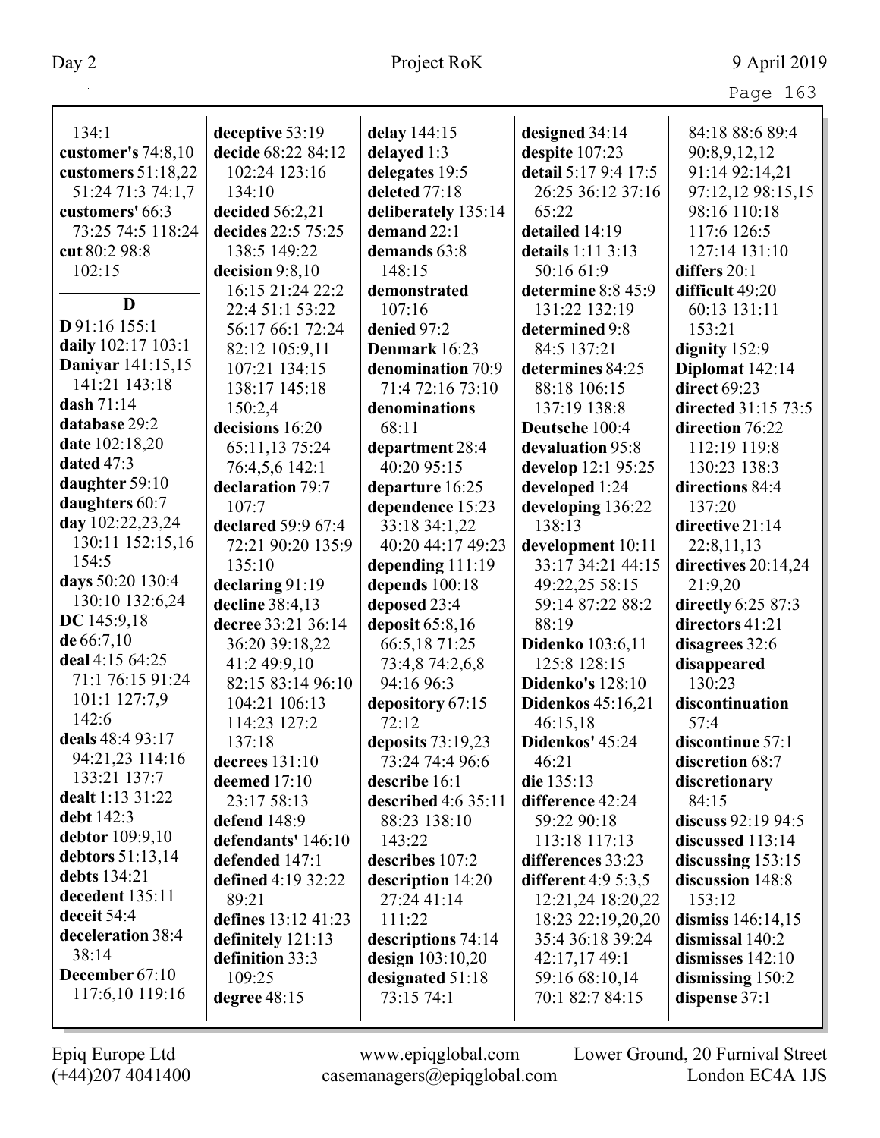| 134:1                | deceptive 53:19     | delay 144:15        | designed 34:14           | 84:18 88:6 89:4     |
|----------------------|---------------------|---------------------|--------------------------|---------------------|
| customer's 74:8,10   | decide 68:22 84:12  | delayed 1:3         | despite 107:23           | 90:8,9,12,12        |
| customers $51:18,22$ | 102:24 123:16       | delegates 19:5      | detail 5:17 9:4 17:5     | 91:14 92:14,21      |
| 51:24 71:3 74:1,7    | 134:10              | deleted 77:18       | 26:25 36:12 37:16        | 97:12,12 98:15,15   |
| customers' 66:3      | decided 56:2,21     | deliberately 135:14 | 65:22                    | 98:16 110:18        |
| 73:25 74:5 118:24    | decides 22:5 75:25  | demand 22:1         | detailed 14:19           | 117:6 126:5         |
| cut 80:2 98:8        | 138:5 149:22        | demands 63:8        | details 1:11 3:13        | 127:14 131:10       |
| 102:15               | decision 9:8,10     | 148:15              | 50:16 61:9               | differs 20:1        |
|                      | 16:15 21:24 22:2    | demonstrated        | determine 8:8 45:9       | difficult 49:20     |
| D                    | 22:4 51:1 53:22     | 107:16              | 131:22 132:19            | 60:13 131:11        |
| D 91:16 155:1        | 56:17 66:1 72:24    | denied 97:2         | determined 9:8           | 153:21              |
| daily 102:17 103:1   | 82:12 105:9,11      | Denmark 16:23       | 84:5 137:21              | dignity 152:9       |
| Daniyar 141:15,15    | 107:21 134:15       | denomination 70:9   | determines 84:25         | Diplomat 142:14     |
| 141:21 143:18        | 138:17 145:18       | 71:4 72:16 73:10    | 88:18 106:15             | direct 69:23        |
| dash 71:14           | 150:2,4             | denominations       | 137:19 138:8             | directed 31:15 73:5 |
| database 29:2        | decisions 16:20     | 68:11               | Deutsche 100:4           | direction 76:22     |
| date 102:18,20       | 65:11,13 75:24      | department 28:4     | devaluation 95:8         | 112:19 119:8        |
| dated 47:3           | 76:4,5,6 142:1      | 40:20 95:15         | develop 12:1 95:25       | 130:23 138:3        |
| daughter 59:10       | declaration 79:7    | departure 16:25     | developed 1:24           | directions 84:4     |
| daughters 60:7       | 107:7               | dependence 15:23    | developing 136:22        | 137:20              |
| day 102:22,23,24     | declared 59:9 67:4  | 33:18 34:1,22       | 138:13                   | directive 21:14     |
| 130:11 152:15,16     | 72:21 90:20 135:9   | 40:20 44:17 49:23   | development 10:11        | 22:8,11,13          |
| 154:5                | 135:10              | depending $111:19$  | 33:17 34:21 44:15        | directives 20:14,24 |
| days 50:20 130:4     | declaring 91:19     | depends 100:18      | 49:22,25 58:15           | 21:9,20             |
| 130:10 132:6,24      | decline 38:4,13     | deposed 23:4        | 59:14 87:22 88:2         | directly 6:25 87:3  |
| DC 145:9,18          | decree 33:21 36:14  | deposit 65:8,16     | 88:19                    | directors 41:21     |
| de 66:7,10           | 36:20 39:18,22      | 66:5,1871:25        | <b>Didenko</b> 103:6,11  | disagrees 32:6      |
| deal 4:15 64:25      | 41:2 49:9,10        | 73:4,8 74:2,6,8     | 125:8 128:15             | disappeared         |
| 71:1 76:15 91:24     | 82:15 83:14 96:10   | 94:16 96:3          | <b>Didenko's 128:10</b>  | 130:23              |
| 101:1 127:7,9        | 104:21 106:13       | depository 67:15    | <b>Didenkos</b> 45:16,21 | discontinuation     |
| 142:6                | 114:23 127:2        | 72:12               | 46:15,18                 | 57:4                |
| deals 48:4 93:17     | 137:18              | deposits $73:19,23$ | Didenkos' 45:24          | discontinue 57:1    |
| 94:21,23 114:16      | decrees $131:10$    | 73:24 74:4 96:6     | 46:21                    | discretion 68:7     |
| 133:21 137:7         | deemed 17:10        | describe 16:1       | die 135:13               | discretionary       |
| dealt 1:13 31:22     | 23:17 58:13         | described 4:6 35:11 | difference 42:24         | 84:15               |
| debt 142:3           | defend 148:9        | 88:23 138:10        | 59:22 90:18              | discuss 92:19 94:5  |
| debtor 109:9,10      | defendants' 146:10  | 143:22              | 113:18 117:13            | discussed 113:14    |
| debtors $51:13,14$   | defended 147:1      | describes 107:2     | differences 33:23        | discussing $153:15$ |
| debts 134:21         | defined 4:19 32:22  | description 14:20   | different $4:95:3,5$     | discussion 148:8    |
| decedent 135:11      | 89:21               | 27:24 41:14         | 12:21,24 18:20,22        | 153:12              |
| deceit 54:4          | defines 13:12 41:23 | 111:22              | 18:23 22:19,20,20        | dismiss $146:14,15$ |
| deceleration 38:4    | definitely 121:13   | descriptions 74:14  | 35:4 36:18 39:24         | dismissal $140:2$   |
| 38:14                | definition 33:3     | design $103:10,20$  | 42:17,17 49:1            | dismisses $142:10$  |
| December 67:10       | 109:25              | designated 51:18    | 59:16 68:10,14           | dismissing $150:2$  |
| 117:6,10 119:16      | degree 48:15        | 73:15 74:1          | 70:1 82:7 84:15          | dispense 37:1       |
|                      |                     |                     |                          |                     |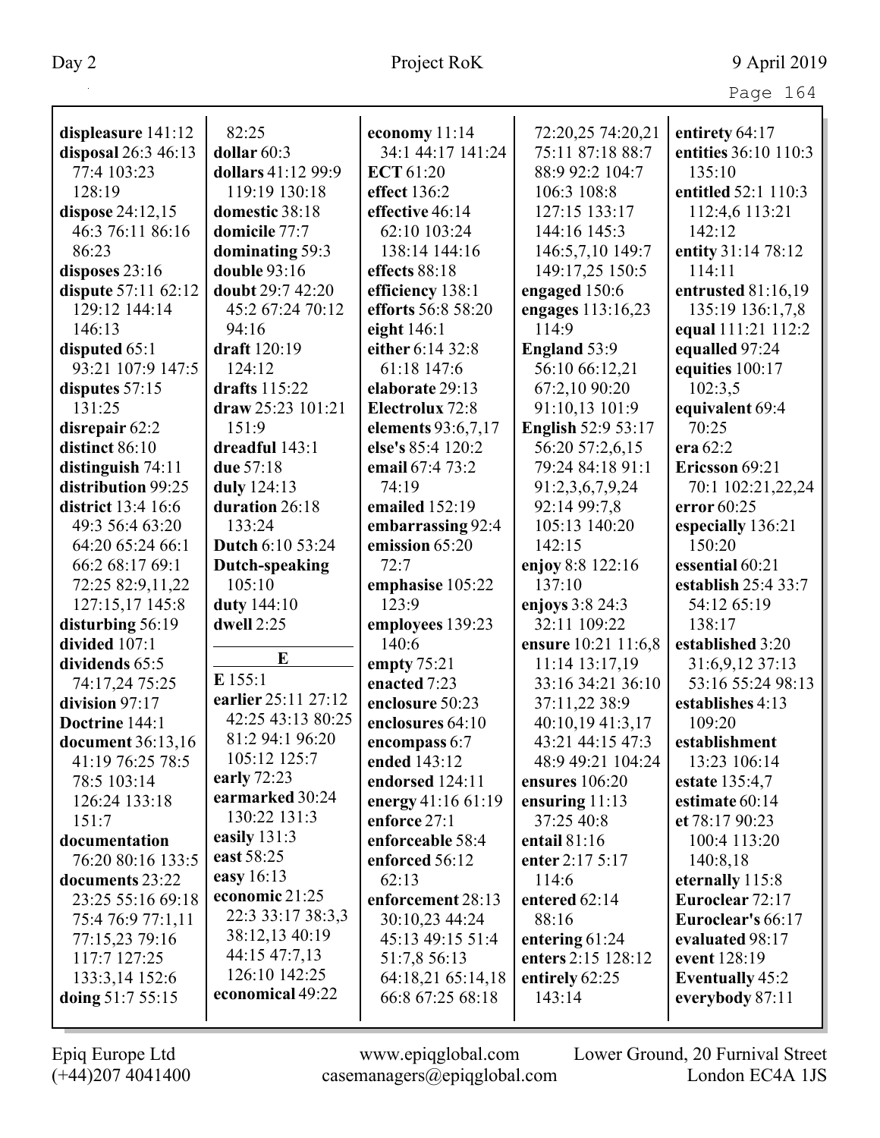|                           |                                |                                    |                                | Page 164                          |
|---------------------------|--------------------------------|------------------------------------|--------------------------------|-----------------------------------|
| displeasure 141:12        | 82:25                          | economy 11:14                      | 72:20,25 74:20,21              | entirety 64:17                    |
| disposal 26:3 46:13       | dollar $60:3$                  | 34:1 44:17 141:24                  | 75:11 87:18 88:7               | entities 36:10 110:3              |
| 77:4 103:23               | dollars 41:12 99:9             | <b>ECT</b> 61:20                   | 88:9 92:2 104:7                | 135:10                            |
| 128:19                    | 119:19 130:18                  | effect $136:2$                     | 106:3 108:8                    | entitled 52:1 110:3               |
| dispose $24:12,15$        | domestic 38:18                 | effective 46:14                    | 127:15 133:17                  | 112:4,6 113:21                    |
| 46:3 76:11 86:16          | domicile 77:7                  | 62:10 103:24                       | 144:16 145:3                   | 142:12                            |
| 86:23                     | dominating 59:3                | 138:14 144:16                      | 146:5,7,10 149:7               | entity 31:14 78:12                |
| disposes $23:16$          | <b>double</b> 93:16            | effects 88:18                      | 149:17,25 150:5                | 114:11                            |
| dispute 57:11 62:12       | doubt 29:7 42:20               | efficiency 138:1                   | engaged 150:6                  | entrusted 81:16,19                |
| 129:12 144:14             | 45:2 67:24 70:12               | efforts 56:8 58:20                 | engages 113:16,23              | 135:19 136:1,7,8                  |
| 146:13                    | 94:16                          | eight $146:1$                      | 114:9                          | equal 111:21 112:2                |
| disputed $65:1$           | draft 120:19                   | either 6:14 32:8                   | England 53:9                   | equalled 97:24                    |
| 93:21 107:9 147:5         | 124:12                         | 61:18 147:6                        | 56:10 66:12,21                 | equities 100:17                   |
| disputes $57:15$          | drafts 115:22                  | elaborate 29:13                    | 67:2,10 90:20                  | 102:3,5                           |
| 131:25                    | draw 25:23 101:21              | Electrolux 72:8                    | 91:10,13 101:9                 | equivalent 69:4                   |
| disrepair 62:2            | 151:9                          | elements 93:6,7,17                 | English 52:9 53:17             | 70:25                             |
| distinct 86:10            | dreadful 143:1                 | else's 85:4 120:2                  | 56:20 57:2,6,15                | era $62:2$                        |
| distinguish $74:11$       | due 57:18                      | email 67:4 73:2                    | 79:24 84:18 91:1               | Ericsson 69:21                    |
| distribution 99:25        | duly 124:13                    | 74:19                              | 91:2,3,6,7,9,24                | 70:1 102:21,22,24                 |
| <b>district</b> 13:4 16:6 | duration 26:18                 | emailed 152:19                     | 92:14 99:7,8                   | error $60:25$                     |
| 49:3 56:4 63:20           | 133:24                         | embarrassing 92:4                  | 105:13 140:20                  | especially 136:21                 |
| 64:20 65:24 66:1          | Dutch 6:10 53:24               | emission 65:20                     | 142:15                         | 150:20                            |
| 66:2 68:17 69:1           | <b>Dutch-speaking</b>          | 72:7                               | enjoy 8:8 122:16               | essential 60:21                   |
| 72:25 82:9,11,22          | 105:10                         | emphasise 105:22                   | 137:10                         | establish 25:4 33:7               |
| 127:15,17 145:8           | duty 144:10                    | 123:9                              | enjoys 3:8 24:3                | 54:12 65:19                       |
| disturbing 56:19          | dwell 2:25                     | employees 139:23                   | 32:11 109:22                   | 138:17                            |
| divided 107:1             | E                              | 140:6                              | ensure 10:21 11:6,8            | established 3:20                  |
| dividends 65:5            |                                | empty $75:21$                      | 11:14 13:17,19                 | 31:6,9,12 37:13                   |
| 74:17,24 75:25            | E 155:1<br>earlier 25:11 27:12 | enacted 7:23                       | 33:16 34:21 36:10              | 53:16 55:24 98:13                 |
| division 97:17            | 42:25 43:13 80:25              | enclosure 50:23                    | 37:11,22 38:9                  | establishes 4:13                  |
| Doctrine 144:1            | 81:2 94:1 96:20                | enclosures 64:10                   | 40:10,19 41:3,17               | 109:20                            |
| document 36:13,16         | 105:12 125:7                   | encompass 6:7                      | 43:21 44:15 47:3               | establishment                     |
| 41:19 76:25 78:5          | early 72:23                    | ended 143:12                       | 48:9 49:21 104:24              | 13:23 106:14                      |
| 78:5 103:14               | earmarked 30:24                | endorsed 124:11                    | ensures 106:20                 | estate 135:4,7                    |
| 126:24 133:18<br>151:7    | 130:22 131:3                   | energy 41:16 61:19<br>enforce 27:1 | ensuring $11:13$<br>37:25 40:8 | estimate 60:14<br>et $78:1790:23$ |
| documentation             | easily 131:3                   | enforceable 58:4                   | entail 81:16                   | 100:4 113:20                      |
| 76:20 80:16 133:5         | east 58:25                     | enforced 56:12                     | enter 2:17 5:17                | 140:8,18                          |
| documents 23:22           | easy 16:13                     | 62:13                              | 114:6                          | eternally 115:8                   |
| 23:25 55:16 69:18         | economic 21:25                 | enforcement 28:13                  | entered 62:14                  | Euroclear 72:17                   |
| 75:4 76:9 77:1,11         | 22:3 33:17 38:3,3              | 30:10,23 44:24                     | 88:16                          | Euroclear's 66:17                 |
| 77:15,23 79:16            | 38:12,13 40:19                 | 45:13 49:15 51:4                   | entering $61:24$               | evaluated 98:17                   |
| 117:7 127:25              | 44:15 47:7,13                  | 51:7,8 56:13                       | enters 2:15 128:12             | event 128:19                      |
| 133:3,14 152:6            | 126:10 142:25                  | 64:18,21 65:14,18                  | entirely 62:25                 | <b>Eventually 45:2</b>            |
| doing 51:7 55:15          | economical 49:22               | 66:8 67:25 68:18                   | 143:14                         | everybody 87:11                   |
|                           |                                |                                    |                                |                                   |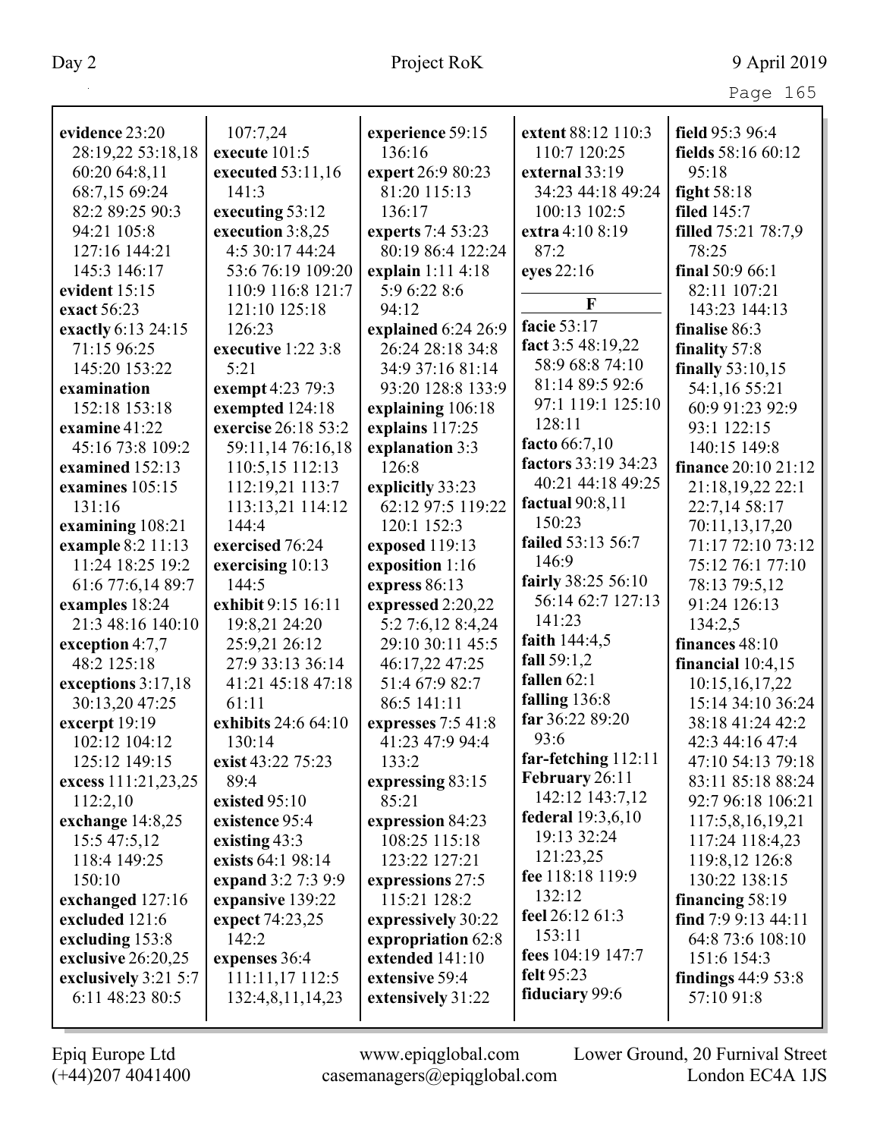| nı |
|----|
|    |

| evidence 23:20       | 107:7,24            | experience 59:15    | extent 88:12 110:3  | field 95:3 96:4            |
|----------------------|---------------------|---------------------|---------------------|----------------------------|
| 28:19,22 53:18,18    | execute 101:5       | 136:16              | 110:7 120:25        | fields 58:16 60:12         |
| 60:20 64:8,11        | executed 53:11,16   | expert 26:9 80:23   | external 33:19      | 95:18                      |
| 68:7,15 69:24        | 141:3               | 81:20 115:13        | 34:23 44:18 49:24   | fight $58:18$              |
| 82:2 89:25 90:3      | executing 53:12     | 136:17              | 100:13 102:5        | <b>filed</b> 145:7         |
| 94:21 105:8          | execution 3:8,25    | experts 7:4 53:23   | extra 4:10 8:19     | <b>filled</b> 75:21 78:7,9 |
| 127:16 144:21        | 4:5 30:17 44:24     | 80:19 86:4 122:24   | 87:2                | 78:25                      |
| 145:3 146:17         | 53:6 76:19 109:20   | explain 1:11 4:18   | eyes 22:16          | final $50:966:1$           |
| evident 15:15        | 110:9 116:8 121:7   | 5:9 6:22 8:6        | F                   | 82:11 107:21               |
| exact 56:23          | 121:10 125:18       | 94:12               | facie 53:17         | 143:23 144:13              |
| exactly 6:13 24:15   | 126:23              | explained 6:24 26:9 |                     | finalise 86:3              |
| 71:15 96:25          | executive 1:22 3:8  | 26:24 28:18 34:8    | fact 3:5 48:19,22   | finality 57:8              |
| 145:20 153:22        | 5:21                | 34:9 37:16 81:14    | 58:9 68:8 74:10     | finally $53:10,15$         |
| examination          | exempt 4:23 79:3    | 93:20 128:8 133:9   | 81:14 89:5 92:6     | 54:1,16 55:21              |
| 152:18 153:18        | exempted 124:18     | explaining 106:18   | 97:1 119:1 125:10   | 60:9 91:23 92:9            |
| examine $41:22$      | exercise 26:18 53:2 | explains 117:25     | 128:11              | 93:1 122:15                |
| 45:16 73:8 109:2     | 59:11,14 76:16,18   | explanation 3:3     | facto $66:7,10$     | 140:15 149:8               |
| examined 152:13      | 110:5,15 112:13     | 126:8               | factors 33:19 34:23 | <b>finance</b> 20:10 21:12 |
| examines 105:15      | 112:19,21 113:7     | explicitly 33:23    | 40:21 44:18 49:25   | 21:18,19,22 22:1           |
| 131:16               | 113:13,21 114:12    | 62:12 97:5 119:22   | factual 90:8,11     | 22:7,14 58:17              |
| examining 108:21     | 144:4               | 120:1 152:3         | 150:23              | 70:11,13,17,20             |
| example 8:2 11:13    | exercised 76:24     | exposed 119:13      | failed 53:13 56:7   | 71:17 72:10 73:12          |
| 11:24 18:25 19:2     | exercising 10:13    | exposition 1:16     | 146:9               | 75:12 76:1 77:10           |
| 61:6 77:6,14 89:7    | 144:5               | express 86:13       | fairly 38:25 56:10  | 78:13 79:5,12              |
| examples 18:24       | exhibit 9:15 16:11  | expressed 2:20,22   | 56:14 62:7 127:13   | 91:24 126:13               |
| 21:3 48:16 140:10    | 19:8,21 24:20       | 5:2 7:6,12 8:4,24   | 141:23              | 134:2,5                    |
| exception 4:7,7      | 25:9,21 26:12       | 29:10 30:11 45:5    | faith $144:4,5$     | finances 48:10             |
| 48:2 125:18          | 27:9 33:13 36:14    | 46:17,22 47:25      | fall $59:1,2$       | financial $10:4,15$        |
| exceptions 3:17,18   | 41:21 45:18 47:18   | 51:4 67:9 82:7      | fallen $62:1$       | 10:15,16,17,22             |
| 30:13,20 47:25       | 61:11               | 86:5 141:11         | falling 136:8       | 15:14 34:10 36:24          |
| excerpt 19:19        | exhibits 24:6 64:10 | expresses 7:5 41:8  | far 36:22 89:20     | 38:18 41:24 42:2           |
| 102:12 104:12        | 130:14              | 41:23 47:9 94:4     | 93:6                | 42:3 44:16 47:4            |
| 125:12 149:15        | exist 43:22 75:23   | 133:2               | far-fetching 112:11 | 47:10 54:13 79:18          |
| excess 111:21,23,25  | 89:4                | expressing 83:15    | February 26:11      | 83:11 85:18 88:24          |
| 112:2,10             | existed 95:10       | 85:21               | 142:12 143:7,12     | 92:7 96:18 106:21          |
| exchange 14:8,25     | existence 95:4      | expression 84:23    | federal 19:3,6,10   | 117:5,8,16,19,21           |
| 15:5 47:5,12         | existing $43:3$     | 108:25 115:18       | 19:13 32:24         | 117:24 118:4,23            |
| 118:4 149:25         | exists 64:1 98:14   | 123:22 127:21       | 121:23,25           | 119:8,12 126:8             |
| 150:10               | expand 3:2 7:3 9:9  | expressions 27:5    | fee 118:18 119:9    | 130:22 138:15              |
| exchanged 127:16     | expansive 139:22    | 115:21 128:2        | 132:12              | financing $58:19$          |
| excluded 121:6       | expect 74:23,25     | expressively 30:22  | feel 26:12 61:3     | find 7:9 9:13 44:11        |
| excluding 153:8      | 142:2               | expropriation 62:8  | 153:11              | 64:8 73:6 108:10           |
| exclusive $26:20,25$ | expenses 36:4       | extended 141:10     | fees 104:19 147:7   | 151:6 154:3                |
| exclusively 3:21 5:7 | 111:11,17112:5      | extensive 59:4      | felt 95:23          | findings $44:953:8$        |
| 6:11 48:23 80:5      | 132:4,8,11,14,23    |                     | fiduciary 99:6      | 57:10 91:8                 |
|                      |                     | extensively 31:22   |                     |                            |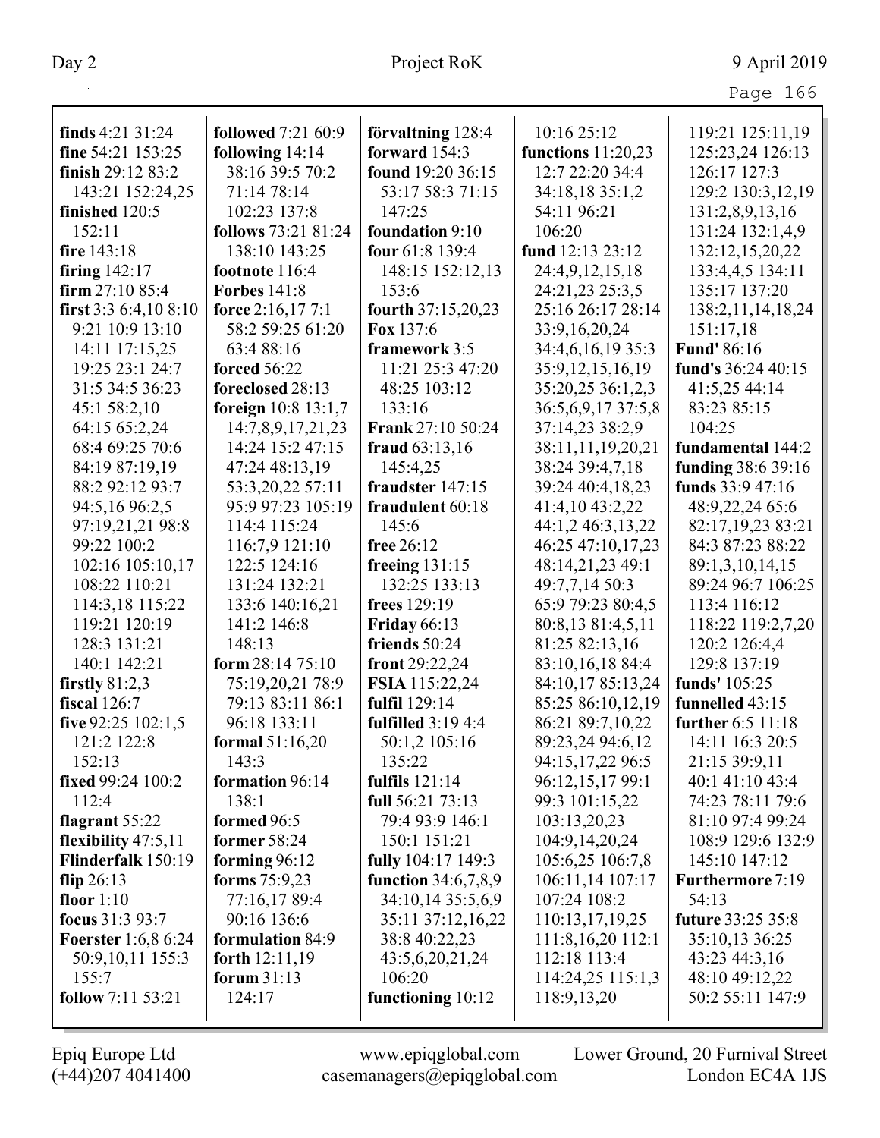| finds $4:21\,31:24$                 | <b>followed</b> 7:21 60:9      | förvaltning 128:4                    | 10:16 25:12                          | 119:21 125:11,19                        |
|-------------------------------------|--------------------------------|--------------------------------------|--------------------------------------|-----------------------------------------|
| fine 54:21 153:25                   | following 14:14                | forward 154:3                        | functions $11:20,23$                 | 125:23,24 126:13                        |
| finish $29:1283:2$                  | 38:16 39:5 70:2                | found 19:20 36:15                    | 12:7 22:20 34:4                      | 126:17 127:3                            |
| 143:21 152:24,25                    | 71:14 78:14                    | 53:17 58:3 71:15                     | 34:18,18 35:1,2                      | 129:2 130:3,12,19                       |
| finished 120:5                      | 102:23 137:8                   | 147:25                               | 54:11 96:21                          | 131:2,8,9,13,16                         |
| 152:11                              | follows 73:21 81:24            | foundation 9:10                      | 106:20                               | 131:24 132:1,4,9                        |
| fire 143:18                         | 138:10 143:25                  | four 61:8 139:4                      | fund 12:13 23:12                     | 132:12,15,20,22                         |
| firing $142:17$<br>firm $27:1085:4$ | footnote 116:4                 | 148:15 152:12,13                     | 24:4,9,12,15,18                      | 133:4,4,5 134:11                        |
|                                     | <b>Forbes</b> 141:8            | 153:6                                | 24:21,23 25:3,5                      | 135:17 137:20                           |
| first $3:36:4,108:10$               | force $2:16,177:1$             | fourth 37:15,20,23                   | 25:16 26:17 28:14                    | 138:2, 11, 14, 18, 24                   |
| 9:21 10:9 13:10                     | 58:2 59:25 61:20               | Fox 137:6                            | 33:9,16,20,24                        | 151:17,18                               |
| 14:11 17:15,25                      | 63:4 88:16                     | framework 3:5                        | 34:4,6,16,19 35:3                    | <b>Fund' 86:16</b>                      |
| 19:25 23:1 24:7                     | <b>forced</b> 56:22            | 11:21 25:3 47:20                     | 35:9, 12, 15, 16, 19                 | fund's 36:24 40:15                      |
| 31:5 34:5 36:23                     | foreclosed 28:13               | 48:25 103:12                         | 35:20,25 36:1,2,3                    | 41:5,25 44:14                           |
| 45:1 58:2,10<br>64:15 65:2,24       | foreign $10:8$ 13:1,7          | 133:16                               | 36:5,6,9,17 37:5,8                   | 83:23 85:15<br>104:25                   |
| 68:4 69:25 70:6                     | 14:7,8,9,17,21,23              | <b>Frank 27:10 50:24</b>             | 37:14,23 38:2,9                      |                                         |
|                                     | 14:24 15:2 47:15               | fraud $63:13,16$                     | 38:11,11,19,20,21<br>38:24 39:4,7,18 | fundamental 144:2<br>funding 38:6 39:16 |
| 84:19 87:19,19                      | 47:24 48:13,19                 | 145:4,25<br>fraudster 147:15         |                                      | funds 33:9 47:16                        |
| 88:2 92:12 93:7                     | 53:3,20,22 57:11               |                                      | 39:24 40:4,18,23                     |                                         |
| 94:5,16 96:2,5                      | 95:9 97:23 105:19              | fraudulent 60:18                     | 41:4,10 43:2,22                      | 48:9,22,24 65:6                         |
| 97:19,21,21 98:8                    | 114:4 115:24                   | 145:6                                | 44:1,2 46:3,13,22                    | 82:17,19,23 83:21                       |
| 99:22 100:2                         | 116:7,9 121:10<br>122:5 124:16 | free 26:12                           | 46:25 47:10,17,23                    | 84:3 87:23 88:22                        |
| 102:16 105:10,17                    |                                | freeing $131:15$<br>132:25 133:13    | 48:14,21,23 49:1                     | 89:1,3,10,14,15                         |
| 108:22 110:21                       | 131:24 132:21                  |                                      | 49:7,7,14 50:3                       | 89:24 96:7 106:25                       |
| 114:3,18 115:22<br>119:21 120:19    | 133:6 140:16,21<br>141:2 146:8 | frees 129:19                         | 65:9 79:23 80:4,5                    | 113:4 116:12                            |
| 128:3 131:21                        | 148:13                         | <b>Friday</b> 66:13<br>friends 50:24 | 80:8,13 81:4,5,11                    | 118:22 119:2,7,20                       |
| 140:1 142:21                        | form $28:1475:10$              | front $29:22,24$                     | 81:25 82:13,16<br>83:10,16,18 84:4   | 120:2 126:4,4<br>129:8 137:19           |
| firstly $81:2,3$                    | 75:19,20,21 78:9               | FSIA 115:22,24                       | 84:10,17 85:13,24                    | funds' 105:25                           |
| fiscal $126:7$                      | 79:13 83:11 86:1               | fulfil 129:14                        | 85:25 86:10,12,19                    | funnelled 43:15                         |
| five $92:25$ 102:1,5                | 96:18 133:11                   | fulfilled $3:194:4$                  | 86:21 89:7,10,22                     | further 6:5 11:18                       |
| 121:2 122:8                         | formal $51:16,20$              | 50:1,2 105:16                        | 89:23,24 94:6,12                     | 14:11 16:3 20:5                         |
| 152:13                              | 143:3                          | 135:22                               | 94:15,17,22 96:5                     | 21:15 39:9,11                           |
| fixed 99:24 100:2                   | formation 96:14                | fulfils 121:14                       | 96:12,15,17 99:1                     | 40:1 41:10 43:4                         |
| 112:4                               | 138:1                          | full 56:21 73:13                     | 99:3 101:15,22                       | 74:23 78:11 79:6                        |
| flagrant $55:22$                    | formed $96:5$                  | 79:4 93:9 146:1                      | 103:13,20,23                         | 81:10 97:4 99:24                        |
| flexibility $47:5,11$               | former 58:24                   | 150:1 151:21                         | 104:9,14,20,24                       | 108:9 129:6 132:9                       |
| Flinderfalk 150:19                  | forming 96:12                  | fully 104:17 149:3                   | 105:6,25 106:7,8                     | 145:10 147:12                           |
| flip $26:13$                        | forms 75:9,23                  | function $34:6,7,8,9$                | 106:11,14 107:17                     | <b>Furthermore 7:19</b>                 |
| floor $1:10$                        | 77:16,17 89:4                  | 34:10,14 35:5,6,9                    | 107:24 108:2                         | 54:13                                   |
| focus 31:3 93:7                     | 90:16 136:6                    | 35:11 37:12,16,22                    | 110:13,17,19,25                      | future 33:25 35:8                       |
| <b>Foerster</b> 1:6,8 6:24          | formulation 84:9               | 38:8 40:22,23                        | 111:8,16,20112:1                     | 35:10,13 36:25                          |
| 50:9,10,11 155:3                    | forth 12:11,19                 | 43:5,6,20,21,24                      | 112:18 113:4                         | 43:23 44:3,16                           |
| 155:7                               | forum $31:13$                  | 106:20                               | 114:24,25 115:1,3                    | 48:10 49:12,22                          |
| follow 7:11 53:21                   | 124:17                         | functioning 10:12                    | 118:9,13,20                          | 50:2 55:11 147:9                        |
|                                     |                                |                                      |                                      |                                         |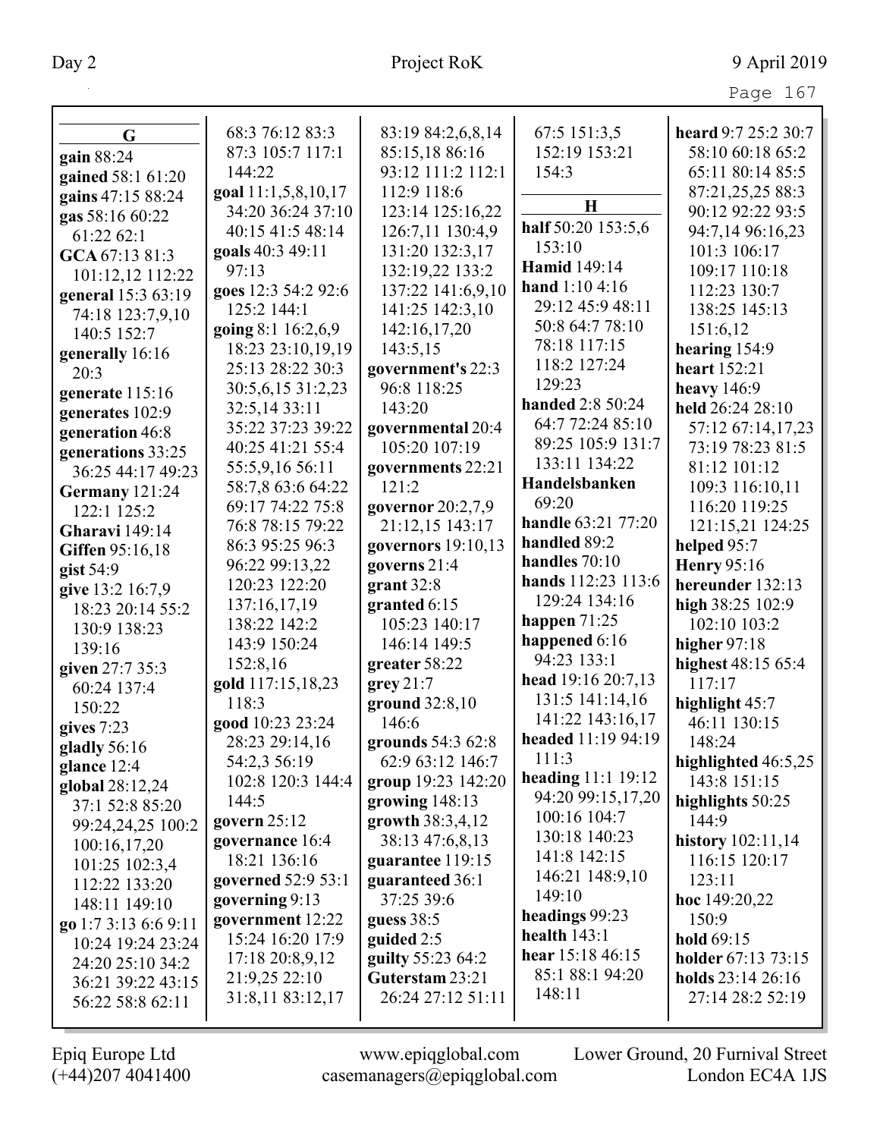| G                     | 68:3 76:12 83:3     | 83:19 84:2,6,8,14  | 67:5 151:3,5        | heard 9:7 25:2 30:7       |
|-----------------------|---------------------|--------------------|---------------------|---------------------------|
| gain 88:24            | 87:3 105:7 117:1    | 85:15,18 86:16     | 152:19 153:21       | 58:10 60:18 65:2          |
| gained 58:1 61:20     | 144:22              | 93:12 111:2 112:1  | 154:3               | 65:11 80:14 85:5          |
| gains 47:15 88:24     | goal 11:1,5,8,10,17 | 112:9 118:6        |                     | 87:21,25,25 88:3          |
| gas 58:16 60:22       | 34:20 36:24 37:10   | 123:14 125:16,22   | $\mathbf H$         | 90:12 92:22 93:5          |
| 61:22 62:1            | 40:15 41:5 48:14    | 126:7,11 130:4,9   | half 50:20 153:5,6  | 94:7,14 96:16,23          |
| GCA 67:13 81:3        | goals 40:3 49:11    | 131:20 132:3,17    | 153:10              | 101:3 106:17              |
| 101:12,12 112:22      | 97:13               | 132:19,22 133:2    | <b>Hamid 149:14</b> | 109:17 110:18             |
| general 15:3 63:19    | goes 12:3 54:2 92:6 | 137:22 141:6,9,10  | hand $1:104:16$     | 112:23 130:7              |
| 74:18 123:7,9,10      | 125:2 144:1         | 141:25 142:3,10    | 29:12 45:9 48:11    | 138:25 145:13             |
| 140:5 152:7           | going 8:1 16:2,6,9  | 142:16,17,20       | 50:8 64:7 78:10     | 151:6,12                  |
| generally 16:16       | 18:23 23:10,19,19   | 143:5,15           | 78:18 117:15        | hearing 154:9             |
| 20:3                  | 25:13 28:22 30:3    | government's 22:3  | 118:2 127:24        | heart 152:21              |
| generate 115:16       | 30:5,6,15 31:2,23   | 96:8 118:25        | 129:23              | heavy $146:9$             |
| generates 102:9       | 32:5,14 33:11       | 143:20             | handed 2:8 50:24    | held 26:24 28:10          |
| generation 46:8       | 35:22 37:23 39:22   | governmental 20:4  | 64:7 72:24 85:10    | 57:12 67:14,17,23         |
| generations 33:25     | 40:25 41:21 55:4    | 105:20 107:19      | 89:25 105:9 131:7   | 73:19 78:23 81:5          |
| 36:25 44:17 49:23     | 55:5,9,16 56:11     | governments 22:21  | 133:11 134:22       | 81:12 101:12              |
| Germany 121:24        | 58:7,8 63:6 64:22   | 121:2              | Handelsbanken       | 109:3 116:10,11           |
| 122:1 125:2           | 69:17 74:22 75:8    | governor 20:2,7,9  | 69:20               | 116:20 119:25             |
| <b>Gharavi</b> 149:14 | 76:8 78:15 79:22    | 21:12,15 143:17    | handle 63:21 77:20  | 121:15,21 124:25          |
| Giffen 95:16,18       | 86:3 95:25 96:3     | governors 19:10,13 | handled 89:2        | helped 95:7               |
| gist $54:9$           | 96:22 99:13,22      | governs 21:4       | handles 70:10       | <b>Henry 95:16</b>        |
| give 13:2 16:7,9      | 120:23 122:20       | grant $32:8$       | hands 112:23 113:6  | hereunder 132:13          |
| 18:23 20:14 55:2      | 137:16,17,19        | granted 6:15       | 129:24 134:16       | high 38:25 102:9          |
| 130:9 138:23          | 138:22 142:2        | 105:23 140:17      | happen $71:25$      | 102:10 103:2              |
| 139:16                | 143:9 150:24        | 146:14 149:5       | happened 6:16       | higher $97:18$            |
| given 27:7 35:3       | 152:8,16            | greater 58:22      | 94:23 133:1         | highest 48:15 65:4        |
| 60:24 137:4           | gold 117:15,18,23   | grey 21:7          | head 19:16 20:7,13  | 117:17                    |
| 150:22                | 118:3               | ground 32:8,10     | 131:5 141:14,16     | highlight 45:7            |
| gives $7:23$          | good 10:23 23:24    | 146:6              | 141:22 143:16,17    | 46:11 130:15              |
| gladly 56:16          | 28:23 29:14,16      | grounds 54:3 62:8  | headed 11:19 94:19  | 148:24                    |
| glance $12:4$         | 54:2,3 56:19        | 62:9 63:12 146:7   | 111:3               | highlighted 46:5,25       |
| global 28:12,24       | 102:8 120:3 144:4   | group 19:23 142:20 | heading 11:1 19:12  | 143:8 151:15              |
| 37:1 52:8 85:20       | 144:5               | growing $148:13$   | 94:20 99:15,17,20   | highlights $50:25$        |
| 99:24,24,25 100:2     | govern 25:12        | growth 38:3,4,12   | 100:16 104:7        | 144:9                     |
| 100:16,17,20          | governance 16:4     | 38:13 47:6,8,13    | 130:18 140:23       | history 102:11,14         |
| 101:25 102:3,4        | 18:21 136:16        | guarantee 119:15   | 141:8 142:15        | 116:15 120:17             |
| 112:22 133:20         | governed 52:9 53:1  | guaranteed 36:1    | 146:21 148:9,10     | 123:11                    |
| 148:11 149:10         | governing 9:13      | 37:25 39:6         | 149:10              | hoc $149:20,22$           |
| go 1:7 3:13 6:6 9:11  | government 12:22    | guess $38:5$       | headings 99:23      | 150:9                     |
| 10:24 19:24 23:24     | 15:24 16:20 17:9    | guided 2:5         | health $143:1$      | hold $69:15$              |
| 24:20 25:10 34:2      | 17:18 20:8,9,12     | guilty 55:23 64:2  | hear 15:18 46:15    | <b>holder</b> 67:13 73:15 |
| 36:21 39:22 43:15     | 21:9,25 22:10       | Guterstam 23:21    | 85:1 88:1 94:20     | holds 23:14 26:16         |
| 56:22 58:8 62:11      | 31:8,11 83:12,17    | 26:24 27:12 51:11  | 148:11              | 27:14 28:2 52:19          |
|                       |                     |                    |                     |                           |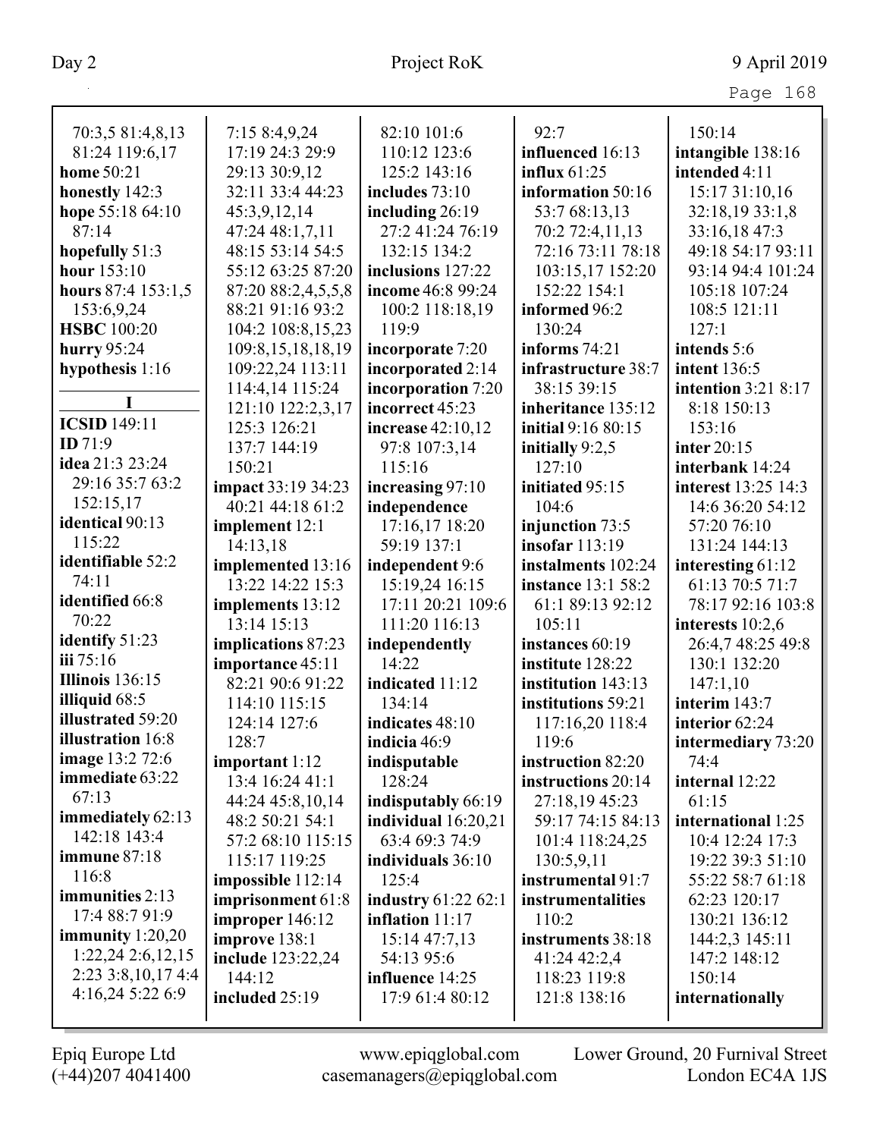| 70:3,5 81:4,8,13         | 7:15 8:4,9,24         | 82:10 101:6         | 92:7                      | 150:14                     |
|--------------------------|-----------------------|---------------------|---------------------------|----------------------------|
| 81:24 119:6,17           | 17:19 24:3 29:9       | 110:12 123:6        | influenced 16:13          | intangible 138:16          |
| home 50:21               | 29:13 30:9,12         | 125:2 143:16        | influx $61:25$            | intended 4:11              |
| honestly 142:3           | 32:11 33:4 44:23      | includes $73:10$    | information 50:16         | 15:17 31:10,16             |
| hope 55:18 64:10         | 45:3,9,12,14          | including 26:19     | 53:7 68:13,13             | 32:18,19 33:1,8            |
| 87:14                    | 47:24 48:1,7,11       | 27:2 41:24 76:19    | 70:2 72:4,11,13           | 33:16,18 47:3              |
| hopefully 51:3           | 48:15 53:14 54:5      | 132:15 134:2        | 72:16 73:11 78:18         | 49:18 54:17 93:11          |
| hour 153:10              | 55:12 63:25 87:20     | inclusions 127:22   | 103:15,17 152:20          | 93:14 94:4 101:24          |
| hours 87:4 153:1,5       | 87:20 88:2,4,5,5,8    | income 46:8 99:24   | 152:22 154:1              | 105:18 107:24              |
| 153:6,9,24               | 88:21 91:16 93:2      | 100:2 118:18,19     | informed 96:2             | 108:5 121:11               |
| <b>HSBC</b> 100:20       | 104:2 108:8,15,23     | 119:9               | 130:24                    | 127:1                      |
| hurry 95:24              | 109:8, 15, 18, 18, 19 | incorporate 7:20    | informs $74:21$           | intends 5:6                |
| hypothesis 1:16          | 109:22,24 113:11      | incorporated 2:14   | infrastructure 38:7       | intent 136:5               |
|                          | 114:4,14 115:24       | incorporation 7:20  | 38:15 39:15               | <b>intention</b> 3:21 8:17 |
| I                        | 121:10 122:2,3,17     | incorrect 45:23     | inheritance 135:12        | 8:18 150:13                |
| <b>ICSID</b> 149:11      | 125:3 126:21          | increase 42:10,12   | initial 9:16 80:15        | 153:16                     |
| ID $71:9$                | 137:7 144:19          | 97:8 107:3,14       | initially $9:2,5$         | inter 20:15                |
| idea 21:3 23:24          | 150:21                | 115:16              | 127:10                    | interbank 14:24            |
| 29:16 35:7 63:2          | impact 33:19 34:23    | increasing 97:10    | initiated 95:15           | interest 13:25 14:3        |
| 152:15,17                | 40:21 44:18 61:2      | independence        | 104:6                     | 14:6 36:20 54:12           |
| identical 90:13          | implement 12:1        | 17:16,17 18:20      | injunction 73:5           | 57:20 76:10                |
| 115:22                   | 14:13,18              | 59:19 137:1         | insofar $113:19$          | 131:24 144:13              |
| identifiable 52:2        | implemented 13:16     | independent 9:6     | instalments 102:24        | interesting 61:12          |
| 74:11                    | 13:22 14:22 15:3      | 15:19,24 16:15      | <b>instance</b> 13:1 58:2 | 61:13 70:5 71:7            |
| identified 66:8          | implements 13:12      | 17:11 20:21 109:6   | 61:1 89:13 92:12          | 78:17 92:16 103:8          |
| 70:22                    | 13:14 15:13           | 111:20 116:13       | 105:11                    | interests $10:2,6$         |
| identify 51:23           | implications 87:23    | independently       | instances 60:19           | 26:4,7 48:25 49:8          |
| iii 75:16                | importance 45:11      | 14:22               | institute 128:22          | 130:1 132:20               |
| <b>Illinois</b> 136:15   | 82:21 90:6 91:22      | indicated 11:12     | institution 143:13        | 147:1,10                   |
| illiquid 68:5            | 114:10 115:15         | 134:14              | institutions 59:21        | interim 143:7              |
| illustrated 59:20        | 124:14 127:6          | indicates 48:10     | 117:16,20 118:4           | interior 62:24             |
| <b>illustration</b> 16:8 | 128:7                 | indicia 46:9        | 119:6                     | intermediary 73:20         |
| <b>image</b> 13:2 72:6   | important 1:12        | indisputable        | instruction 82:20         | 74:4                       |
| immediate 63:22          | 13:4 16:24 41:1       | 128:24              | instructions 20:14        | internal 12:22             |
| 67:13                    | 44:24 45:8,10,14      | indisputably 66:19  | 27:18,19 45:23            | 61:15                      |
| immediately 62:13        | 48:2 50:21 54:1       | individual 16:20,21 | 59:17 74:15 84:13         | international 1:25         |
| 142:18 143:4             | 57:2 68:10 115:15     | 63:4 69:3 74:9      | 101:4 118:24,25           | 10:4 12:24 17:3            |
| immune $87:18$           | 115:17 119:25         | individuals 36:10   | 130:5,9,11                | 19:22 39:3 51:10           |
| 116:8                    | impossible 112:14     | 125:4               | instrumental 91:7         | 55:22 58:7 61:18           |
| immunities 2:13          | imprisonment 61:8     | industry 61:22 62:1 | instrumentalities         | 62:23 120:17               |
| 17:4 88:7 91:9           | improper 146:12       | inflation $11:17$   | 110:2                     | 130:21 136:12              |
| immunity $1:20,20$       | improve 138:1         | 15:14 47:7,13       | instruments 38:18         | 144:2,3 145:11             |
| 1:22,242:6,12,15         | include 123:22,24     | 54:13 95:6          | 41:24 42:2,4              | 147:2 148:12               |
| $2:23$ 3:8, 10, 174:4    | 144:12                | influence 14:25     | 118:23 119:8              | 150:14                     |
| 4:16,24 5:22 6:9         | included 25:19        | 17:9 61:4 80:12     | 121:8 138:16              | internationally            |
|                          |                       |                     |                           |                            |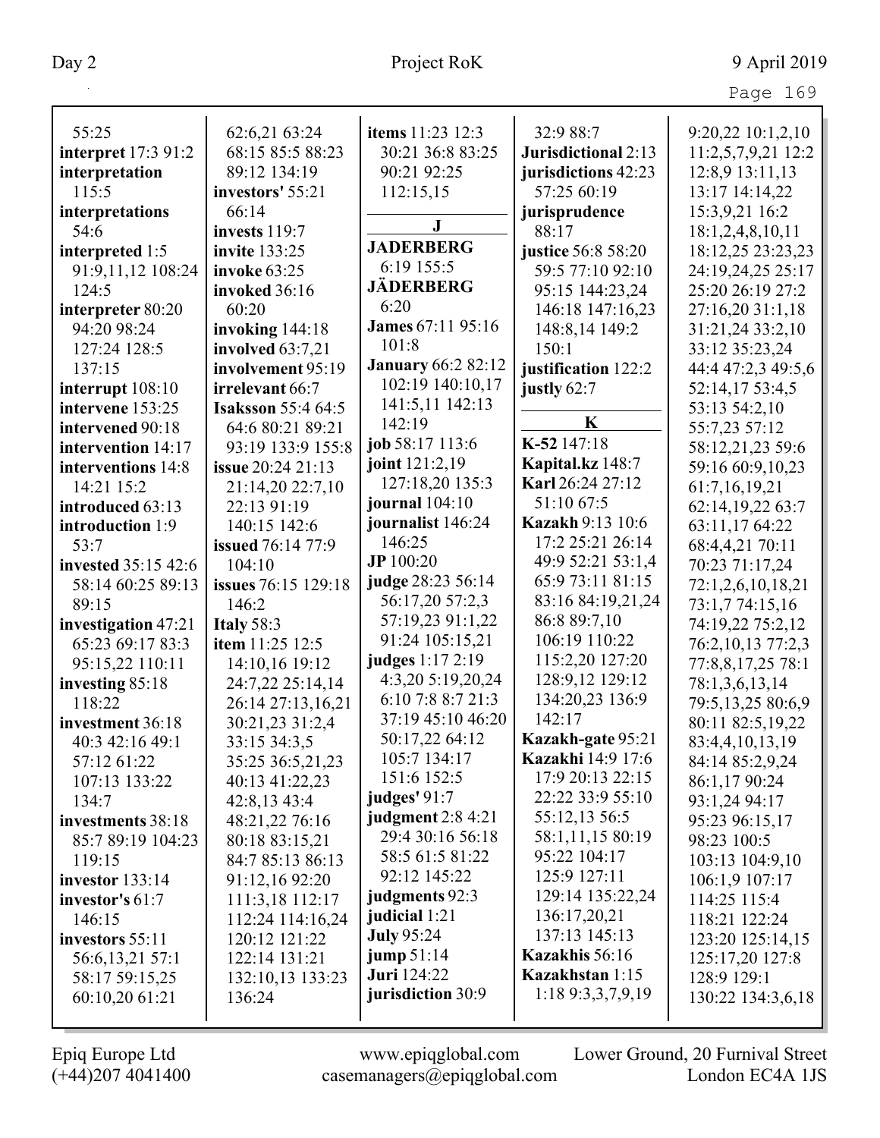|                              |                                   |                                      | 32:9 88:7                          |                                       |
|------------------------------|-----------------------------------|--------------------------------------|------------------------------------|---------------------------------------|
| 55:25<br>interpret 17:3 91:2 | 62:6,21 63:24<br>68:15 85:5 88:23 | items 11:23 12:3<br>30:21 36:8 83:25 | Jurisdictional 2:13                | 9:20,22 10:1,2,10                     |
|                              | 89:12 134:19                      | 90:21 92:25                          |                                    | 11:2,5,7,9,21 12:2<br>12:8,9 13:11,13 |
| interpretation<br>115:5      | investors' 55:21                  | 112:15,15                            | jurisdictions 42:23<br>57:25 60:19 | 13:17 14:14,22                        |
| interpretations              | 66:14                             |                                      | jurisprudence                      | 15:3,9,21 16:2                        |
| 54:6                         | invests 119:7                     | ${\bf J}$                            | 88:17                              | 18:1,2,4,8,10,11                      |
| interpreted 1:5              | <b>invite</b> 133:25              | <b>JADERBERG</b>                     | justice 56:8 58:20                 | 18:12,25 23:23,23                     |
| 91:9,11,12 108:24            | <b>invoke</b> 63:25               | 6:19 155:5                           | 59:5 77:10 92:10                   | 24:19,24,25 25:17                     |
| 124:5                        | invoked 36:16                     | <b>JÄDERBERG</b>                     | 95:15 144:23,24                    | 25:20 26:19 27:2                      |
| interpreter 80:20            | 60:20                             | 6:20                                 | 146:18 147:16,23                   | 27:16,20 31:1,18                      |
| 94:20 98:24                  | invoking 144:18                   | <b>James</b> 67:11 95:16             | 148:8,14 149:2                     | 31:21,24 33:2,10                      |
| 127:24 128:5                 | involved 63:7,21                  | 101:8                                | 150:1                              | 33:12 35:23,24                        |
| 137:15                       | involvement 95:19                 | <b>January 66:2 82:12</b>            | justification 122:2                | 44:4 47:2,3 49:5,6                    |
| interrupt 108:10             | irrelevant 66:7                   | 102:19 140:10,17                     | justly 62:7                        | 52:14,17 53:4,5                       |
| intervene 153:25             | <b>Isaksson</b> 55:4 64:5         | 141:5,11 142:13                      |                                    | 53:13 54:2,10                         |
| intervened 90:18             | 64:6 80:21 89:21                  | 142:19                               | $\bf K$                            | 55:7,23 57:12                         |
| intervention 14:17           | 93:19 133:9 155:8                 | job 58:17 113:6                      | K-52 147:18                        | 58:12,21,23 59:6                      |
| interventions 14:8           | issue 20:24 21:13                 | joint 121:2,19                       | Kapital.kz 148:7                   | 59:16 60:9,10,23                      |
| 14:21 15:2                   | 21:14,20 22:7,10                  | 127:18,20 135:3                      | Karl 26:24 27:12                   | 61:7,16,19,21                         |
| introduced 63:13             | 22:13 91:19                       | journal 104:10                       | 51:10 67:5                         | 62:14,19,22 63:7                      |
| introduction 1:9             | 140:15 142:6                      | journalist 146:24                    | <b>Kazakh</b> 9:13 10:6            | 63:11,17 64:22                        |
| 53:7                         | issued 76:14 77:9                 | 146:25                               | 17:2 25:21 26:14                   | 68:4,4,21 70:11                       |
| invested 35:15 42:6          | 104:10                            | JP 100:20                            | 49:9 52:21 53:1,4                  | 70:23 71:17,24                        |
| 58:14 60:25 89:13            | issues 76:15 129:18               | judge 28:23 56:14                    | 65:9 73:11 81:15                   | 72:1,2,6,10,18,21                     |
| 89:15                        | 146:2                             | 56:17,20 57:2,3                      | 83:16 84:19,21,24                  | 73:1,774:15,16                        |
| investigation 47:21          | <b>Italy 58:3</b>                 | 57:19,23 91:1,22                     | 86:8 89:7,10                       | 74:19,22 75:2,12                      |
| 65:23 69:17 83:3             | item 11:25 12:5                   | 91:24 105:15,21                      | 106:19 110:22                      | 76:2,10,13 77:2,3                     |
| 95:15,22 110:11              | 14:10,16 19:12                    | judges 1:17 2:19                     | 115:2,20 127:20                    | 77:8,8,17,25 78:1                     |
| investing 85:18              | 24:7,22 25:14,14                  | 4:3,20 5:19,20,24                    | 128:9,12 129:12                    | 78:1,3,6,13,14                        |
| 118:22                       | 26:14 27:13,16,21                 | 6:10 7:8 8:7 21:3                    | 134:20,23 136:9                    | 79:5,13,25 80:6,9                     |
| investment 36:18             | 30:21,23 31:2,4                   | 37:19 45:10 46:20                    | 142:17                             | 80:11 82:5,19,22                      |
| 40:3 42:16 49:1              | 33:15 34:3,5                      | 50:17,22 64:12                       | Kazakh-gate 95:21                  | 83:4,4,10,13,19                       |
| 57:12 61:22                  | 35:25 36:5,21,23                  | 105:7 134:17                         | <b>Kazakhi</b> 14:9 17:6           | 84:14 85:2,9,24                       |
| 107:13 133:22                | 40:13 41:22,23                    | 151:6 152:5                          | 17:9 20:13 22:15                   | 86:1,17 90:24                         |
| 134:7                        | 42:8,13 43:4                      | judges' $91:7$                       | 22:22 33:9 55:10                   | 93:1,24 94:17                         |
| investments 38:18            | 48:21,22 76:16                    | judgment 2:8 4:21                    | 55:12,13 56:5                      | 95:23 96:15,17                        |
| 85:7 89:19 104:23            | 80:18 83:15,21                    | 29:4 30:16 56:18                     | 58:1,11,15 80:19                   | 98:23 100:5                           |
| 119:15                       | 84:7 85:13 86:13                  | 58:5 61:5 81:22                      | 95:22 104:17                       | 103:13 104:9,10                       |
| investor $133:14$            | 91:12,16 92:20                    | 92:12 145:22                         | 125:9 127:11                       | 106:1,9 107:17                        |
| investor's $61:7$            | 111:3,18 112:17                   | judgments 92:3                       | 129:14 135:22,24                   | 114:25 115:4                          |
| 146:15                       | 112:24 114:16,24                  | judicial 1:21                        | 136:17,20,21                       | 118:21 122:24                         |
| investors 55:11              | 120:12 121:22                     | <b>July 95:24</b>                    | 137:13 145:13                      | 123:20 125:14,15                      |
| 56:6,13,21 57:1              | 122:14 131:21                     | jump $51:14$                         | <b>Kazakhis</b> 56:16              | 125:17,20 127:8                       |
| 58:17 59:15,25               | 132:10,13 133:23                  | <b>Juri</b> 124:22                   | Kazakhstan 1:15                    | 128:9 129:1                           |
| 60:10,20 61:21               | 136:24                            | jurisdiction 30:9                    | 1:189:3,3,7,9,19                   | 130:22 134:3,6,18                     |
|                              |                                   |                                      |                                    |                                       |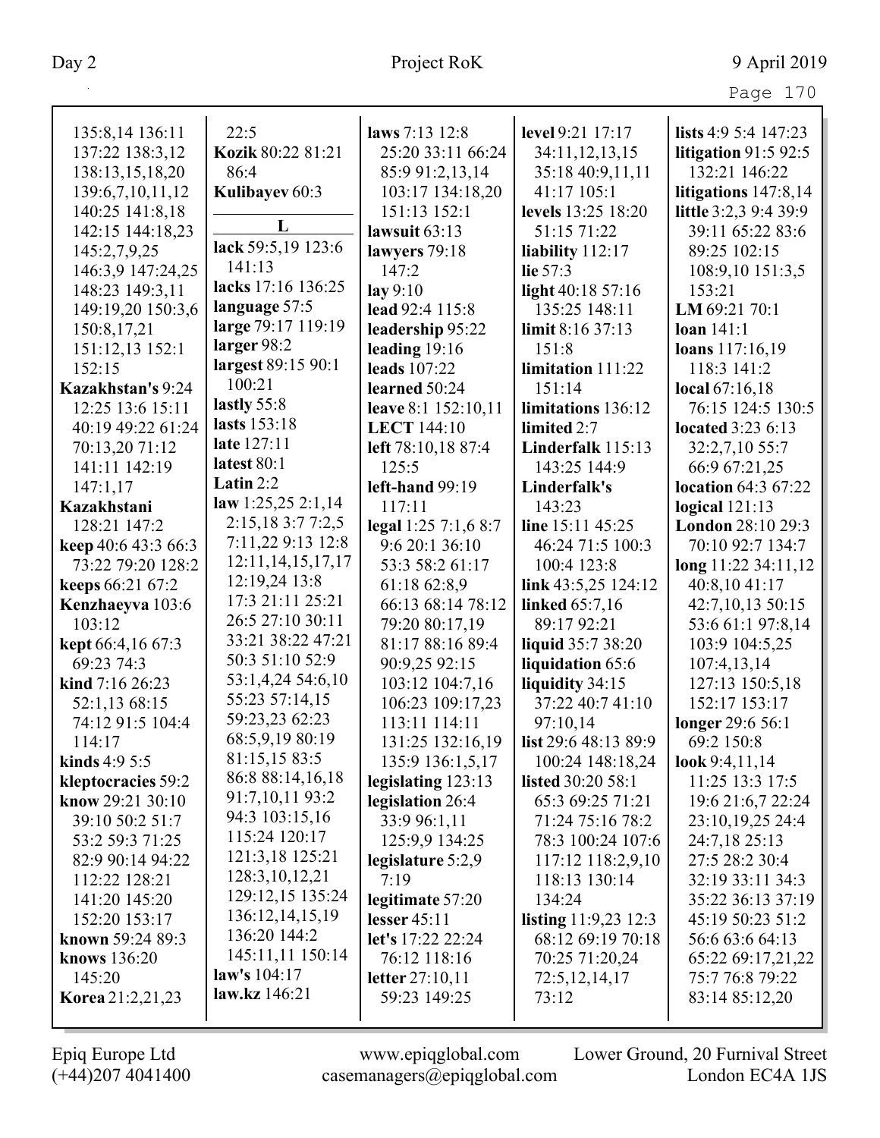| 135:8,14 136:11         | 22:5               | laws $7:13$ 12:8     | level 9:21 17:17         | lists 4:9 5:4 147:23   |
|-------------------------|--------------------|----------------------|--------------------------|------------------------|
|                         | Kozik 80:22 81:21  | 25:20 33:11 66:24    | 34:11,12,13,15           |                        |
| 137:22 138:3,12         |                    |                      |                          | litigation $91:592:5$  |
| 138:13,15,18,20         | 86:4               | 85:9 91:2,13,14      | 35:18 40:9,11,11         | 132:21 146:22          |
| 139:6,7,10,11,12        | Kulibayev 60:3     | 103:17 134:18,20     | 41:17 105:1              | litigations $147:8,14$ |
| 140:25 141:8,18         | L                  | 151:13 152:1         | levels 13:25 18:20       | little 3:2,3 9:4 39:9  |
| 142:15 144:18,23        | lack 59:5,19 123:6 | lawsuit 63:13        | 51:15 71:22              | 39:11 65:22 83:6       |
| 145:2,7,9,25            | 141:13             | lawyers 79:18        | liability 112:17         | 89:25 102:15           |
| 146:3,9 147:24,25       | lacks 17:16 136:25 | 147:2                | lie 57:3                 | 108:9,10 151:3,5       |
| 148:23 149:3,11         |                    | lay 9:10             | light 40:18 57:16        | 153:21                 |
| 149:19,20 150:3,6       | language 57:5      | lead 92:4 115:8      | 135:25 148:11            | LM $69:21$ 70:1        |
| 150:8, 17, 21           | large 79:17 119:19 | leadership 95:22     | limit $8:16\,37:13$      | loan $141:1$           |
| 151:12,13 152:1         | larger 98:2        | leading $19:16$      | 151:8                    | loans 117:16,19        |
| 152:15                  | largest 89:15 90:1 | leads 107:22         | limitation 111:22        | 118:3 141:2            |
| Kazakhstan's 9:24       | 100:21             | learned 50:24        | 151:14                   | local $67:16,18$       |
| 12:25 13:6 15:11        | lastly 55:8        | leave 8:1 152:10,11  | limitations 136:12       | 76:15 124:5 130:5      |
| 40:19 49:22 61:24       | lasts 153:18       | <b>LECT</b> 144:10   | limited 2:7              | located 3:23 6:13      |
| 70:13,20 71:12          | late 127:11        | left 78:10,18 87:4   | Linderfalk 115:13        | 32:2,7,10 55:7         |
| 141:11 142:19           | latest 80:1        | 125:5                | 143:25 144:9             | 66:9 67:21,25          |
| 147:1,17                | Latin $2:2$        | left-hand 99:19      | Linderfalk's             | location 64:3 67:22    |
| <b>Kazakhstani</b>      | law 1:25,25 2:1,14 | 117:11               | 143:23                   | logical $121:13$       |
| 128:21 147:2            | 2:15,183:77:2,5    | legal 1:25 7:1,6 8:7 | line 15:11 45:25         | London 28:10 29:3      |
| keep $40:643:366:3$     | 7:11,22 9:13 12:8  | 9:6 20:1 36:10       | 46:24 71:5 100:3         | 70:10 92:7 134:7       |
| 73:22 79:20 128:2       | 12:11,14,15,17,17  | 53:3 58:2 61:17      | 100:4 123:8              | long 11:22 34:11,12    |
| keeps 66:21 67:2        | 12:19,24 13:8      | 61:18 62:8,9         | link 43:5,25 124:12      | 40:8,10 41:17          |
| Kenzhaeyva 103:6        | 17:3 21:11 25:21   | 66:13 68:14 78:12    | <b>linked</b> 65:7,16    | 42:7,10,13 50:15       |
| 103:12                  | 26:5 27:10 30:11   | 79:20 80:17,19       | 89:17 92:21              | 53:6 61:1 97:8,14      |
| kept 66:4,16 67:3       | 33:21 38:22 47:21  | 81:17 88:16 89:4     | liquid 35:7 38:20        | 103:9 104:5,25         |
| 69:23 74:3              | 50:3 51:10 52:9    | 90:9,25 92:15        | liquidation 65:6         | 107:4,13,14            |
| kind 7:16 26:23         | 53:1,4,24 54:6,10  | 103:12 104:7,16      | liquidity 34:15          | 127:13 150:5,18        |
| 52:1,13 68:15           | 55:23 57:14,15     | 106:23 109:17,23     | 37:22 40:7 41:10         | 152:17 153:17          |
| 74:12 91:5 104:4        | 59:23,23 62:23     | 113:11 114:11        | 97:10,14                 | longer 29:6 56:1       |
| 114:17                  | 68:5,9,19 80:19    | 131:25 132:16,19     | list 29:6 48:13 89:9     | 69:2 150:8             |
| <b>kinds</b> 4:9 5:5    | 81:15,15 83:5      | 135:9 136:1,5,17     | 100:24 148:18,24         | look 9:4,11,14         |
| kleptocracies 59:2      | 86:8 88:14,16,18   | legislating $123:13$ | <b>listed</b> 30:20 58:1 | 11:25 13:3 17:5        |
| know $29:2130:10$       | 91:7,10,11 93:2    | legislation 26:4     | 65:3 69:25 71:21         | 19:6 21:6,7 22:24      |
| 39:10 50:2 51:7         | 94:3 103:15,16     | 33:9 96:1,11         | 71:24 75:16 78:2         | 23:10,19,25 24:4       |
| 53:2 59:3 71:25         | 115:24 120:17      | 125:9,9 134:25       | 78:3 100:24 107:6        | 24:7,18 25:13          |
| 82:9 90:14 94:22        | 121:3,18 125:21    | legislature 5:2,9    | 117:12 118:2,9,10        | 27:5 28:2 30:4         |
| 112:22 128:21           | 128:3, 10, 12, 21  | 7:19                 | 118:13 130:14            | 32:19 33:11 34:3       |
| 141:20 145:20           | 129:12,15 135:24   | legitimate 57:20     | 134:24                   | 35:22 36:13 37:19      |
| 152:20 153:17           | 136:12,14,15,19    | lesser $45:11$       | listing $11:9,23\ 12:3$  | 45:19 50:23 51:2       |
| known 59:24 89:3        | 136:20 144:2       | let's 17:22 22:24    | 68:12 69:19 70:18        | 56:6 63:6 64:13        |
| knows 136:20            | 145:11,11 150:14   | 76:12 118:16         | 70:25 71:20,24           | 65:22 69:17,21,22      |
| 145:20                  | law's $104:17$     | letter 27:10,11      | 72:5, 12, 14, 17         | 75:7 76:8 79:22        |
| <b>Korea</b> 21:2,21,23 | law.kz 146:21      | 59:23 149:25         | 73:12                    | 83:14 85:12,20         |
|                         |                    |                      |                          |                        |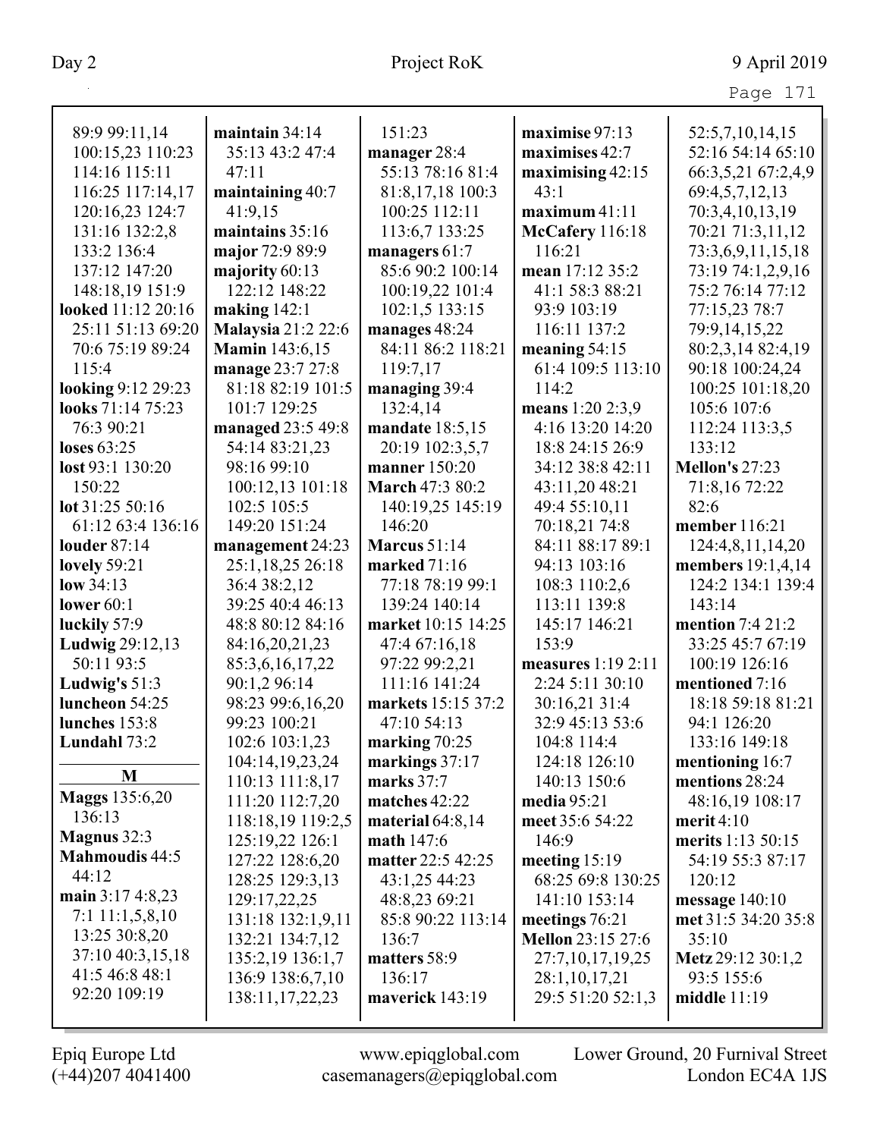| 89:9 99:11,14          | maintain $34:14$          | 151:23              | maximise 97:13           | 52:5,7,10,14,15       |
|------------------------|---------------------------|---------------------|--------------------------|-----------------------|
| 100:15,23 110:23       | 35:13 43:2 47:4           | manager 28:4        | maximises 42:7           | 52:16 54:14 65:10     |
| 114:16 115:11          | 47:11                     | 55:13 78:16 81:4    | maximising $42:15$       | 66:3,5,21 67:2,4,9    |
| 116:25 117:14,17       | maintaining 40:7          | 81:8,17,18 100:3    | 43:1                     | 69:4,5,7,12,13        |
| 120:16,23 124:7        | 41:9,15                   | 100:25 112:11       | maximum 41:11            | 70:3,4,10,13,19       |
| 131:16 132:2,8         | maintains 35:16           | 113:6,7 133:25      | McCafery 116:18          | 70:21 71:3,11,12      |
| 133:2 136:4            | major 72:9 89:9           | managers 61:7       | 116:21                   | 73:3,6,9,11,15,18     |
| 137:12 147:20          | majority 60:13            | 85:6 90:2 100:14    | mean 17:12 35:2          | 73:19 74:1,2,9,16     |
| 148:18,19 151:9        | 122:12 148:22             | 100:19,22 101:4     | 41:1 58:3 88:21          | 75:2 76:14 77:12      |
| looked 11:12 20:16     | making $142:1$            | 102:1,5 133:15      | 93:9 103:19              | 77:15,23 78:7         |
| 25:11 51:13 69:20      | <b>Malaysia 21:2 22:6</b> | manages 48:24       | 116:11 137:2             | 79:9,14,15,22         |
| 70:6 75:19 89:24       | <b>Mamin</b> 143:6,15     | 84:11 86:2 118:21   | meaning $54:15$          | 80:2,3,14 82:4,19     |
| 115:4                  | manage 23:7 27:8          | 119:7,17            | 61:4 109:5 113:10        | 90:18 100:24,24       |
| looking 9:12 29:23     | 81:18 82:19 101:5         | managing 39:4       | 114:2                    | 100:25 101:18,20      |
| looks 71:14 75:23      | 101:7 129:25              | 132:4,14            | means 1:20 2:3,9         | 105:6 107:6           |
| 76:3 90:21             | managed 23:5 49:8         | mandate 18:5,15     | 4:16 13:20 14:20         | 112:24 113:3,5        |
| loses $63:25$          | 54:14 83:21,23            | 20:19 102:3,5,7     | 18:8 24:15 26:9          | 133:12                |
| lost 93:1 130:20       | 98:16 99:10               | manner 150:20       | 34:12 38:8 42:11         | <b>Mellon's 27:23</b> |
| 150:22                 | 100:12,13 101:18          | March 47:3 80:2     | 43:11,20 48:21           | 71:8,16 72:22         |
| lot $31:2550:16$       | 102:5 105:5               | 140:19,25 145:19    | 49:4 55:10,11            | 82:6                  |
| 61:12 63:4 136:16      | 149:20 151:24             | 146:20              | 70:18,21 74:8            | member 116:21         |
| louder 87:14           | management 24:23          | <b>Marcus</b> 51:14 | 84:11 88:17 89:1         | 124:4,8,11,14,20      |
| <b>lovely</b> 59:21    | 25:1,18,25 26:18          | marked 71:16        | 94:13 103:16             | members 19:1,4,14     |
| low $34:13$            | 36:4 38:2,12              | 77:18 78:19 99:1    | 108:3 110:2,6            | 124:2 134:1 139:4     |
| lower $60:1$           | 39:25 40:4 46:13          | 139:24 140:14       | 113:11 139:8             | 143:14                |
| luckily 57:9           | 48:8 80:12 84:16          | market 10:15 14:25  | 145:17 146:21            | mention 7:4 21:2      |
| <b>Ludwig 29:12,13</b> | 84:16,20,21,23            | 47:4 67:16,18       | 153:9                    | 33:25 45:7 67:19      |
| 50:11 93:5             | 85:3,6,16,17,22           | 97:22 99:2,21       | measures 1:19 2:11       | 100:19 126:16         |
| Ludwig's 51:3          | 90:1,2 96:14              | 111:16 141:24       | 2:24 5:11 30:10          | mentioned 7:16        |
| luncheon 54:25         | 98:23 99:6,16,20          | markets 15:15 37:2  | 30:16,21 31:4            | 18:18 59:18 81:21     |
| lunches 153:8          | 99:23 100:21              | 47:10 54:13         | 32:9 45:13 53:6          | 94:1 126:20           |
| Lundahl 73:2           | 102:6 103:1,23            | marking 70:25       | 104:8 114:4              | 133:16 149:18         |
|                        | 104:14,19,23,24           | markings 37:17      | 124:18 126:10            | mentioning 16:7       |
| M                      | 110:13 111:8,17           | marks 37:7          | 140:13 150:6             | mentions 28:24        |
| <b>Maggs</b> 135:6,20  | 111:20 112:7,20           | matches 42:22       | media 95:21              | 48:16,19 108:17       |
| 136:13                 | 118:18,19 119:2,5         | material $64:8,14$  | meet 35:6 54:22          | merit $4:10$          |
| Magnus 32:3            | 125:19,22 126:1           | math $147:6$        | 146:9                    | merits 1:13 50:15     |
| <b>Mahmoudis 44:5</b>  | 127:22 128:6,20           | matter 22:5 42:25   | meeting $15:19$          | 54:19 55:3 87:17      |
| 44:12                  | 128:25 129:3,13           | 43:1,25 44:23       | 68:25 69:8 130:25        | 120:12                |
| main $3:174:8,23$      | 129:17,22,25              | 48:8,23 69:21       | 141:10 153:14            | message $140:10$      |
| 7:111:1,5,8,10         | 131:18 132:1,9,11         | 85:8 90:22 113:14   | meetings $76:21$         | met 31:5 34:20 35:8   |
| 13:25 30:8,20          | 132:21 134:7,12           | 136:7               | <b>Mellon</b> 23:15 27:6 | 35:10                 |
| 37:10 40:3,15,18       | 135:2,19 136:1,7          | matters 58:9        | 27:7,10,17,19,25         | Metz 29:12 30:1,2     |
| 41:5 46:8 48:1         | 136:9 138:6,7,10          | 136:17              | 28:1,10,17,21            | 93:5 155:6            |
| 92:20 109:19           | 138:11, 17, 22, 23        | maverick 143:19     | 29:5 51:20 52:1,3        | middle $11:19$        |
|                        |                           |                     |                          |                       |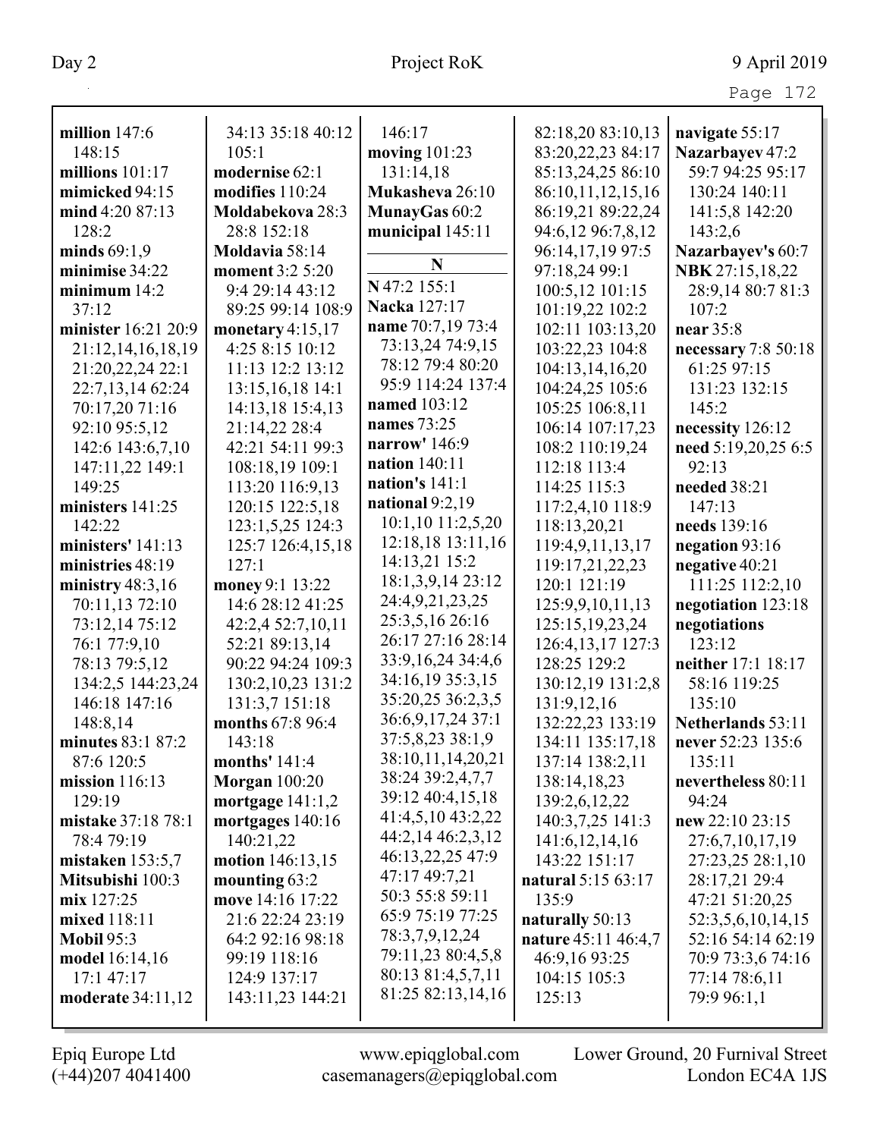| million $147:6$     | 34:13 35:18 40:12<br>105:1 | 146:17              | 82:18,20 83:10,13   | navigate 55:17       |
|---------------------|----------------------------|---------------------|---------------------|----------------------|
| 148:15              |                            | moving $101:23$     | 83:20,22,23 84:17   | Nazarbayev 47:2      |
| millions $101:17$   | modernise 62:1             | 131:14,18           | 85:13,24,25 86:10   | 59:7 94:25 95:17     |
| mimicked 94:15      | modifies 110:24            | Mukasheva 26:10     | 86:10,11,12,15,16   | 130:24 140:11        |
| mind 4:20 87:13     | Moldabekova 28:3           | MunayGas 60:2       | 86:19,21 89:22,24   | 141:5,8 142:20       |
| 128:2               | 28:8 152:18                | municipal 145:11    | 94:6,12 96:7,8,12   | 143:2,6              |
| minds $69:1,9$      | Moldavia 58:14             | N                   | 96:14,17,19 97:5    | Nazarbayev's 60:7    |
| minimise 34:22      | moment 3:2 5:20            | N 47:2 155:1        | 97:18,24 99:1       | NBK 27:15,18,22      |
| minimum $14:2$      | 9:4 29:14 43:12            |                     | 100:5,12 101:15     | 28:9,14 80:7 81:3    |
| 37:12               | 89:25 99:14 108:9          | Nacka 127:17        | 101:19,22 102:2     | 107:2                |
| minister 16:21 20:9 | monetary $4:15,17$         | name 70:7,19 73:4   | 102:11 103:13,20    | near 35:8            |
| 21:12,14,16,18,19   | 4:25 8:15 10:12            | 73:13,24 74:9,15    | 103:22,23 104:8     | necessary $7:850:18$ |
| 21:20,22,24 22:1    | 11:13 12:2 13:12           | 78:12 79:4 80:20    | 104:13,14,16,20     | 61:25 97:15          |
| 22:7,13,14 62:24    | 13:15,16,18 14:1           | 95:9 114:24 137:4   | 104:24,25 105:6     | 131:23 132:15        |
| 70:17,20 71:16      | 14:13,18 15:4,13           | <b>named</b> 103:12 | 105:25 106:8,11     | 145:2                |
| 92:10 95:5,12       | 21:14,22 28:4              | names 73:25         | 106:14 107:17,23    | necessity 126:12     |
| 142:6 143:6,7,10    | 42:21 54:11 99:3           | narrow' 146:9       | 108:2 110:19,24     | need 5:19,20,25 6:5  |
| 147:11,22 149:1     | 108:18,19 109:1            | nation 140:11       | 112:18 113:4        | 92:13                |
| 149:25              | 113:20 116:9,13            | nation's 141:1      | 114:25 115:3        | needed 38:21         |
| ministers 141:25    | 120:15 122:5,18            | national 9:2,19     | 117:2,4,10 118:9    | 147:13               |
| 142:22              | 123:1,5,25 124:3           | 10:1,10 11:2,5,20   | 118:13,20,21        | needs 139:16         |
| ministers' 141:13   | 125:7 126:4,15,18          | 12:18,18 13:11,16   | 119:4,9,11,13,17    | negation 93:16       |
| ministries 48:19    | 127:1                      | 14:13,21 15:2       | 119:17,21,22,23     | negative 40:21       |
| ministry $48:3,16$  | money 9:1 13:22            | 18:1,3,9,14 23:12   | 120:1 121:19        | 111:25 112:2,10      |
| 70:11,13 72:10      | 14:6 28:12 41:25           | 24:4,9,21,23,25     | 125:9,9,10,11,13    | negotiation 123:18   |
| 73:12,14 75:12      | 42:2,4 52:7,10,11          | 25:3,5,16 26:16     | 125:15, 19, 23, 24  | negotiations         |
| 76:1 77:9,10        | 52:21 89:13,14             | 26:17 27:16 28:14   | 126:4, 13, 17 127:3 | 123:12               |
| 78:13 79:5,12       | 90:22 94:24 109:3          | 33:9,16,24 34:4,6   | 128:25 129:2        | neither 17:1 18:17   |
| 134:2,5 144:23,24   | 130:2,10,23 131:2          | 34:16,19 35:3,15    | 130:12,19 131:2,8   | 58:16 119:25         |
| 146:18 147:16       | 131:3,7 151:18             | 35:20,25 36:2,3,5   | 131:9,12,16         | 135:10               |
| 148:8,14            | months 67:8 96:4           | 36:6,9,17,24 37:1   | 132:22,23 133:19    | Netherlands 53:11    |
| minutes 83:1 87:2   | 143:18                     | 37:5,8,23 38:1,9    | 134:11 135:17,18    | never 52:23 135:6    |
| 87:6 120:5          | months' $141:4$            | 38:10,11,14,20,21   | 137:14 138:2,11     | 135:11               |
| mission $116:13$    | <b>Morgan</b> 100:20       | 38:24 39:2,4,7,7    | 138:14,18,23        | nevertheless 80:11   |
| 129:19              | mortgage $141:1,2$         | 39:12 40:4,15,18    | 139:2,6,12,22       | 94:24                |
| mistake 37:18 78:1  | mortgages $140:16$         | 41:4,5,10 43:2,22   | 140:3,7,25 141:3    | new 22:10 23:15      |
| 78:4 79:19          | 140:21,22                  | 44:2,14 46:2,3,12   | 141:6, 12, 14, 16   | 27:6,7,10,17,19      |
| mistaken $153:5,7$  | motion 146:13,15           | 46:13,22,25 47:9    | 143:22 151:17       | 27:23,25 28:1,10     |
| Mitsubishi 100:3    | mounting $63:2$            | 47:17 49:7,21       | natural 5:15 63:17  | 28:17,21 29:4        |
| mix 127:25          | move 14:16 17:22           | 50:3 55:8 59:11     | 135:9               | 47:21 51:20,25       |
| mixed 118:11        | 21:6 22:24 23:19           | 65:9 75:19 77:25    | naturally 50:13     | 52:3,5,6,10,14,15    |
| <b>Mobil 95:3</b>   | 64:2 92:16 98:18           | 78:3,7,9,12,24      | nature 45:11 46:4,7 | 52:16 54:14 62:19    |
| model 16:14,16      | 99:19 118:16               | 79:11,23 80:4,5,8   | 46:9,16 93:25       | 70:9 73:3,6 74:16    |
| 17:1 47:17          | 124:9 137:17               | 80:13 81:4,5,7,11   | 104:15 105:3        | 77:14 78:6,11        |
| moderate 34:11,12   | 143:11,23 144:21           | 81:25 82:13,14,16   | 125:13              | 79:9 96:1,1          |
|                     |                            |                     |                     |                      |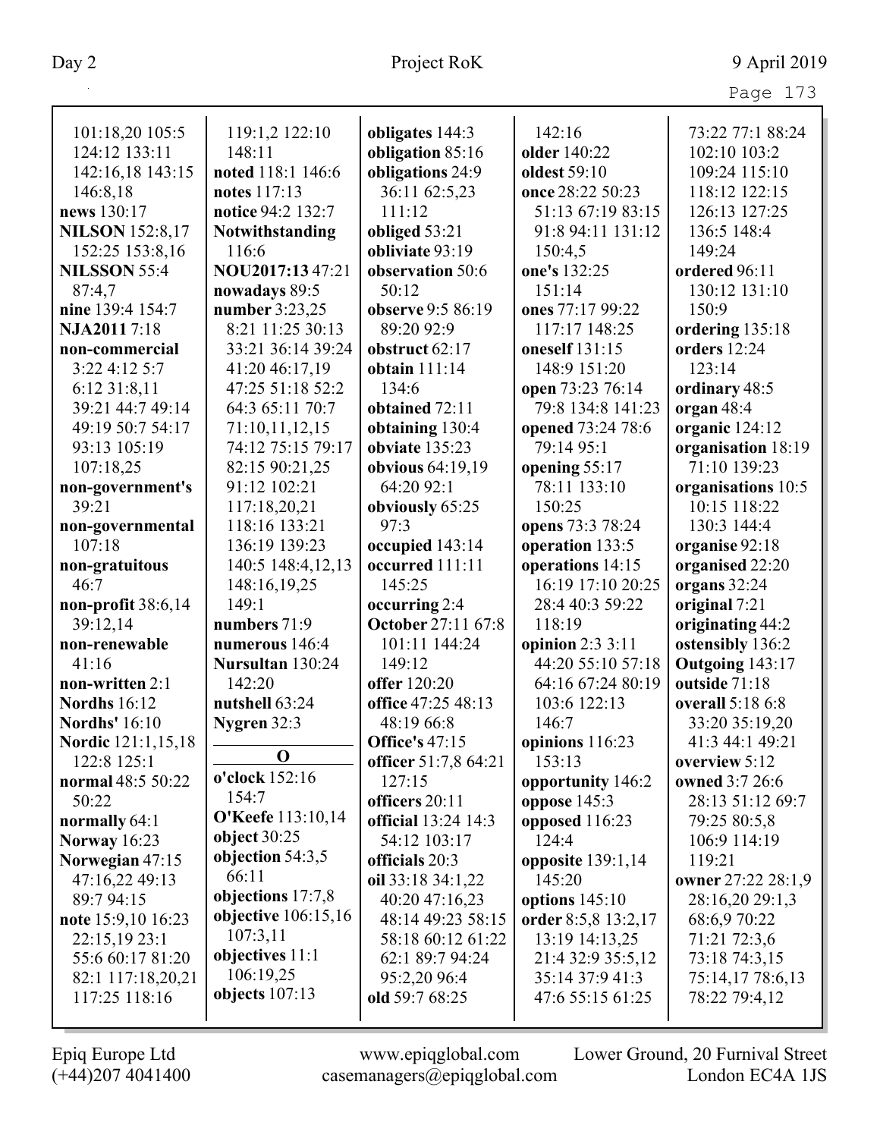| 101:18,20 105:5                | 119:1,2 122:10           | obligates 144:3            | 142:16                           | 73:22 77:1 88:24             |
|--------------------------------|--------------------------|----------------------------|----------------------------------|------------------------------|
| 124:12 133:11                  | 148:11                   | obligation 85:16           | older 140:22                     | 102:10 103:2                 |
| 142:16,18 143:15               | noted 118:1 146:6        | obligations 24:9           | oldest 59:10                     | 109:24 115:10                |
| 146:8,18                       | notes 117:13             | 36:11 62:5,23              | once 28:22 50:23                 | 118:12 122:15                |
| news 130:17                    | notice 94:2 132:7        | 111:12                     | 51:13 67:19 83:15                | 126:13 127:25                |
| <b>NILSON</b> 152:8,17         | Notwithstanding          | obliged 53:21              | 91:8 94:11 131:12                | 136:5 148:4                  |
| 152:25 153:8,16                | 116:6                    | obliviate 93:19            | 150:4,5                          | 149:24                       |
| <b>NILSSON 55:4</b>            | NOU2017:13 47:21         | observation 50:6           | one's 132:25                     | ordered 96:11                |
| 87:4,7                         | nowadays 89:5            | 50:12                      | 151:14                           | 130:12 131:10                |
| nine 139:4 154:7               | number 3:23,25           | observe 9:5 86:19          | ones 77:17 99:22                 | 150:9                        |
| NJA20117:18                    | 8:21 11:25 30:13         | 89:20 92:9                 | 117:17 148:25                    | ordering 135:18              |
| non-commercial                 | 33:21 36:14 39:24        | obstruct $62:17$           | oneself 131:15                   | orders 12:24                 |
| 3:22 4:12 5:7                  | 41:20 46:17,19           | obtain 111:14              | 148:9 151:20                     | 123:14                       |
| 6:12 31:8,11                   | 47:25 51:18 52:2         | 134:6                      | open 73:23 76:14                 | ordinary 48:5                |
| 39:21 44:7 49:14               | 64:3 65:11 70:7          | obtained 72:11             | 79:8 134:8 141:23                | organ 48:4                   |
| 49:19 50:7 54:17               | 71:10,11,12,15           | obtaining 130:4            | opened 73:24 78:6                | organic 124:12               |
| 93:13 105:19                   | 74:12 75:15 79:17        | obviate 135:23             | 79:14 95:1                       | organisation 18:19           |
| 107:18,25                      | 82:15 90:21,25           | obvious 64:19,19           | opening 55:17                    | 71:10 139:23                 |
| non-government's               | 91:12 102:21             | 64:20 92:1                 | 78:11 133:10                     | organisations 10:5           |
| 39:21                          | 117:18,20,21             | obviously 65:25            | 150:25                           | 10:15 118:22                 |
| non-governmental               | 118:16 133:21            | 97:3                       | opens 73:3 78:24                 | 130:3 144:4                  |
| 107:18                         | 136:19 139:23            | occupied 143:14            | operation 133:5                  | organise 92:18               |
|                                | 140:5 148:4,12,13        | occurred 111:11            | operations 14:15                 | organised 22:20              |
| non-gratuitous<br>46:7         | 148:16,19,25             | 145:25                     | 16:19 17:10 20:25                | organs 32:24                 |
|                                | 149:1                    | occurring 2:4              | 28:4 40:3 59:22                  | original 7:21                |
| non-profit 38:6,14<br>39:12,14 | numbers 71:9             | October 27:11 67:8         | 118:19                           | originating 44:2             |
| non-renewable                  | numerous 146:4           | 101:11 144:24              | opinion $2:33:11$                | ostensibly 136:2             |
| 41:16                          | Nursultan 130:24         | 149:12                     | 44:20 55:10 57:18                | Outgoing 143:17              |
| non-written 2:1                | 142:20                   | offer 120:20               | 64:16 67:24 80:19                | outside 71:18                |
| <b>Nordhs</b> 16:12            | nutshell 63:24           | office 47:25 48:13         | 103:6 122:13                     | overall 5:18 6:8             |
| <b>Nordhs' 16:10</b>           | Nygren 32:3              | 48:19 66:8                 | 146:7                            | 33:20 35:19,20               |
| <b>Nordic</b> 121:1,15,18      |                          | <b>Office's 47:15</b>      | opinions 116:23                  | 41:3 44:1 49:21              |
| 122:8 125:1                    | $\bf{0}$                 | officer 51:7,8 64:21       | 153:13                           | overview 5:12                |
| normal 48:5 50:22              | o'clock 152:16           | 127:15                     |                                  | owned 3:7 26:6               |
| 50:22                          | 154:7                    | officers 20:11             | opportunity 146:2                | 28:13 51:12 69:7             |
|                                | <b>O'Keefe</b> 113:10,14 | <b>official</b> 13:24 14:3 | oppose $145:3$<br>opposed 116:23 |                              |
| normally 64:1                  | object $30:25$           |                            | 124:4                            | 79:25 80:5,8<br>106:9 114:19 |
| <b>Norway</b> 16:23            | objection $54:3,5$       | 54:12 103:17               |                                  |                              |
| Norwegian 47:15                | 66:11                    | officials 20:3             | opposite $139:1,14$              | 119:21                       |
| 47:16,22 49:13                 | objections 17:7,8        | oil 33:18 34:1,22          | 145:20                           | owner 27:22 28:1,9           |
| 89:7 94:15                     | objective 106:15,16      | 40:20 47:16,23             | options $145:10$                 | 28:16,20 29:1,3              |
| note 15:9,10 16:23             | 107:3,11                 | 48:14 49:23 58:15          | order 8:5,8 13:2,17              | 68:6,9 70:22                 |
| 22:15,19 23:1                  | objectives 11:1          | 58:18 60:12 61:22          | 13:19 14:13,25                   | 71:21 72:3,6                 |
| 55:6 60:17 81:20               | 106:19,25                | 62:1 89:7 94:24            | 21:4 32:9 35:5,12                | 73:18 74:3,15                |
| 82:1 117:18,20,21              | objects $107:13$         | 95:2,20 96:4               | 35:14 37:9 41:3                  | 75:14,17 78:6,13             |
| 117:25 118:16                  |                          | old 59:7 68:25             | 47:6 55:15 61:25                 | 78:22 79:4,12                |
|                                |                          |                            |                                  |                              |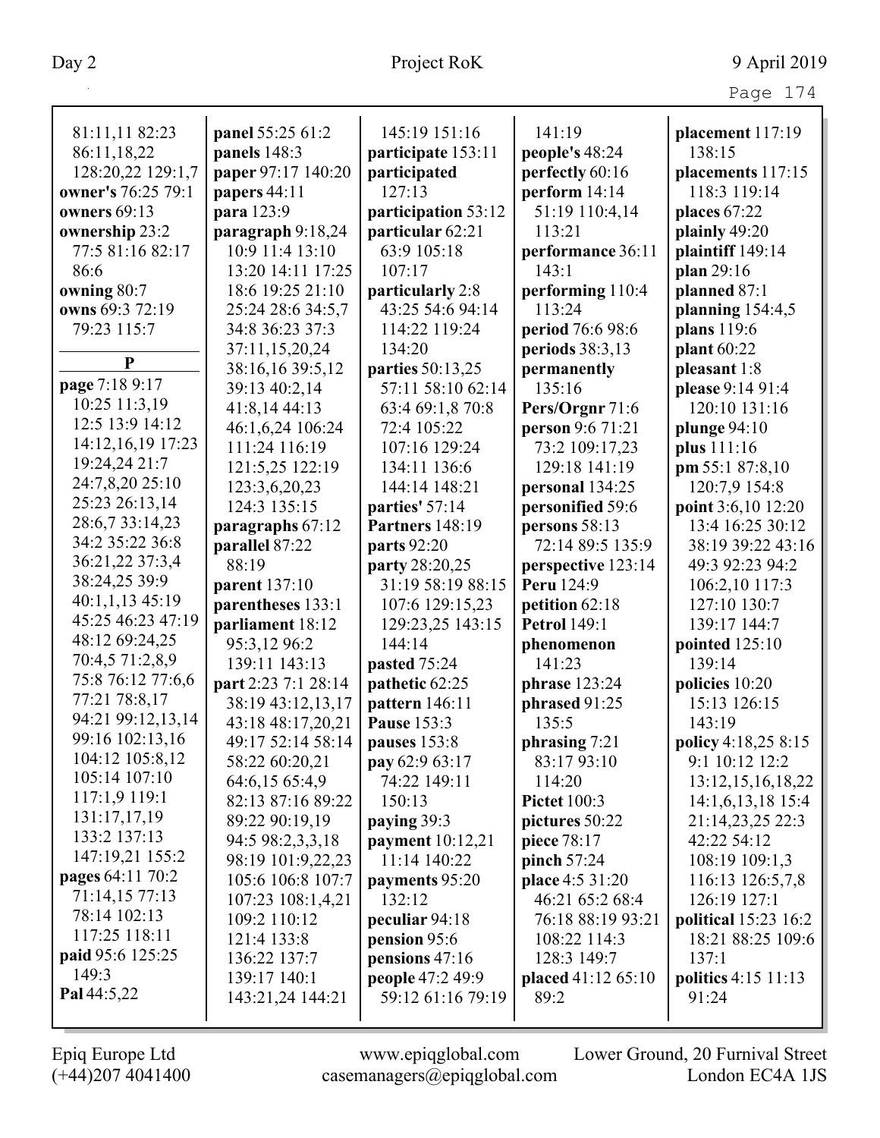|                         |                                       |                        |                            | Page 174                    |
|-------------------------|---------------------------------------|------------------------|----------------------------|-----------------------------|
| 81:11,11 82:23          | panel 55:25 61:2                      | 145:19 151:16          | 141:19                     | placement 117:19            |
| 86:11,18,22             | panels 148:3                          | participate 153:11     | people's 48:24             | 138:15                      |
| 128:20,22 129:1,7       | paper 97:17 140:20                    | participated           | perfectly 60:16            | placements 117:15           |
| owner's 76:25 79:1      | papers 44:11                          | 127:13                 | perform 14:14              | 118:3 119:14                |
| owners $69:13$          | para 123:9                            | participation 53:12    | 51:19 110:4,14             | places 67:22                |
| ownership 23:2          | paragraph 9:18,24                     | particular 62:21       | 113:21                     | plainly 49:20               |
| 77:5 81:16 82:17        | 10:9 11:4 13:10                       | 63:9 105:18            |                            |                             |
|                         |                                       |                        | performance 36:11<br>143:1 | plaintiff 149:14            |
| 86:6                    | 13:20 14:11 17:25<br>18:6 19:25 21:10 | 107:17                 |                            | plan 29:16                  |
| owning 80:7             |                                       | particularly 2:8       | performing 110:4           | planned 87:1                |
| owns 69:3 72:19         | 25:24 28:6 34:5,7                     | 43:25 54:6 94:14       | 113:24                     | planning $154:4,5$          |
| 79:23 115:7             | 34:8 36:23 37:3                       | 114:22 119:24          | period 76:6 98:6           | plans 119:6                 |
| ${\bf P}$               | 37:11,15,20,24                        | 134:20                 | periods 38:3,13            | plant 60:22                 |
| page 7:18 9:17          | 38:16,16 39:5,12                      | parties 50:13,25       | permanently                | pleasant 1:8                |
| 10:25 11:3,19           | 39:13 40:2,14                         | 57:11 58:10 62:14      | 135:16                     | please 9:14 91:4            |
| 12:5 13:9 14:12         | 41:8,14 44:13                         | 63:4 69:1,8 70:8       | Pers/Orgnr 71:6            | 120:10 131:16               |
|                         | 46:1,6,24 106:24                      | 72:4 105:22            | person 9:6 71:21           | plunge $94:10$              |
| 14:12, 16, 19 17:23     | 111:24 116:19                         | 107:16 129:24          | 73:2 109:17,23             | plus 111:16                 |
| 19:24,24 21:7           | 121:5,25 122:19                       | 134:11 136:6           | 129:18 141:19              | pm 55:1 87:8,10             |
| 24:7,8,20 25:10         | 123:3,6,20,23                         | 144:14 148:21          | personal 134:25            | 120:7,9 154:8               |
| 25:23 26:13,14          | 124:3 135:15                          | parties' 57:14         | personified 59:6           | point 3:6,10 12:20          |
| 28:6,7 33:14,23         | paragraphs 67:12                      | <b>Partners</b> 148:19 | persons 58:13              | 13:4 16:25 30:12            |
| 34:2 35:22 36:8         | parallel 87:22                        | parts 92:20            | 72:14 89:5 135:9           | 38:19 39:22 43:16           |
| 36:21,22 37:3,4         | 88:19                                 | party 28:20,25         | perspective 123:14         | 49:3 92:23 94:2             |
| 38:24,25 39:9           | parent 137:10                         | 31:19 58:19 88:15      | Peru 124:9                 | 106:2,10 117:3              |
| 40:1,1,13 45:19         | parentheses 133:1                     | 107:6 129:15,23        | petition 62:18             | 127:10 130:7                |
| 45:25 46:23 47:19       | parliament 18:12                      | 129:23,25 143:15       | <b>Petrol</b> 149:1        | 139:17 144:7                |
| 48:12 69:24,25          | 95:3,12 96:2                          | 144:14                 | phenomenon                 | pointed 125:10              |
| 70:4,5 71:2,8,9         | 139:11 143:13                         | pasted 75:24           | 141:23                     | 139:14                      |
| 75:8 76:12 77:6,6       | part 2:23 7:1 28:14                   | pathetic 62:25         | <b>phrase</b> 123:24       | policies $10:20$            |
| 77:21 78:8,17           | 38:19 43:12,13,17                     | pattern 146:11         | phrased 91:25              | 15:13 126:15                |
| 94:21 99:12,13,14       | 43:18 48:17,20,21                     | <b>Pause 153:3</b>     | 135:5                      | 143:19                      |
| 99:16 102:13,16         | 49:17 52:14 58:14                     | pauses 153:8           | phrasing 7:21              | policy 4:18,25 8:15         |
| 104:12 105:8,12         | 58:22 60:20,21                        | pay 62:9 63:17         | 83:17 93:10                | 9:1 10:12 12:2              |
| 105:14 107:10           | 64:6,15 65:4,9                        | 74:22 149:11           | 114:20                     | 13:12, 15, 16, 18, 22       |
| 117:1,9 119:1           | 82:13 87:16 89:22                     | 150:13                 | <b>Pictet 100:3</b>        | 14:1,6,13,18 15:4           |
| 131:17,17,19            | 89:22 90:19,19                        | paying 39:3            | pictures 50:22             | 21:14,23,25 22:3            |
| 133:2 137:13            | 94:5 98:2,3,3,18                      | payment 10:12,21       | piece 78:17                | 42:22 54:12                 |
| 147:19,21 155:2         | 98:19 101:9,22,23                     | 11:14 140:22           | pinch $57:24$              | 108:19 109:1,3              |
| pages 64:11 70:2        | 105:6 106:8 107:7                     | payments 95:20         | place 4:5 31:20            | 116:13 126:5,7,8            |
| 71:14,15 77:13          | 107:23 108:1,4,21                     | 132:12                 | 46:21 65:2 68:4            | 126:19 127:1                |
| 78:14 102:13            | 109:2 110:12                          | peculiar 94:18         | 76:18 88:19 93:21          | <b>political</b> 15:23 16:2 |
| 117:25 118:11           | 121:4 133:8                           | pension 95:6           | 108:22 114:3               | 18:21 88:25 109:6           |
| <b>paid</b> 95:6 125:25 | 136:22 137:7                          | pensions 47:16         | 128:3 149:7                | 137:1                       |
| 149:3                   | 139:17 140:1                          | people 47:2 49:9       | placed 41:12 65:10         | <b>politics</b> 4:15 11:13  |
| Pal 44:5,22             | 143:21,24 144:21                      | 59:12 61:16 79:19      | 89:2                       | 91:24                       |
|                         |                                       |                        |                            |                             |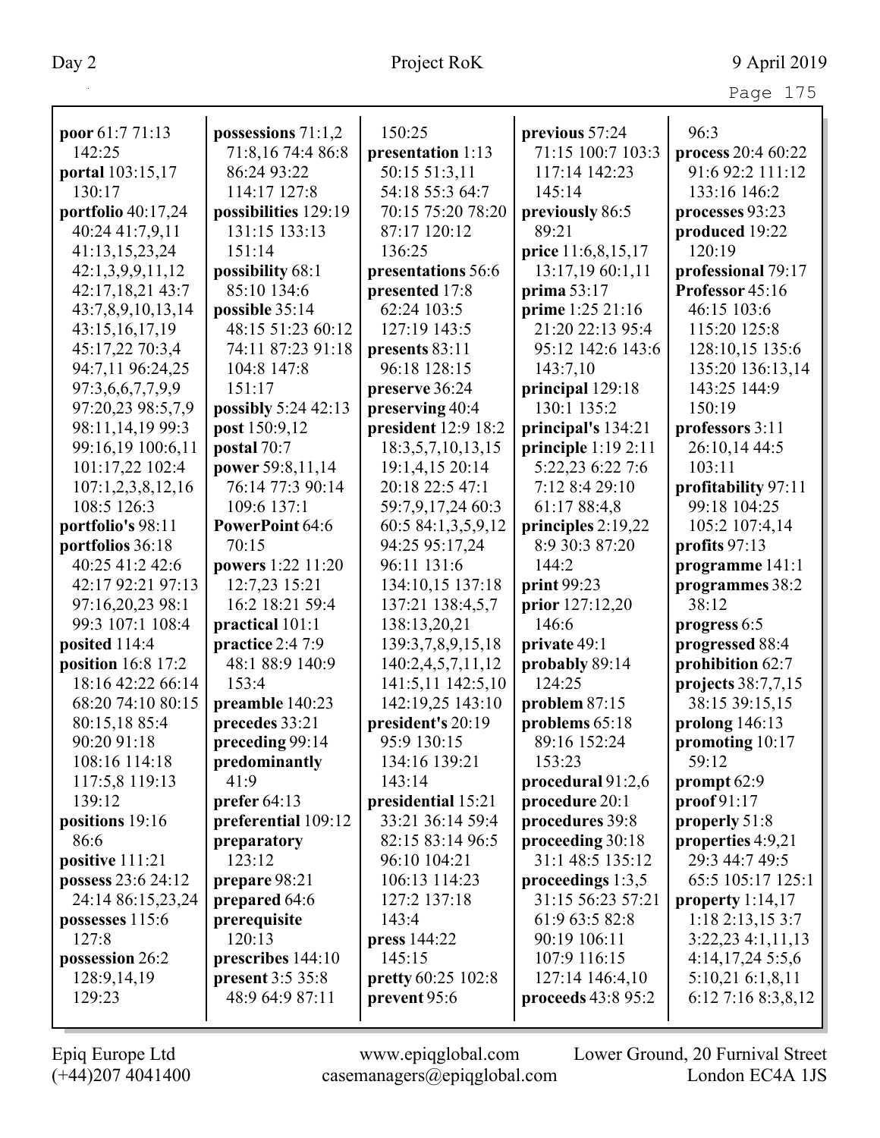| ٠ |  |
|---|--|
|---|--|

|                            | possessions $71:1,2$   | 150:25                    | previous 57:24       | 96:3                                  |
|----------------------------|------------------------|---------------------------|----------------------|---------------------------------------|
| poor $61:771:13$<br>142:25 | 71:8,16 74:4 86:8      | presentation 1:13         | 71:15 100:7 103:3    | process 20:4 60:22                    |
| portal 103:15,17           | 86:24 93:22            | 50:15 51:3,11             | 117:14 142:23        | 91:6 92:2 111:12                      |
| 130:17                     | 114:17 127:8           | 54:18 55:3 64:7           | 145:14               | 133:16 146:2                          |
| portfolio $40:17,24$       | possibilities 129:19   | 70:15 75:20 78:20         | previously 86:5      |                                       |
| 40:24 41:7,9,11            | 131:15 133:13          | 87:17 120:12              | 89:21                | processes 93:23                       |
|                            | 151:14                 | 136:25                    |                      | produced 19:22<br>120:19              |
| 41:13,15,23,24             |                        |                           | price 11:6,8,15,17   |                                       |
| 42:1,3,9,9,11,12           | possibility 68:1       | presentations 56:6        | 13:17,19 60:1,11     | professional 79:17<br>Professor 45:16 |
| 42:17,18,21 43:7           | 85:10 134:6            | presented 17:8            | prima $53:17$        |                                       |
| 43:7,8,9,10,13,14          | possible 35:14         | 62:24 103:5               | prime 1:25 21:16     | 46:15 103:6                           |
| 43:15, 16, 17, 19          | 48:15 51:23 60:12      | 127:19 143:5              | 21:20 22:13 95:4     | 115:20 125:8                          |
| 45:17,22 70:3,4            | 74:11 87:23 91:18      | presents 83:11            | 95:12 142:6 143:6    | 128:10,15 135:6                       |
| 94:7,11 96:24,25           | 104:8 147:8            | 96:18 128:15              | 143:7,10             | 135:20 136:13,14                      |
| 97:3,6,6,7,7,9,9           | 151:17                 | preserve 36:24            | principal 129:18     | 143:25 144:9                          |
| 97:20,23 98:5,7,9          | possibly 5:24 42:13    | preserving 40:4           | 130:1 135:2          | 150:19                                |
| 98:11,14,19 99:3           | post 150:9,12          | president 12:9 18:2       | principal's 134:21   | professors 3:11                       |
| 99:16,19 100:6,11          | postal 70:7            | 18:3,5,7,10,13,15         | principle $1:192:11$ | 26:10,14 44:5                         |
| 101:17,22 102:4            | power 59:8,11,14       | 19:1,4,15 20:14           | 5:22,23 6:22 7:6     | 103:11                                |
| 107:1,2,3,8,12,16          | 76:14 77:3 90:14       | 20:18 22:5 47:1           | 7:12 8:4 29:10       | profitability 97:11                   |
| 108:5 126:3                | 109:6 137:1            | 59:7,9,17,24 60:3         | 61:17 88:4,8         | 99:18 104:25                          |
| portfolio's 98:11          | <b>PowerPoint 64:6</b> | 60:5 84:1,3,5,9,12        | principles $2:19,22$ | 105:2 107:4,14                        |
| portfolios 36:18           | 70:15                  | 94:25 95:17,24            | 8:9 30:3 87:20       | profits 97:13                         |
| 40:25 41:2 42:6            | powers 1:22 11:20      | 96:11 131:6               | 144:2                | programme 141:1                       |
| 42:17 92:21 97:13          | 12:7,23 15:21          | 134:10,15 137:18          | print 99:23          | programmes 38:2                       |
| 97:16,20,23 98:1           | 16:2 18:21 59:4        | 137:21 138:4,5,7          | prior 127:12,20      | 38:12                                 |
| 99:3 107:1 108:4           | practical 101:1        | 138:13,20,21              | 146:6                | progress 6:5                          |
| posited 114:4              | practice 2:4 7:9       | 139:3,7,8,9,15,18         | private 49:1         | progressed 88:4                       |
| position 16:8 17:2         | 48:1 88:9 140:9        | 140:2,4,5,7,11,12         | probably 89:14       | prohibition 62:7                      |
| 18:16 42:22 66:14          | 153:4                  | 141:5,11 142:5,10         | 124:25               | projects 38:7,7,15                    |
| 68:20 74:10 80:15          | preamble 140:23        | 142:19,25 143:10          | problem 87:15        | 38:15 39:15,15                        |
| 80:15,18 85:4              | precedes 33:21         | president's 20:19         | problems $65:18$     | prolong $146:13$                      |
| 90:20 91:18                | preceding 99:14        | 95:9 130:15               | 89:16 152:24         | promoting 10:17                       |
| 108:16 114:18              | predominantly          | 134:16 139:21             | 153:23               | 59:12                                 |
| 117:5,8 119:13             | 41:9                   | 143:14                    | procedural 91:2,6    | prompt $62:9$                         |
| 139:12                     | prefer $64:13$         | presidential 15:21        | procedure 20:1       | proof 91:17                           |
| positions 19:16            | preferential 109:12    | 33:21 36:14 59:4          | procedures 39:8      | properly 51:8                         |
| 86:6                       | preparatory            | 82:15 83:14 96:5          | proceeding 30:18     | properties 4:9,21                     |
| positive 111:21            | 123:12                 | 96:10 104:21              | 31:1 48:5 135:12     | 29:3 44:7 49:5                        |
| possess 23:6 24:12         | prepare 98:21          | 106:13 114:23             | proceedings $1:3,5$  | 65:5 105:17 125:1                     |
| 24:14 86:15,23,24          | prepared 64:6          | 127:2 137:18              | 31:15 56:23 57:21    | property $1:14,17$                    |
| possesses 115:6            | prerequisite           | 143:4                     | 61:9 63:5 82:8       | $1:18$ 2:13,15 3:7                    |
| 127:8                      | 120:13                 | press 144:22              | 90:19 106:11         | $3:22,23$ 4:1,11,13                   |
| possession 26:2            | prescribes 144:10      | 145:15                    | 107:9 116:15         | 4:14,17,245:5,6                       |
| 128:9,14,19                | present 3:5 35:8       | <b>pretty</b> 60:25 102:8 | 127:14 146:4,10      | 5:10,21 6:1,8,11                      |
| 129:23                     | 48:9 64:9 87:11        | prevent 95:6              | proceeds $43:895:2$  | 6:12 7:16 8:3,8,12                    |
|                            |                        |                           |                      |                                       |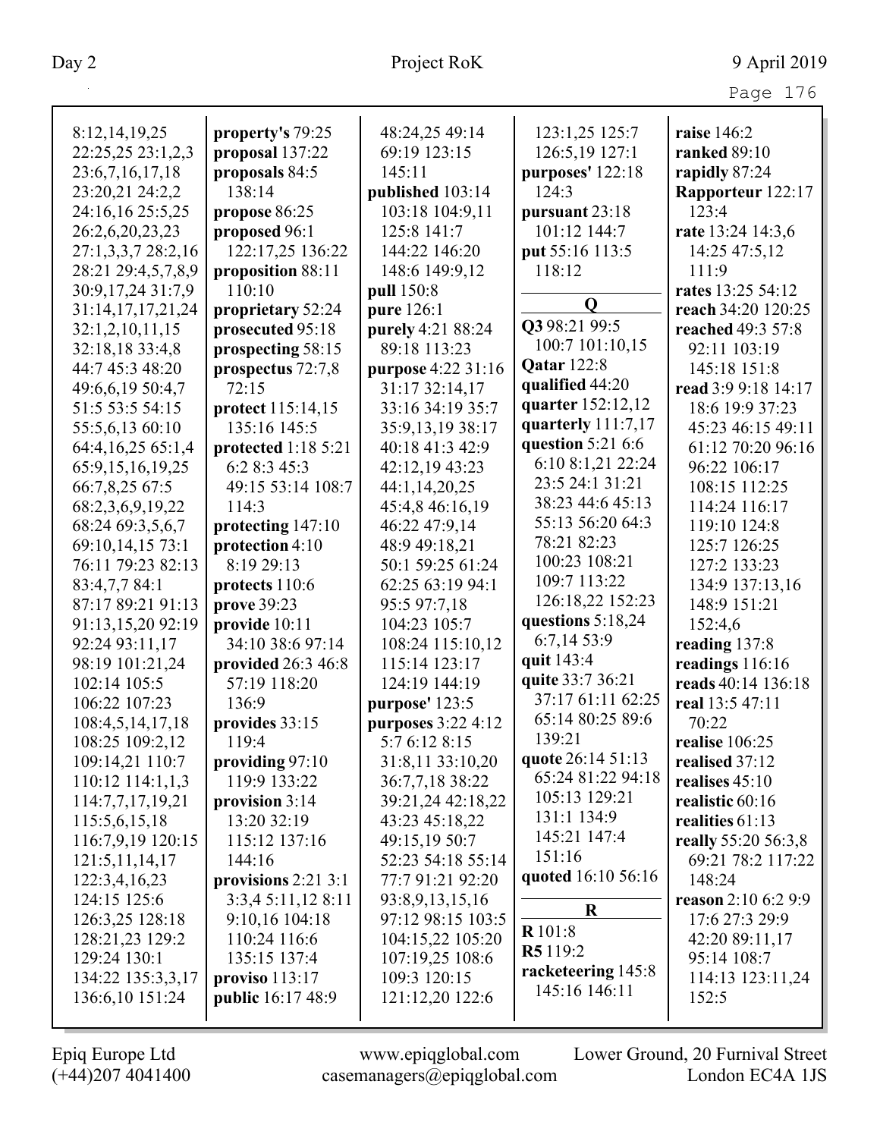| аa<br>⊂ |  |
|---------|--|
|---------|--|

| 8:12,14,19,25         | property's 79:25         | 48:24,25 49:14     | 123:1,25 125:7     | raise 146:2         |
|-----------------------|--------------------------|--------------------|--------------------|---------------------|
| 22:25,25 23:1,2,3     | proposal 137:22          | 69:19 123:15       | 126:5,19 127:1     | <b>ranked 89:10</b> |
| 23:6,7,16,17,18       | proposals 84:5           | 145:11             | purposes' 122:18   | rapidly 87:24       |
| 23:20,21 24:2,2       | 138:14                   | published 103:14   | 124:3              | Rapporteur 122:17   |
| 24:16,16 25:5,25      | propose 86:25            | 103:18 104:9,11    | pursuant 23:18     | 123:4               |
| 26:2,6,20,23,23       | proposed 96:1            | 125:8 141:7        | 101:12 144:7       | rate 13:24 14:3,6   |
| 27:1,3,3,7 28:2,16    | 122:17,25 136:22         | 144:22 146:20      | put 55:16 113:5    | 14:25 47:5,12       |
| 28:21 29:4,5,7,8,9    | proposition 88:11        | 148:6 149:9,12     | 118:12             | 111:9               |
| 30:9,17,24 31:7,9     | 110:10                   | pull 150:8         |                    | rates 13:25 54:12   |
| 31:14, 17, 17, 21, 24 | proprietary 52:24        | pure 126:1         | $\mathbf 0$        | reach 34:20 120:25  |
| 32:1,2,10,11,15       | prosecuted 95:18         | purely 4:21 88:24  | Q3 98:21 99:5      | reached 49:3 57:8   |
| 32:18,18 33:4,8       | prospecting 58:15        | 89:18 113:23       | 100:7 101:10,15    | 92:11 103:19        |
| 44:7 45:3 48:20       | prospectus 72:7,8        | purpose 4:22 31:16 | <b>Qatar</b> 122:8 | 145:18 151:8        |
| 49:6,6,19 50:4,7      | 72:15                    | 31:17 32:14,17     | qualified 44:20    | read 3:9 9:18 14:17 |
| 51:5 53:5 54:15       | protect 115:14,15        | 33:16 34:19 35:7   | quarter 152:12,12  | 18:6 19:9 37:23     |
| 55:5,6,13 60:10       | 135:16 145:5             | 35:9,13,19 38:17   | quarterly 111:7,17 | 45:23 46:15 49:11   |
| 64:4,16,25 65:1,4     | protected 1:18 5:21      | 40:18 41:3 42:9    | question 5:21 6:6  | 61:12 70:20 96:16   |
| 65:9,15,16,19,25      | 6:2 8:3 45:3             | 42:12,19 43:23     | 6:10 8:1,21 22:24  | 96:22 106:17        |
| 66:7,8,25 67:5        | 49:15 53:14 108:7        | 44:1,14,20,25      | 23:5 24:1 31:21    | 108:15 112:25       |
| 68:2,3,6,9,19,22      | 114:3                    | 45:4,8 46:16,19    | 38:23 44:6 45:13   | 114:24 116:17       |
| 68:24 69:3,5,6,7      | protecting 147:10        | 46:22 47:9,14      | 55:13 56:20 64:3   | 119:10 124:8        |
| 69:10,14,15 73:1      | protection 4:10          | 48:9 49:18,21      | 78:21 82:23        | 125:7 126:25        |
| 76:11 79:23 82:13     | 8:19 29:13               | 50:1 59:25 61:24   | 100:23 108:21      | 127:2 133:23        |
| 83:4,7,7 84:1         | protects 110:6           | 62:25 63:19 94:1   | 109:7 113:22       | 134:9 137:13,16     |
| 87:17 89:21 91:13     | prove 39:23              | 95:5 97:7,18       | 126:18,22 152:23   | 148:9 151:21        |
| 91:13,15,20 92:19     | provide 10:11            | 104:23 105:7       | questions 5:18,24  | 152:4,6             |
| 92:24 93:11,17        | 34:10 38:6 97:14         | 108:24 115:10,12   | 6:7,14 53:9        | reading 137:8       |
| 98:19 101:21,24       | provided 26:3 46:8       | 115:14 123:17      | quit 143:4         | readings 116:16     |
| 102:14 105:5          | 57:19 118:20             | 124:19 144:19      | quite 33:7 36:21   | reads 40:14 136:18  |
| 106:22 107:23         | 136:9                    | purpose' 123:5     | 37:17 61:11 62:25  | real 13:5 47:11     |
| 108:4,5,14,17,18      | provides 33:15           | purposes 3:22 4:12 | 65:14 80:25 89:6   | 70:22               |
| 108:25 109:2,12       | 119:4                    | 5:7 6:12 8:15      | 139:21             | realise 106:25      |
| 109:14,21 110:7       | providing $97:10$        | 31:8,11 33:10,20   | quote 26:14 51:13  | realised 37:12      |
| 110:12 114:1,1,3      | 119:9 133:22             | 36:7,7,18 38:22    | 65:24 81:22 94:18  | realises $45:10$    |
| 114:7,7,17,19,21      | provision $3:14$         | 39:21,24 42:18,22  | 105:13 129:21      | realistic 60:16     |
| 115:5,6,15,18         | 13:20 32:19              | 43:23 45:18,22     | 131:1 134:9        | realities 61:13     |
| 116:7,9,19 120:15     | 115:12 137:16            | 49:15,19 50:7      | 145:21 147:4       | really 55:20 56:3,8 |
| 121:5,11,14,17        | 144:16                   | 52:23 54:18 55:14  | 151:16             | 69:21 78:2 117:22   |
| 122:3,4,16,23         | provisions $2:21$ 3:1    | 77:7 91:21 92:20   | quoted 16:10 56:16 | 148:24              |
| 124:15 125:6          | 3:3,45:11,128:11         | 93:8,9,13,15,16    |                    | reason 2:10 6:2 9:9 |
| 126:3,25 128:18       | 9:10,16 104:18           | 97:12 98:15 103:5  | $\bf R$            | 17:6 27:3 29:9      |
| 128:21,23 129:2       | 110:24 116:6             | 104:15,22 105:20   | R 101:8            | 42:20 89:11,17      |
| 129:24 130:1          | 135:15 137:4             | 107:19,25 108:6    | R5 119:2           | 95:14 108:7         |
| 134:22 135:3,3,17     | proviso $113:17$         | 109:3 120:15       | racketeering 145:8 | 114:13 123:11,24    |
| 136:6,10 151:24       | <b>public</b> 16:17 48:9 | 121:12,20 122:6    | 145:16 146:11      | 152:5               |
|                       |                          |                    |                    |                     |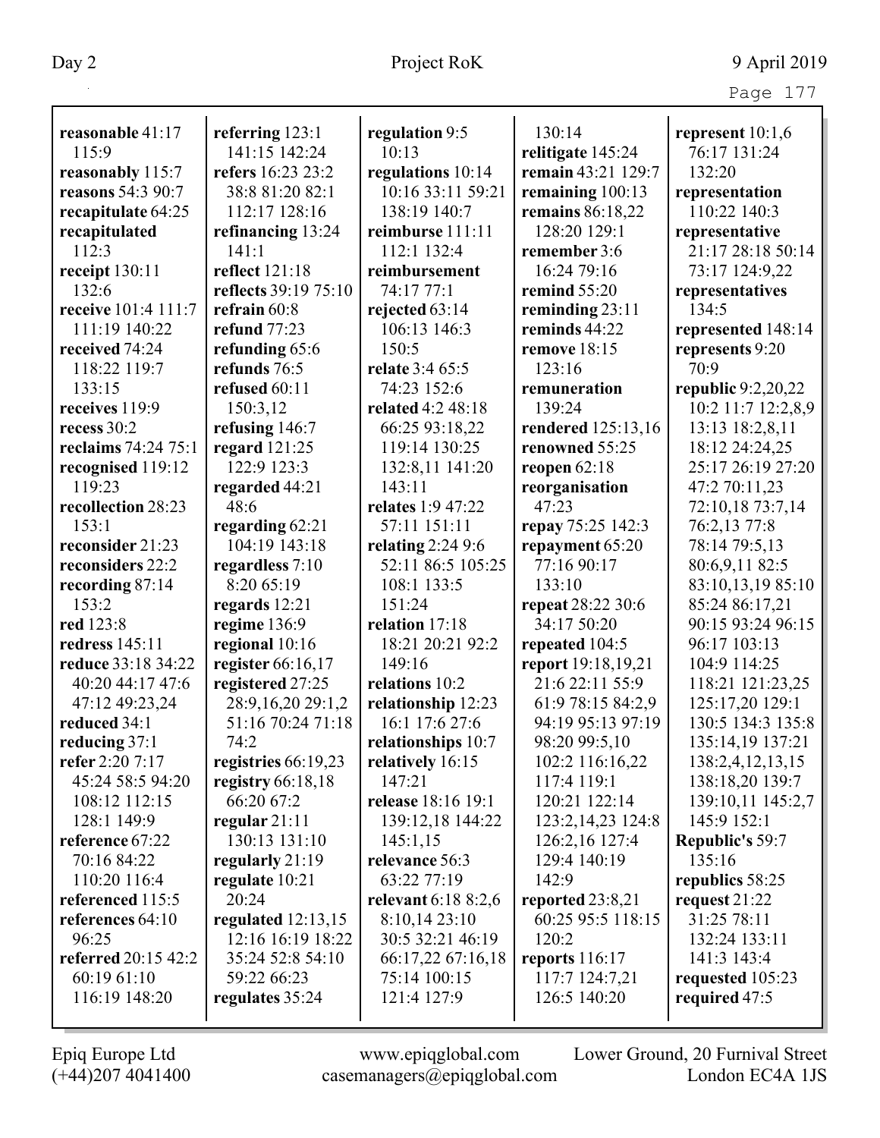| reasonable 41:17           | referring 123:1       | regulation 9:5         | 130:14             | represent $10:1,6$ |
|----------------------------|-----------------------|------------------------|--------------------|--------------------|
| 115:9                      | 141:15 142:24         | 10:13                  | relitigate 145:24  | 76:17 131:24       |
| reasonably 115:7           | refers 16:23 23:2     | regulations 10:14      | remain 43:21 129:7 | 132:20             |
| reasons 54:3 90:7          | 38:8 81:20 82:1       | 10:16 33:11 59:21      | remaining 100:13   | representation     |
| recapitulate 64:25         | 112:17 128:16         | 138:19 140:7           | remains 86:18,22   | 110:22 140:3       |
| recapitulated              | refinancing 13:24     | reimburse 111:11       | 128:20 129:1       | representative     |
| 112:3                      | 141:1                 | 112:1 132:4            | remember 3:6       | 21:17 28:18 50:14  |
| receipt 130:11             | reflect 121:18        | reimbursement          | 16:24 79:16        | 73:17 124:9,22     |
| 132:6                      | reflects 39:19 75:10  | 74:17 77:1             | remind 55:20       | representatives    |
| receive 101:4 111:7        | refrain $60:8$        | rejected 63:14         | reminding 23:11    | 134:5              |
| 111:19 140:22              | refund 77:23          | 106:13 146:3           | reminds 44:22      | represented 148:14 |
| received 74:24             | refunding 65:6        | 150:5                  | remove 18:15       | represents 9:20    |
| 118:22 119:7               | refunds 76:5          | <b>relate</b> 3:4 65:5 | 123:16             | 70:9               |
| 133:15                     | refused 60:11         | 74:23 152:6            | remuneration       | republic 9:2,20,22 |
| receives 119:9             | 150:3,12              | related 4:2 48:18      | 139:24             | 10:2 11:7 12:2,8,9 |
| recess 30:2                | refusing 146:7        | 66:25 93:18,22         | rendered 125:13,16 | 13:13 18:2,8,11    |
| reclaims 74:24 75:1        | regard 121:25         | 119:14 130:25          | renowned 55:25     | 18:12 24:24,25     |
| recognised 119:12          | 122:9 123:3           | 132:8,11 141:20        | reopen $62:18$     | 25:17 26:19 27:20  |
| 119:23                     | regarded 44:21        | 143:11                 | reorganisation     | 47:2 70:11,23      |
| recollection 28:23         | 48:6                  | relates 1:9 47:22      | 47:23              | 72:10,18 73:7,14   |
| 153:1                      | regarding $62:21$     | 57:11 151:11           | repay 75:25 142:3  | 76:2,13 77:8       |
| reconsider 21:23           | 104:19 143:18         | relating $2:249:6$     | repayment 65:20    | 78:14 79:5,13      |
| reconsiders 22:2           | regardless 7:10       | 52:11 86:5 105:25      | 77:16 90:17        | 80:6,9,11 82:5     |
| recording 87:14            | 8:20 65:19            | 108:1 133:5            | 133:10             | 83:10,13,19 85:10  |
| 153:2                      | regards 12:21         | 151:24                 | repeat 28:22 30:6  | 85:24 86:17,21     |
| red 123:8                  | regime 136:9          | relation 17:18         | 34:17 50:20        | 90:15 93:24 96:15  |
| redress 145:11             | regional 10:16        | 18:21 20:21 92:2       | repeated 104:5     | 96:17 103:13       |
| reduce 33:18 34:22         | register 66:16,17     | 149:16                 | report 19:18,19,21 | 104:9 114:25       |
| 40:20 44:17 47:6           | registered 27:25      | relations 10:2         | 21:6 22:11 55:9    | 118:21 121:23,25   |
| 47:12 49:23,24             | 28:9,16,20 29:1,2     | relationship 12:23     | 61:9 78:15 84:2,9  | 125:17,20 129:1    |
| reduced 34:1               | 51:16 70:24 71:18     | 16:1 17:6 27:6         | 94:19 95:13 97:19  | 130:5 134:3 135:8  |
| reducing $37:1$            | 74:2                  | relationships 10:7     | 98:20 99:5,10      | 135:14,19 137:21   |
| refer 2:20 7:17            | registries $66:19,23$ | relatively 16:15       | 102:2 116:16,22    | 138:2,4,12,13,15   |
| 45:24 58:5 94:20           | registry $66:18,18$   | 147:21                 | 117:4 119:1        | 138:18,20 139:7    |
| 108:12 112:15              | 66:20 67:2            | release 18:16 19:1     | 120:21 122:14      | 139:10,11 145:2,7  |
| 128:1 149:9                | regular $21:11$       | 139:12,18 144:22       | 123:2,14,23 124:8  | 145:9 152:1        |
| reference 67:22            | 130:13 131:10         | 145:1,15               | 126:2,16 127:4     | Republic's 59:7    |
| 70:16 84:22                | regularly $21:19$     | relevance 56:3         | 129:4 140:19       | 135:16             |
| 110:20 116:4               | regulate 10:21        | 63:22 77:19            | 142:9              | republics 58:25    |
| referenced 115:5           | 20:24                 | relevant 6:18 8:2,6    | reported $23:8,21$ | request 21:22      |
| references 64:10           | regulated $12:13,15$  | 8:10,1423:10           | 60:25 95:5 118:15  | 31:25 78:11        |
| 96:25                      | 12:16 16:19 18:22     | 30:5 32:21 46:19       | 120:2              | 132:24 133:11      |
| <b>referred</b> 20:15 42:2 | 35:24 52:8 54:10      | 66:17,22 67:16,18      | reports $116:17$   | 141:3 143:4        |
| 60:19 61:10                | 59:22 66:23           | 75:14 100:15           | 117:7 124:7,21     | requested 105:23   |
| 116:19 148:20              | regulates 35:24       | 121:4 127:9            | 126:5 140:20       | required 47:5      |
|                            |                       |                        |                    |                    |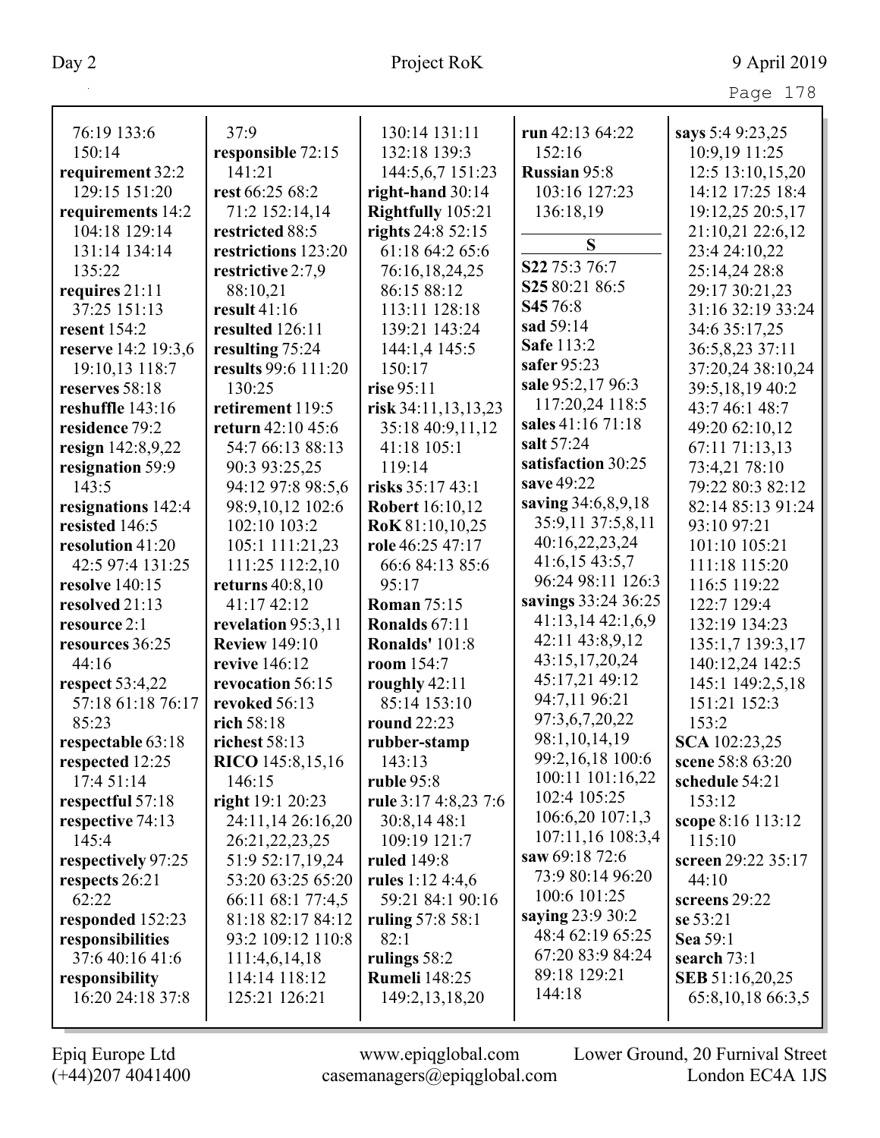| 76:19 133:6                        | 37:9                    | 130:14 131:11          | run 42:13 64:22                      | says 5:4 9:23,25       |
|------------------------------------|-------------------------|------------------------|--------------------------------------|------------------------|
| 150:14                             | responsible 72:15       | 132:18 139:3           | 152:16                               | 10:9,19 11:25          |
| requirement 32:2                   | 141:21                  | 144:5,6,7 151:23       | <b>Russian 95:8</b>                  | 12:5 13:10,15,20       |
| 129:15 151:20                      | rest 66:25 68:2         | right-hand $30:14$     | 103:16 127:23                        | 14:12 17:25 18:4       |
| requirements 14:2                  | 71:2 152:14,14          | Rightfully 105:21      | 136:18,19                            | 19:12,25 20:5,17       |
| 104:18 129:14                      | restricted 88:5         | rights 24:8 52:15      |                                      | 21:10,21 22:6,12       |
| 131:14 134:14                      | restrictions 123:20     | 61:18 64:2 65:6        | S                                    | 23:4 24:10,22          |
| 135:22                             | restrictive 2:7,9       | 76:16,18,24,25         | S22 75:3 76:7                        | 25:14,24 28:8          |
| requires 21:11                     | 88:10,21                | 86:15 88:12            | S25 80:21 86:5                       | 29:17 30:21,23         |
| 37:25 151:13                       | result $41:16$          | 113:11 128:18          | S <sub>45</sub> 76:8                 | 31:16 32:19 33:24      |
| resent 154:2                       | resulted 126:11         | 139:21 143:24          | sad 59:14                            | 34:6 35:17,25          |
| reserve 14:2 19:3,6                | resulting 75:24         | 144:1,4 145:5          | Safe 113:2                           | 36:5,8,23 37:11        |
| 19:10,13 118:7                     | results 99:6 111:20     | 150:17                 | safer 95:23                          | 37:20,24 38:10,24      |
| reserves 58:18                     | 130:25                  | rise 95:11             | sale 95:2,17 96:3                    | 39:5,18,19 40:2        |
| reshuffle 143:16                   | retirement 119:5        | risk 34:11, 13, 13, 23 | 117:20,24 118:5                      | 43:7 46:1 48:7         |
| residence 79:2                     | return 42:10 45:6       | 35:18 40:9,11,12       | sales 41:16 71:18                    | 49:20 62:10,12         |
| resign 142:8,9,22                  | 54:7 66:13 88:13        | 41:18 105:1            | salt 57:24                           | 67:11 71:13,13         |
| resignation 59:9                   | 90:3 93:25,25           | 119:14                 | satisfaction 30:25                   | 73:4,21 78:10          |
| 143:5                              | 94:12 97:8 98:5,6       | risks 35:17 43:1       | save 49:22                           | 79:22 80:3 82:12       |
| resignations 142:4                 | 98:9,10,12 102:6        | <b>Robert</b> 16:10,12 | saving 34:6,8,9,18                   | 82:14 85:13 91:24      |
| resisted 146:5                     | 102:10 103:2            | RoK 81:10,10,25        | 35:9,11 37:5,8,11                    | 93:10 97:21            |
| resolution 41:20                   | 105:1 111:21,23         | role 46:25 47:17       | 40:16,22,23,24                       | 101:10 105:21          |
| 42:5 97:4 131:25                   | 111:25 112:2,10         | 66:6 84:13 85:6        | 41:6,15 43:5,7                       | 111:18 115:20          |
| <b>resolve</b> 140:15              | returns $40:8,10$       | 95:17                  | 96:24 98:11 126:3                    | 116:5 119:22           |
| resolved 21:13                     | 41:17 42:12             | <b>Roman</b> 75:15     | savings 33:24 36:25                  | 122:7 129:4            |
| resource 2:1                       | revelation 95:3,11      | Ronalds 67:11          | 41:13,1442:1,6,9                     | 132:19 134:23          |
| resources 36:25                    | <b>Review 149:10</b>    | <b>Ronalds' 101:8</b>  | 42:11 43:8,9,12                      | 135:1,7 139:3,17       |
| 44:16                              | revive 146:12           | room 154:7             | 43:15,17,20,24                       | 140:12,24 142:5        |
| respect $53:4,22$                  | revocation 56:15        | roughly 42:11          | 45:17,21 49:12                       | 145:1 149:2,5,18       |
| 57:18 61:18 76:17                  | revoked 56:13           | 85:14 153:10           | 94:7,11 96:21                        | 151:21 152:3           |
| 85:23                              | rich 58:18              | round 22:23            | 97:3,6,7,20,22                       | 153:2                  |
| respectable 63:18                  | richest 58:13           | rubber-stamp           | 98:1,10,14,19                        | SCA 102:23,25          |
| respected 12:25                    | <b>RICO</b> 145:8,15,16 | 143:13                 | 99:2,16,18 100:6                     | scene 58:8 63:20       |
| 17:4 51:14                         | 146:15                  | <b>ruble</b> 95:8      | 100:11 101:16,22                     | schedule 54:21         |
| respectful 57:18                   | right 19:1 20:23        | rule 3:17 4:8,23 7:6   | 102:4 105:25                         | 153:12                 |
| respective 74:13                   | 24:11,14 26:16,20       | 30:8,1448:1            | 106:6,20107:1,3                      | scope 8:16 113:12      |
| 145:4                              | 26:21, 22, 23, 25       | 109:19 121:7           | 107:11,16 108:3,4                    | 115:10                 |
| respectively 97:25                 | 51:9 52:17,19,24        | <b>ruled</b> 149:8     | saw 69:18 72:6                       | screen 29:22 35:17     |
| respects 26:21                     | 53:20 63:25 65:20       | rules $1:124::46$      | 73:9 80:14 96:20                     | 44:10                  |
| 62:22                              | 66:11 68:1 77:4,5       | 59:21 84:1 90:16       | 100:6 101:25                         | screens $29:22$        |
| responded 152:23                   | 81:18 82:17 84:12       | ruling 57:8 58:1       | saying 23:9 30:2<br>48:4 62:19 65:25 | se 53:21               |
| responsibilities                   | 93:2 109:12 110:8       | 82:1                   | 67:20 83:9 84:24                     | Sea 59:1               |
| 37:6 40:16 41:6                    | 111:4,6,14,18           | rulings 58:2           | 89:18 129:21                         | search $73:1$          |
| responsibility<br>16:20 24:18 37:8 | 114:14 118:12           | <b>Rumeli</b> 148:25   | 144:18                               | <b>SEB</b> 51:16,20,25 |
|                                    | 125:21 126:21           | 149:2, 13, 18, 20      |                                      | 65:8, 10, 18 66:3, 5   |
|                                    |                         |                        |                                      |                        |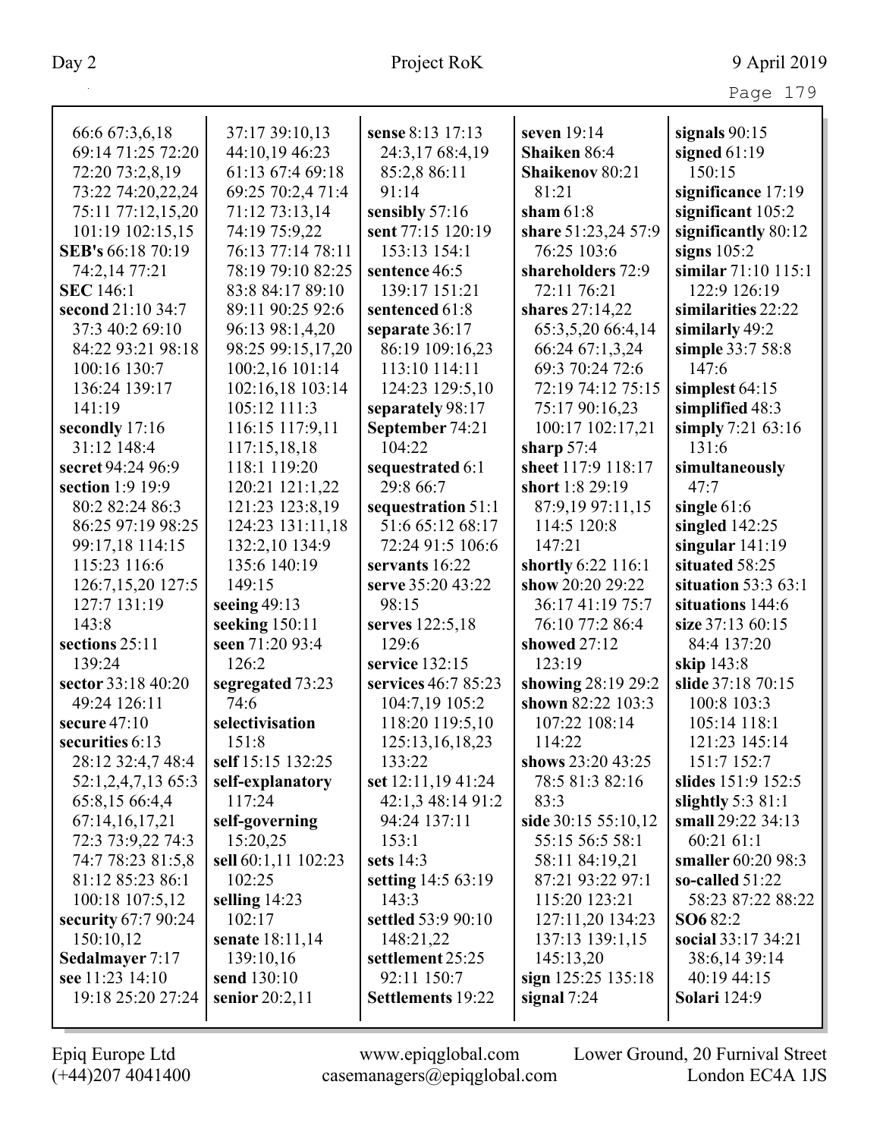| . .<br>×<br>ι<br>-- |  |
|---------------------|--|
|---------------------|--|

| 66:6 67:3,6,18           | 37:17 39:10,13      | sense 8:13 17:13         | seven 19:14         | signals $90:15$         |
|--------------------------|---------------------|--------------------------|---------------------|-------------------------|
| 69:14 71:25 72:20        | 44:10,19 46:23      | 24:3,17 68:4,19          | Shaiken 86:4        | signed $61:19$          |
| 72:20 73:2,8,19          | 61:13 67:4 69:18    | 85:2,8 86:11             | Shaikenov 80:21     | 150:15                  |
| 73:22 74:20,22,24        | 69:25 70:2,4 71:4   | 91:14                    | 81:21               | significance 17:19      |
| 75:11 77:12,15,20        | 71:12 73:13,14      | sensibly 57:16           | sham $61:8$         | significant $105:2$     |
| 101:19 102:15,15         | 74:19 75:9,22       | sent 77:15 120:19        | share 51:23,24 57:9 | significantly 80:12     |
| <b>SEB's</b> 66:18 70:19 | 76:13 77:14 78:11   | 153:13 154:1             | 76:25 103:6         | signs $105:2$           |
| 74:2,14 77:21            | 78:19 79:10 82:25   | sentence 46:5            | shareholders 72:9   | similar $71:10$ $115:1$ |
| <b>SEC</b> 146:1         | 83:8 84:17 89:10    | 139:17 151:21            | 72:11 76:21         | 122:9 126:19            |
| second 21:10 34:7        | 89:11 90:25 92:6    | sentenced 61:8           | shares 27:14,22     | similarities 22:22      |
| 37:3 40:2 69:10          | 96:13 98:1,4,20     | separate 36:17           | 65:3,5,20 66:4,14   | similarly 49:2          |
| 84:22 93:21 98:18        | 98:25 99:15,17,20   | 86:19 109:16,23          | 66:24 67:1,3,24     | simple 33:7 58:8        |
| 100:16 130:7             | 100:2,16 101:14     | 113:10 114:11            | 69:3 70:24 72:6     | 147:6                   |
| 136:24 139:17            | 102:16,18 103:14    | 124:23 129:5,10          | 72:19 74:12 75:15   | simplest $64:15$        |
| 141:19                   | 105:12 111:3        | separately 98:17         | 75:17 90:16,23      | simplified 48:3         |
| secondly 17:16           | 116:15 117:9,11     | September 74:21          | 100:17 102:17,21    | simply $7:2163:16$      |
| 31:12 148:4              | 117:15,18,18        | 104:22                   | sharp $57:4$        | 131:6                   |
| secret 94:24 96:9        | 118:1 119:20        | sequestrated 6:1         | sheet 117:9 118:17  | simultaneously          |
| section 1:9 19:9         | 120:21 121:1,22     | 29:8 66:7                | short 1:8 29:19     | 47:7                    |
| 80:2 82:24 86:3          | 121:23 123:8,19     | sequestration 51:1       | 87:9,19 97:11,15    | single $61:6$           |
| 86:25 97:19 98:25        | 124:23 131:11,18    | 51:6 65:12 68:17         | 114:5 120:8         | singled $142:25$        |
| 99:17,18 114:15          | 132:2,10 134:9      | 72:24 91:5 106:6         | 147:21              | singular $141:19$       |
| 115:23 116:6             | 135:6 140:19        | servants 16:22           | shortly 6:22 116:1  | situated 58:25          |
| 126:7,15,20 127:5        | 149:15              | serve 35:20 43:22        | show 20:20 29:22    | situation $53:363:1$    |
| 127:7 131:19             | seeing $49:13$      | 98:15                    | 36:17 41:19 75:7    | situations 144:6        |
| 143:8                    | seeking $150:11$    | serves 122:5,18          | 76:10 77:2 86:4     | size 37:13 60:15        |
| sections 25:11           | seen 71:20 93:4     | 129:6                    | showed 27:12        | 84:4 137:20             |
| 139:24                   | 126:2               | service 132:15           | 123:19              | skip 143:8              |
| sector 33:18 40:20       | segregated 73:23    | services 46:7 85:23      | showing 28:19 29:2  | slide 37:18 70:15       |
| 49:24 126:11             | 74:6                | 104:7,19 105:2           | shown 82:22 103:3   | 100:8 103:3             |
| secure 47:10             | selectivisation     | 118:20 119:5,10          | 107:22 108:14       | 105:14 118:1            |
| securities 6:13          | 151:8               | 125:13,16,18,23          | 114:22              | 121:23 145:14           |
| 28:12 32:4,7 48:4        | self 15:15 132:25   | 133:22                   | shows 23:20 43:25   | 151:7 152:7             |
| 52:1,2,4,7,13 65:3       | self-explanatory    | set 12:11,19 41:24       | 78:5 81:3 82:16     | slides 151:9 152:5      |
| 65:8,15 66:4,4           | 117:24              | 42:1,3 48:14 91:2        | 83:3                | slightly $5:381:1$      |
| 67:14,16,17,21           | self-governing      | 94:24 137:11             | side 30:15 55:10,12 | small 29:22 34:13       |
| 72:3 73:9,22 74:3        | 15:20,25            | 153:1                    | 55:15 56:5 58:1     | 60:21 61:1              |
| 74:7 78:23 81:5,8        | sell 60:1,11 102:23 | sets $14:3$              | 58:11 84:19,21      | smaller 60:20 98:3      |
| 81:12 85:23 86:1         | 102:25              | setting 14:5 63:19       | 87:21 93:22 97:1    | so-called $51:22$       |
| 100:18 107:5,12          | selling $14:23$     | 143:3                    | 115:20 123:21       | 58:23 87:22 88:22       |
| security 67:7 90:24      | 102:17              | settled 53:9 90:10       | 127:11,20 134:23    | <b>SO6</b> 82:2         |
| 150:10,12                | senate 18:11,14     | 148:21,22                | 137:13 139:1,15     | social 33:17 34:21      |
| Sedalmayer 7:17          | 139:10,16           | settlement 25:25         | 145:13,20           | 38:6,14 39:14           |
| see 11:23 14:10          | send 130:10         | 92:11 150:7              | sign 125:25 135:18  | 40:19 44:15             |
| 19:18 25:20 27:24        | senior 20:2,11      | <b>Settlements</b> 19:22 | signal $7:24$       | <b>Solari</b> 124:9     |
|                          |                     |                          |                     |                         |

Epiq Europe Ltd www.epiqglobal.com Lower Ground, 20 Furnival Street<br>
(+44)207 4041400 casemanagers@epiqglobal.com London EC4A 1JS www.epiqglobal.com Lower Ground, 20 Furnival Street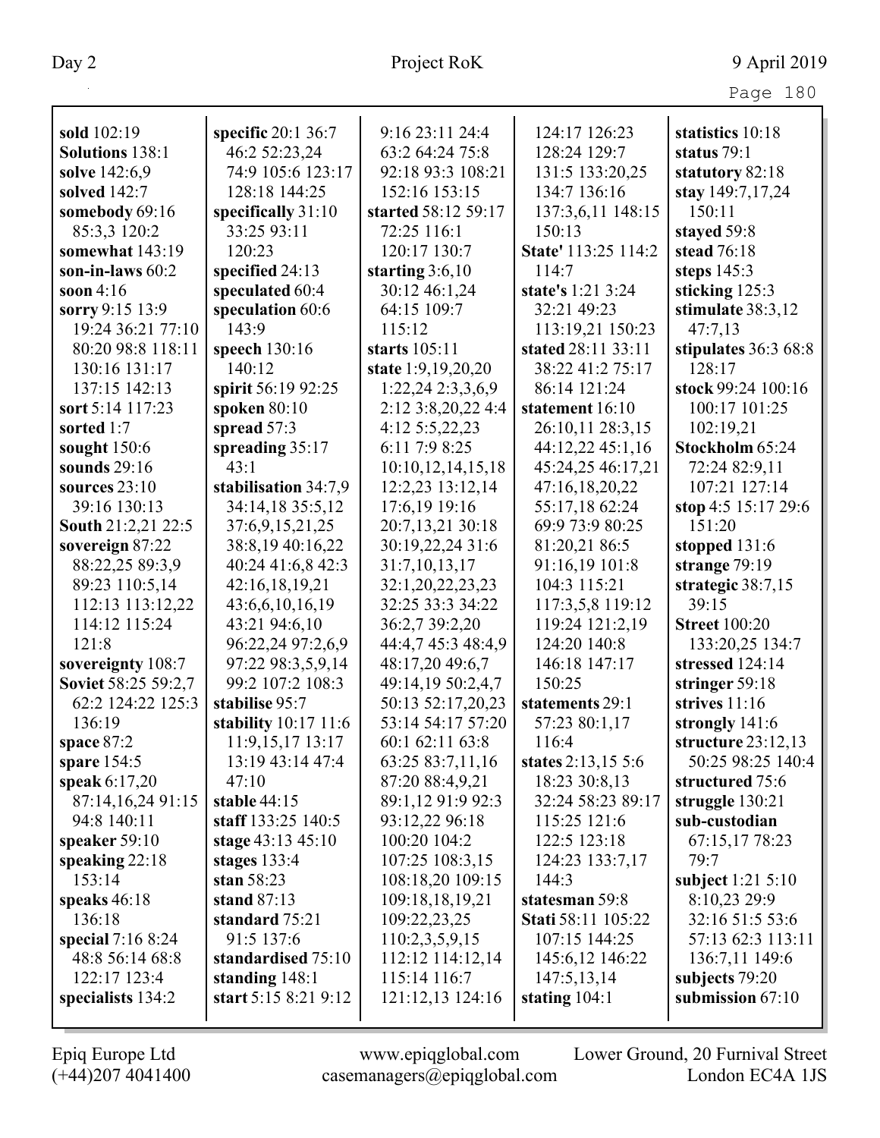| sold 102:19         | specific $20:136:7$  | 9:16 23:11 24:4     | 124:17 126:23       | statistics 10:18     |
|---------------------|----------------------|---------------------|---------------------|----------------------|
| Solutions 138:1     | 46:2 52:23,24        | 63:2 64:24 75:8     | 128:24 129:7        | status $79:1$        |
| solve 142:6,9       | 74:9 105:6 123:17    | 92:18 93:3 108:21   | 131:5 133:20,25     | statutory 82:18      |
| solved 142:7        | 128:18 144:25        | 152:16 153:15       | 134:7 136:16        | stay 149:7,17,24     |
| somebody 69:16      | specifically $31:10$ | started 58:12 59:17 | 137:3,6,11 148:15   | 150:11               |
| 85:3,3 120:2        | 33:25 93:11          | 72:25 116:1         | 150:13              | stayed 59:8          |
| somewhat 143:19     | 120:23               | 120:17 130:7        | State' 113:25 114:2 | stead 76:18          |
| son-in-laws $60:2$  | specified 24:13      | starting $3:6,10$   | 114:7               | steps $145:3$        |
| soon $4:16$         | speculated 60:4      | 30:12 46:1,24       | state's 1:21 3:24   | sticking 125:3       |
| sorry 9:15 13:9     | speculation 60:6     | 64:15 109:7         | 32:21 49:23         | stimulate 38:3,12    |
| 19:24 36:21 77:10   | 143:9                | 115:12              | 113:19,21 150:23    | 47:7,13              |
| 80:20 98:8 118:11   | speech 130:16        | starts 105:11       | stated 28:11 33:11  | stipulates 36:3 68:8 |
| 130:16 131:17       | 140:12               | state 1:9,19,20,20  | 38:22 41:2 75:17    | 128:17               |
| 137:15 142:13       | spirit 56:19 92:25   | 1:22,24 2:3,3,6,9   | 86:14 121:24        | stock 99:24 100:16   |
| sort 5:14 117:23    | spoken $80:10$       | 2:12 3:8,20,22 4:4  | statement 16:10     | 100:17 101:25        |
| sorted 1:7          | spread 57:3          | 4:12 5:5,22,23      | 26:10,11 28:3,15    | 102:19,21            |
| sought 150:6        | spreading 35:17      | 6:11 7:9 8:25       | 44:12,22 45:1,16    | Stockholm 65:24      |
| sounds $29:16$      | 43:1                 | 10:10,12,14,15,18   | 45:24,25 46:17,21   | 72:24 82:9,11        |
| sources $23:10$     | stabilisation 34:7,9 | 12:2,23 13:12,14    | 47:16,18,20,22      | 107:21 127:14        |
| 39:16 130:13        | 34:14,18 35:5,12     | 17:6,19 19:16       | 55:17,18 62:24      | stop 4:5 15:17 29:6  |
| South 21:2,21 22:5  | 37:6,9,15,21,25      | 20:7,13,21 30:18    | 69:9 73:9 80:25     | 151:20               |
| sovereign 87:22     | 38:8,19 40:16,22     | 30:19,22,24 31:6    | 81:20,21 86:5       | stopped $131:6$      |
| 88:22,25 89:3,9     | 40:24 41:6,8 42:3    | 31:7,10,13,17       | 91:16,19 101:8      | strange 79:19        |
| 89:23 110:5,14      | 42:16,18,19,21       | 32:1,20,22,23,23    | 104:3 115:21        | strategic 38:7,15    |
| 112:13 113:12,22    | 43:6,6,10,16,19      | 32:25 33:3 34:22    | 117:3,5,8 119:12    | 39:15                |
| 114:12 115:24       | 43:21 94:6,10        | 36:2,7 39:2,20      | 119:24 121:2,19     | <b>Street 100:20</b> |
| 121:8               | 96:22,24 97:2,6,9    | 44:4,7 45:3 48:4,9  | 124:20 140:8        | 133:20,25 134:7      |
| sovereignty 108:7   | 97:22 98:3,5,9,14    | 48:17,20 49:6,7     | 146:18 147:17       | stressed 124:14      |
| Soviet 58:25 59:2,7 | 99:2 107:2 108:3     | 49:14,19 50:2,4,7   | 150:25              | stringer $59:18$     |
| 62:2 124:22 125:3   | stabilise 95:7       | 50:13 52:17,20,23   | statements 29:1     | strives $11:16$      |
| 136:19              | stability 10:17 11:6 | 53:14 54:17 57:20   | 57:23 80:1,17       | strongly 141:6       |
| space 87:2          | 11:9,15,17 13:17     | 60:1 62:11 63:8     | 116:4               | structure $23:12,13$ |
| spare $154:5$       | 13:19 43:14 47:4     | 63:25 83:7,11,16    | states 2:13,15 5:6  | 50:25 98:25 140:4    |
| speak 6:17,20       | 47:10                | 87:20 88:4,9,21     | 18:23 30:8,13       | structured 75:6      |
| 87:14,16,24 91:15   | stable $44:15$       | 89:1,12 91:9 92:3   | 32:24 58:23 89:17   | struggle 130:21      |
| 94:8 140:11         | staff 133:25 140:5   | 93:12,22 96:18      | 115:25 121:6        | sub-custodian        |
| speaker $59:10$     | stage $43:13\,45:10$ | 100:20 104:2        | 122:5 123:18        | 67:15,17 78:23       |
| speaking $22:18$    | stages $133:4$       | 107:25 108:3,15     | 124:23 133:7,17     | 79:7                 |
| 153:14              | stan $58:23$         | 108:18,20 109:15    | 144:3               | subject $1:21$ 5:10  |
| speaks $46:18$      | stand 87:13          | 109:18,18,19,21     | statesman 59:8      | 8:10,23 29:9         |
| 136:18              | standard 75:21       | 109:22,23,25        | Stati 58:11 105:22  | 32:16 51:5 53:6      |
| special $7:168:24$  | 91:5 137:6           | 110:2,3,5,9,15      | 107:15 144:25       | 57:13 62:3 113:11    |
| 48:8 56:14 68:8     | standardised 75:10   | 112:12 114:12,14    | 145:6,12 146:22     | 136:7,11 149:6       |
| 122:17 123:4        | standing $148:1$     | 115:14 116:7        | 147:5,13,14         | subjects 79:20       |
| specialists 134:2   | start 5:15 8:21 9:12 | 121:12,13 124:16    | stating 104:1       | submission $67:10$   |
|                     |                      |                     |                     |                      |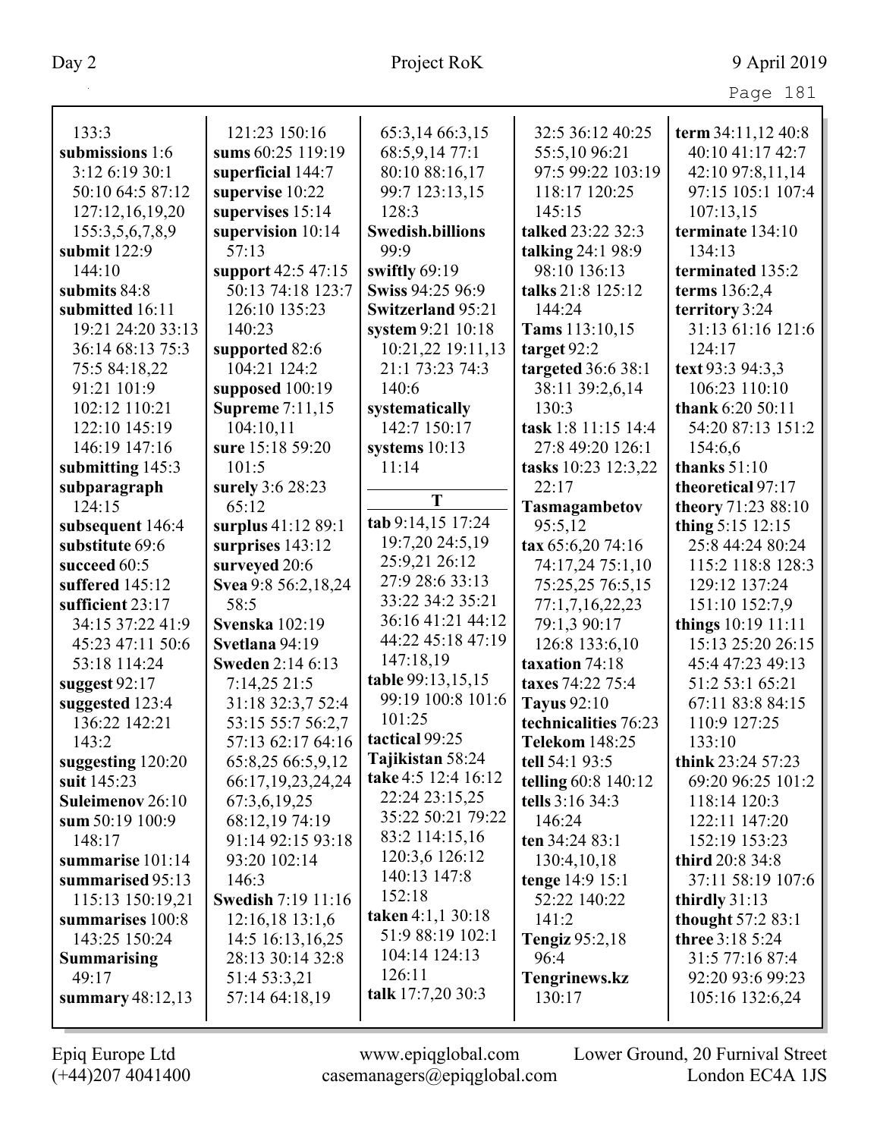|                                |                                |                                   |                               | Page 181                               |
|--------------------------------|--------------------------------|-----------------------------------|-------------------------------|----------------------------------------|
| 133:3                          | 121:23 150:16                  |                                   | 32:5 36:12 40:25              |                                        |
| submissions 1:6                | sums 60:25 119:19              | 65:3,14 66:3,15<br>68:5,9,14 77:1 | 55:5,10 96:21                 | term 34:11,12 40:8<br>40:10 41:17 42:7 |
| 3:12 6:19 30:1                 | superficial 144:7              | 80:10 88:16,17                    | 97:5 99:22 103:19             | 42:10 97:8,11,14                       |
| 50:10 64:5 87:12               | supervise 10:22                | 99:7 123:13,15                    | 118:17 120:25                 | 97:15 105:1 107:4                      |
| 127:12,16,19,20                | supervises 15:14               | 128:3                             | 145:15                        | 107:13,15                              |
| 155:3,5,6,7,8,9                | supervision 10:14              | <b>Swedish.billions</b>           | talked 23:22 32:3             | terminate 134:10                       |
| submit $122:9$                 | 57:13                          | 99:9                              | talking $24:198:9$            | 134:13                                 |
| 144:10                         | support 42:5 47:15             | swiftly $69:19$                   | 98:10 136:13                  | terminated 135:2                       |
| submits 84:8                   | 50:13 74:18 123:7              | Swiss 94:25 96:9                  | talks 21:8 125:12             | terms 136:2,4                          |
| submitted 16:11                | 126:10 135:23                  | <b>Switzerland 95:21</b>          | 144:24                        | territory 3:24                         |
| 19:21 24:20 33:13              | 140:23                         | system 9:21 10:18                 |                               | 31:13 61:16 121:6                      |
| 36:14 68:13 75:3               |                                | 10:21,22 19:11,13                 | Tams 113:10,15<br>target 92:2 | 124:17                                 |
|                                | supported 82:6<br>104:21 124:2 | 21:1 73:23 74:3                   | targeted 36:6 38:1            | text 93:3 94:3,3                       |
| 75:5 84:18,22                  |                                | 140:6                             |                               |                                        |
| 91:21 101:9                    | supposed 100:19                |                                   | 38:11 39:2,6,14               | 106:23 110:10                          |
| 102:12 110:21<br>122:10 145:19 | <b>Supreme</b> 7:11,15         | systematically<br>142:7 150:17    | 130:3<br>task 1:8 11:15 14:4  | thank 6:20 50:11<br>54:20 87:13 151:2  |
|                                | 104:10,11<br>sure 15:18 59:20  |                                   |                               |                                        |
| 146:19 147:16                  |                                | systems 10:13<br>11:14            | 27:8 49:20 126:1              | 154:6,6<br>thanks $51:10$              |
| submitting 145:3               | 101:5                          |                                   | tasks 10:23 12:3,22           |                                        |
| subparagraph                   | surely 3:6 28:23               | T                                 | 22:17                         | theoretical 97:17                      |
| 124:15                         | 65:12                          | tab 9:14,15 17:24                 | <b>Tasmagambetov</b>          | theory 71:23 88:10                     |
| subsequent 146:4               | surplus 41:12 89:1             | 19:7,20 24:5,19                   | 95:5,12                       | thing $5:15$ 12:15                     |
| substitute 69:6                | surprises $143:12$             | 25:9,21 26:12                     | $\text{tax } 65:6,2074:16$    | 25:8 44:24 80:24                       |
| succeed 60:5                   | surveyed 20:6                  | 27:9 28:6 33:13                   | 74:17,24 75:1,10              | 115:2 118:8 128:3                      |
| suffered 145:12                | Svea 9:8 56:2,18,24            | 33:22 34:2 35:21                  | 75:25,25 76:5,15              | 129:12 137:24                          |
| sufficient 23:17               | 58:5                           | 36:16 41:21 44:12                 | 77:1,7,16,22,23               | 151:10 152:7,9                         |
| 34:15 37:22 41:9               | <b>Svenska</b> 102:19          | 44:22 45:18 47:19                 | 79:1,3 90:17                  | things 10:19 11:11                     |
| 45:23 47:11 50:6               | Svetlana 94:19                 | 147:18,19                         | 126:8 133:6,10                | 15:13 25:20 26:15                      |
| 53:18 114:24                   | Sweden 2:14 6:13               | table 99:13,15,15                 | taxation 74:18                | 45:4 47:23 49:13                       |
| suggest $92:17$                | 7:14,2521:5                    | 99:19 100:8 101:6                 | taxes 74:22 75:4              | 51:2 53:1 65:21                        |
| suggested 123:4                | 31:18 32:3,7 52:4              |                                   | <b>Tayus</b> 92:10            | 67:11 83:8 84:15                       |
| 136:22 142:21                  | 53:15 55:7 56:2,7              | 101:25                            | technicalities 76:23          | 110:9 127:25                           |
| 143:2                          | 57:13 62:17 64:16              | tactical 99:25                    | <b>Telekom 148:25</b>         | 133:10                                 |
| suggesting 120:20              | 65:8,25 66:5,9,12              | Tajikistan 58:24                  | tell 54:1 93:5                | think 23:24 57:23                      |
| suit 145:23                    | 66:17,19,23,24,24              | take 4:5 12:4 16:12               | <b>telling 60:8 140:12</b>    | 69:20 96:25 101:2                      |
| Suleimenov 26:10               | 67:3,6,19,25                   | 22:24 23:15,25                    | tells 3:16 34:3               | 118:14 120:3                           |
| sum 50:19 100:9                | 68:12,19 74:19                 | 35:22 50:21 79:22                 | 146:24                        | 122:11 147:20                          |
| 148:17                         | 91:14 92:15 93:18              | 83:2 114:15,16                    | ten $34:2483:1$               | 152:19 153:23                          |
| summarise 101:14               | 93:20 102:14                   | 120:3,6 126:12                    | 130:4,10,18                   | <b>third 20:8 34:8</b>                 |
| summarised 95:13               | 146:3                          | 140:13 147:8                      | tenge 14:9 15:1               | 37:11 58:19 107:6                      |
| 115:13 150:19,21               | <b>Swedish 7:19 11:16</b>      | 152:18                            | 52:22 140:22                  | thirdly $31:13$                        |
| summarises 100:8               | $12:16,18$ 13:1,6              | <b>taken</b> 4:1,1 30:18          | 141:2                         | <b>thought 57:2 83:1</b>               |
| 143:25 150:24                  | 14:5 16:13,16,25               | 51:9 88:19 102:1                  | <b>Tengiz</b> 95:2,18         | three $3:185:24$                       |
| <b>Summarising</b>             | 28:13 30:14 32:8               | 104:14 124:13                     | 96:4                          | 31:5 77:16 87:4                        |
| 49:17                          | 51:4 53:3,21                   | 126:11                            | Tengrinews.kz                 | 92:20 93:6 99:23                       |
| summary 48:12,13               | 57:14 64:18,19                 | talk 17:7,20 30:3                 | 130:17                        | 105:16 132:6,24                        |
|                                |                                |                                   |                               |                                        |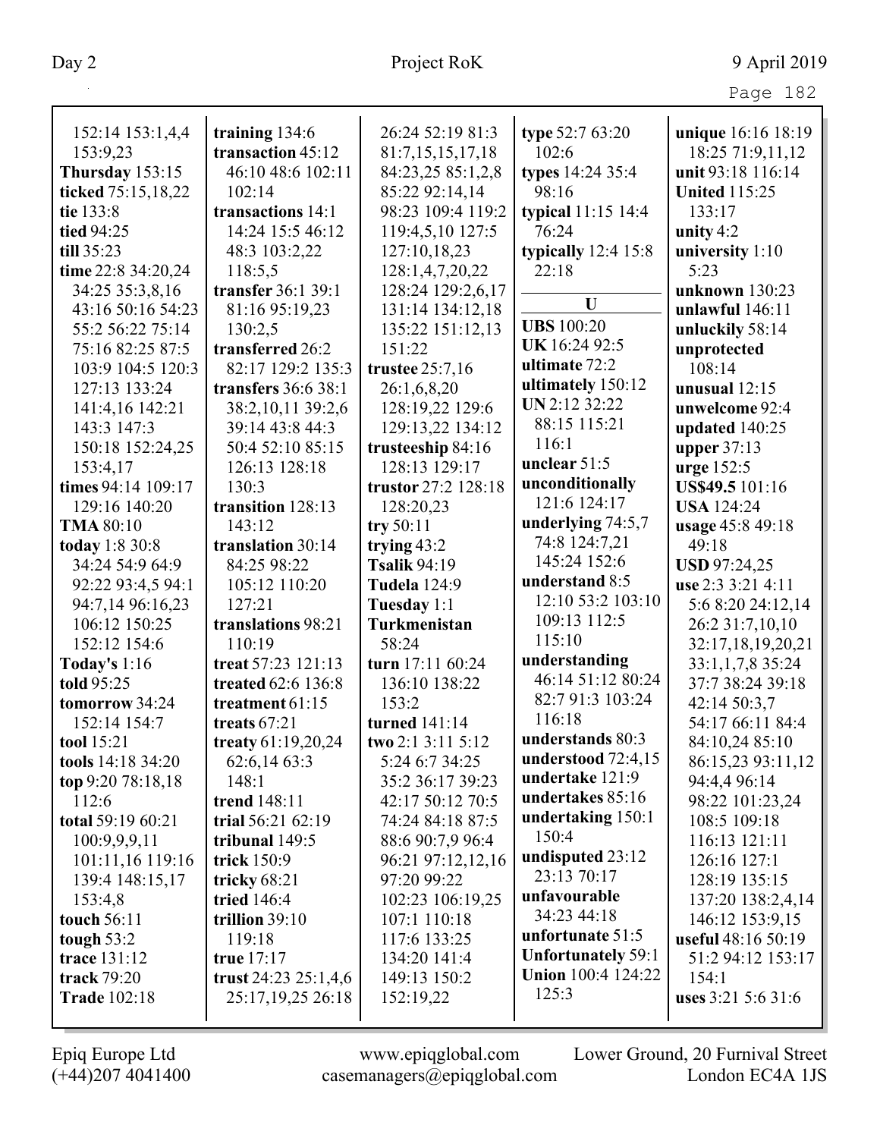| Paon | n                        |
|------|--------------------------|
| ≏    | $\overline{\phantom{a}}$ |

| 152:14 153:1,4,4       | training 134:6             | 26:24 52:19 81:3    | type 52:7 63:20           | unique 16:16 18:19   |
|------------------------|----------------------------|---------------------|---------------------------|----------------------|
| 153:9,23               | transaction 45:12          | 81:7,15,15,17,18    | 102:6                     | 18:25 71:9,11,12     |
| <b>Thursday</b> 153:15 | 46:10 48:6 102:11          | 84:23,25 85:1,2,8   | types 14:24 35:4          | unit 93:18 116:14    |
| ticked 75:15,18,22     | 102:14                     | 85:22 92:14,14      | 98:16                     | <b>United 115:25</b> |
| tie 133:8              | transactions 14:1          | 98:23 109:4 119:2   | typical 11:15 14:4        | 133:17               |
| tied 94:25             | 14:24 15:5 46:12           | 119:4,5,10 127:5    | 76:24                     | unity $4:2$          |
| till 35:23             | 48:3 103:2,22              | 127:10,18,23        | typically $12:4$ 15:8     | university 1:10      |
| time 22:8 34:20,24     | 118:5,5                    | 128:1,4,7,20,22     | 22:18                     | 5:23                 |
| 34:25 35:3,8,16        | transfer 36:1 39:1         | 128:24 129:2,6,17   | U                         | unknown 130:23       |
| 43:16 50:16 54:23      | 81:16 95:19,23             | 131:14 134:12,18    |                           | unlawful 146:11      |
| 55:2 56:22 75:14       | 130:2,5                    | 135:22 151:12,13    | <b>UBS</b> 100:20         | unluckily 58:14      |
| 75:16 82:25 87:5       | transferred 26:2           | 151:22              | UK 16:24 92:5             | unprotected          |
| 103:9 104:5 120:3      | 82:17 129:2 135:3          | trustee 25:7,16     | ultimate 72:2             | 108:14               |
| 127:13 133:24          | <b>transfers</b> 36:6 38:1 | 26:1,6,8,20         | ultimately 150:12         | unusual $12:15$      |
| 141:4,16 142:21        | 38:2,10,11 39:2,6          | 128:19,22 129:6     | UN 2:12 32:22             | unwelcome 92:4       |
| 143:3 147:3            | 39:14 43:8 44:3            | 129:13,22 134:12    | 88:15 115:21              | updated 140:25       |
| 150:18 152:24,25       | 50:4 52:10 85:15           | trusteeship 84:16   | 116:1                     | upper $37:13$        |
| 153:4,17               | 126:13 128:18              | 128:13 129:17       | unclear $51:5$            | urge 152:5           |
| times 94:14 109:17     | 130:3                      | trustor 27:2 128:18 | unconditionally           | US\$49.5 101:16      |
| 129:16 140:20          | transition 128:13          | 128:20,23           | 121:6 124:17              | <b>USA</b> 124:24    |
| <b>TMA 80:10</b>       | 143:12                     | try 50:11           | underlying $74:5,7$       | usage 45:8 49:18     |
| <b>today</b> 1:8 30:8  | translation 30:14          | trying $43:2$       | 74:8 124:7,21             | 49:18                |
| 34:24 54:9 64:9        | 84:25 98:22                | <b>Tsalik 94:19</b> | 145:24 152:6              | <b>USD</b> 97:24,25  |
| 92:22 93:4,5 94:1      | 105:12 110:20              | <b>Tudela</b> 124:9 | understand 8:5            | use 2:3 3:21 4:11    |
| 94:7,14 96:16,23       | 127:21                     | Tuesday 1:1         | 12:10 53:2 103:10         | 5:6 8:20 24:12,14    |
| 106:12 150:25          | translations 98:21         | Turkmenistan        | 109:13 112:5              | 26:2 31:7,10,10      |
| 152:12 154:6           | 110:19                     | 58:24               | 115:10                    | 32:17,18,19,20,21    |
| Today's $1:16$         | treat 57:23 121:13         | turn 17:11 60:24    | understanding             | 33:1,1,7,8 35:24     |
| told 95:25             | treated 62:6 136:8         | 136:10 138:22       | 46:14 51:12 80:24         | 37:7 38:24 39:18     |
| tomorrow 34:24         | treatment 61:15            | 153:2               | 82:7 91:3 103:24          | 42:14 50:3,7         |
| 152:14 154:7           | treats $67:21$             | turned 141:14       | 116:18                    | 54:17 66:11 84:4     |
| tool 15:21             | treaty $61:19,20,24$       | two 2:1 3:11 5:12   | understands 80:3          | 84:10,24 85:10       |
| tools $14:18\,34:20$   | 62:6,14 63:3               | 5:24 6:7 34:25      | understood 72:4,15        | 86:15,23 93:11,12    |
| top 9:20 78:18,18      | 148:1                      | 35:2 36:17 39:23    | undertake 121:9           | 94:4,4 96:14         |
| 112:6                  | trend 148:11               | 42:17 50:12 70:5    | undertakes 85:16          | 98:22 101:23,24      |
| total 59:19 60:21      | trial 56:21 62:19          | 74:24 84:18 87:5    | undertaking 150:1         | 108:5 109:18         |
| 100:9,9,9,11           | tribunal 149:5             | 88:6 90:7,9 96:4    | 150:4                     | 116:13 121:11        |
| 101:11,16 119:16       | trick 150:9                | 96:21 97:12,12,16   | undisputed 23:12          | 126:16 127:1         |
| 139:4 148:15,17        | tricky 68:21               | 97:20 99:22         | 23:13 70:17               | 128:19 135:15        |
| 153:4,8                | <b>tried</b> 146:4         | 102:23 106:19,25    | unfavourable              | 137:20 138:2,4,14    |
| touch $56:11$          | trillion 39:10             | 107:1 110:18        | 34:23 44:18               | 146:12 153:9,15      |
| tough $53:2$           | 119:18                     | 117:6 133:25        | unfortunate 51:5          | useful 48:16 50:19   |
| trace 131:12           | true $17:17$               | 134:20 141:4        | <b>Unfortunately 59:1</b> | 51:2 94:12 153:17    |
| track 79:20            | trust 24:23 25:1,4,6       | 149:13 150:2        | Union 100:4 124:22        | 154:1                |
| <b>Trade 102:18</b>    | 25:17, 19, 25 26:18        | 152:19,22           | 125:3                     | uses 3:21 5:6 31:6   |
|                        |                            |                     |                           |                      |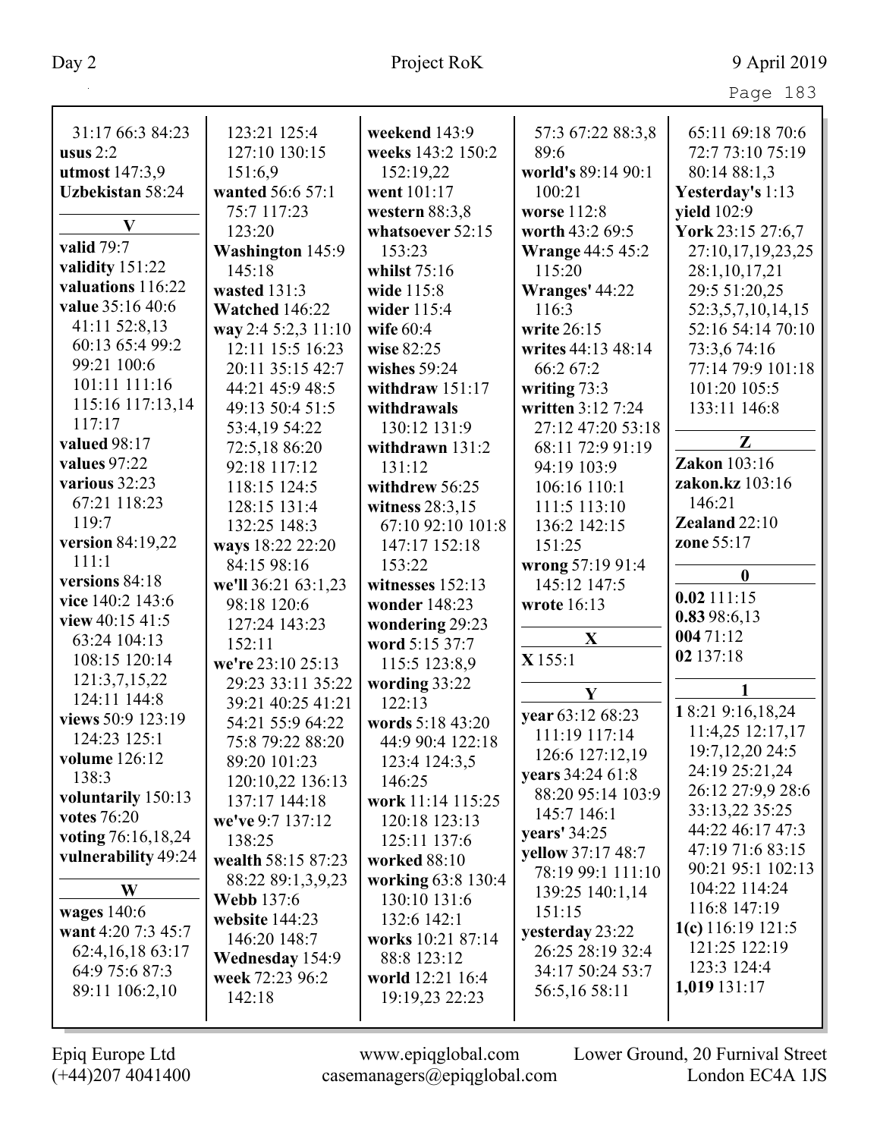| 31:17 66:3 84:23<br>123:21 125:4<br>weekend 143:9<br>57:3 67:22 88:3,8<br>65:11 69:18 70:6<br>127:10 130:15<br>weeks 143:2 150:2<br>72:7 73:10 75:19<br>usus $2:2$<br>89:6<br>world's 89:14 90:1<br><b>utmost</b> 147:3,9<br>151:6,9<br>152:19,22<br>80:14 88:1,3<br><b>Uzbekistan 58:24</b><br>wanted 56:6 57:1<br>went 101:17<br>100:21<br>Yesterday's 1:13<br>yield 102:9<br>75:7 117:23<br>western $88:3,8$<br>worse 112:8<br>$\mathbf{V}$<br>York 23:15 27:6,7<br>123:20<br>whatsoever 52:15<br>worth 43:2 69:5<br>valid 79:7<br><b>Washington 145:9</b><br>27:10,17,19,23,25<br>153:23<br><b>Wrange 44:5 45:2</b><br>validity 151:22<br>145:18<br>whilst 75:16<br>115:20<br>28:1,10,17,21<br>valuations 116:22<br>wasted 131:3<br>wide 115:8<br>Wranges' 44:22<br>29:5 51:20,25<br>value 35:16 40:6<br>Watched 146:22<br>wider 115:4<br>116:3<br>52:3,5,7,10,14,15<br>41:11 52:8,13<br>write 26:15<br>52:16 54:14 70:10<br>way 2:4 5:2,3 11:10<br>wife $60:4$<br>60:13 65:4 99:2<br>12:11 15:5 16:23<br>wise 82:25<br>writes 44:13 48:14<br>73:3,6 74:16<br>99:21 100:6<br>wishes 59:24<br>77:14 79:9 101:18<br>20:11 35:15 42:7<br>66:2 67:2<br>101:11 111:16<br>writing 73:3<br>44:21 45:9 48:5<br>withdraw $151:17$<br>101:20 105:5<br>115:16 117:13,14<br>written 3:12 7:24<br>49:13 50:4 51:5<br>withdrawals<br>133:11 146:8<br>117:17<br>27:12 47:20 53:18<br>53:4,19 54:22<br>130:12 131:9<br>$\mathbf{Z}$<br>valued 98:17<br>68:11 72:9 91:19<br>72:5,18 86:20<br>withdrawn 131:2<br><b>Zakon</b> 103:16<br>values 97:22<br>92:18 117:12<br>94:19 103:9<br>131:12<br>various 32:23<br>zakon.kz 103:16<br>118:15 124:5<br>withdrew 56:25<br>106:16 110:1<br>67:21 118:23<br>146:21<br>111:5 113:10<br>128:15 131:4<br>witness $28:3,15$<br>Zealand 22:10<br>119:7<br>132:25 148:3<br>67:10 92:10 101:8<br>136:2 142:15<br>version 84:19,22<br>zone 55:17<br>ways 18:22 22:20<br>147:17 152:18<br>151:25<br>111:1<br>84:15 98:16<br>wrong 57:19 91:4<br>153:22<br>$\bf{0}$<br>versions 84:18<br>witnesses 152:13<br>145:12 147:5<br>we'll 36:21 63:1,23<br>0.02111:15 |
|-----------------------------------------------------------------------------------------------------------------------------------------------------------------------------------------------------------------------------------------------------------------------------------------------------------------------------------------------------------------------------------------------------------------------------------------------------------------------------------------------------------------------------------------------------------------------------------------------------------------------------------------------------------------------------------------------------------------------------------------------------------------------------------------------------------------------------------------------------------------------------------------------------------------------------------------------------------------------------------------------------------------------------------------------------------------------------------------------------------------------------------------------------------------------------------------------------------------------------------------------------------------------------------------------------------------------------------------------------------------------------------------------------------------------------------------------------------------------------------------------------------------------------------------------------------------------------------------------------------------------------------------------------------------------------------------------------------------------------------------------------------------------------------------------------------------------------------------------------------------------------------------------------------------------------------------------------------------------------------------------------------------------------------------------------------------------------------|
| vice 140:2 143:6<br>98:18 120:6<br>wonder 148:23<br>wrote 16:13<br>0.8398:6,13<br>view $40:15\;41:5$<br>127:24 143:23<br>wondering 29:23<br>00471:12<br>X<br>63:24 104:13<br>word 5:15 37:7<br>152:11<br>02 137:18<br>X155:1<br>108:15 120:14<br>we're 23:10 25:13<br>115:5 123:8,9<br>121:3,7,15,22<br>29:23 33:11 35:22<br>wording 33:22<br>$\mathbf{Y}$<br>124:11 144:8<br>122:13<br>39:21 40:25 41:21<br>18:21 9:16,18,24<br>year 63:12 68:23<br>views 50:9 123:19<br>54:21 55:9 64:22<br>words 5:18 43:20<br>11:4,25 12:17,17<br>111:19 117:14<br>124:23 125:1<br>75:8 79:22 88:20<br>44:9 90:4 122:18<br>19:7, 12, 20 24: 5<br>126:6 127:12,19<br>volume 126:12<br>89:20 101:23<br>123:4 124:3,5<br>24:19 25:21,24<br>vears 34:24 61:8<br>138:3<br>120:10,22 136:13<br>146:25<br>26:12 27:9,9 28:6<br>88:20 95:14 103:9<br>voluntarily 150:13<br>work 11:14 115:25<br>137:17 144:18<br>33:13,22 35:25<br>145:7 146:1<br><b>votes</b> 76:20<br>we've 9:7 137:12<br>120:18 123:13<br>44:22 46:17 47:3<br>years' 34:25<br>voting 76:16,18,24<br>138:25<br>125:11 137:6<br>47:19 71:6 83:15<br>yellow 37:17 48:7<br>vulnerability 49:24<br>wealth 58:15 87:23<br>worked 88:10<br>90:21 95:1 102:13<br>78:19 99:1 111:10<br>working 63:8 130:4<br>88:22 89:1,3,9,23<br>104:22 114:24<br>W<br>139:25 140:1,14                                                                                                                                                                                                                                                                                                                                                                                                                                                                                                                                                                                                                                                                                                                                                                     |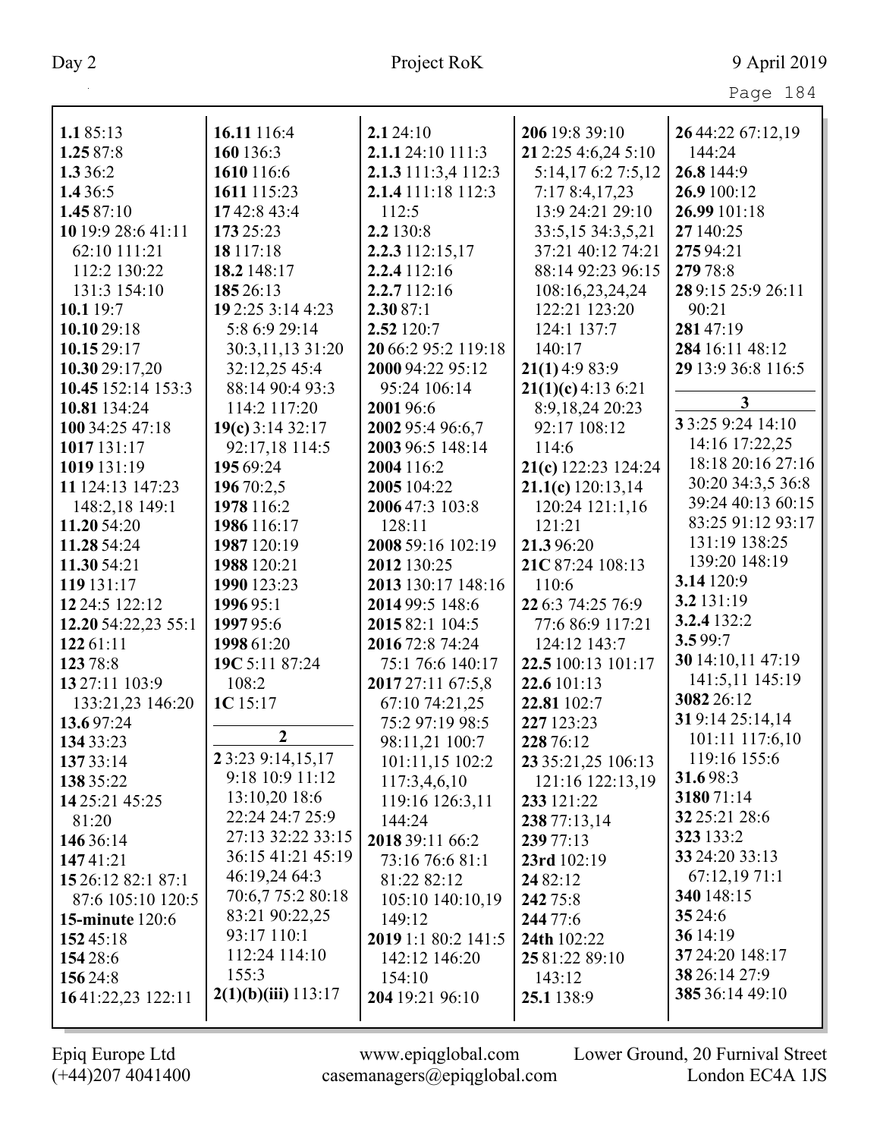| Page | 84 |
|------|----|
|------|----|

| 1.185:13               | 16.11 116:4         | 2.1 24:10           | 206 19:8 39:10       | 26 44:22 67:12,19  |
|------------------------|---------------------|---------------------|----------------------|--------------------|
| 1.25 87:8              | 160 136:3           | 2.1.1 24:10 111:3   | 21 2:25 4:6,24 5:10  | 144:24             |
| 1.3 36:2               | 1610 116:6          | 2.1.3 111:3,4 112:3 | 5:14,17 6:2 7:5,12   | 26.8 144:9         |
| 1.4 36:5               | 1611 115:23         | 2.1.4 111:18 112:3  | 7:178:4,17,23        | 26.9 100:12        |
| 1.45 87:10             | 1742:843:4          | 112:5               | 13:9 24:21 29:10     | 26.99 101:18       |
| 10 19:9 28:6 41:11     | 173 25:23           | 2.2 130:8           | 33:5,15 34:3,5,21    | 27 140:25          |
| 62:10 111:21           | 18 117:18           | 2.2.3 112:15,17     | 37:21 40:12 74:21    | 275 94:21          |
| 112:2 130:22           | 18.2 148:17         | 2.2.4 112:16        | 88:14 92:23 96:15    | 279 78:8           |
| 131:3 154:10           | 185 26:13           | 2.2.7 112:16        | 108:16,23,24,24      | 289:15 25:9 26:11  |
| 10.1 19:7              | 19 2:25 3:14 4:23   | 2.3087:1            | 122:21 123:20        | 90:21              |
| 10.10 29:18            | 5:8 6:9 29:14       | 2.52 120:7          | 124:1 137:7          | 28147:19           |
| 10.15 29:17            | 30:3,11,13 31:20    | 20 66:2 95:2 119:18 | 140:17               | 284 16:11 48:12    |
| 10.30 29:17,20         | 32:12,25 45:4       | 2000 94:22 95:12    | $21(1)$ 4:9 83:9     | 29 13:9 36:8 116:5 |
| 10.45 152:14 153:3     | 88:14 90:4 93:3     | 95:24 106:14        | $21(1)(c)$ 4:13 6:21 |                    |
| 10.81 134:24           | 114:2 117:20        | 2001 96:6           | 8:9,18,24 20:23      | $\mathbf{3}$       |
| 100 34:25 47:18        | 19(c) 3:14 32:17    | 2002 95:4 96:6,7    | 92:17 108:12         | 3 3:25 9:24 14:10  |
| 1017 131:17            | 92:17,18 114:5      | 2003 96:5 148:14    | 114:6                | 14:16 17:22,25     |
| 1019 131:19            | 195 69:24           | 2004 116:2          | 21(c) 122:23 124:24  | 18:18 20:16 27:16  |
| 11 124:13 147:23       | 196 70:2,5          | 2005 104:22         | $21.1(c)$ 120:13,14  | 30:20 34:3,5 36:8  |
| 148:2,18 149:1         | 1978 116:2          | 2006 47:3 103:8     | 120:24 121:1,16      | 39:24 40:13 60:15  |
| 11.20 54:20            | 1986 116:17         | 128:11              | 121:21               | 83:25 91:12 93:17  |
| 11.28 54:24            | 1987 120:19         | 2008 59:16 102:19   | 21.3 96:20           | 131:19 138:25      |
| 11.30 54:21            | 1988 120:21         | 2012 130:25         | 21C 87:24 108:13     | 139:20 148:19      |
| 119 131:17             | 1990 123:23         | 2013 130:17 148:16  | 110:6                | 3.14 120:9         |
| 12 24:5 122:12         | 1996 95:1           | 2014 99:5 148:6     | 22 6:3 74:25 76:9    | 3.2 131:19         |
| 12.20 54:22,23 55:1    | 199795:6            | 2015 82:1 104:5     | 77:6 86:9 117:21     | 3.2.4 132:2        |
| 122 61:11              | 1998 61:20          | 2016 72:8 74:24     | 124:12 143:7         | 3.599:7            |
| 123 78:8               | 19C 5:11 87:24      | 75:1 76:6 140:17    | 22.5 100:13 101:17   | 30 14:10,11 47:19  |
| 13 27:11 103:9         | 108:2               | 2017 27:11 67:5,8   | 22.6 101:13          | 141:5,11 145:19    |
| 133:21,23 146:20       | $1C$ 15:17          | 67:10 74:21,25      | 22.81 102:7          | 3082 26:12         |
| 13.697:24              |                     | 75:2 97:19 98:5     | 227 123:23           | 319:14 25:14,14    |
| 134 33:23              | $\boldsymbol{2}$    | 98:11,21 100:7      | 228 76:12            | 101:11 117:6,10    |
| 137 33:14              | 2 3:23 9:14,15,17   | 101:11,15 102:2     | 23 35:21,25 106:13   | 119:16 155:6       |
| 138 35:22              | 9:18 10:9 11:12     | 117:3,4,6,10        | 121:16 122:13,19     | 31.698:3           |
| 14 25:21 45:25         | 13:10,20 18:6       | 119:16 126:3,11     | 233 121:22           | 318071:14          |
| 81:20                  | 22:24 24:7 25:9     | 144:24              | 238 77:13,14         | 32 25:21 28:6      |
| 146 36:14              | 27:13 32:22 33:15   | 2018 39:11 66:2     | 239 77:13            | 323 133:2          |
| 14741:21               | 36:15 41:21 45:19   | 73:16 76:6 81:1     | 23rd 102:19          | 33 24:20 33:13     |
| 15 26:12 82:1 87:1     | 46:19,24 64:3       | 81:22 82:12         | 24 82:12             | 67:12,19 71:1      |
| 87:6 105:10 120:5      | 70:6,7 75:2 80:18   | 105:10 140:10,19    | 242 75:8             | 340 148:15         |
| <b>15-minute</b> 120:6 | 83:21 90:22,25      | 149:12              | 244 77:6             | 3524:6             |
| 15245:18               | 93:17 110:1         | 2019 1:1 80:2 141:5 | 24th 102:22          | 36 14:19           |
| 154 28:6               | 112:24 114:10       | 142:12 146:20       | 25 81:22 89:10       | 37 24:20 148:17    |
| 156 24:8               | 155:3               | 154:10              | 143:12               | 38 26:14 27:9      |
| 1641:22,23 122:11      | 2(1)(b)(iii) 113:17 | 204 19:21 96:10     | 25.1 138:9           | 385 36:14 49:10    |
|                        |                     |                     |                      |                    |